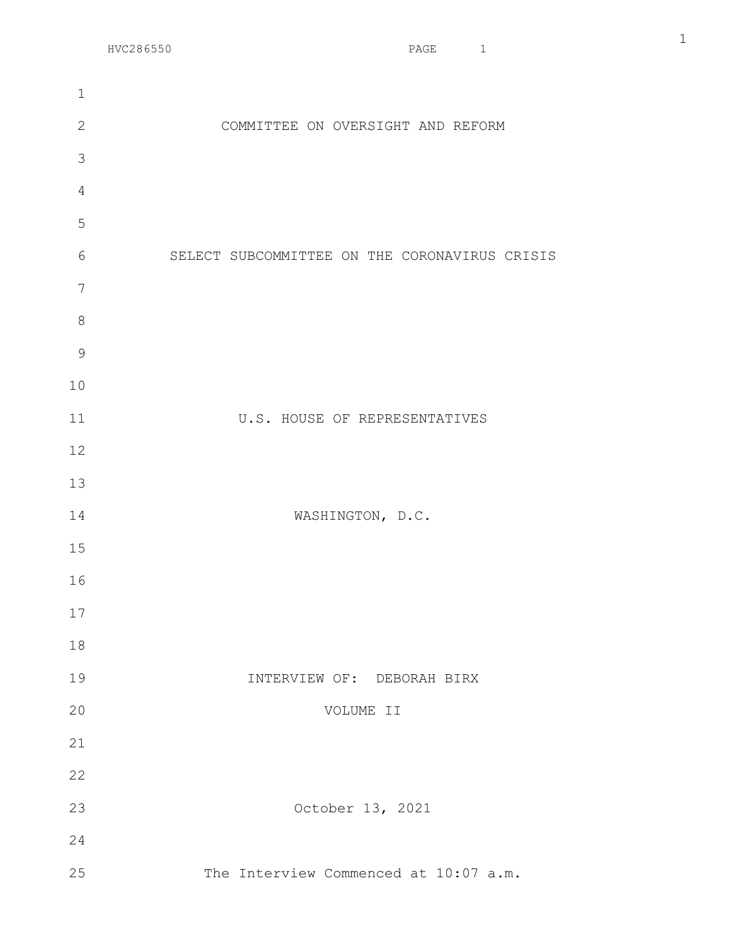| $\mathbf 1$    |                                               |
|----------------|-----------------------------------------------|
| $\mathbf{2}$   | COMMITTEE ON OVERSIGHT AND REFORM             |
| $\mathcal{S}$  |                                               |
| $\overline{4}$ |                                               |
| 5              |                                               |
| 6              | SELECT SUBCOMMITTEE ON THE CORONAVIRUS CRISIS |
| $\overline{7}$ |                                               |
| $\,8\,$        |                                               |
| $\mathcal{G}$  |                                               |
| 10             |                                               |
| 11             | U.S. HOUSE OF REPRESENTATIVES                 |
| 12             |                                               |
| 13             |                                               |
| 14             | WASHINGTON, D.C.                              |
| 15             |                                               |
| 16             |                                               |
| 17             |                                               |
| 18             |                                               |
| 19             | INTERVIEW OF: DEBORAH BIRX                    |
| 20             | VOLUME II                                     |
| 21             |                                               |
| 22             |                                               |
| 23             | October 13, 2021                              |
| 24             |                                               |
| 25             | The Interview Commenced at 10:07 a.m.         |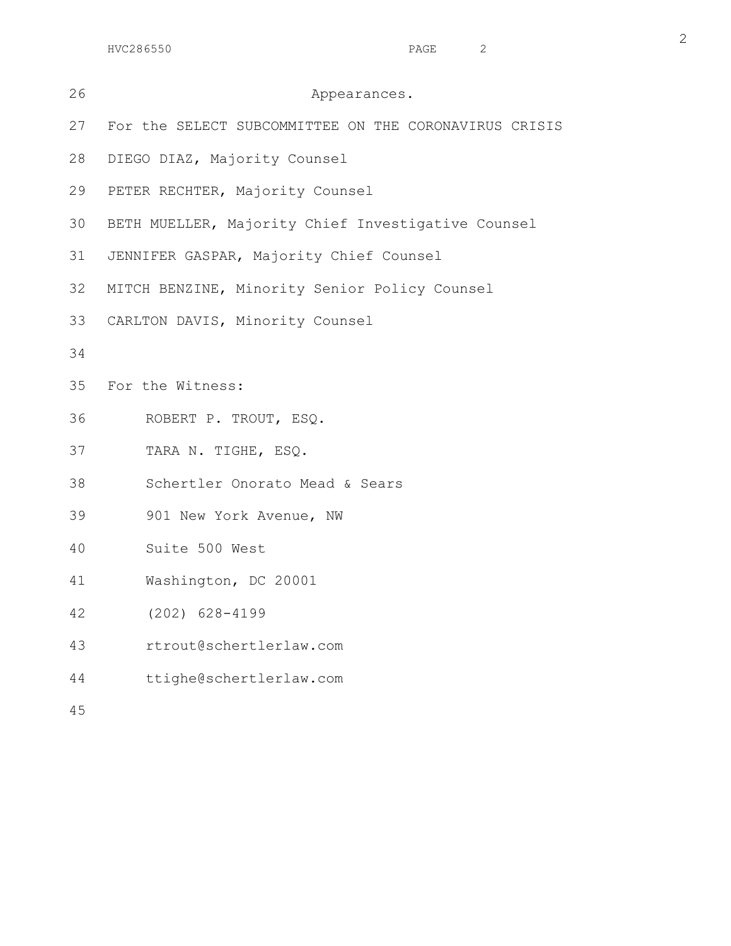| 26 | Appearances.                                          |  |  |  |  |  |  |  |
|----|-------------------------------------------------------|--|--|--|--|--|--|--|
| 27 | For the SELECT SUBCOMMITTEE ON THE CORONAVIRUS CRISIS |  |  |  |  |  |  |  |
| 28 | DIEGO DIAZ, Majority Counsel                          |  |  |  |  |  |  |  |
| 29 | PETER RECHTER, Majority Counsel                       |  |  |  |  |  |  |  |
| 30 | BETH MUELLER, Majority Chief Investigative Counsel    |  |  |  |  |  |  |  |
| 31 | JENNIFER GASPAR, Majority Chief Counsel               |  |  |  |  |  |  |  |
| 32 | MITCH BENZINE, Minority Senior Policy Counsel         |  |  |  |  |  |  |  |
| 33 | CARLTON DAVIS, Minority Counsel                       |  |  |  |  |  |  |  |
| 34 |                                                       |  |  |  |  |  |  |  |
| 35 | For the Witness:                                      |  |  |  |  |  |  |  |
| 36 | ROBERT P. TROUT, ESQ.                                 |  |  |  |  |  |  |  |
| 37 | TARA N. TIGHE, ESQ.                                   |  |  |  |  |  |  |  |
| 38 | Schertler Onorato Mead & Sears                        |  |  |  |  |  |  |  |
| 39 | 901 New York Avenue, NW                               |  |  |  |  |  |  |  |
| 40 | Suite 500 West                                        |  |  |  |  |  |  |  |
| 41 | Washington, DC 20001                                  |  |  |  |  |  |  |  |
| 42 | $(202)$ 628-4199                                      |  |  |  |  |  |  |  |
| 43 | rtrout@schertlerlaw.com                               |  |  |  |  |  |  |  |
| 44 | ttighe@schertlerlaw.com                               |  |  |  |  |  |  |  |
| 45 |                                                       |  |  |  |  |  |  |  |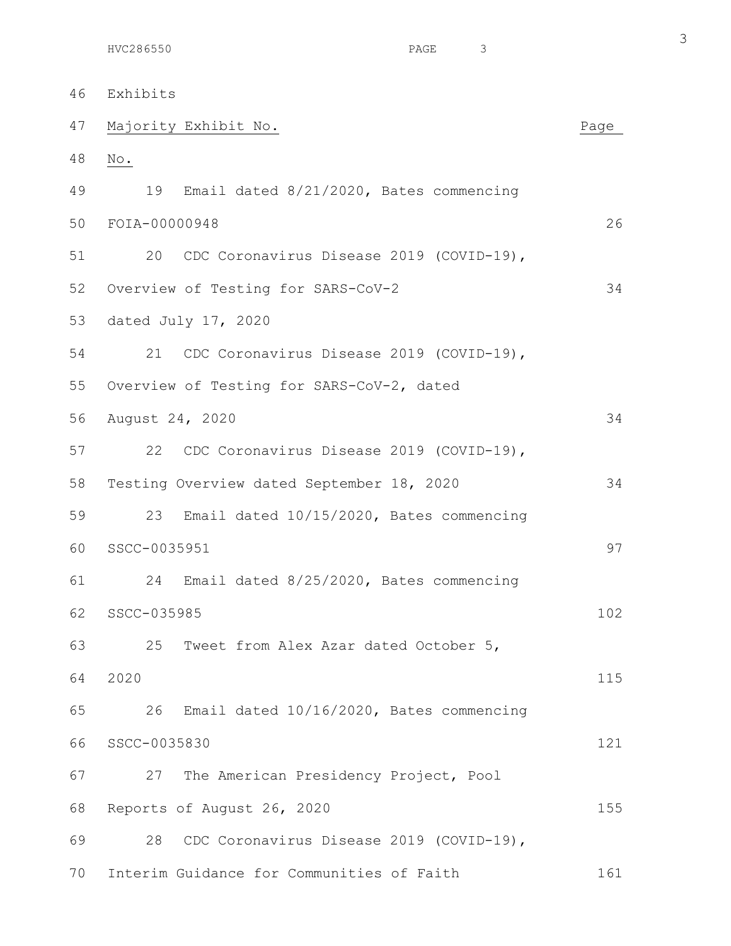| 46 | Exhibits                                       |      |  |  |  |  |  |  |
|----|------------------------------------------------|------|--|--|--|--|--|--|
| 47 | Majority Exhibit No.                           | Page |  |  |  |  |  |  |
| 48 | $\mathbb N\circ$ .                             |      |  |  |  |  |  |  |
| 49 | Email dated 8/21/2020, Bates commencing<br>19  |      |  |  |  |  |  |  |
| 50 | FOIA-00000948                                  | 26   |  |  |  |  |  |  |
| 51 | 20 CDC Coronavirus Disease 2019 (COVID-19),    |      |  |  |  |  |  |  |
| 52 | Overview of Testing for SARS-CoV-2             | 34   |  |  |  |  |  |  |
| 53 | dated July 17, 2020                            |      |  |  |  |  |  |  |
| 54 | 21<br>CDC Coronavirus Disease 2019 (COVID-19), |      |  |  |  |  |  |  |
| 55 | Overview of Testing for SARS-CoV-2, dated      |      |  |  |  |  |  |  |
| 56 | August 24, 2020                                | 34   |  |  |  |  |  |  |
| 57 | 22 CDC Coronavirus Disease 2019 (COVID-19),    |      |  |  |  |  |  |  |
| 58 | Testing Overview dated September 18, 2020      | 34   |  |  |  |  |  |  |
| 59 | 23<br>Email dated 10/15/2020, Bates commencing |      |  |  |  |  |  |  |
| 60 | SSCC-0035951                                   |      |  |  |  |  |  |  |
| 61 | 24<br>Email dated 8/25/2020, Bates commencing  |      |  |  |  |  |  |  |
| 62 | SSCC-035985                                    | 102  |  |  |  |  |  |  |
| 63 | 25<br>Tweet from Alex Azar dated October 5,    |      |  |  |  |  |  |  |
| 64 | 2020                                           | 115  |  |  |  |  |  |  |
| 65 | Email dated 10/16/2020, Bates commencing<br>26 |      |  |  |  |  |  |  |
| 66 | SSCC-0035830                                   | 121  |  |  |  |  |  |  |
| 67 | 27<br>The American Presidency Project, Pool    |      |  |  |  |  |  |  |
| 68 | Reports of August 26, 2020                     | 155  |  |  |  |  |  |  |
| 69 | CDC Coronavirus Disease 2019 (COVID-19),<br>28 |      |  |  |  |  |  |  |
| 70 | Interim Guidance for Communities of Faith      | 161  |  |  |  |  |  |  |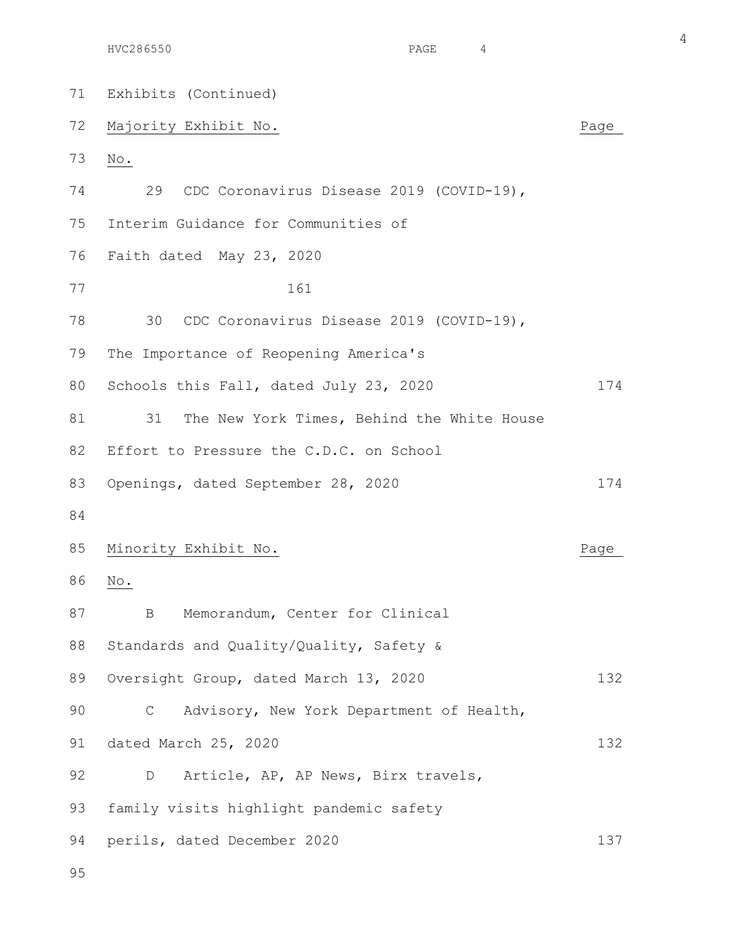71 Exhibits (Continued) 72 Majority Exhibit No. 2008 2012 12:20 Majority Exhibit No. 73 No. 74 29 CDC Coronavirus Disease 2019 (COVID-19), 75 Interim Guidance for Communities of 76 Faith dated May 23, 2020 77 161 78 30 CDC Coronavirus Disease 2019 (COVID-19), 79 The Importance of Reopening America's 80 Schools this Fall, dated July 23, 2020 174 81 31 The New York Times, Behind the White House 82 Effort to Pressure the C.D.C. on School 83 Openings, dated September 28, 2020 174 84 85 Minority Exhibit No. 2008 2012 12:30 Minority Exhibit No. 86 No. 87 B Memorandum, Center for Clinical 88 Standards and Quality/Quality, Safety & 89 Oversight Group, dated March 13, 2020 132 90 C Advisory, New York Department of Health, 91 dated March 25, 2020 132 92 D Article, AP, AP News, Birx travels, 93 family visits highlight pandemic safety 94 perils, dated December 2020 137

HVC286550 PAGE 4

4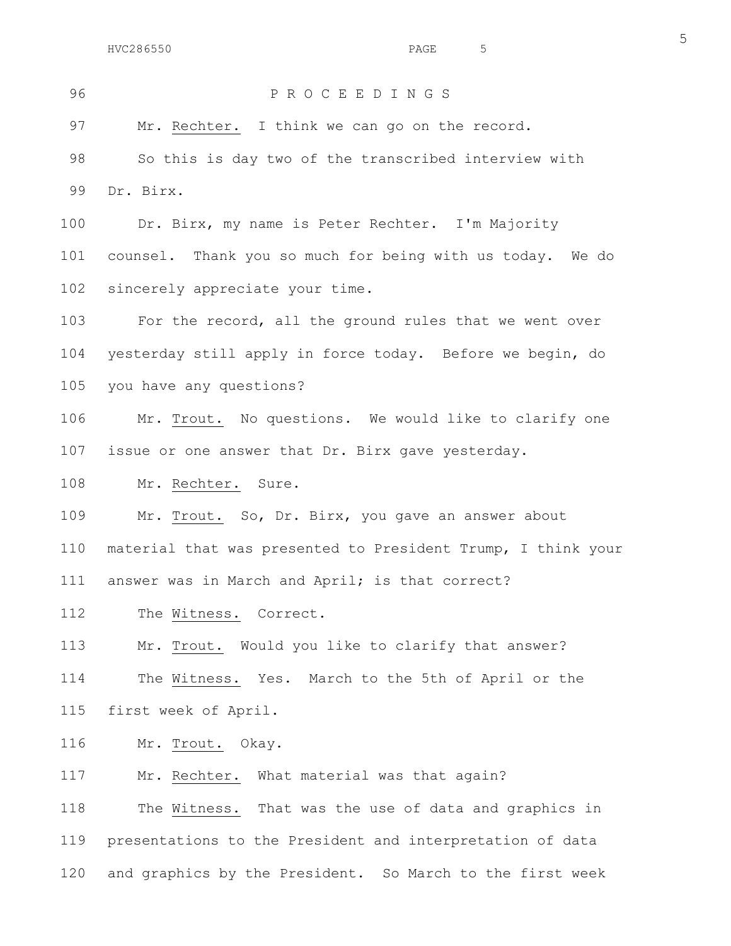## 96 P R O C E E D I N G S

97 Mr. Rechter. I think we can go on the record.

98 So this is day two of the transcribed interview with 99 Dr. Birx.

100 Dr. Birx, my name is Peter Rechter. I'm Majority 101 counsel. Thank you so much for being with us today. We do 102 sincerely appreciate your time.

103 For the record, all the ground rules that we went over 104 yesterday still apply in force today. Before we begin, do 105 you have any questions?

106 Mr. Trout. No questions. We would like to clarify one 107 issue or one answer that Dr. Birx gave yesterday.

108 Mr. Rechter. Sure.

109 Mr. Trout. So, Dr. Birx, you gave an answer about 110 material that was presented to President Trump, I think your 111 answer was in March and April; is that correct?

112 The Witness. Correct.

113 Mr. Trout. Would you like to clarify that answer?

114 The Witness. Yes. March to the 5th of April or the 115 first week of April.

116 Mr. Trout. Okay.

117 Mr. Rechter. What material was that again?

118 The Witness. That was the use of data and graphics in 119 presentations to the President and interpretation of data 120 and graphics by the President. So March to the first week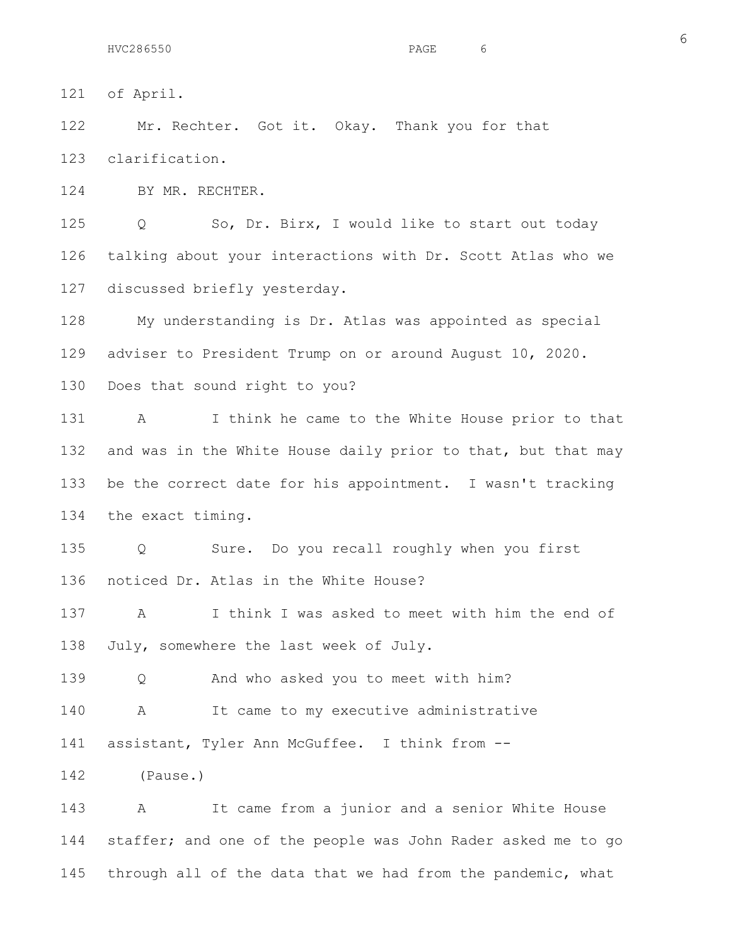121 of April.

122 Mr. Rechter. Got it. Okay. Thank you for that 123 clarification.

124 BY MR. RECHTER.

125 Q So, Dr. Birx, I would like to start out today 126 talking about your interactions with Dr. Scott Atlas who we 127 discussed briefly yesterday.

128 My understanding is Dr. Atlas was appointed as special 129 adviser to President Trump on or around August 10, 2020.

130 Does that sound right to you?

131 A I think he came to the White House prior to that 132 and was in the White House daily prior to that, but that may 133 be the correct date for his appointment. I wasn't tracking 134 the exact timing.

135 Q Sure. Do you recall roughly when you first 136 noticed Dr. Atlas in the White House?

137 A I think I was asked to meet with him the end of 138 July, somewhere the last week of July.

139 Q And who asked you to meet with him?

140 A It came to my executive administrative

141 assistant, Tyler Ann McGuffee. I think from --

142 (Pause.)

143 A It came from a junior and a senior White House 144 staffer; and one of the people was John Rader asked me to go 145 through all of the data that we had from the pandemic, what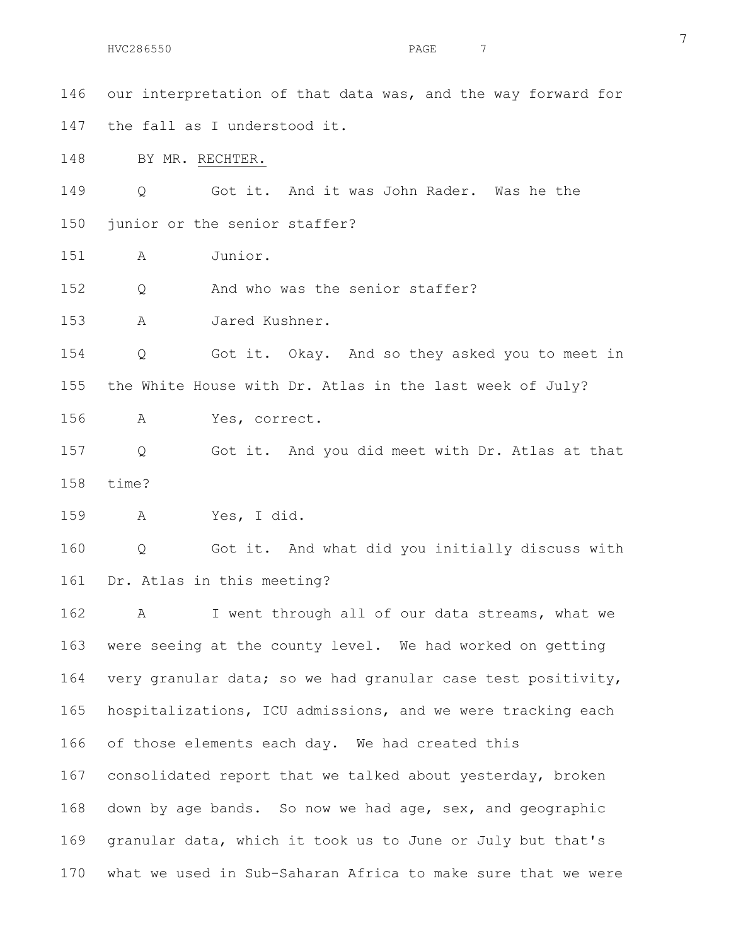146 our interpretation of that data was, and the way forward for 147 the fall as I understood it. 148 BY MR. RECHTER. 149 Q Got it. And it was John Rader. Was he the 150 junior or the senior staffer? 151 A Junior. 152 Q And who was the senior staffer? 153 A Jared Kushner. 154 Q Got it. Okay. And so they asked you to meet in 155 the White House with Dr. Atlas in the last week of July? 156 A Yes, correct. 157 Q Got it. And you did meet with Dr. Atlas at that 158 time? 159 A Yes, I did. 160 Q Got it. And what did you initially discuss with 161 Dr. Atlas in this meeting? 162 A I went through all of our data streams, what we 163 were seeing at the county level. We had worked on getting 164 very granular data; so we had granular case test positivity, 165 hospitalizations, ICU admissions, and we were tracking each 166 of those elements each day. We had created this 167 consolidated report that we talked about yesterday, broken 168 down by age bands. So now we had age, sex, and geographic 169 granular data, which it took us to June or July but that's 170 what we used in Sub-Saharan Africa to make sure that we were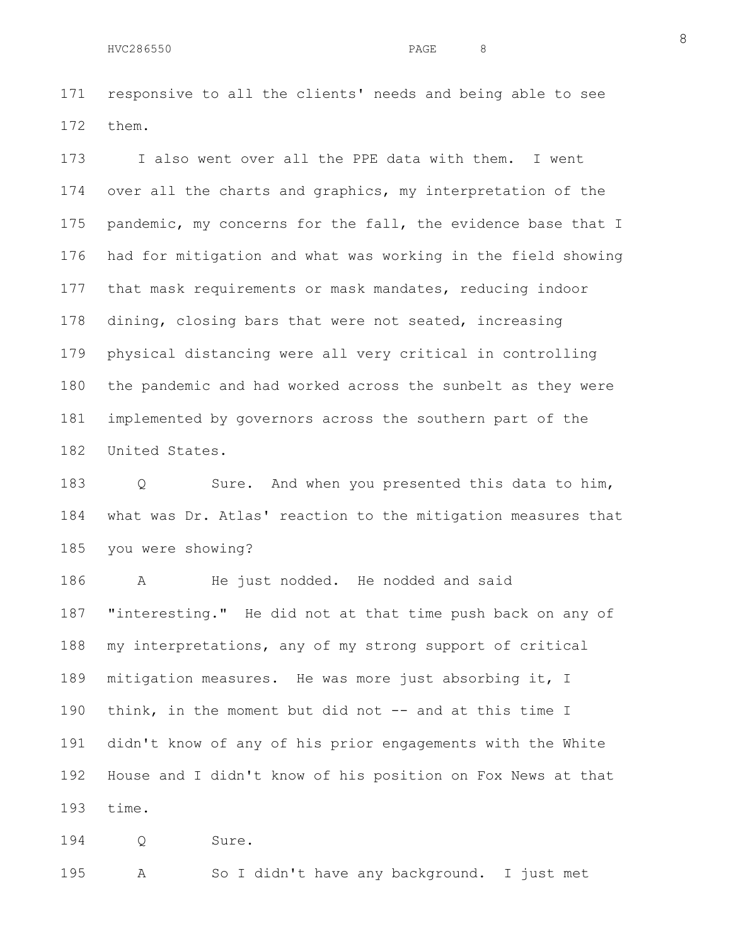171 responsive to all the clients' needs and being able to see 172 them.

173 I also went over all the PPE data with them. I went 174 over all the charts and graphics, my interpretation of the 175 pandemic, my concerns for the fall, the evidence base that I 176 had for mitigation and what was working in the field showing 177 that mask requirements or mask mandates, reducing indoor 178 dining, closing bars that were not seated, increasing 179 physical distancing were all very critical in controlling 180 the pandemic and had worked across the sunbelt as they were 181 implemented by governors across the southern part of the 182 United States.

183 Q Sure. And when you presented this data to him, 184 what was Dr. Atlas' reaction to the mitigation measures that 185 you were showing?

186 A He just nodded. He nodded and said 187 "interesting." He did not at that time push back on any of 188 my interpretations, any of my strong support of critical 189 mitigation measures. He was more just absorbing it, I 190 think, in the moment but did not -- and at this time I 191 didn't know of any of his prior engagements with the White 192 House and I didn't know of his position on Fox News at that 193 time.

194 Q Sure.

195 A So I didn't have any background. I just met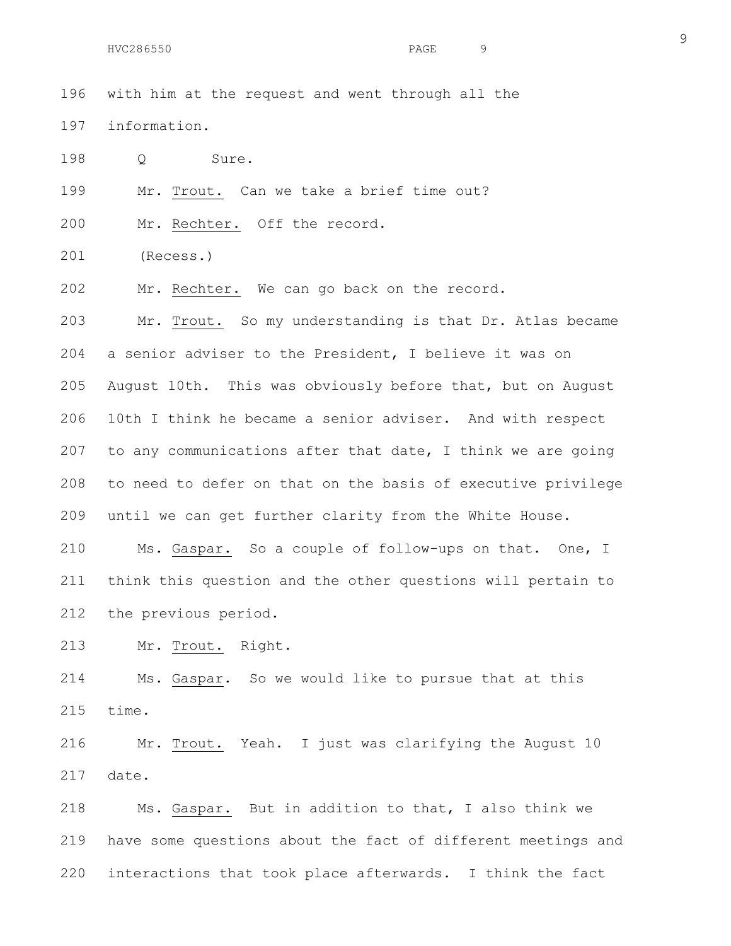|     |                  |         |  |       | 196 with him at the request and went through all the |  |  |  |  |  |
|-----|------------------|---------|--|-------|------------------------------------------------------|--|--|--|--|--|
|     | 197 information. |         |  |       |                                                      |  |  |  |  |  |
| 198 |                  | $\circ$ |  | Sure. |                                                      |  |  |  |  |  |

199 Mr. Trout. Can we take a brief time out?

200 Mr. Rechter. Off the record.

201 (Recess.)

202 Mr. Rechter. We can go back on the record.

203 Mr. Trout. So my understanding is that Dr. Atlas became 204 a senior adviser to the President, I believe it was on 205 August 10th. This was obviously before that, but on August 206 10th I think he became a senior adviser. And with respect 207 to any communications after that date, I think we are going 208 to need to defer on that on the basis of executive privilege 209 until we can get further clarity from the White House.

210 Ms. Gaspar. So a couple of follow-ups on that. One, I 211 think this question and the other questions will pertain to 212 the previous period.

213 Mr. Trout. Right.

214 Ms. Gaspar. So we would like to pursue that at this 215 time.

216 Mr. Trout. Yeah. I just was clarifying the August 10 217 date.

218 Ms. Gaspar. But in addition to that, I also think we 219 have some questions about the fact of different meetings and 220 interactions that took place afterwards. I think the fact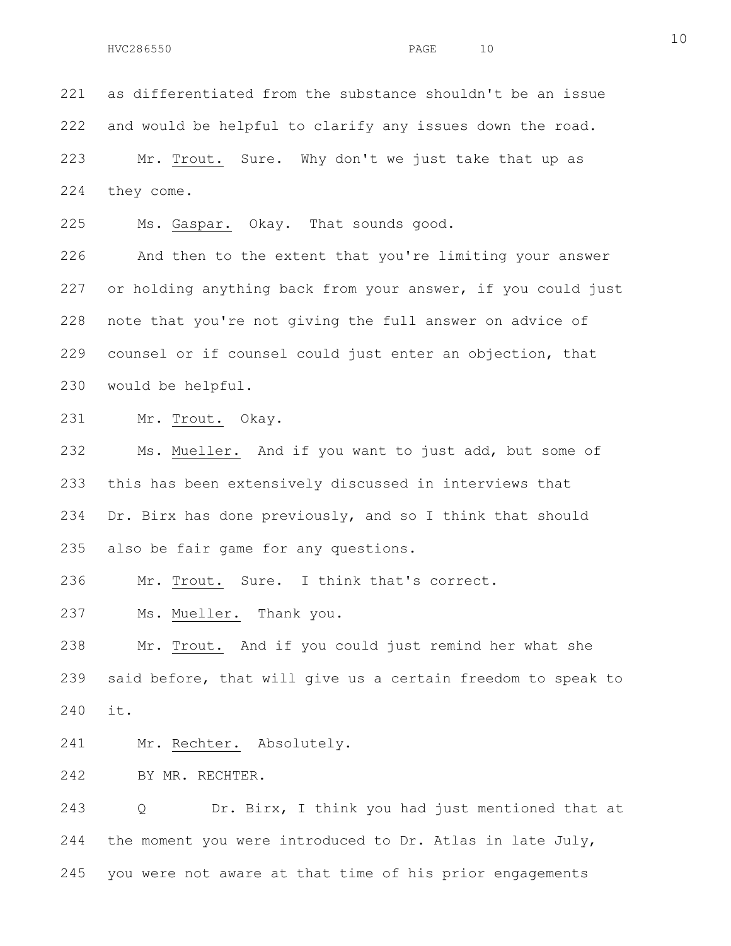221 as differentiated from the substance shouldn't be an issue 222 and would be helpful to clarify any issues down the road. 223 Mr. Trout. Sure. Why don't we just take that up as 224 they come.

225 Ms. Gaspar. Okay. That sounds good.

226 And then to the extent that you're limiting your answer 227 or holding anything back from your answer, if you could just 228 note that you're not giving the full answer on advice of 229 counsel or if counsel could just enter an objection, that 230 would be helpful.

231 Mr. Trout. Okay.

232 Ms. Mueller. And if you want to just add, but some of 233 this has been extensively discussed in interviews that 234 Dr. Birx has done previously, and so I think that should 235 also be fair game for any questions.

236 Mr. Trout. Sure. I think that's correct.

237 Ms. Mueller. Thank you.

238 Mr. Trout. And if you could just remind her what she 239 said before, that will give us a certain freedom to speak to 240 it.

241 Mr. Rechter. Absolutely.

242 BY MR. RECHTER.

243 Q Dr. Birx, I think you had just mentioned that at 244 the moment you were introduced to Dr. Atlas in late July, 245 you were not aware at that time of his prior engagements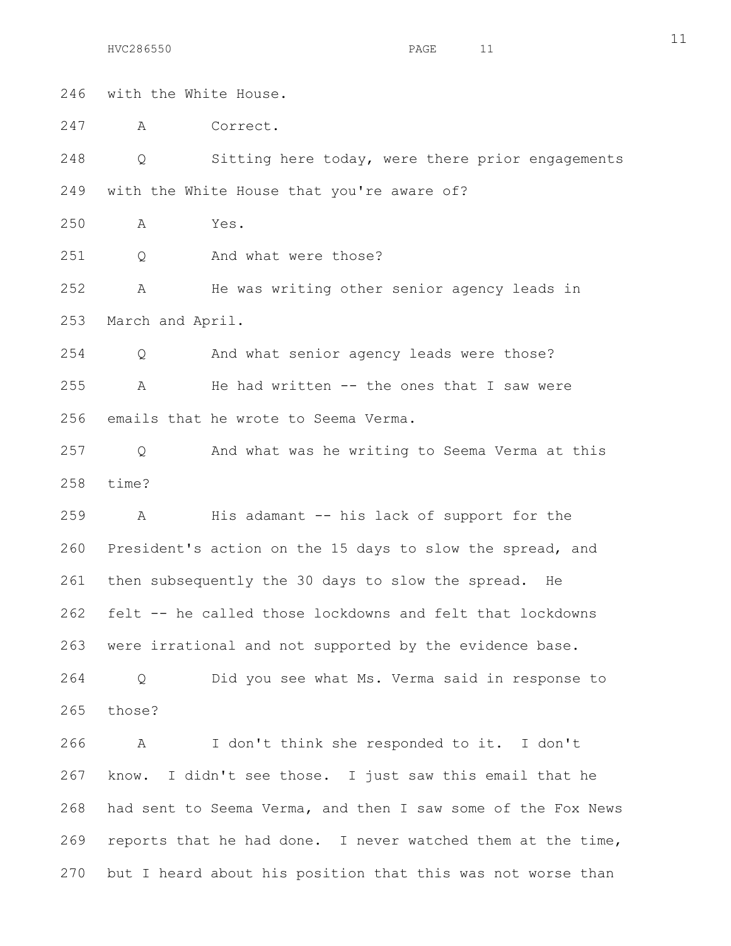246 with the White House.

247 A Correct.

248 Q Sitting here today, were there prior engagements 249 with the White House that you're aware of?

250 A Yes.

251 Q And what were those?

252 A He was writing other senior agency leads in 253 March and April.

254 Q And what senior agency leads were those? 255 A He had written -- the ones that I saw were 256 emails that he wrote to Seema Verma.

257 Q And what was he writing to Seema Verma at this 258 time?

259 A His adamant -- his lack of support for the 260 President's action on the 15 days to slow the spread, and 261 then subsequently the 30 days to slow the spread. He 262 felt -- he called those lockdowns and felt that lockdowns 263 were irrational and not supported by the evidence base.

264 Q Did you see what Ms. Verma said in response to 265 those?

266 A I don't think she responded to it. I don't 267 know. I didn't see those. I just saw this email that he 268 had sent to Seema Verma, and then I saw some of the Fox News 269 reports that he had done. I never watched them at the time, 270 but I heard about his position that this was not worse than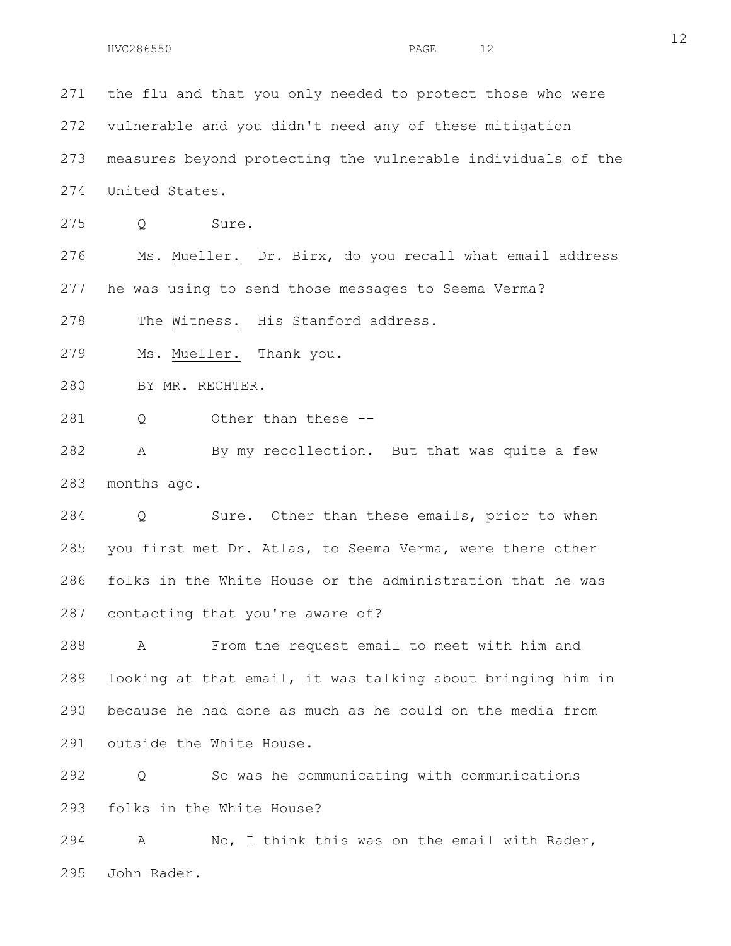271 the flu and that you only needed to protect those who were 272 vulnerable and you didn't need any of these mitigation

273 measures beyond protecting the vulnerable individuals of the 274 United States.

275 Q Sure.

276 Ms. Mueller. Dr. Birx, do you recall what email address 277 he was using to send those messages to Seema Verma?

278 The Witness. His Stanford address.

279 Ms. Mueller. Thank you.

280 BY MR. RECHTER.

281 Q Other than these --

282 A By my recollection. But that was quite a few 283 months ago.

284 Q Sure. Other than these emails, prior to when 285 you first met Dr. Atlas, to Seema Verma, were there other 286 folks in the White House or the administration that he was 287 contacting that you're aware of?

288 A From the request email to meet with him and 289 looking at that email, it was talking about bringing him in 290 because he had done as much as he could on the media from 291 outside the White House.

292 Q So was he communicating with communications 293 folks in the White House?

294 A No, I think this was on the email with Rader, 295 John Rader.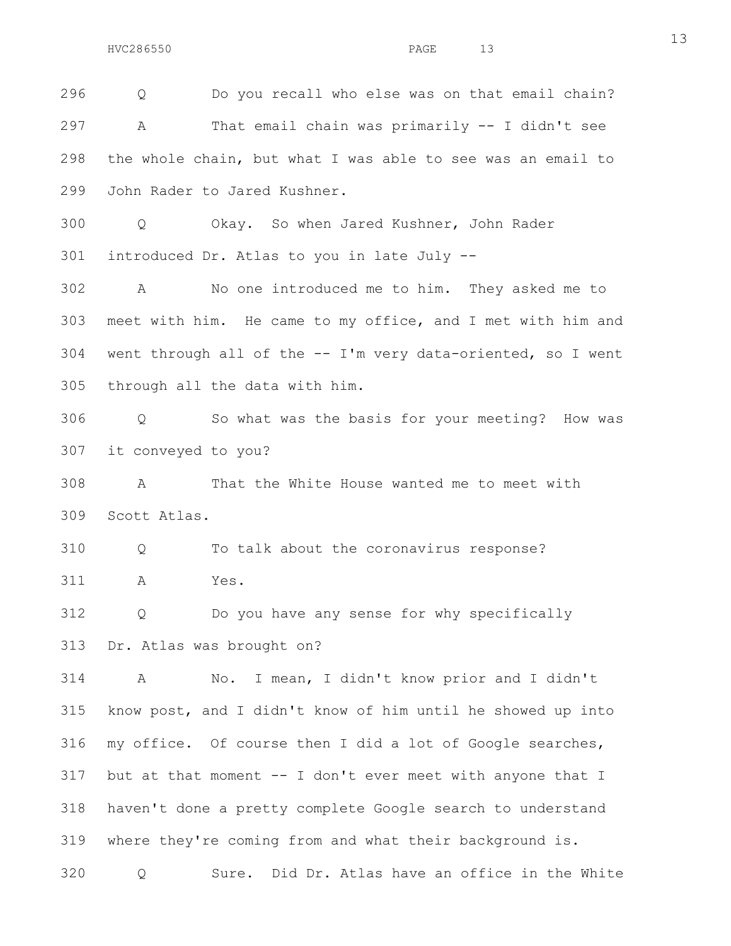296 Q Do you recall who else was on that email chain? 297 A That email chain was primarily -- I didn't see 298 the whole chain, but what I was able to see was an email to 299 John Rader to Jared Kushner. 300 Q Okay. So when Jared Kushner, John Rader 301 introduced Dr. Atlas to you in late July -- 302 A No one introduced me to him. They asked me to 303 meet with him. He came to my office, and I met with him and 304 went through all of the -- I'm very data-oriented, so I went 305 through all the data with him. 306 Q So what was the basis for your meeting? How was 307 it conveyed to you? 308 A That the White House wanted me to meet with 309 Scott Atlas. 310 Q To talk about the coronavirus response? 311 A Yes. 312 Q Do you have any sense for why specifically 313 Dr. Atlas was brought on? 314 A No. I mean, I didn't know prior and I didn't 315 know post, and I didn't know of him until he showed up into 316 my office. Of course then I did a lot of Google searches, 317 but at that moment -- I don't ever meet with anyone that I 318 haven't done a pretty complete Google search to understand 319 where they're coming from and what their background is. 320 Q Sure. Did Dr. Atlas have an office in the White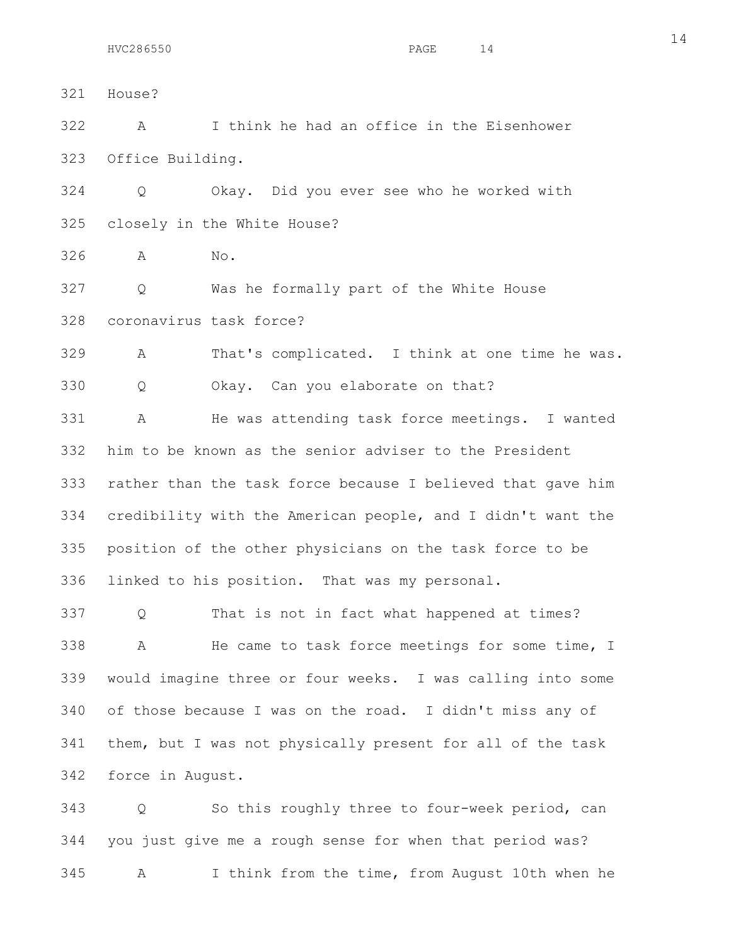321 House? 322 A I think he had an office in the Eisenhower 323 Office Building. 324 Q Okay. Did you ever see who he worked with 325 closely in the White House? 326 A No. 327 Q Was he formally part of the White House 328 coronavirus task force? 329 A That's complicated. I think at one time he was. 330 Q Okay. Can you elaborate on that? 331 A He was attending task force meetings. I wanted 332 him to be known as the senior adviser to the President 333 rather than the task force because I believed that gave him 334 credibility with the American people, and I didn't want the 335 position of the other physicians on the task force to be 336 linked to his position. That was my personal.

337 Q That is not in fact what happened at times? 338 A He came to task force meetings for some time, I 339 would imagine three or four weeks. I was calling into some 340 of those because I was on the road. I didn't miss any of 341 them, but I was not physically present for all of the task 342 force in August.

343 Q So this roughly three to four-week period, can 344 you just give me a rough sense for when that period was? 345 A I think from the time, from August 10th when he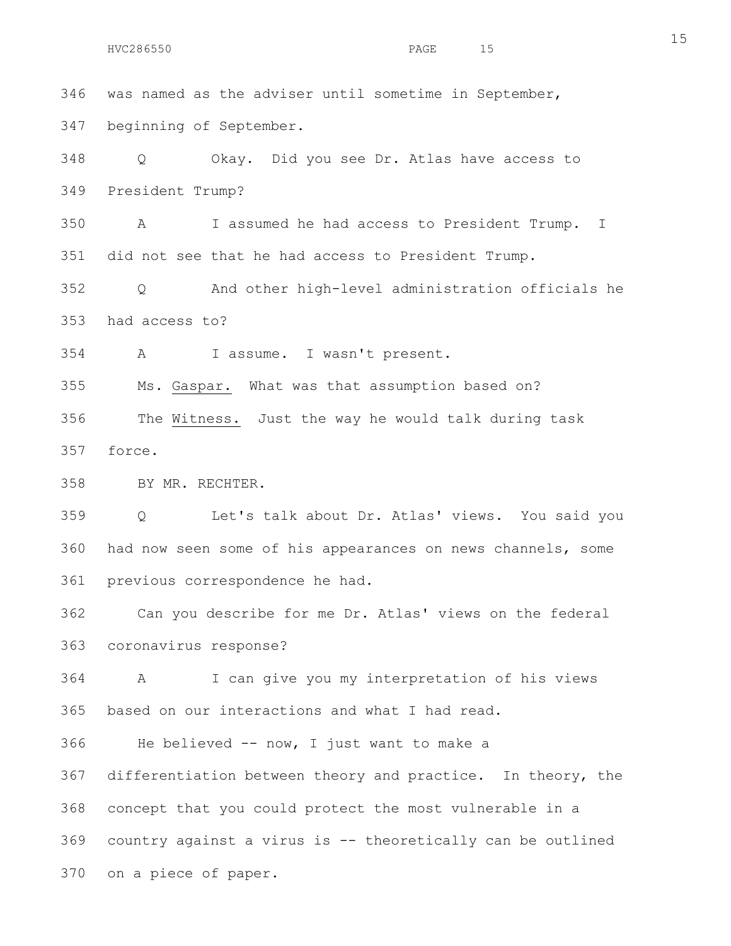346 was named as the adviser until sometime in September, 347 beginning of September.

348 Q Okay. Did you see Dr. Atlas have access to 349 President Trump?

350 A I assumed he had access to President Trump. I 351 did not see that he had access to President Trump.

352 Q And other high-level administration officials he 353 had access to?

354 A I assume. I wasn't present.

355 Ms. Gaspar. What was that assumption based on?

356 The Witness. Just the way he would talk during task 357 force.

358 BY MR. RECHTER.

359 Q Let's talk about Dr. Atlas' views. You said you 360 had now seen some of his appearances on news channels, some 361 previous correspondence he had.

362 Can you describe for me Dr. Atlas' views on the federal 363 coronavirus response?

364 A I can give you my interpretation of his views 365 based on our interactions and what I had read.

366 He believed -- now, I just want to make a

367 differentiation between theory and practice. In theory, the 368 concept that you could protect the most vulnerable in a 369 country against a virus is -- theoretically can be outlined 370 on a piece of paper.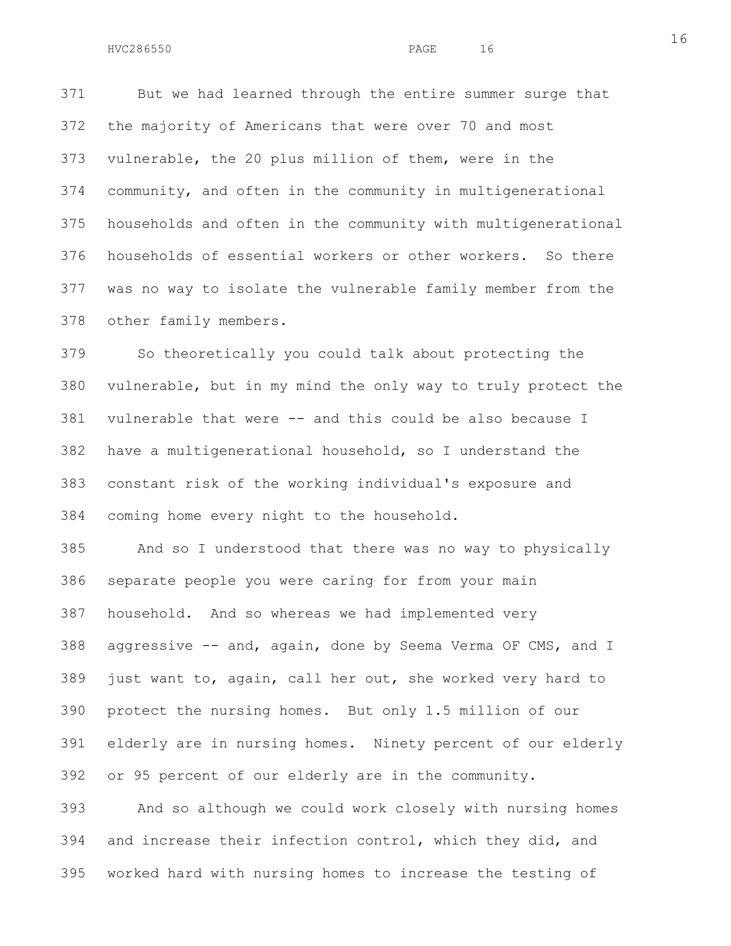371 But we had learned through the entire summer surge that 372 the majority of Americans that were over 70 and most 373 vulnerable, the 20 plus million of them, were in the 374 community, and often in the community in multigenerational 375 households and often in the community with multigenerational 376 households of essential workers or other workers. So there 377 was no way to isolate the vulnerable family member from the 378 other family members.

379 So theoretically you could talk about protecting the 380 vulnerable, but in my mind the only way to truly protect the 381 vulnerable that were -- and this could be also because I 382 have a multigenerational household, so I understand the 383 constant risk of the working individual's exposure and 384 coming home every night to the household.

385 And so I understood that there was no way to physically 386 separate people you were caring for from your main 387 household. And so whereas we had implemented very 388 aggressive  $-$  and, again, done by Seema Verma OF CMS, and I 389 just want to, again, call her out, she worked very hard to 390 protect the nursing homes. But only 1.5 million of our 391 elderly are in nursing homes. Ninety percent of our elderly 392 or 95 percent of our elderly are in the community.

393 And so although we could work closely with nursing homes 394 and increase their infection control, which they did, and 395 worked hard with nursing homes to increase the testing of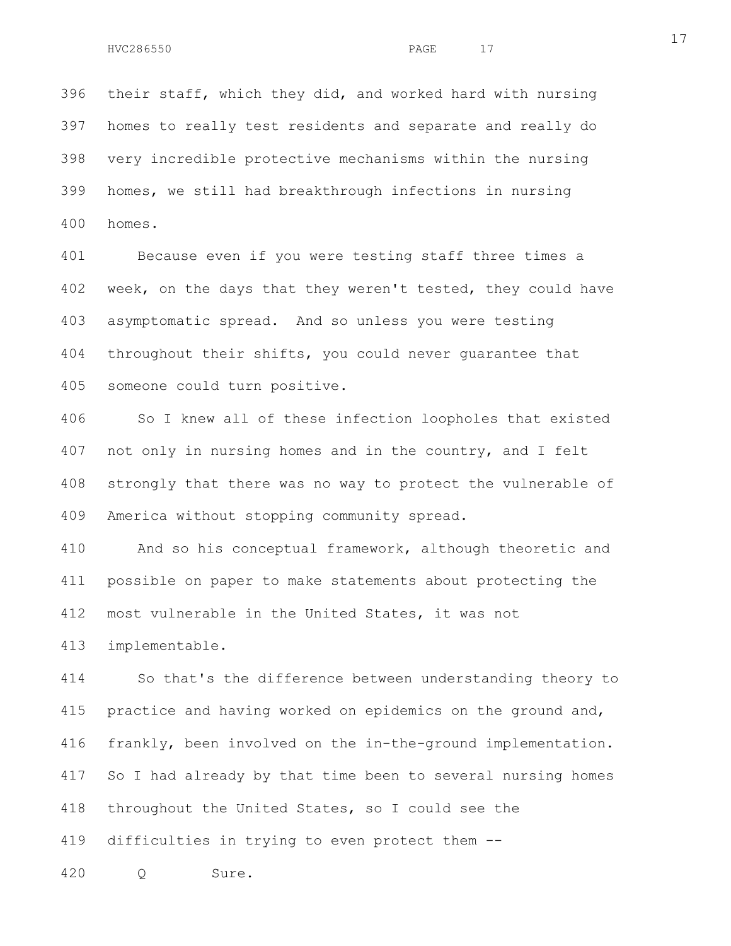396 their staff, which they did, and worked hard with nursing 397 homes to really test residents and separate and really do 398 very incredible protective mechanisms within the nursing 399 homes, we still had breakthrough infections in nursing 400 homes.

401 Because even if you were testing staff three times a 402 week, on the days that they weren't tested, they could have 403 asymptomatic spread. And so unless you were testing 404 throughout their shifts, you could never guarantee that 405 someone could turn positive.

406 So I knew all of these infection loopholes that existed 407 not only in nursing homes and in the country, and I felt 408 strongly that there was no way to protect the vulnerable of 409 America without stopping community spread.

410 And so his conceptual framework, although theoretic and 411 possible on paper to make statements about protecting the 412 most vulnerable in the United States, it was not

413 implementable.

414 So that's the difference between understanding theory to 415 practice and having worked on epidemics on the ground and, 416 frankly, been involved on the in-the-ground implementation. 417 So I had already by that time been to several nursing homes 418 throughout the United States, so I could see the 419 difficulties in trying to even protect them --

420 Q Sure.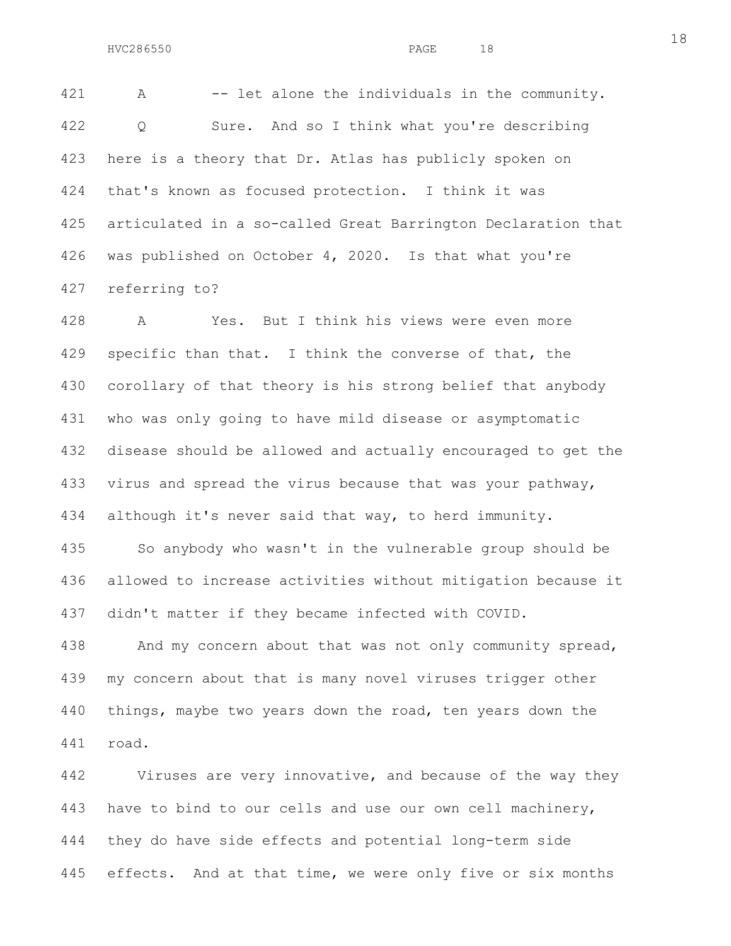421 A -- let alone the individuals in the community. 422 Q Sure. And so I think what you're describing 423 here is a theory that Dr. Atlas has publicly spoken on 424 that's known as focused protection. I think it was 425 articulated in a so-called Great Barrington Declaration that 426 was published on October 4, 2020. Is that what you're 427 referring to?

428 A Yes. But I think his views were even more 429 specific than that. I think the converse of that, the 430 corollary of that theory is his strong belief that anybody 431 who was only going to have mild disease or asymptomatic 432 disease should be allowed and actually encouraged to get the 433 virus and spread the virus because that was your pathway, 434 although it's never said that way, to herd immunity.

435 So anybody who wasn't in the vulnerable group should be 436 allowed to increase activities without mitigation because it 437 didn't matter if they became infected with COVID.

438 And my concern about that was not only community spread, 439 my concern about that is many novel viruses trigger other 440 things, maybe two years down the road, ten years down the 441 road.

442 Viruses are very innovative, and because of the way they 443 have to bind to our cells and use our own cell machinery, 444 they do have side effects and potential long-term side 445 effects. And at that time, we were only five or six months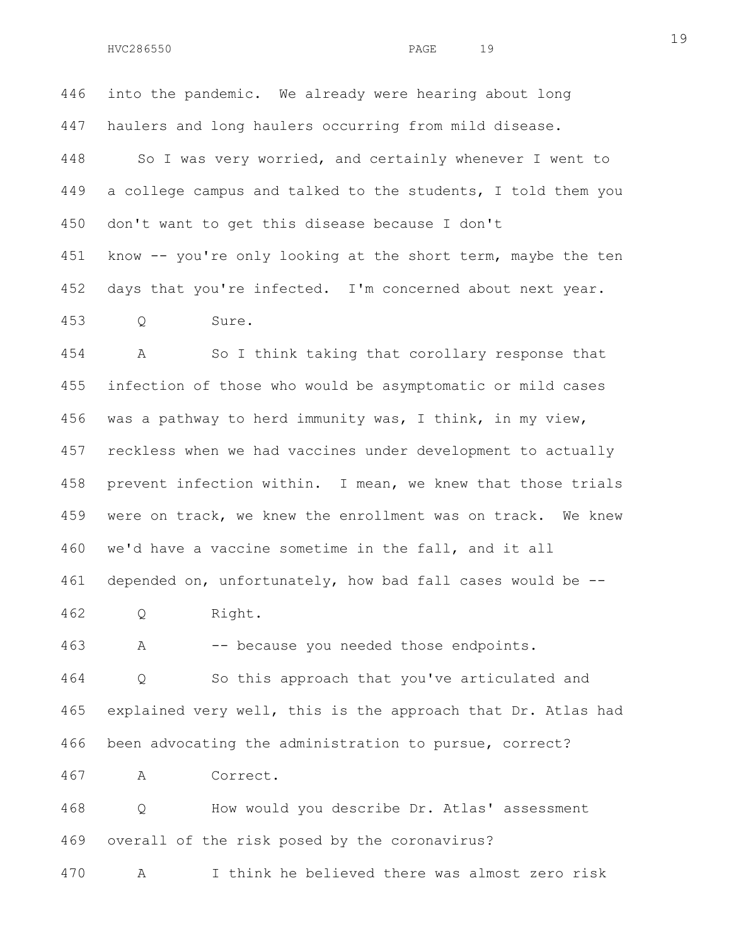446 into the pandemic. We already were hearing about long 447 haulers and long haulers occurring from mild disease. 448 So I was very worried, and certainly whenever I went to 449 a college campus and talked to the students, I told them you 450 don't want to get this disease because I don't 451 know -- you're only looking at the short term, maybe the ten 452 days that you're infected. I'm concerned about next year. 453 Q Sure.

454 A So I think taking that corollary response that 455 infection of those who would be asymptomatic or mild cases 456 was a pathway to herd immunity was, I think, in my view, 457 reckless when we had vaccines under development to actually 458 prevent infection within. I mean, we knew that those trials 459 were on track, we knew the enrollment was on track. We knew 460 we'd have a vaccine sometime in the fall, and it all 461 depended on, unfortunately, how bad fall cases would be -- 462 Q Right.

463 A -- because you needed those endpoints.

464 Q So this approach that you've articulated and 465 explained very well, this is the approach that Dr. Atlas had 466 been advocating the administration to pursue, correct?

467 A Correct.

468 Q How would you describe Dr. Atlas' assessment 469 overall of the risk posed by the coronavirus?

470 A I think he believed there was almost zero risk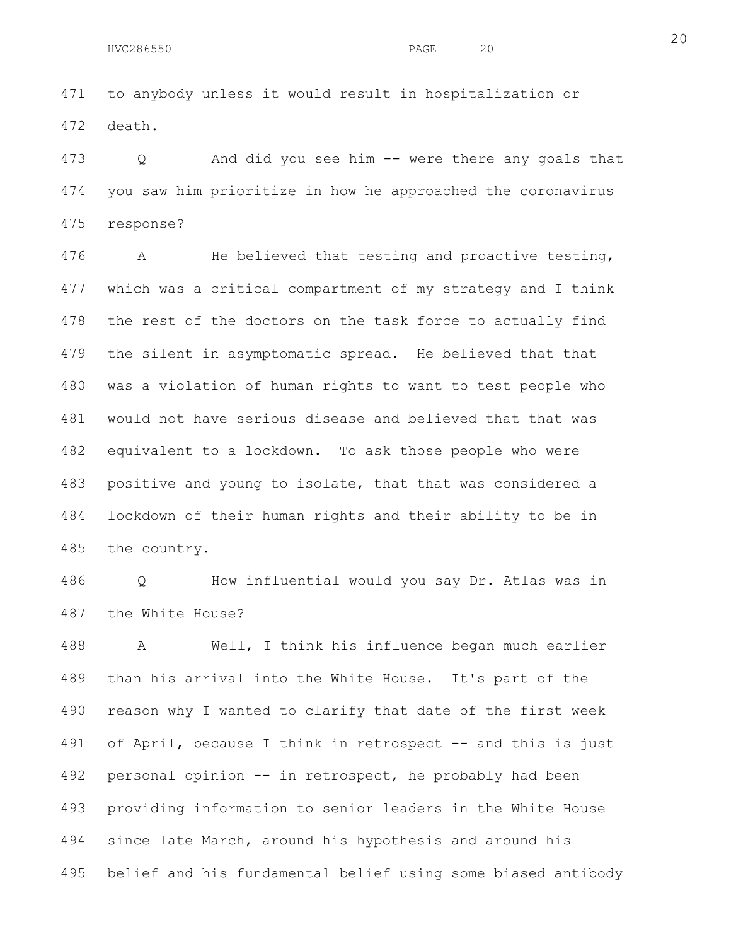471 to anybody unless it would result in hospitalization or 472 death.

473 Q And did you see him -- were there any goals that 474 you saw him prioritize in how he approached the coronavirus 475 response?

476 A He believed that testing and proactive testing, 477 which was a critical compartment of my strategy and I think 478 the rest of the doctors on the task force to actually find 479 the silent in asymptomatic spread. He believed that that 480 was a violation of human rights to want to test people who 481 would not have serious disease and believed that that was 482 equivalent to a lockdown. To ask those people who were 483 positive and young to isolate, that that was considered a 484 lockdown of their human rights and their ability to be in 485 the country.

486 Q How influential would you say Dr. Atlas was in 487 the White House?

488 A Well, I think his influence began much earlier 489 than his arrival into the White House. It's part of the 490 reason why I wanted to clarify that date of the first week 491 of April, because I think in retrospect -- and this is just 492 personal opinion -- in retrospect, he probably had been 493 providing information to senior leaders in the White House 494 since late March, around his hypothesis and around his 495 belief and his fundamental belief using some biased antibody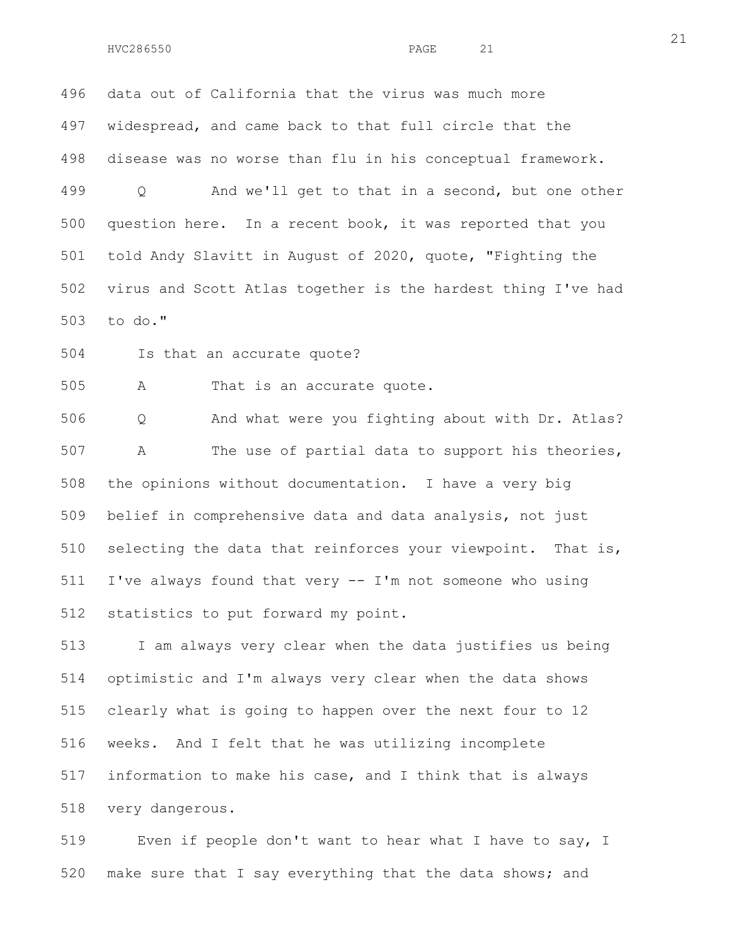496 data out of California that the virus was much more 497 widespread, and came back to that full circle that the 498 disease was no worse than flu in his conceptual framework. 499 Q And we'll get to that in a second, but one other 500 question here. In a recent book, it was reported that you 501 told Andy Slavitt in August of 2020, quote, "Fighting the

502 virus and Scott Atlas together is the hardest thing I've had 503 to do."

504 Is that an accurate quote?

505 A That is an accurate quote.

506 Q And what were you fighting about with Dr. Atlas? 507 A The use of partial data to support his theories, 508 the opinions without documentation. I have a very big 509 belief in comprehensive data and data analysis, not just 510 selecting the data that reinforces your viewpoint. That is, 511 I've always found that very -- I'm not someone who using 512 statistics to put forward my point.

513 I am always very clear when the data justifies us being 514 optimistic and I'm always very clear when the data shows 515 clearly what is going to happen over the next four to 12 516 weeks. And I felt that he was utilizing incomplete 517 information to make his case, and I think that is always 518 very dangerous.

519 Even if people don't want to hear what I have to say, I 520 make sure that I say everything that the data shows; and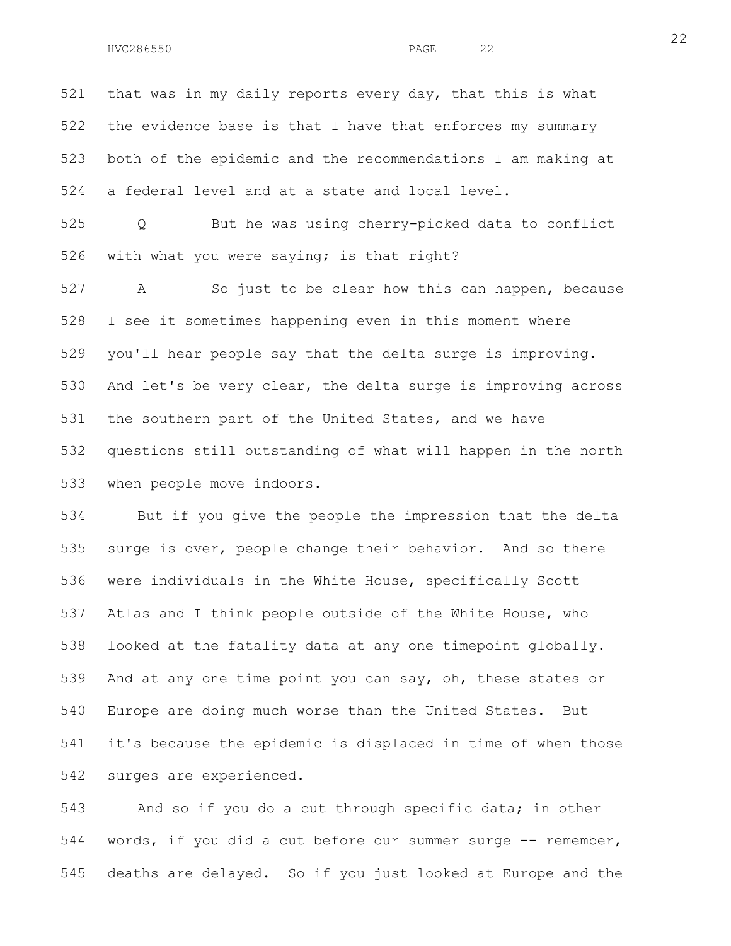521 that was in my daily reports every day, that this is what 522 the evidence base is that I have that enforces my summary 523 both of the epidemic and the recommendations I am making at 524 a federal level and at a state and local level.

525 Q But he was using cherry-picked data to conflict 526 with what you were saying; is that right?

527 A So just to be clear how this can happen, because 528 I see it sometimes happening even in this moment where 529 you'll hear people say that the delta surge is improving. 530 And let's be very clear, the delta surge is improving across 531 the southern part of the United States, and we have 532 questions still outstanding of what will happen in the north 533 when people move indoors.

534 But if you give the people the impression that the delta 535 surge is over, people change their behavior. And so there 536 were individuals in the White House, specifically Scott 537 Atlas and I think people outside of the White House, who 538 looked at the fatality data at any one timepoint globally. 539 And at any one time point you can say, oh, these states or 540 Europe are doing much worse than the United States. But 541 it's because the epidemic is displaced in time of when those 542 surges are experienced.

543 And so if you do a cut through specific data; in other 544 words, if you did a cut before our summer surge -- remember, 545 deaths are delayed. So if you just looked at Europe and the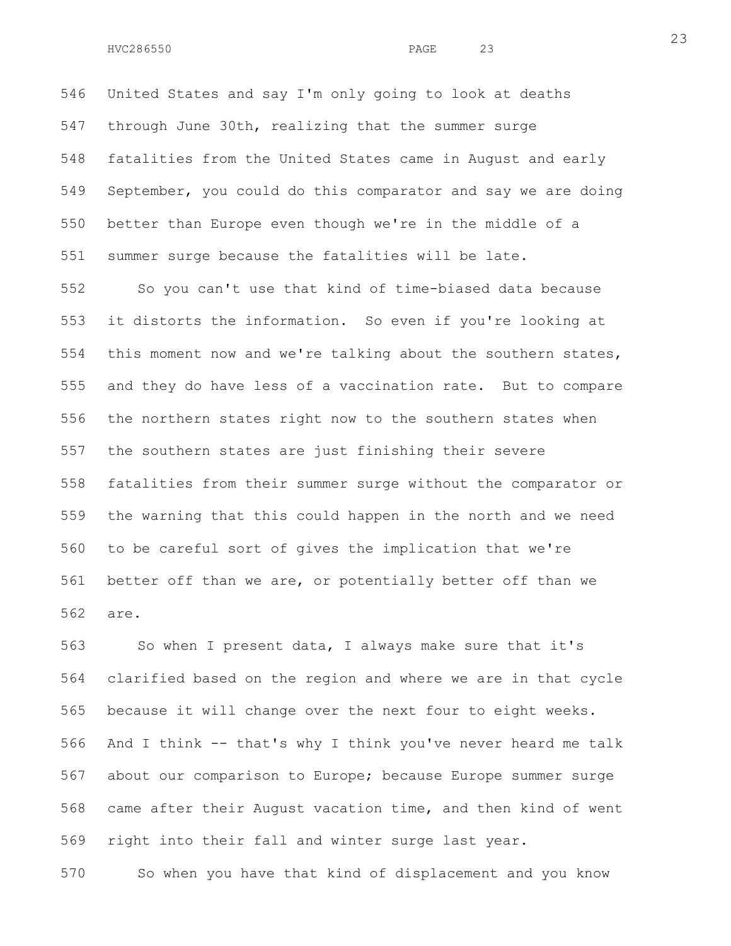546 United States and say I'm only going to look at deaths 547 through June 30th, realizing that the summer surge 548 fatalities from the United States came in August and early 549 September, you could do this comparator and say we are doing 550 better than Europe even though we're in the middle of a 551 summer surge because the fatalities will be late.

552 So you can't use that kind of time-biased data because 553 it distorts the information. So even if you're looking at 554 this moment now and we're talking about the southern states, 555 and they do have less of a vaccination rate. But to compare 556 the northern states right now to the southern states when 557 the southern states are just finishing their severe 558 fatalities from their summer surge without the comparator or 559 the warning that this could happen in the north and we need 560 to be careful sort of gives the implication that we're 561 better off than we are, or potentially better off than we 562 are.

563 So when I present data, I always make sure that it's 564 clarified based on the region and where we are in that cycle 565 because it will change over the next four to eight weeks. 566 And I think -- that's why I think you've never heard me talk 567 about our comparison to Europe; because Europe summer surge 568 came after their August vacation time, and then kind of went 569 right into their fall and winter surge last year.

570 So when you have that kind of displacement and you know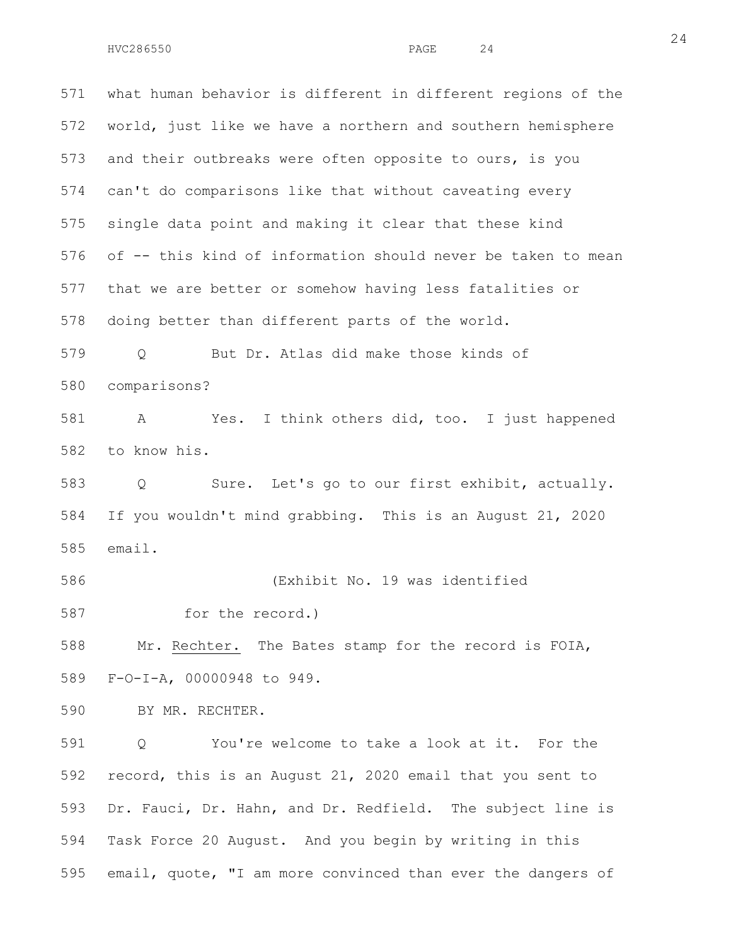571 what human behavior is different in different regions of the 572 world, just like we have a northern and southern hemisphere 573 and their outbreaks were often opposite to ours, is you 574 can't do comparisons like that without caveating every 575 single data point and making it clear that these kind 576 of -- this kind of information should never be taken to mean 577 that we are better or somehow having less fatalities or 578 doing better than different parts of the world. 579 Q But Dr. Atlas did make those kinds of 580 comparisons? 581 A Yes. I think others did, too. I just happened 582 to know his. 583 Q Sure. Let's go to our first exhibit, actually. 584 If you wouldn't mind grabbing. This is an August 21, 2020 585 email. 586 (Exhibit No. 19 was identified 587 for the record.) 588 Mr. Rechter. The Bates stamp for the record is FOIA, 589 F-O-I-A, 00000948 to 949. 590 BY MR. RECHTER. 591 Q You're welcome to take a look at it. For the 592 record, this is an August 21, 2020 email that you sent to 593 Dr. Fauci, Dr. Hahn, and Dr. Redfield. The subject line is

594 Task Force 20 August. And you begin by writing in this 595 email, quote, "I am more convinced than ever the dangers of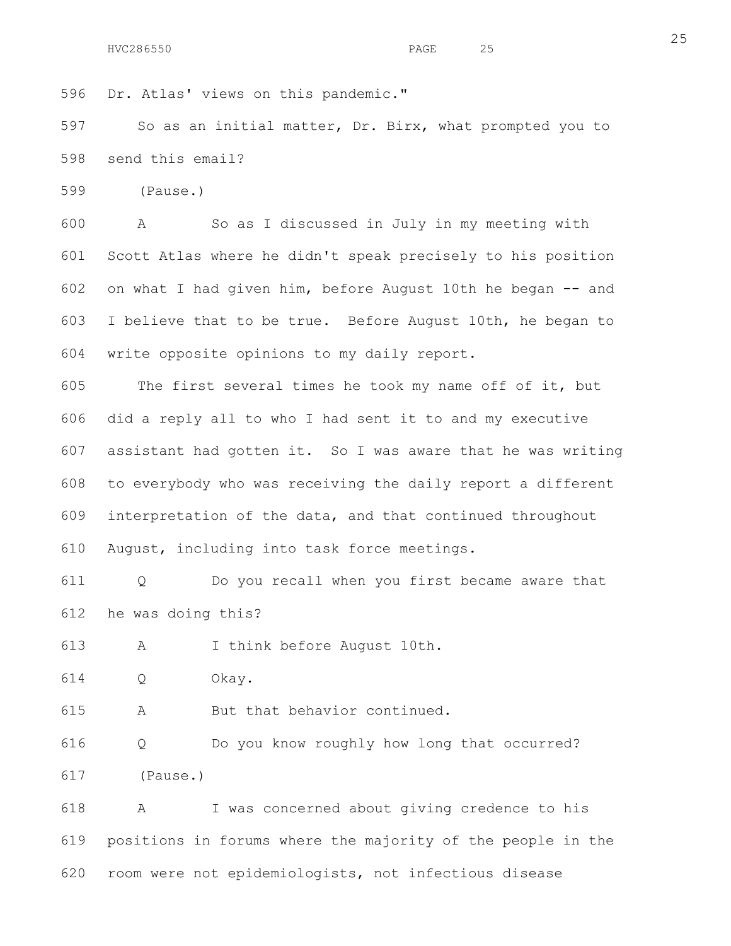```
596 Dr. Atlas' views on this pandemic."
```
597 So as an initial matter, Dr. Birx, what prompted you to 598 send this email?

599 (Pause.)

600 A So as I discussed in July in my meeting with 601 Scott Atlas where he didn't speak precisely to his position 602 on what I had given him, before August 10th he began -- and 603 I believe that to be true. Before August 10th, he began to 604 write opposite opinions to my daily report.

605 The first several times he took my name off of it, but 606 did a reply all to who I had sent it to and my executive 607 assistant had gotten it. So I was aware that he was writing 608 to everybody who was receiving the daily report a different 609 interpretation of the data, and that continued throughout 610 August, including into task force meetings.

611 Q Do you recall when you first became aware that 612 he was doing this?

613 A I think before August 10th.

614 Q Okay.

615 A But that behavior continued.

616 Q Do you know roughly how long that occurred? 617 (Pause.)

618 A I was concerned about giving credence to his 619 positions in forums where the majority of the people in the 620 room were not epidemiologists, not infectious disease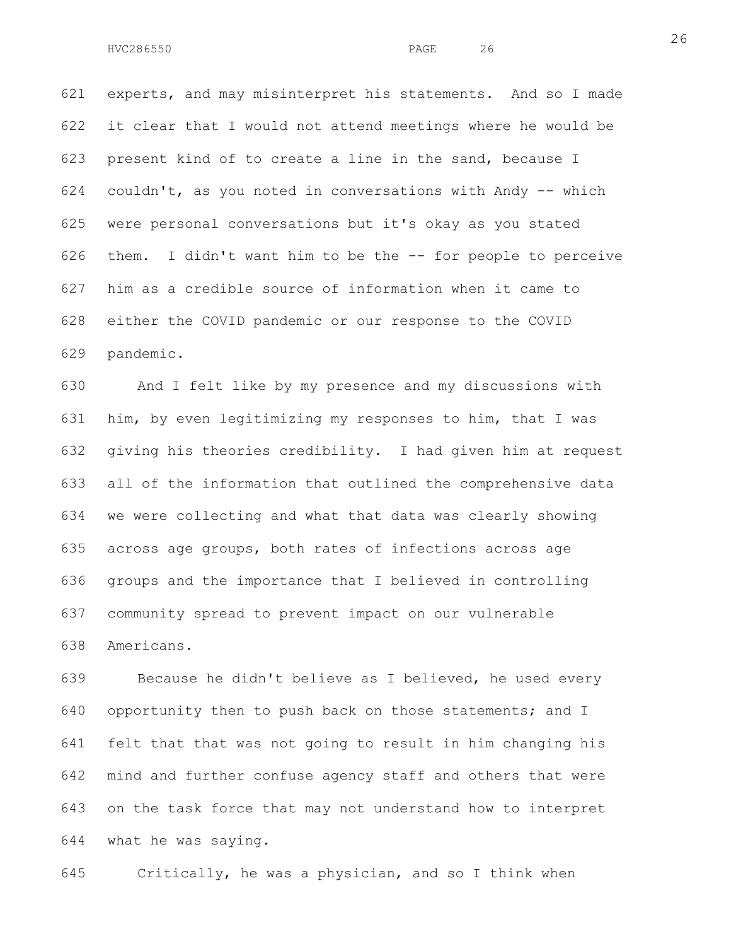621 experts, and may misinterpret his statements. And so I made 622 it clear that I would not attend meetings where he would be 623 present kind of to create a line in the sand, because I 624 couldn't, as you noted in conversations with Andy -- which 625 were personal conversations but it's okay as you stated 626 them. I didn't want him to be the -- for people to perceive 627 him as a credible source of information when it came to 628 either the COVID pandemic or our response to the COVID 629 pandemic.

630 And I felt like by my presence and my discussions with 631 him, by even legitimizing my responses to him, that I was 632 giving his theories credibility. I had given him at request 633 all of the information that outlined the comprehensive data 634 we were collecting and what that data was clearly showing 635 across age groups, both rates of infections across age 636 groups and the importance that I believed in controlling 637 community spread to prevent impact on our vulnerable 638 Americans.

639 Because he didn't believe as I believed, he used every 640 opportunity then to push back on those statements; and I 641 felt that that was not going to result in him changing his 642 mind and further confuse agency staff and others that were 643 on the task force that may not understand how to interpret 644 what he was saying.

645 Critically, he was a physician, and so I think when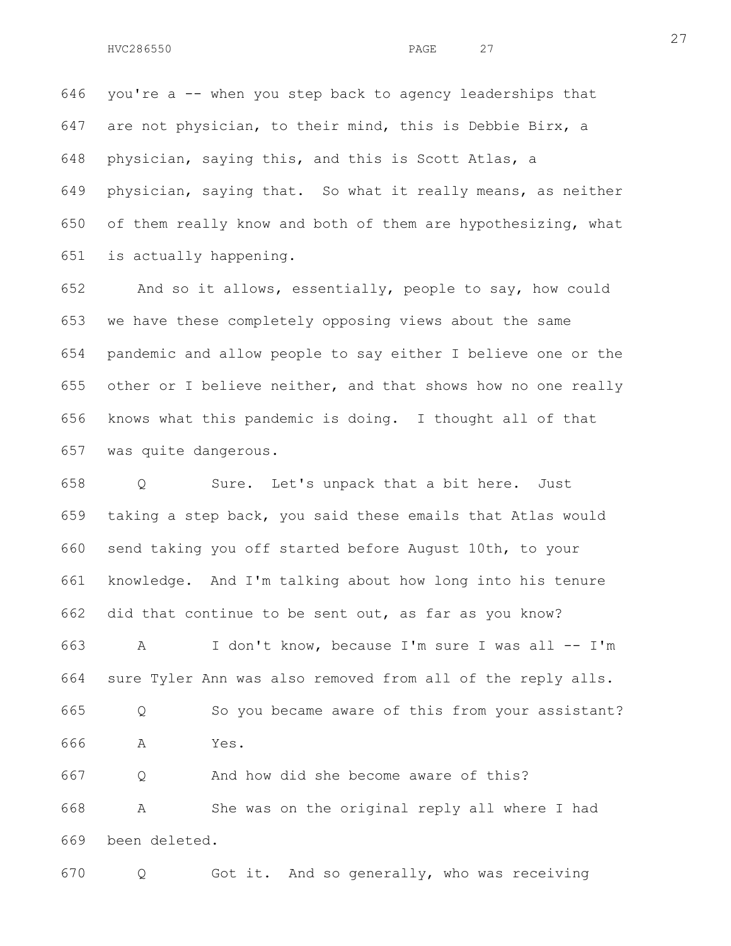646 you're a -- when you step back to agency leaderships that 647 are not physician, to their mind, this is Debbie Birx, a 648 physician, saying this, and this is Scott Atlas, a 649 physician, saying that. So what it really means, as neither 650 of them really know and both of them are hypothesizing, what 651 is actually happening.

652 And so it allows, essentially, people to say, how could 653 we have these completely opposing views about the same 654 pandemic and allow people to say either I believe one or the 655 other or I believe neither, and that shows how no one really 656 knows what this pandemic is doing. I thought all of that 657 was quite dangerous.

658 Q Sure. Let's unpack that a bit here. Just 659 taking a step back, you said these emails that Atlas would 660 send taking you off started before August 10th, to your 661 knowledge. And I'm talking about how long into his tenure 662 did that continue to be sent out, as far as you know? 663 A I don't know, because I'm sure I was all -- I'm 664 sure Tyler Ann was also removed from all of the reply alls. 665 Q So you became aware of this from your assistant? 666 A Yes. 667 Q And how did she become aware of this? 668 A She was on the original reply all where I had 669 been deleted.

670 Q Got it. And so generally, who was receiving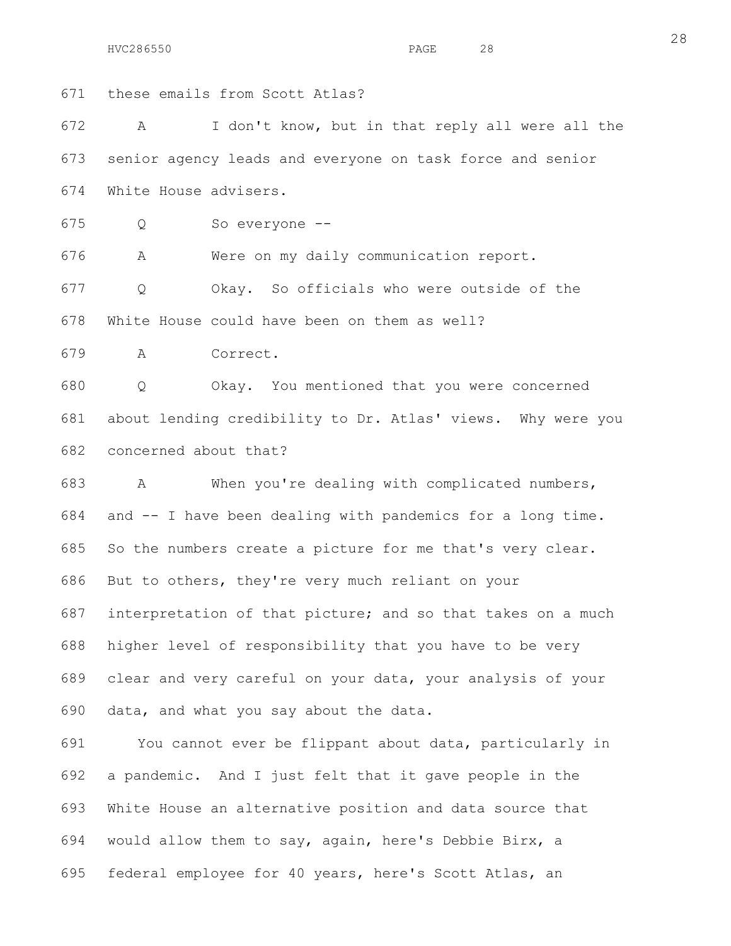671 these emails from Scott Atlas?

672 A I don't know, but in that reply all were all the 673 senior agency leads and everyone on task force and senior 674 White House advisers.

675 Q So everyone --

676 A Were on my daily communication report.

677 Q Okay. So officials who were outside of the 678 White House could have been on them as well?

679 A Correct.

680 Q Okay. You mentioned that you were concerned 681 about lending credibility to Dr. Atlas' views. Why were you 682 concerned about that?

683 A When you're dealing with complicated numbers, 684 and -- I have been dealing with pandemics for a long time. 685 So the numbers create a picture for me that's very clear. 686 But to others, they're very much reliant on your 687 interpretation of that picture; and so that takes on a much 688 higher level of responsibility that you have to be very 689 clear and very careful on your data, your analysis of your 690 data, and what you say about the data.

691 You cannot ever be flippant about data, particularly in 692 a pandemic. And I just felt that it gave people in the 693 White House an alternative position and data source that 694 would allow them to say, again, here's Debbie Birx, a 695 federal employee for 40 years, here's Scott Atlas, an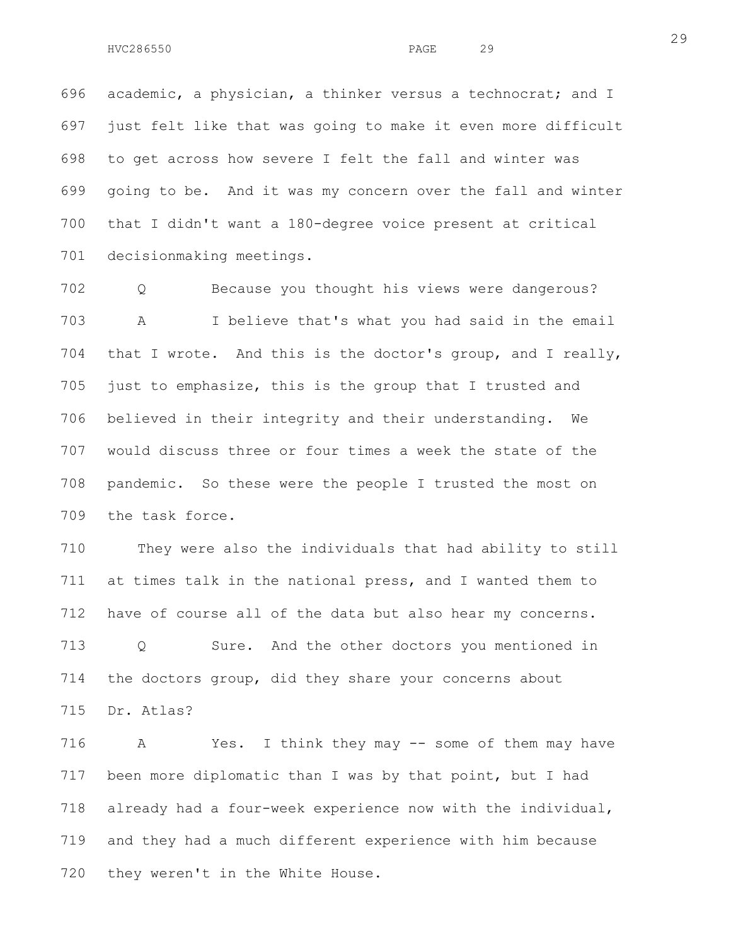696 academic, a physician, a thinker versus a technocrat; and I 697 just felt like that was going to make it even more difficult 698 to get across how severe I felt the fall and winter was 699 going to be. And it was my concern over the fall and winter 700 that I didn't want a 180-degree voice present at critical 701 decisionmaking meetings.

702 Q Because you thought his views were dangerous? 703 A I believe that's what you had said in the email 704 that I wrote. And this is the doctor's group, and I really, 705 just to emphasize, this is the group that I trusted and 706 believed in their integrity and their understanding. We 707 would discuss three or four times a week the state of the 708 pandemic. So these were the people I trusted the most on 709 the task force.

710 They were also the individuals that had ability to still 711 at times talk in the national press, and I wanted them to 712 have of course all of the data but also hear my concerns. 713 Q Sure. And the other doctors you mentioned in 714 the doctors group, did they share your concerns about 715 Dr. Atlas?

716 A Yes. I think they may -- some of them may have 717 been more diplomatic than I was by that point, but I had 718 already had a four-week experience now with the individual, 719 and they had a much different experience with him because 720 they weren't in the White House.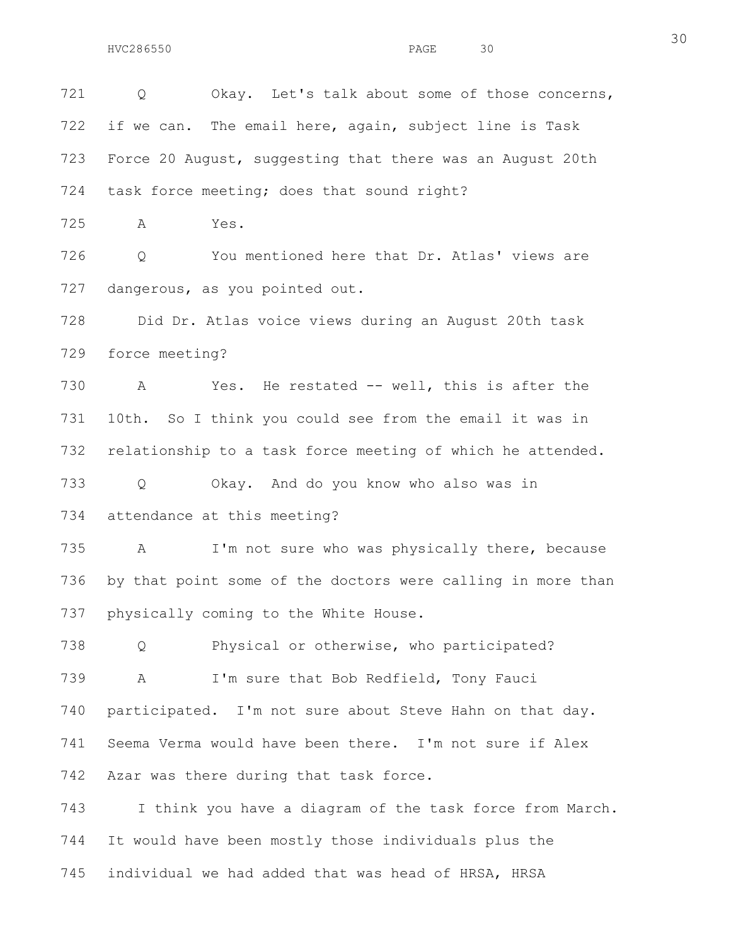721 0 Okay. Let's talk about some of those concerns, 722 if we can. The email here, again, subject line is Task 723 Force 20 August, suggesting that there was an August 20th 724 task force meeting; does that sound right?

725 A Yes.

726 Q You mentioned here that Dr. Atlas' views are 727 dangerous, as you pointed out.

728 Did Dr. Atlas voice views during an August 20th task 729 force meeting?

730 A Yes. He restated -- well, this is after the 731 10th. So I think you could see from the email it was in 732 relationship to a task force meeting of which he attended.

733 Q Okay. And do you know who also was in 734 attendance at this meeting?

735 A I'm not sure who was physically there, because 736 by that point some of the doctors were calling in more than 737 physically coming to the White House.

738 Q Physical or otherwise, who participated? 739 A I'm sure that Bob Redfield, Tony Fauci 740 participated. I'm not sure about Steve Hahn on that day. 741 Seema Verma would have been there. I'm not sure if Alex 742 Azar was there during that task force.

743 I think you have a diagram of the task force from March. 744 It would have been mostly those individuals plus the 745 individual we had added that was head of HRSA, HRSA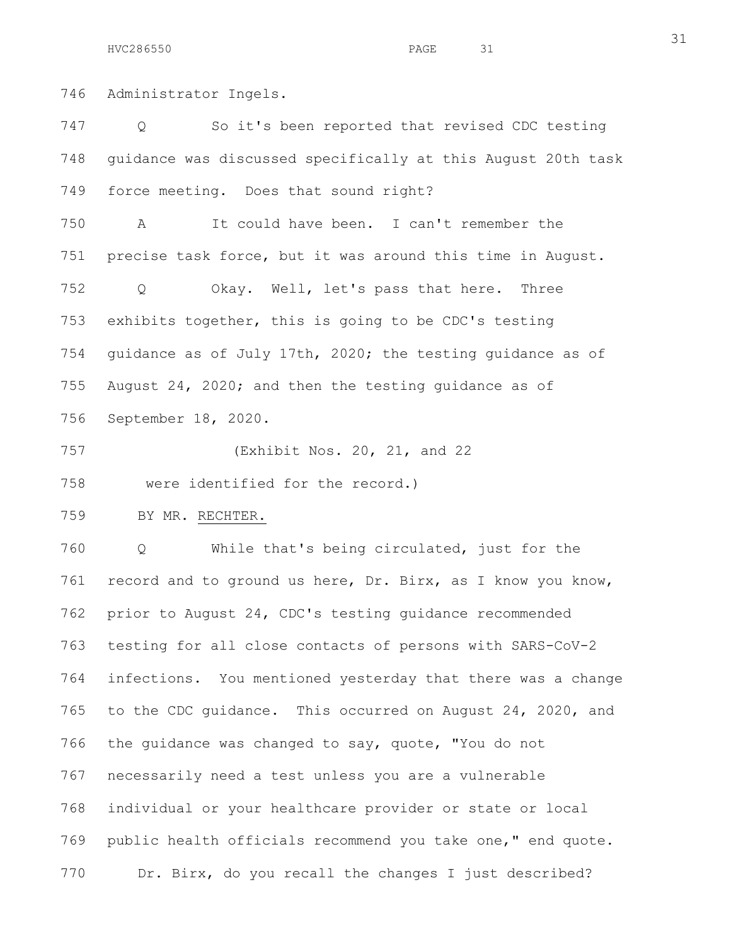746 Administrator Ingels.

747 Q So it's been reported that revised CDC testing 748 guidance was discussed specifically at this August 20th task 749 force meeting. Does that sound right? 750 A It could have been. I can't remember the 751 precise task force, but it was around this time in August. 752 Q Okay. Well, let's pass that here. Three 753 exhibits together, this is going to be CDC's testing 754 guidance as of July 17th, 2020; the testing guidance as of 755 August 24, 2020; and then the testing guidance as of 756 September 18, 2020. 757 (Exhibit Nos. 20, 21, and 22 758 were identified for the record.) 759 BY MR. RECHTER. 760 Q While that's being circulated, just for the 761 record and to ground us here, Dr. Birx, as I know you know, 762 prior to August 24, CDC's testing guidance recommended 763 testing for all close contacts of persons with SARS-CoV-2 764 infections. You mentioned yesterday that there was a change 765 to the CDC guidance. This occurred on August 24, 2020, and 766 the guidance was changed to say, quote, "You do not 767 necessarily need a test unless you are a vulnerable 768 individual or your healthcare provider or state or local 769 public health officials recommend you take one," end quote. 770 Dr. Birx, do you recall the changes I just described?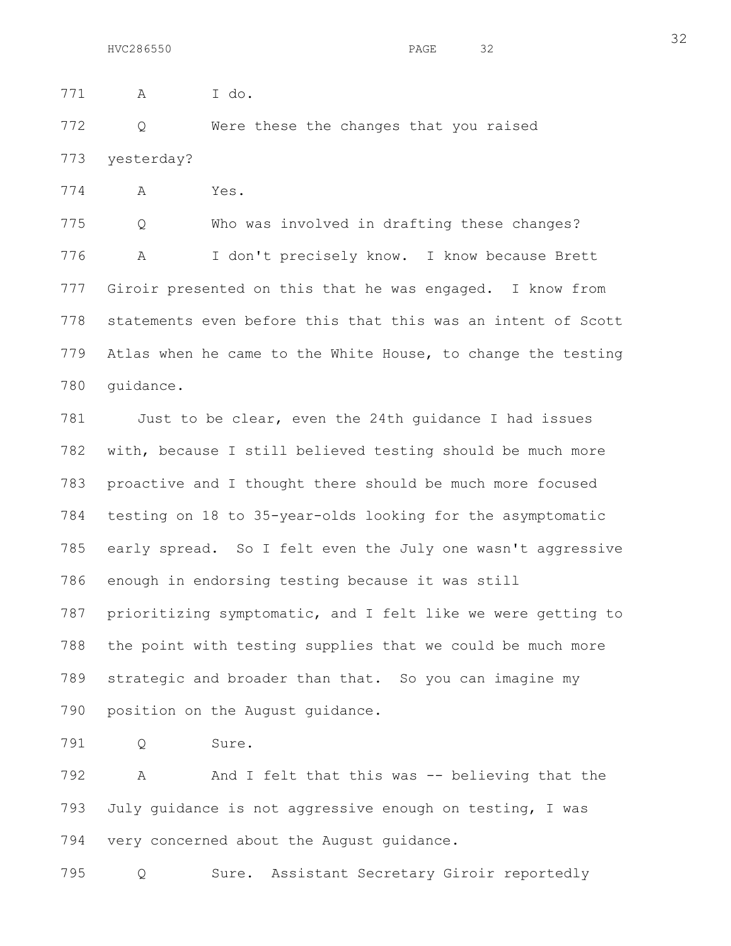772 Q Were these the changes that you raised 773 yesterday?

774 A Yes.

775 Q Who was involved in drafting these changes? 776 A I don't precisely know. I know because Brett 777 Giroir presented on this that he was engaged. I know from 778 statements even before this that this was an intent of Scott 779 Atlas when he came to the White House, to change the testing 780 guidance.

781 Just to be clear, even the 24th guidance I had issues 782 with, because I still believed testing should be much more 783 proactive and I thought there should be much more focused 784 testing on 18 to 35-year-olds looking for the asymptomatic 785 early spread. So I felt even the July one wasn't aggressive 786 enough in endorsing testing because it was still 787 prioritizing symptomatic, and I felt like we were getting to 788 the point with testing supplies that we could be much more 789 strategic and broader than that. So you can imagine my 790 position on the August guidance.

791 Q Sure.

792 A And I felt that this was -- believing that the 793 July guidance is not aggressive enough on testing, I was 794 very concerned about the August guidance.

795 Q Sure. Assistant Secretary Giroir reportedly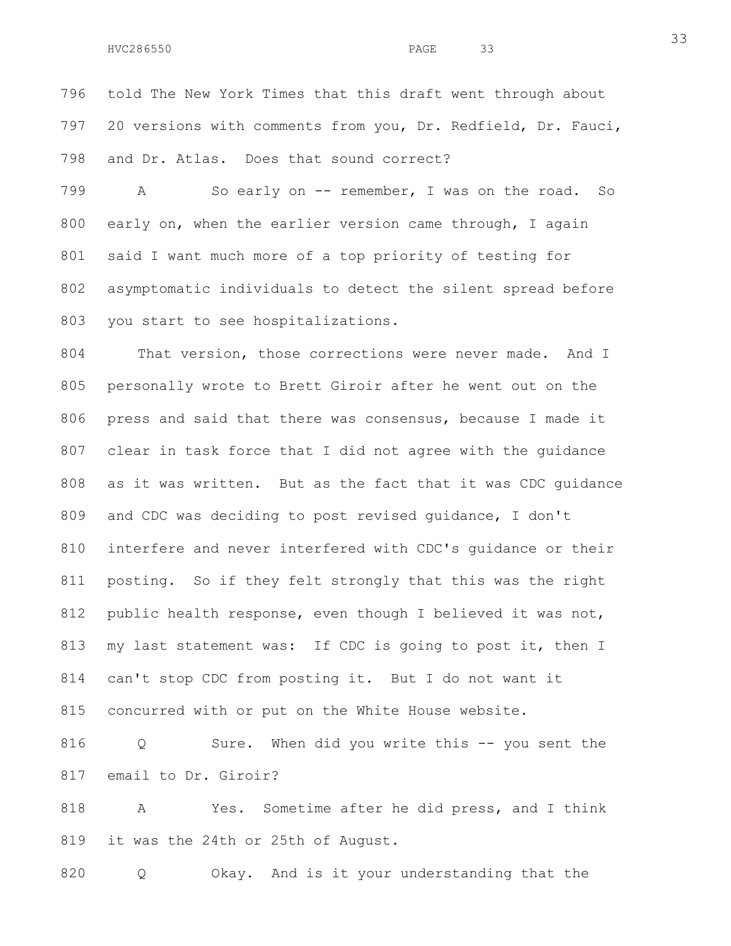796 told The New York Times that this draft went through about 797 20 versions with comments from you, Dr. Redfield, Dr. Fauci, 798 and Dr. Atlas. Does that sound correct?

799 A So early on -- remember, I was on the road. So 800 early on, when the earlier version came through, I again 801 said I want much more of a top priority of testing for 802 asymptomatic individuals to detect the silent spread before 803 you start to see hospitalizations.

804 That version, those corrections were never made. And I 805 personally wrote to Brett Giroir after he went out on the 806 press and said that there was consensus, because I made it 807 clear in task force that I did not agree with the guidance 808 as it was written. But as the fact that it was CDC guidance 809 and CDC was deciding to post revised guidance, I don't 810 interfere and never interfered with CDC's guidance or their 811 posting. So if they felt strongly that this was the right 812 public health response, even though I believed it was not, 813 my last statement was: If CDC is going to post it, then I 814 can't stop CDC from posting it. But I do not want it 815 concurred with or put on the White House website.

816 Q Sure. When did you write this -- you sent the 817 email to Dr. Giroir?

818 A Yes. Sometime after he did press, and I think 819 it was the 24th or 25th of August.

820 Q Okay. And is it your understanding that the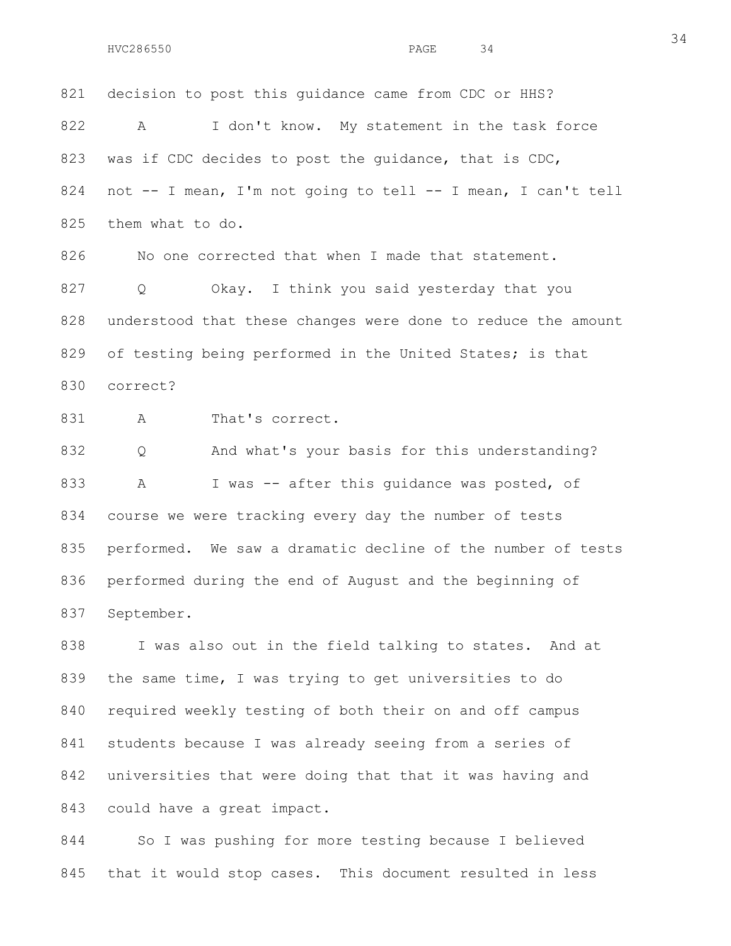821 decision to post this guidance came from CDC or HHS? 822 A I don't know. My statement in the task force 823 was if CDC decides to post the quidance, that is CDC, 824 not -- I mean, I'm not going to tell -- I mean, I can't tell 825 them what to do.

826 No one corrected that when I made that statement. 827 Q Okay. I think you said yesterday that you 828 understood that these changes were done to reduce the amount 829 of testing being performed in the United States; is that 830 correct?

831 A That's correct.

832 Q And what's your basis for this understanding? 833 A I was -- after this quidance was posted, of 834 course we were tracking every day the number of tests 835 performed. We saw a dramatic decline of the number of tests 836 performed during the end of August and the beginning of 837 September.

838 I was also out in the field talking to states. And at 839 the same time, I was trying to get universities to do 840 required weekly testing of both their on and off campus 841 students because I was already seeing from a series of 842 universities that were doing that that it was having and 843 could have a great impact.

844 So I was pushing for more testing because I believed 845 that it would stop cases. This document resulted in less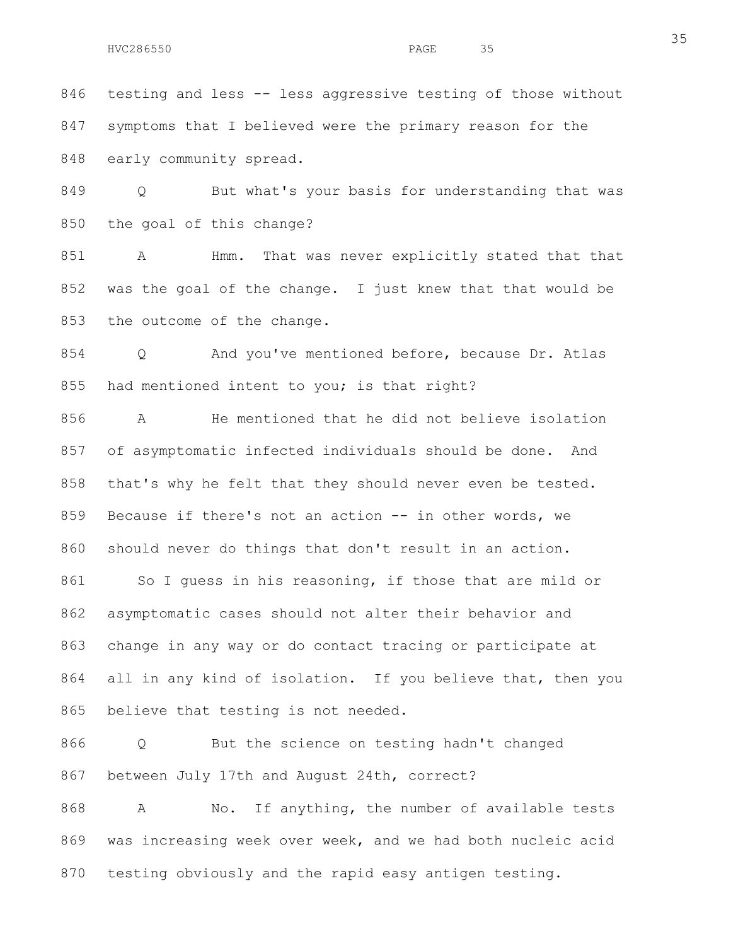846 testing and less -- less aggressive testing of those without 847 symptoms that I believed were the primary reason for the 848 early community spread.

849 Q But what's your basis for understanding that was 850 the goal of this change?

851 A Hmm. That was never explicitly stated that that 852 was the goal of the change. I just knew that that would be 853 the outcome of the change.

854 Q And you've mentioned before, because Dr. Atlas 855 had mentioned intent to you; is that right?

856 A He mentioned that he did not believe isolation 857 of asymptomatic infected individuals should be done. And 858 that's why he felt that they should never even be tested. 859 Because if there's not an action -- in other words, we 860 should never do things that don't result in an action.

861 So I guess in his reasoning, if those that are mild or 862 asymptomatic cases should not alter their behavior and 863 change in any way or do contact tracing or participate at 864 all in any kind of isolation. If you believe that, then you 865 believe that testing is not needed.

866 Q But the science on testing hadn't changed 867 between July 17th and August 24th, correct?

868 A No. If anything, the number of available tests 869 was increasing week over week, and we had both nucleic acid 870 testing obviously and the rapid easy antigen testing.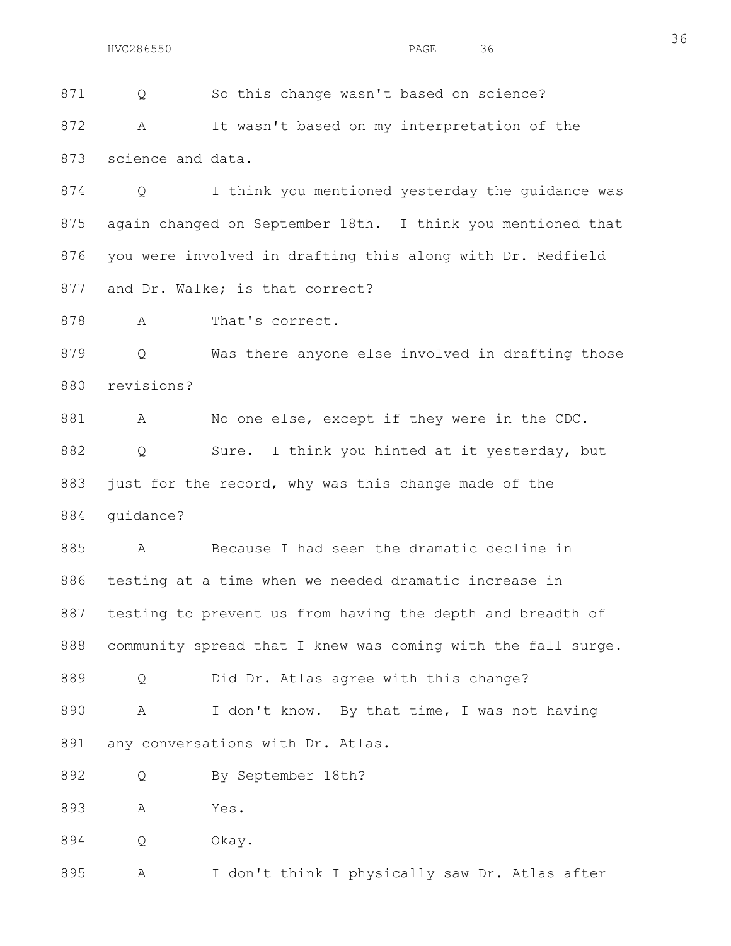871 Q So this change wasn't based on science?

872 A It wasn't based on my interpretation of the 873 science and data.

874 Q I think you mentioned yesterday the guidance was 875 again changed on September 18th. I think you mentioned that 876 you were involved in drafting this along with Dr. Redfield 877 and Dr. Walke; is that correct?

878 A That's correct.

879 Q Was there anyone else involved in drafting those 880 revisions?

881 A No one else, except if they were in the CDC. 882 Q Sure. I think you hinted at it yesterday, but 883 just for the record, why was this change made of the 884 guidance?

885 A Because I had seen the dramatic decline in 886 testing at a time when we needed dramatic increase in 887 testing to prevent us from having the depth and breadth of 888 community spread that I knew was coming with the fall surge.

889 Q Did Dr. Atlas agree with this change?

890 A I don't know. By that time, I was not having 891 any conversations with Dr. Atlas.

892 Q By September 18th?

893 A Yes.

894 Q Okay.

895 A I don't think I physically saw Dr. Atlas after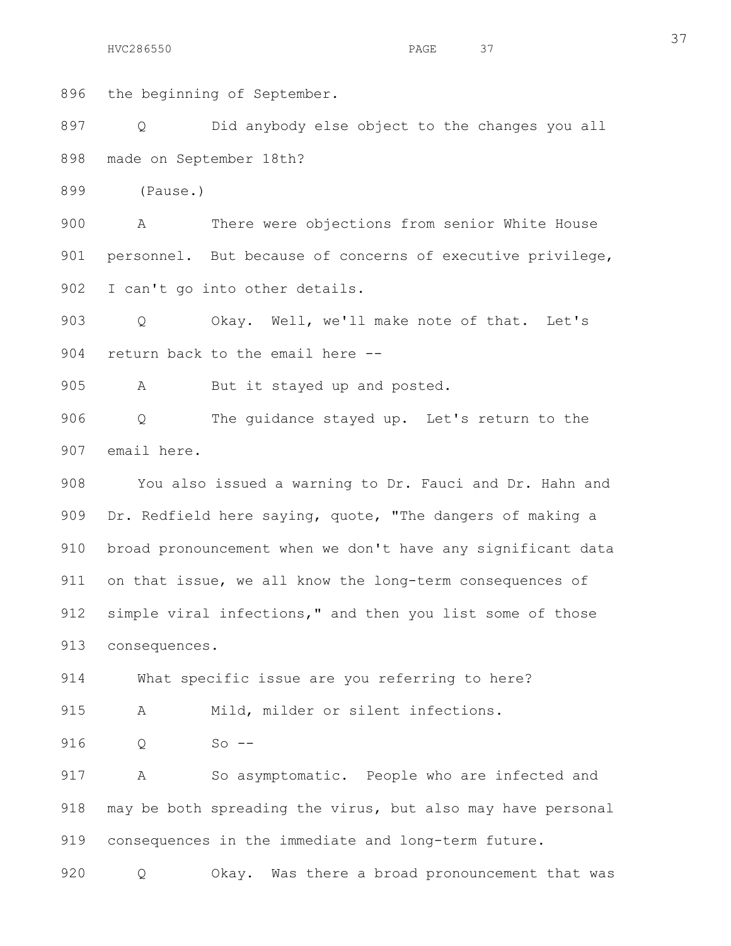896 the beginning of September.

897 Q Did anybody else object to the changes you all 898 made on September 18th?

899 (Pause.)

900 A There were objections from senior White House 901 personnel. But because of concerns of executive privilege, 902 I can't go into other details.

903 Q Okay. Well, we'll make note of that. Let's 904 return back to the email here --

905 A But it stayed up and posted.

906 Q The guidance stayed up. Let's return to the 907 email here.

908 You also issued a warning to Dr. Fauci and Dr. Hahn and 909 Dr. Redfield here saying, quote, "The dangers of making a 910 broad pronouncement when we don't have any significant data 911 on that issue, we all know the long-term consequences of 912 simple viral infections," and then you list some of those 913 consequences.

914 What specific issue are you referring to here?

915 A Mild, milder or silent infections.

916 O So --

917 A So asymptomatic. People who are infected and 918 may be both spreading the virus, but also may have personal 919 consequences in the immediate and long-term future.

920 Q Okay. Was there a broad pronouncement that was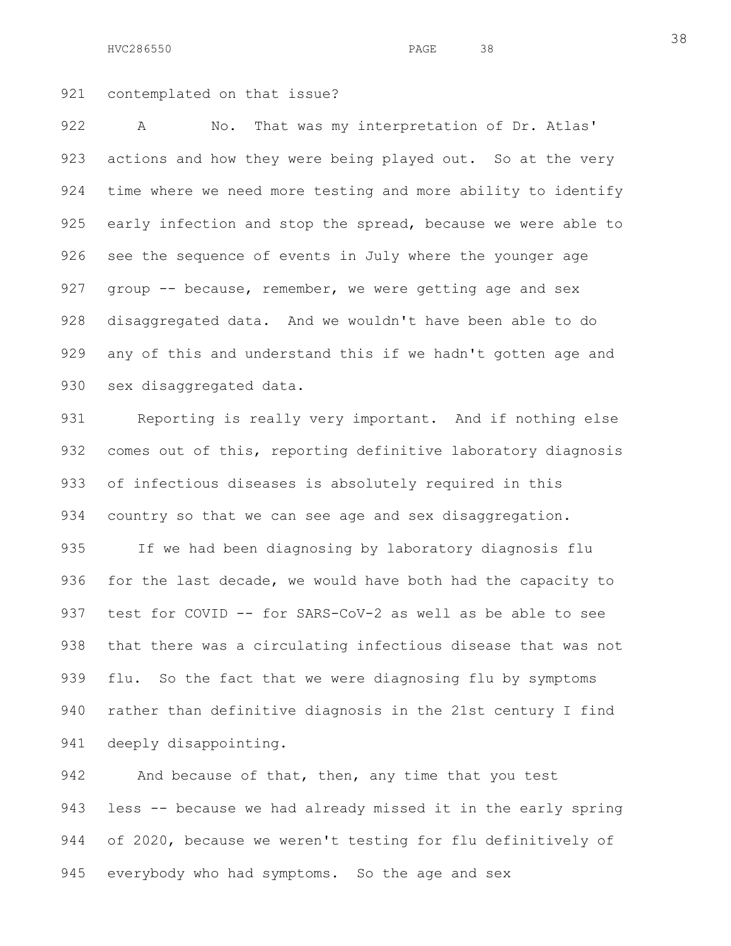921 contemplated on that issue?

922 A No. That was my interpretation of Dr. Atlas' 923 actions and how they were being played out. So at the very 924 time where we need more testing and more ability to identify 925 early infection and stop the spread, because we were able to 926 see the sequence of events in July where the younger age 927 group -- because, remember, we were getting age and sex 928 disaggregated data. And we wouldn't have been able to do 929 any of this and understand this if we hadn't gotten age and 930 sex disaggregated data.

931 Reporting is really very important. And if nothing else 932 comes out of this, reporting definitive laboratory diagnosis 933 of infectious diseases is absolutely required in this 934 country so that we can see age and sex disaggregation.

935 If we had been diagnosing by laboratory diagnosis flu 936 for the last decade, we would have both had the capacity to 937 test for COVID -- for SARS-CoV-2 as well as be able to see 938 that there was a circulating infectious disease that was not 939 flu. So the fact that we were diagnosing flu by symptoms 940 rather than definitive diagnosis in the 21st century I find 941 deeply disappointing.

942 And because of that, then, any time that you test 943 less -- because we had already missed it in the early spring 944 of 2020, because we weren't testing for flu definitively of 945 everybody who had symptoms. So the age and sex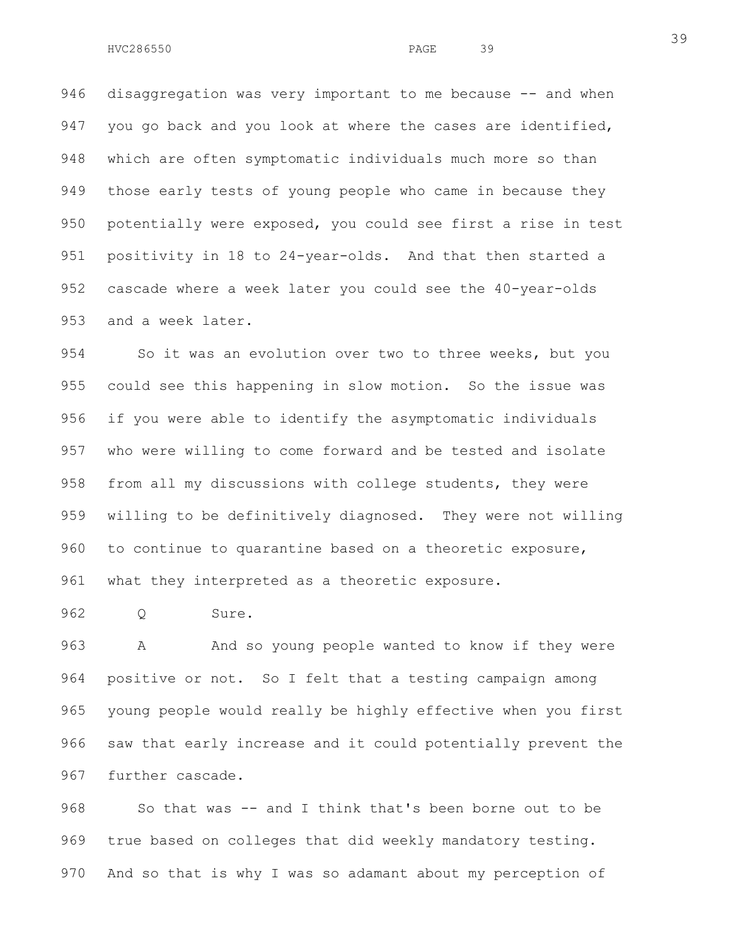946 disaggregation was very important to me because -- and when 947 you go back and you look at where the cases are identified, 948 which are often symptomatic individuals much more so than 949 those early tests of young people who came in because they 950 potentially were exposed, you could see first a rise in test 951 positivity in 18 to 24-year-olds. And that then started a 952 cascade where a week later you could see the 40-year-olds 953 and a week later.

954 So it was an evolution over two to three weeks, but you 955 could see this happening in slow motion. So the issue was 956 if you were able to identify the asymptomatic individuals 957 who were willing to come forward and be tested and isolate 958 from all my discussions with college students, they were 959 willing to be definitively diagnosed. They were not willing 960 to continue to quarantine based on a theoretic exposure, 961 what they interpreted as a theoretic exposure.

962 Q Sure.

963 A And so young people wanted to know if they were 964 positive or not. So I felt that a testing campaign among 965 young people would really be highly effective when you first 966 saw that early increase and it could potentially prevent the 967 further cascade.

968 So that was -- and I think that's been borne out to be 969 true based on colleges that did weekly mandatory testing. 970 And so that is why I was so adamant about my perception of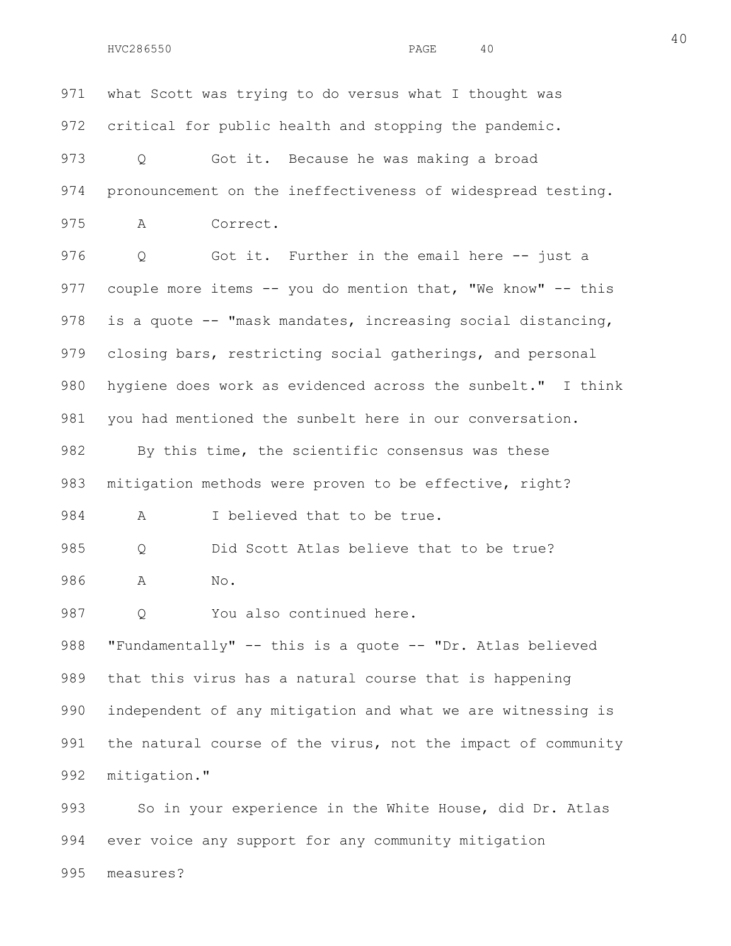971 what Scott was trying to do versus what I thought was 972 critical for public health and stopping the pandemic. 973 Q Got it. Because he was making a broad 974 pronouncement on the ineffectiveness of widespread testing. 975 A Correct. 976 Q Got it. Further in the email here -- just a 977 couple more items -- you do mention that, "We know" -- this 978 is a quote -- "mask mandates, increasing social distancing, 979 closing bars, restricting social gatherings, and personal 980 hygiene does work as evidenced across the sunbelt." I think 981 you had mentioned the sunbelt here in our conversation. 982 By this time, the scientific consensus was these 983 mitigation methods were proven to be effective, right? 984 A I believed that to be true. 985 Q Did Scott Atlas believe that to be true? 986 A No. 987 O You also continued here. 988 "Fundamentally" -- this is a quote -- "Dr. Atlas believed 989 that this virus has a natural course that is happening 990 independent of any mitigation and what we are witnessing is 991 the natural course of the virus, not the impact of community 992 mitigation." 993 So in your experience in the White House, did Dr. Atlas 994 ever voice any support for any community mitigation

40

995 measures?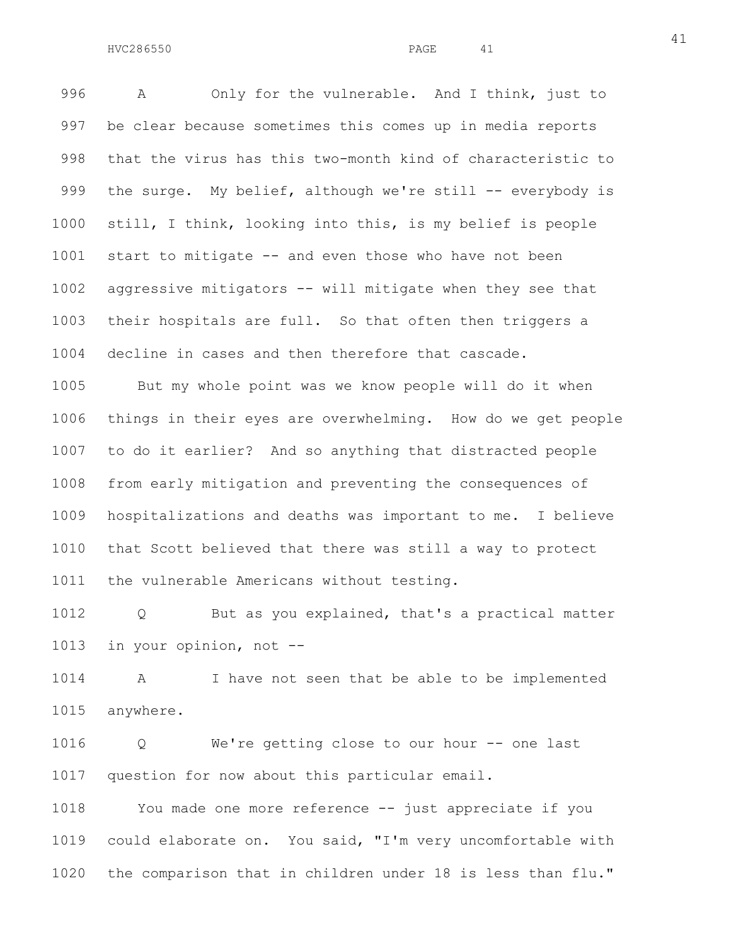996 A Only for the vulnerable. And I think, just to 997 be clear because sometimes this comes up in media reports 998 that the virus has this two-month kind of characteristic to 999 the surge. My belief, although we're still -- everybody is 1000 still, I think, looking into this, is my belief is people 1001 start to mitigate -- and even those who have not been 1002 aggressive mitigators -- will mitigate when they see that 1003 their hospitals are full. So that often then triggers a 1004 decline in cases and then therefore that cascade.

1005 But my whole point was we know people will do it when 1006 things in their eyes are overwhelming. How do we get people 1007 to do it earlier? And so anything that distracted people 1008 from early mitigation and preventing the consequences of 1009 hospitalizations and deaths was important to me. I believe 1010 that Scott believed that there was still a way to protect 1011 the vulnerable Americans without testing.

1012 Q But as you explained, that's a practical matter 1013 in your opinion, not --

1014 A I have not seen that be able to be implemented 1015 anywhere.

1016 Q We're getting close to our hour -- one last 1017 question for now about this particular email.

1018 You made one more reference -- just appreciate if you 1019 could elaborate on. You said, "I'm very uncomfortable with 1020 the comparison that in children under 18 is less than flu."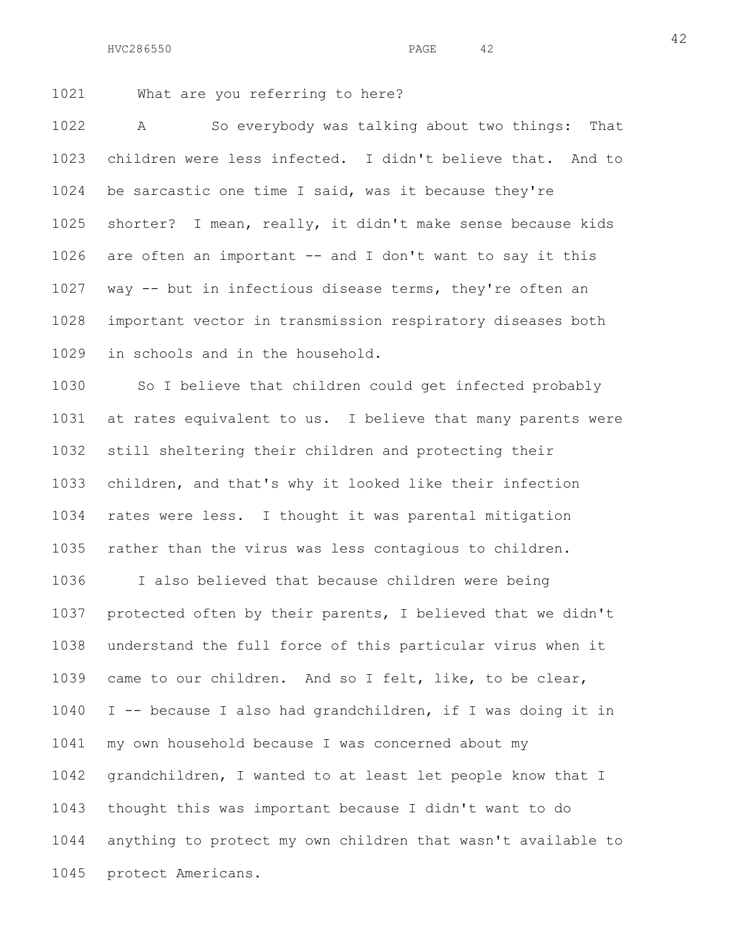1021 What are you referring to here?

1022 A So everybody was talking about two things: That 1023 children were less infected. I didn't believe that. And to 1024 be sarcastic one time I said, was it because they're 1025 shorter? I mean, really, it didn't make sense because kids 1026 are often an important -- and I don't want to say it this 1027 way -- but in infectious disease terms, they're often an 1028 important vector in transmission respiratory diseases both 1029 in schools and in the household.

1030 So I believe that children could get infected probably 1031 at rates equivalent to us. I believe that many parents were 1032 still sheltering their children and protecting their 1033 children, and that's why it looked like their infection 1034 rates were less. I thought it was parental mitigation 1035 rather than the virus was less contagious to children.

1036 I also believed that because children were being 1037 protected often by their parents, I believed that we didn't 1038 understand the full force of this particular virus when it 1039 came to our children. And so I felt, like, to be clear, 1040 I -- because I also had grandchildren, if I was doing it in 1041 my own household because I was concerned about my 1042 grandchildren, I wanted to at least let people know that I 1043 thought this was important because I didn't want to do 1044 anything to protect my own children that wasn't available to 1045 protect Americans.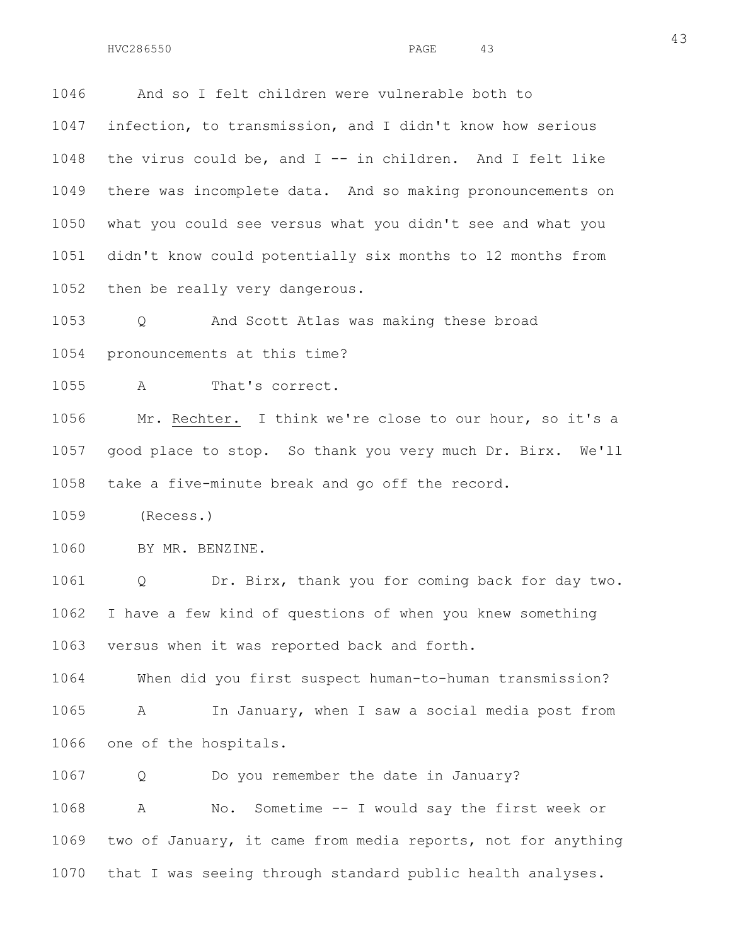1046 And so I felt children were vulnerable both to 1047 infection, to transmission, and I didn't know how serious 1048 the virus could be, and  $I - -$  in children. And I felt like 1049 there was incomplete data. And so making pronouncements on 1050 what you could see versus what you didn't see and what you 1051 didn't know could potentially six months to 12 months from

1052 then be really very dangerous.

1053 Q And Scott Atlas was making these broad 1054 pronouncements at this time?

1055 A That's correct.

1056 Mr. Rechter. I think we're close to our hour, so it's a 1057 good place to stop. So thank you very much Dr. Birx. We'll 1058 take a five-minute break and go off the record.

1059 (Recess.)

1060 BY MR. BENZINE.

1061 Q Dr. Birx, thank you for coming back for day two. 1062 I have a few kind of questions of when you knew something 1063 versus when it was reported back and forth.

1064 When did you first suspect human-to-human transmission? 1065 A In January, when I saw a social media post from 1066 one of the hospitals.

1067 Q Do you remember the date in January?

1068 A No. Sometime -- I would say the first week or 1069 two of January, it came from media reports, not for anything 1070 that I was seeing through standard public health analyses.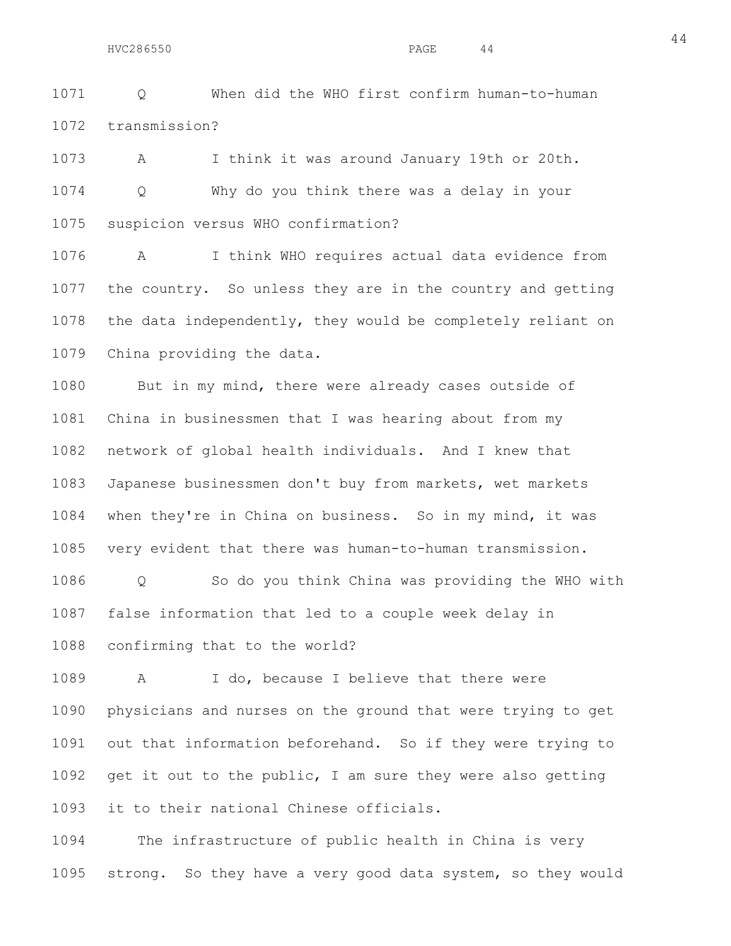1071 Q When did the WHO first confirm human-to-human 1072 transmission?

1073 A I think it was around January 19th or 20th. 1074 Q Why do you think there was a delay in your 1075 suspicion versus WHO confirmation?

1076 A I think WHO requires actual data evidence from 1077 the country. So unless they are in the country and getting 1078 the data independently, they would be completely reliant on 1079 China providing the data.

1080 But in my mind, there were already cases outside of 1081 China in businessmen that I was hearing about from my 1082 network of global health individuals. And I knew that 1083 Japanese businessmen don't buy from markets, wet markets 1084 when they're in China on business. So in my mind, it was 1085 very evident that there was human-to-human transmission.

1086 Q So do you think China was providing the WHO with 1087 false information that led to a couple week delay in

1088 confirming that to the world?

1089 A I do, because I believe that there were 1090 physicians and nurses on the ground that were trying to get 1091 out that information beforehand. So if they were trying to 1092 get it out to the public, I am sure they were also getting 1093 it to their national Chinese officials.

1094 The infrastructure of public health in China is very 1095 strong. So they have a very good data system, so they would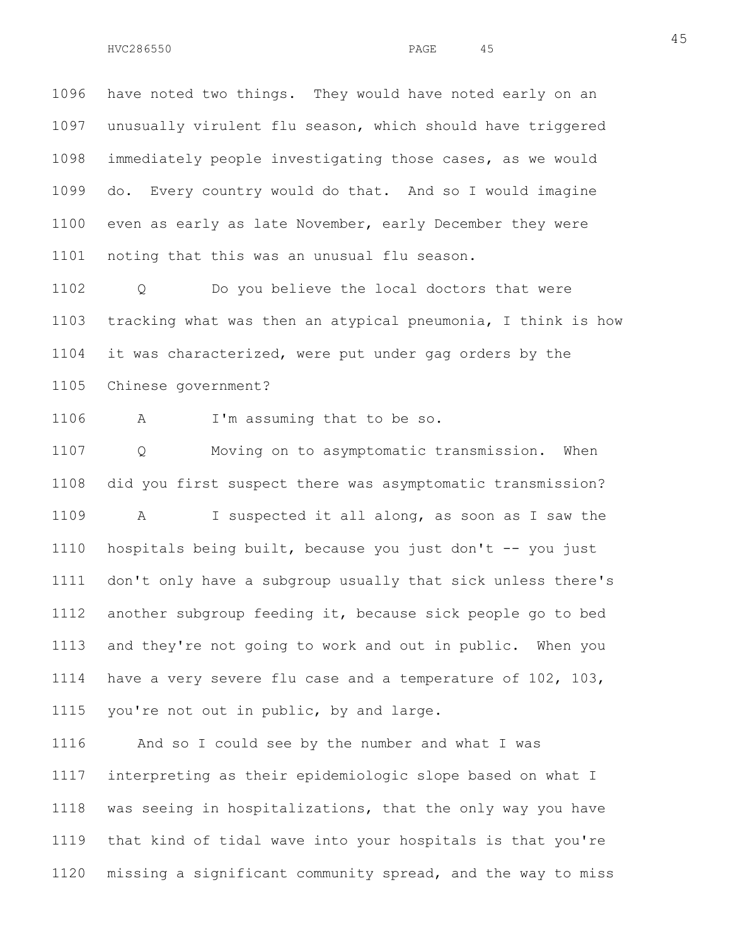1096 have noted two things. They would have noted early on an 1097 unusually virulent flu season, which should have triggered 1098 immediately people investigating those cases, as we would 1099 do. Every country would do that. And so I would imagine 1100 even as early as late November, early December they were 1101 noting that this was an unusual flu season.

1102 Q Do you believe the local doctors that were 1103 tracking what was then an atypical pneumonia, I think is how 1104 it was characterized, were put under gag orders by the 1105 Chinese government?

1106 A I'm assuming that to be so.

1107 Q Moving on to asymptomatic transmission. When 1108 did you first suspect there was asymptomatic transmission? 1109 A I suspected it all along, as soon as I saw the 1110 hospitals being built, because you just don't -- you just 1111 don't only have a subgroup usually that sick unless there's 1112 another subgroup feeding it, because sick people go to bed 1113 and they're not going to work and out in public. When you 1114 have a very severe flu case and a temperature of 102, 103, 1115 you're not out in public, by and large.

1116 And so I could see by the number and what I was 1117 interpreting as their epidemiologic slope based on what I 1118 was seeing in hospitalizations, that the only way you have 1119 that kind of tidal wave into your hospitals is that you're 1120 missing a significant community spread, and the way to miss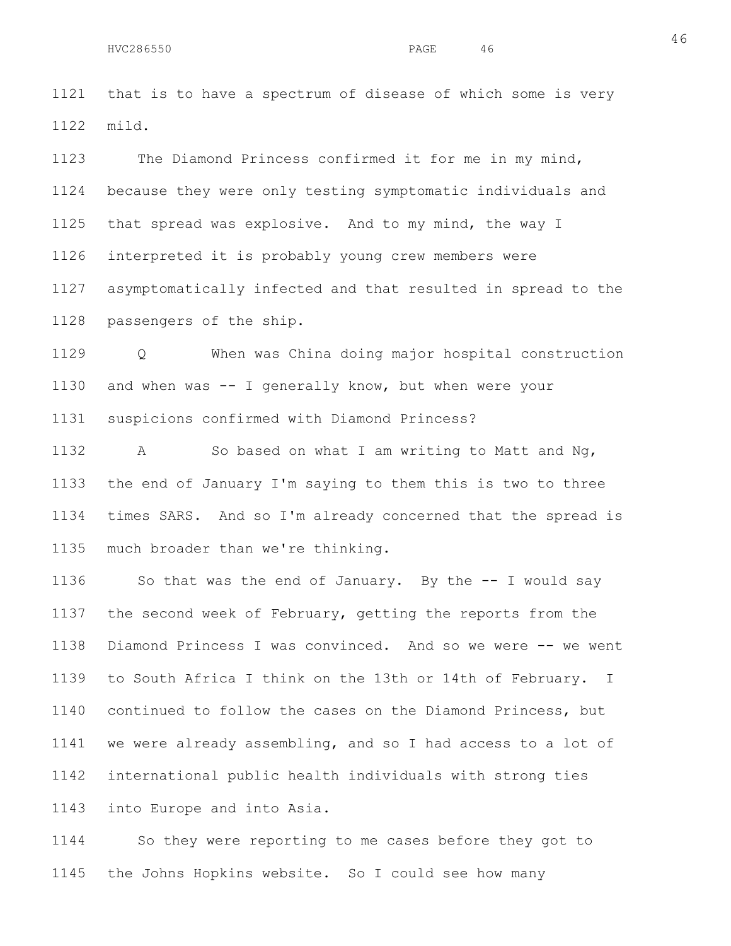1121 that is to have a spectrum of disease of which some is very 1122 mild.

1123 The Diamond Princess confirmed it for me in my mind, 1124 because they were only testing symptomatic individuals and 1125 that spread was explosive. And to my mind, the way I 1126 interpreted it is probably young crew members were 1127 asymptomatically infected and that resulted in spread to the 1128 passengers of the ship.

1129 Q When was China doing major hospital construction 1130 and when was -- I generally know, but when were your 1131 suspicions confirmed with Diamond Princess?

1132 A So based on what I am writing to Matt and Ng, 1133 the end of January I'm saying to them this is two to three 1134 times SARS. And so I'm already concerned that the spread is 1135 much broader than we're thinking.

1136 So that was the end of January. By the -- I would say 1137 the second week of February, getting the reports from the 1138 Diamond Princess I was convinced. And so we were -- we went 1139 to South Africa I think on the 13th or 14th of February. I 1140 continued to follow the cases on the Diamond Princess, but 1141 we were already assembling, and so I had access to a lot of 1142 international public health individuals with strong ties 1143 into Europe and into Asia.

1144 So they were reporting to me cases before they got to 1145 the Johns Hopkins website. So I could see how many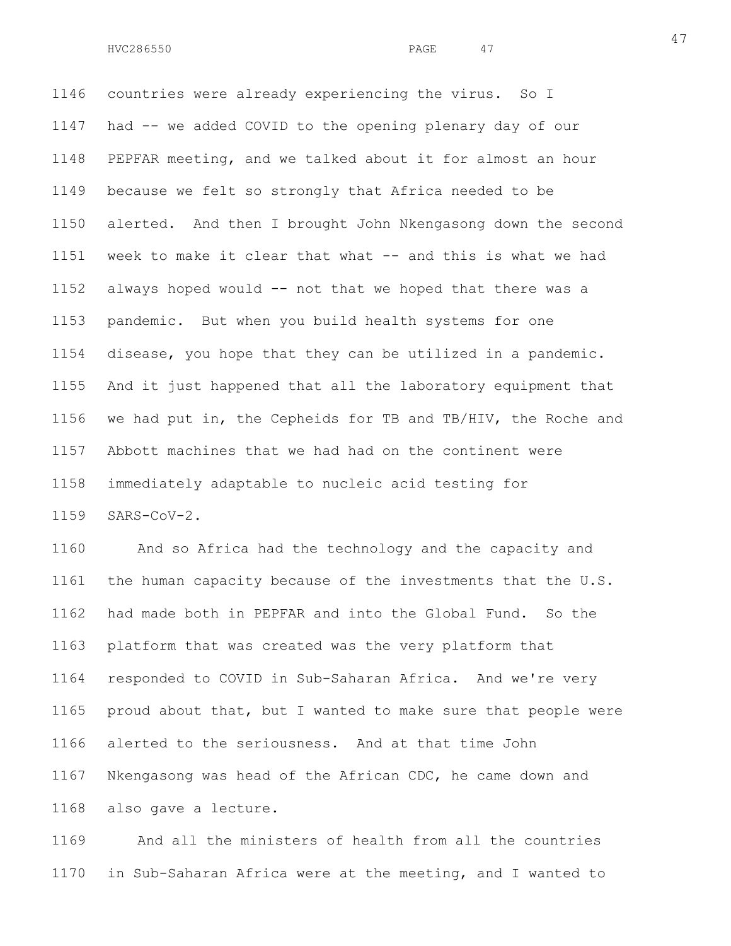1146 countries were already experiencing the virus. So I 1147 had -- we added COVID to the opening plenary day of our 1148 PEPFAR meeting, and we talked about it for almost an hour 1149 because we felt so strongly that Africa needed to be 1150 alerted. And then I brought John Nkengasong down the second 1151 week to make it clear that what -- and this is what we had 1152 always hoped would -- not that we hoped that there was a 1153 pandemic. But when you build health systems for one 1154 disease, you hope that they can be utilized in a pandemic. 1155 And it just happened that all the laboratory equipment that 1156 we had put in, the Cepheids for TB and TB/HIV, the Roche and 1157 Abbott machines that we had had on the continent were 1158 immediately adaptable to nucleic acid testing for 1159 SARS-CoV-2.

1160 And so Africa had the technology and the capacity and 1161 the human capacity because of the investments that the U.S. 1162 had made both in PEPFAR and into the Global Fund. So the 1163 platform that was created was the very platform that 1164 responded to COVID in Sub-Saharan Africa. And we're very 1165 proud about that, but I wanted to make sure that people were 1166 alerted to the seriousness. And at that time John 1167 Nkengasong was head of the African CDC, he came down and 1168 also gave a lecture.

1169 And all the ministers of health from all the countries 1170 in Sub-Saharan Africa were at the meeting, and I wanted to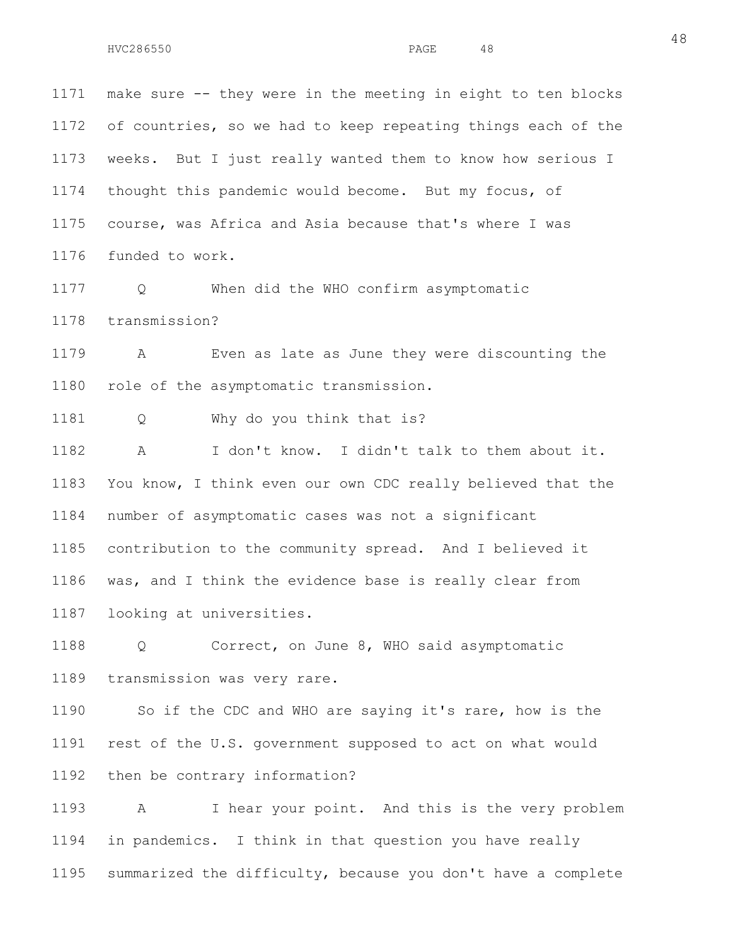1171 make sure -- they were in the meeting in eight to ten blocks 1172 of countries, so we had to keep repeating things each of the 1173 weeks. But I just really wanted them to know how serious I 1174 thought this pandemic would become. But my focus, of 1175 course, was Africa and Asia because that's where I was 1176 funded to work.

1177 Q When did the WHO confirm asymptomatic 1178 transmission?

1179 A Even as late as June they were discounting the 1180 role of the asymptomatic transmission.

1181 Q Why do you think that is?

1182 A I don't know. I didn't talk to them about it. 1183 You know, I think even our own CDC really believed that the 1184 number of asymptomatic cases was not a significant 1185 contribution to the community spread. And I believed it 1186 was, and I think the evidence base is really clear from 1187 looking at universities.

1188 Q Correct, on June 8, WHO said asymptomatic 1189 transmission was very rare.

1190 So if the CDC and WHO are saying it's rare, how is the 1191 rest of the U.S. government supposed to act on what would 1192 then be contrary information?

1193 A I hear your point. And this is the very problem 1194 in pandemics. I think in that question you have really 1195 summarized the difficulty, because you don't have a complete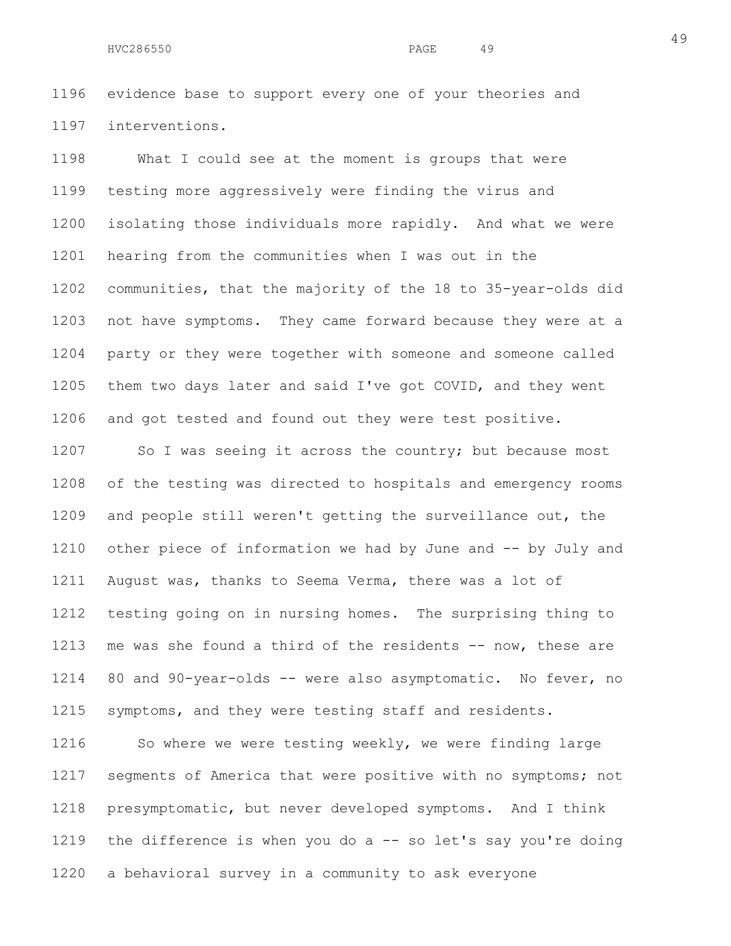1196 evidence base to support every one of your theories and 1197 interventions.

1198 What I could see at the moment is groups that were 1199 testing more aggressively were finding the virus and 1200 isolating those individuals more rapidly. And what we were 1201 hearing from the communities when I was out in the 1202 communities, that the majority of the 18 to 35-year-olds did 1203 not have symptoms. They came forward because they were at a 1204 party or they were together with someone and someone called 1205 them two days later and said I've got COVID, and they went 1206 and got tested and found out they were test positive.

1207 So I was seeing it across the country; but because most 1208 of the testing was directed to hospitals and emergency rooms 1209 and people still weren't getting the surveillance out, the 1210 other piece of information we had by June and -- by July and 1211 August was, thanks to Seema Verma, there was a lot of 1212 testing going on in nursing homes. The surprising thing to 1213 me was she found a third of the residents -- now, these are 1214 80 and 90-year-olds -- were also asymptomatic. No fever, no 1215 symptoms, and they were testing staff and residents.

1216 So where we were testing weekly, we were finding large 1217 segments of America that were positive with no symptoms; not 1218 presymptomatic, but never developed symptoms. And I think 1219 the difference is when you do a -- so let's say you're doing 1220 a behavioral survey in a community to ask everyone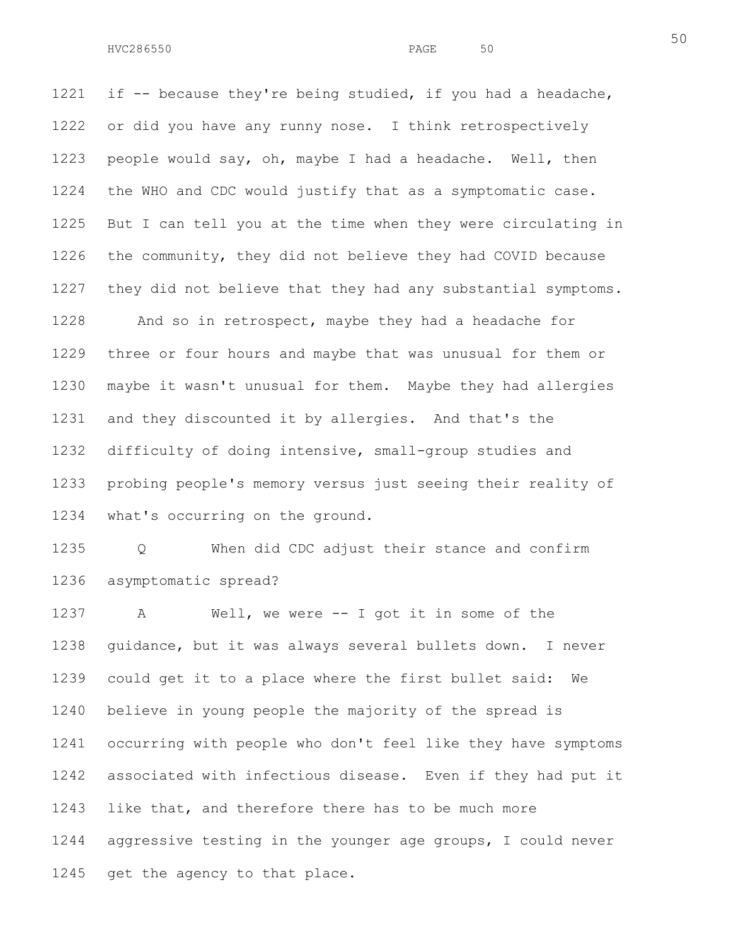1221 if -- because they're being studied, if you had a headache, 1222 or did you have any runny nose. I think retrospectively 1223 people would say, oh, maybe I had a headache. Well, then 1224 the WHO and CDC would justify that as a symptomatic case. 1225 But I can tell you at the time when they were circulating in 1226 the community, they did not believe they had COVID because 1227 they did not believe that they had any substantial symptoms.

1228 And so in retrospect, maybe they had a headache for 1229 three or four hours and maybe that was unusual for them or 1230 maybe it wasn't unusual for them. Maybe they had allergies 1231 and they discounted it by allergies. And that's the 1232 difficulty of doing intensive, small-group studies and 1233 probing people's memory versus just seeing their reality of 1234 what's occurring on the ground.

1235 Q When did CDC adjust their stance and confirm 1236 asymptomatic spread?

1237 A Well, we were -- I got it in some of the 1238 guidance, but it was always several bullets down. I never 1239 could get it to a place where the first bullet said: We 1240 believe in young people the majority of the spread is 1241 occurring with people who don't feel like they have symptoms 1242 associated with infectious disease. Even if they had put it 1243 like that, and therefore there has to be much more 1244 aggressive testing in the younger age groups, I could never 1245 get the agency to that place.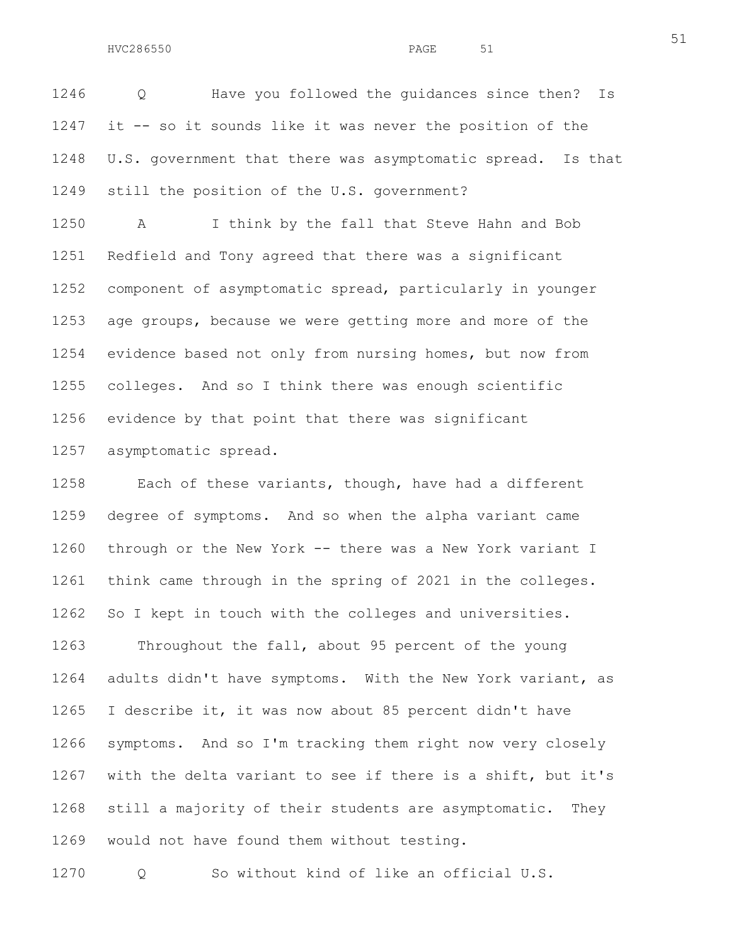1246 Q Have you followed the guidances since then? Is 1247 it -- so it sounds like it was never the position of the 1248 U.S. government that there was asymptomatic spread. Is that 1249 still the position of the U.S. government?

1250 A I think by the fall that Steve Hahn and Bob 1251 Redfield and Tony agreed that there was a significant 1252 component of asymptomatic spread, particularly in younger 1253 age groups, because we were getting more and more of the 1254 evidence based not only from nursing homes, but now from 1255 colleges. And so I think there was enough scientific 1256 evidence by that point that there was significant 1257 asymptomatic spread.

1258 Each of these variants, though, have had a different 1259 degree of symptoms. And so when the alpha variant came 1260 through or the New York -- there was a New York variant I 1261 think came through in the spring of 2021 in the colleges. 1262 So I kept in touch with the colleges and universities. 1263 Throughout the fall, about 95 percent of the young 1264 adults didn't have symptoms. With the New York variant, as 1265 I describe it, it was now about 85 percent didn't have 1266 symptoms. And so I'm tracking them right now very closely 1267 with the delta variant to see if there is a shift, but it's

1268 still a majority of their students are asymptomatic. They 1269 would not have found them without testing.

1270 Q So without kind of like an official U.S.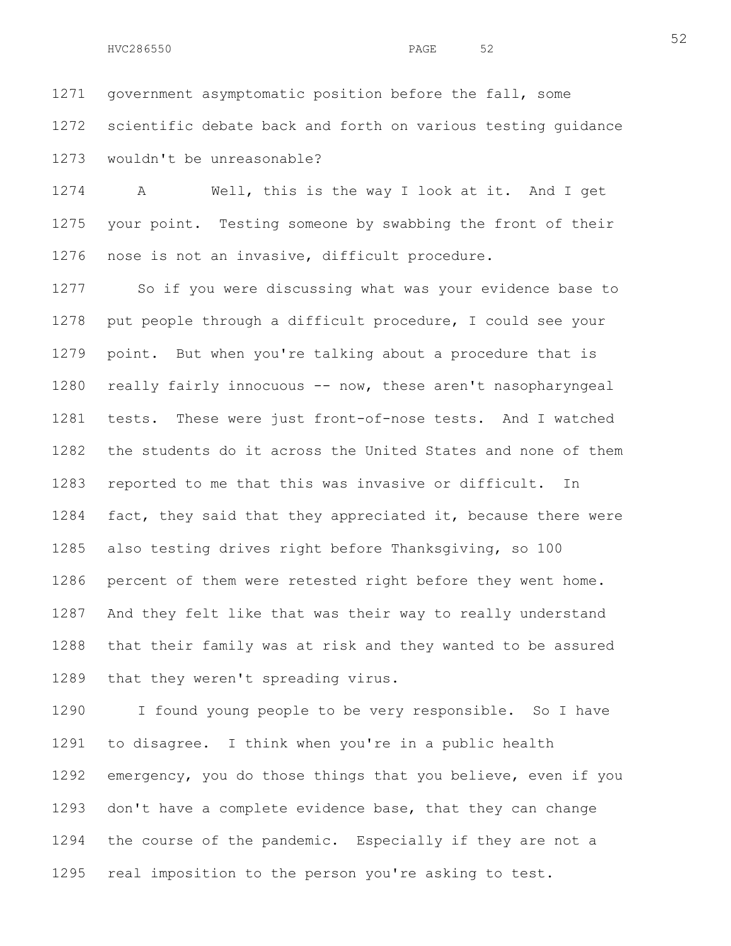1271 government asymptomatic position before the fall, some 1272 scientific debate back and forth on various testing guidance 1273 wouldn't be unreasonable?

1274 A Well, this is the way I look at it. And I get 1275 your point. Testing someone by swabbing the front of their 1276 nose is not an invasive, difficult procedure.

1277 So if you were discussing what was your evidence base to 1278 put people through a difficult procedure, I could see your 1279 point. But when you're talking about a procedure that is 1280 really fairly innocuous -- now, these aren't nasopharyngeal 1281 tests. These were just front-of-nose tests. And I watched 1282 the students do it across the United States and none of them 1283 reported to me that this was invasive or difficult. In 1284 fact, they said that they appreciated it, because there were 1285 also testing drives right before Thanksgiving, so 100 1286 percent of them were retested right before they went home. 1287 And they felt like that was their way to really understand 1288 that their family was at risk and they wanted to be assured 1289 that they weren't spreading virus.

1290 I found young people to be very responsible. So I have 1291 to disagree. I think when you're in a public health 1292 emergency, you do those things that you believe, even if you 1293 don't have a complete evidence base, that they can change 1294 the course of the pandemic. Especially if they are not a 1295 real imposition to the person you're asking to test.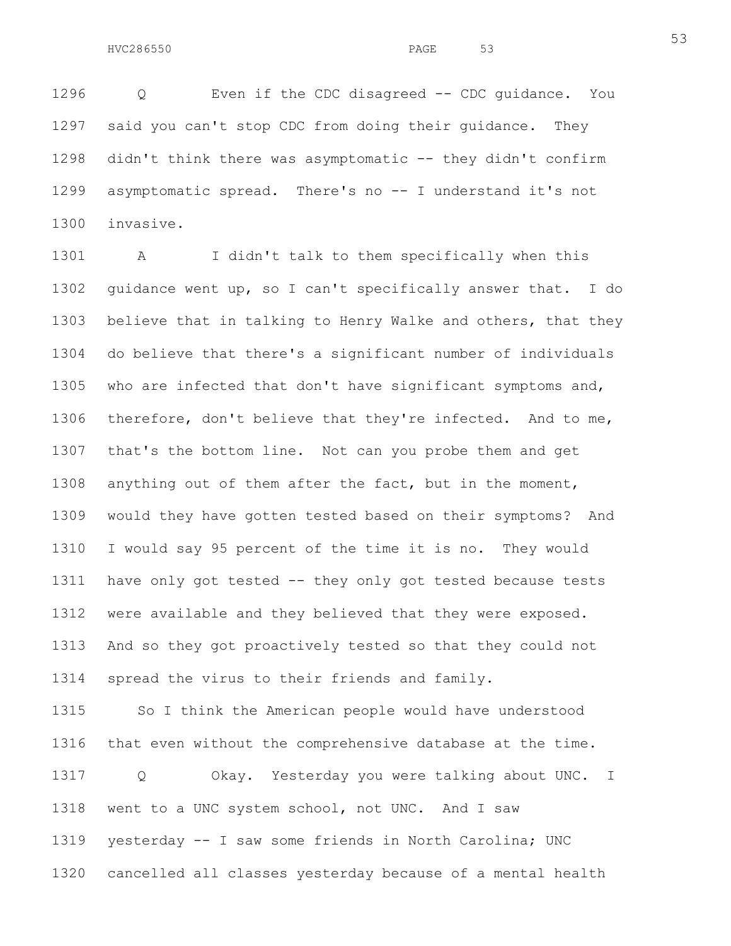1296 Q Even if the CDC disagreed -- CDC guidance. You 1297 said you can't stop CDC from doing their guidance. They 1298 didn't think there was asymptomatic -- they didn't confirm 1299 asymptomatic spread. There's no -- I understand it's not 1300 invasive.

1301 A I didn't talk to them specifically when this 1302 guidance went up, so I can't specifically answer that. I do 1303 believe that in talking to Henry Walke and others, that they 1304 do believe that there's a significant number of individuals 1305 who are infected that don't have significant symptoms and, 1306 therefore, don't believe that they're infected. And to me, 1307 that's the bottom line. Not can you probe them and get 1308 anything out of them after the fact, but in the moment, 1309 would they have gotten tested based on their symptoms? And 1310 I would say 95 percent of the time it is no. They would 1311 have only got tested -- they only got tested because tests 1312 were available and they believed that they were exposed. 1313 And so they got proactively tested so that they could not 1314 spread the virus to their friends and family.

1315 So I think the American people would have understood 1316 that even without the comprehensive database at the time. 1317 Q Okay. Yesterday you were talking about UNC. I 1318 went to a UNC system school, not UNC. And I saw 1319 yesterday -- I saw some friends in North Carolina; UNC

1320 cancelled all classes yesterday because of a mental health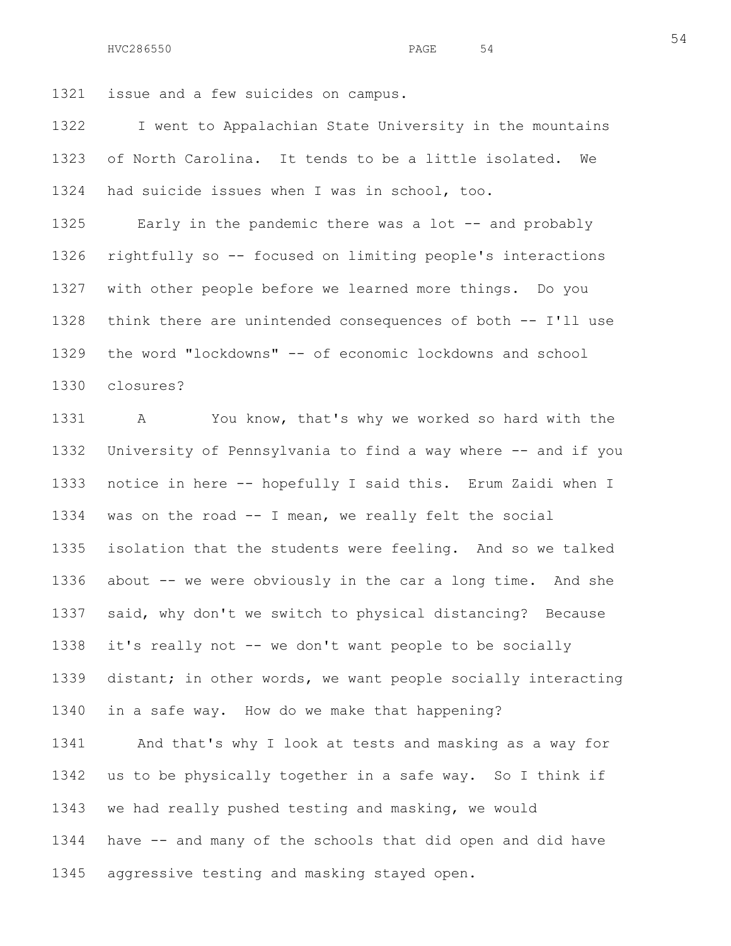1321 issue and a few suicides on campus.

1322 I went to Appalachian State University in the mountains 1323 of North Carolina. It tends to be a little isolated. We 1324 had suicide issues when I was in school, too.

1325 Early in the pandemic there was a lot -- and probably 1326 rightfully so -- focused on limiting people's interactions 1327 with other people before we learned more things. Do you 1328 think there are unintended consequences of both -- I'll use 1329 the word "lockdowns" -- of economic lockdowns and school 1330 closures?

1331 A You know, that's why we worked so hard with the 1332 University of Pennsylvania to find a way where -- and if you 1333 notice in here -- hopefully I said this. Erum Zaidi when I 1334 was on the road -- I mean, we really felt the social 1335 isolation that the students were feeling. And so we talked 1336 about -- we were obviously in the car a long time. And she 1337 said, why don't we switch to physical distancing? Because 1338 it's really not -- we don't want people to be socially 1339 distant; in other words, we want people socially interacting 1340 in a safe way. How do we make that happening?

1341 And that's why I look at tests and masking as a way for 1342 us to be physically together in a safe way. So I think if 1343 we had really pushed testing and masking, we would 1344 have -- and many of the schools that did open and did have 1345 aggressive testing and masking stayed open.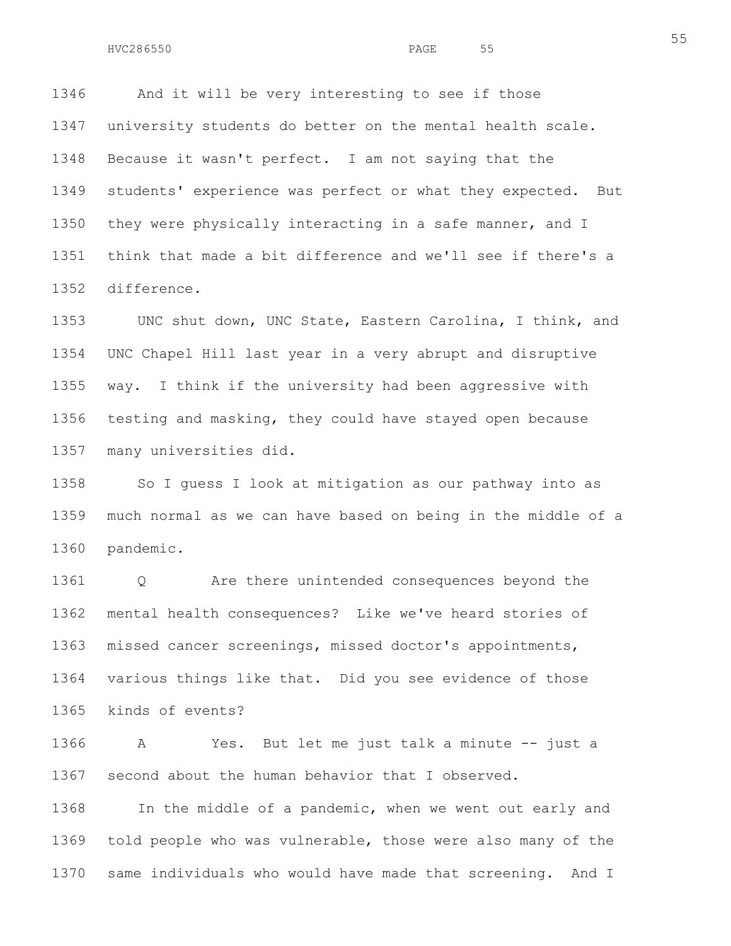1346 And it will be very interesting to see if those 1347 university students do better on the mental health scale. 1348 Because it wasn't perfect. I am not saying that the 1349 students' experience was perfect or what they expected. But 1350 they were physically interacting in a safe manner, and I 1351 think that made a bit difference and we'll see if there's a 1352 difference.

1353 UNC shut down, UNC State, Eastern Carolina, I think, and 1354 UNC Chapel Hill last year in a very abrupt and disruptive 1355 way. I think if the university had been aggressive with 1356 testing and masking, they could have stayed open because 1357 many universities did.

1358 So I guess I look at mitigation as our pathway into as 1359 much normal as we can have based on being in the middle of a 1360 pandemic.

1361 Q Are there unintended consequences beyond the 1362 mental health consequences? Like we've heard stories of 1363 missed cancer screenings, missed doctor's appointments, 1364 various things like that. Did you see evidence of those 1365 kinds of events?

1366 A Yes. But let me just talk a minute -- just a 1367 second about the human behavior that I observed.

1368 In the middle of a pandemic, when we went out early and 1369 told people who was vulnerable, those were also many of the 1370 same individuals who would have made that screening. And I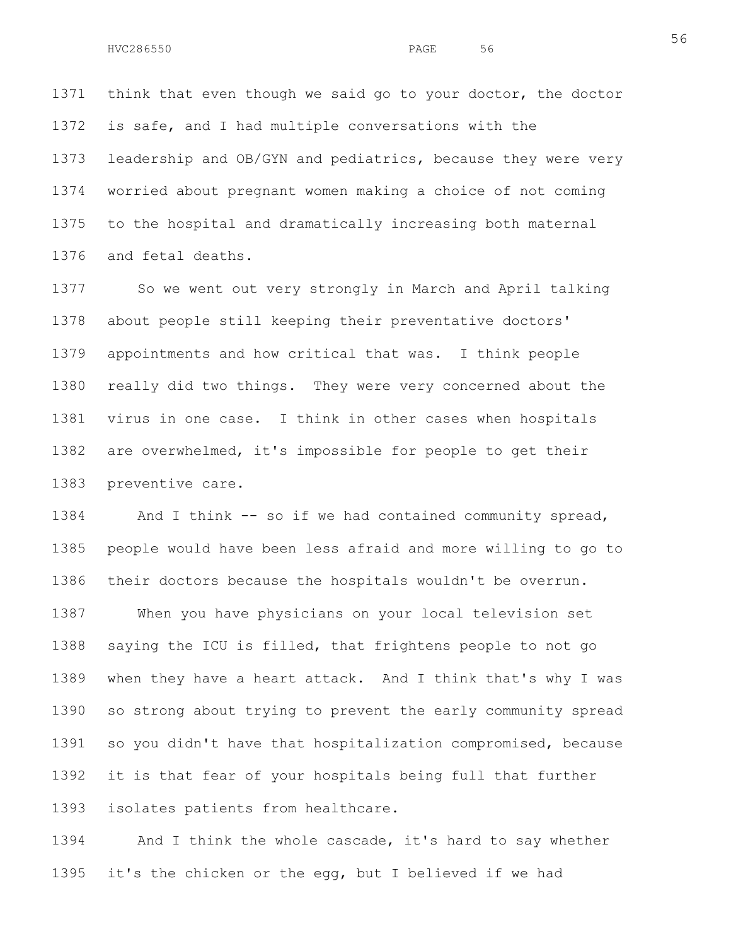1371 think that even though we said go to your doctor, the doctor 1372 is safe, and I had multiple conversations with the 1373 leadership and OB/GYN and pediatrics, because they were very 1374 worried about pregnant women making a choice of not coming 1375 to the hospital and dramatically increasing both maternal 1376 and fetal deaths.

1377 So we went out very strongly in March and April talking 1378 about people still keeping their preventative doctors' 1379 appointments and how critical that was. I think people 1380 really did two things. They were very concerned about the 1381 virus in one case. I think in other cases when hospitals 1382 are overwhelmed, it's impossible for people to get their 1383 preventive care.

1384 And I think -- so if we had contained community spread, 1385 people would have been less afraid and more willing to go to 1386 their doctors because the hospitals wouldn't be overrun. 1387 When you have physicians on your local television set 1388 saying the ICU is filled, that frightens people to not go 1389 when they have a heart attack. And I think that's why I was 1390 so strong about trying to prevent the early community spread 1391 so you didn't have that hospitalization compromised, because 1392 it is that fear of your hospitals being full that further 1393 isolates patients from healthcare.

1394 And I think the whole cascade, it's hard to say whether 1395 it's the chicken or the egg, but I believed if we had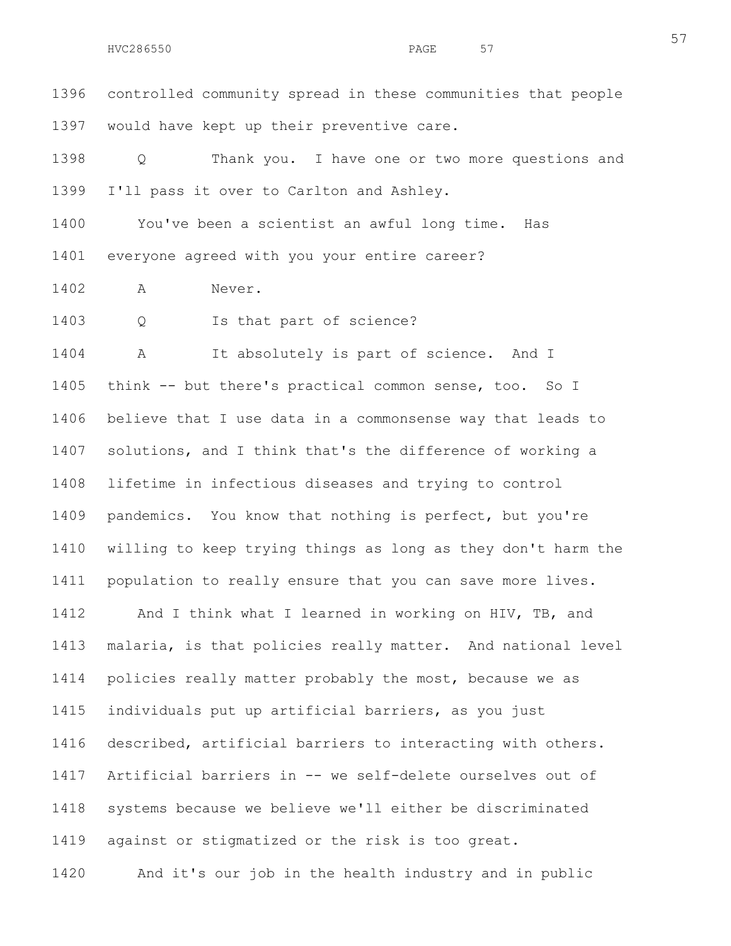1396 controlled community spread in these communities that people 1397 would have kept up their preventive care.

1398 Q Thank you. I have one or two more questions and 1399 I'll pass it over to Carlton and Ashley.

1400 You've been a scientist an awful long time. Has 1401 everyone agreed with you your entire career?

1402 A Never.

1403 Q Is that part of science?

1404 A It absolutely is part of science. And I 1405 think -- but there's practical common sense, too. So I 1406 believe that I use data in a commonsense way that leads to 1407 solutions, and I think that's the difference of working a 1408 lifetime in infectious diseases and trying to control 1409 pandemics. You know that nothing is perfect, but you're 1410 willing to keep trying things as long as they don't harm the 1411 population to really ensure that you can save more lives. 1412 And I think what I learned in working on HIV, TB, and 1413 malaria, is that policies really matter. And national level 1414 policies really matter probably the most, because we as 1415 individuals put up artificial barriers, as you just 1416 described, artificial barriers to interacting with others. 1417 Artificial barriers in -- we self-delete ourselves out of 1418 systems because we believe we'll either be discriminated 1419 against or stigmatized or the risk is too great. 1420 And it's our job in the health industry and in public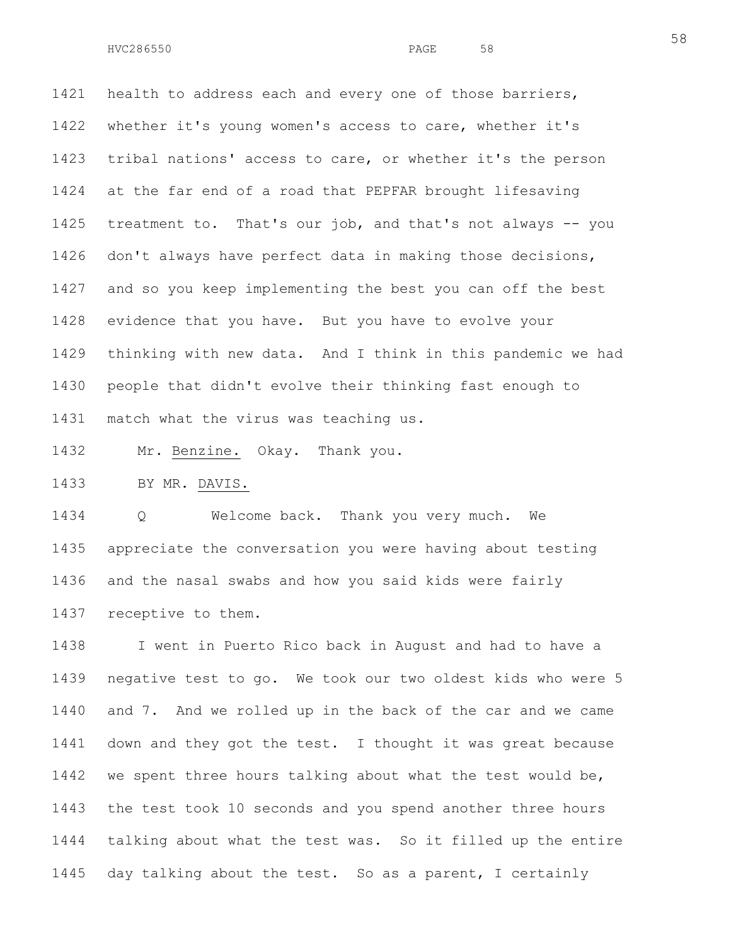1421 health to address each and every one of those barriers, 1422 whether it's young women's access to care, whether it's 1423 tribal nations' access to care, or whether it's the person 1424 at the far end of a road that PEPFAR brought lifesaving 1425 treatment to. That's our job, and that's not always -- you 1426 don't always have perfect data in making those decisions, 1427 and so you keep implementing the best you can off the best 1428 evidence that you have. But you have to evolve your 1429 thinking with new data. And I think in this pandemic we had 1430 people that didn't evolve their thinking fast enough to 1431 match what the virus was teaching us.

1432 Mr. Benzine. Okay. Thank you.

1433 BY MR. DAVIS.

1434 Q Welcome back. Thank you very much. We 1435 appreciate the conversation you were having about testing 1436 and the nasal swabs and how you said kids were fairly 1437 receptive to them.

1438 I went in Puerto Rico back in August and had to have a 1439 negative test to go. We took our two oldest kids who were 5 1440 and 7. And we rolled up in the back of the car and we came 1441 down and they got the test. I thought it was great because 1442 we spent three hours talking about what the test would be, 1443 the test took 10 seconds and you spend another three hours 1444 talking about what the test was. So it filled up the entire 1445 day talking about the test. So as a parent, I certainly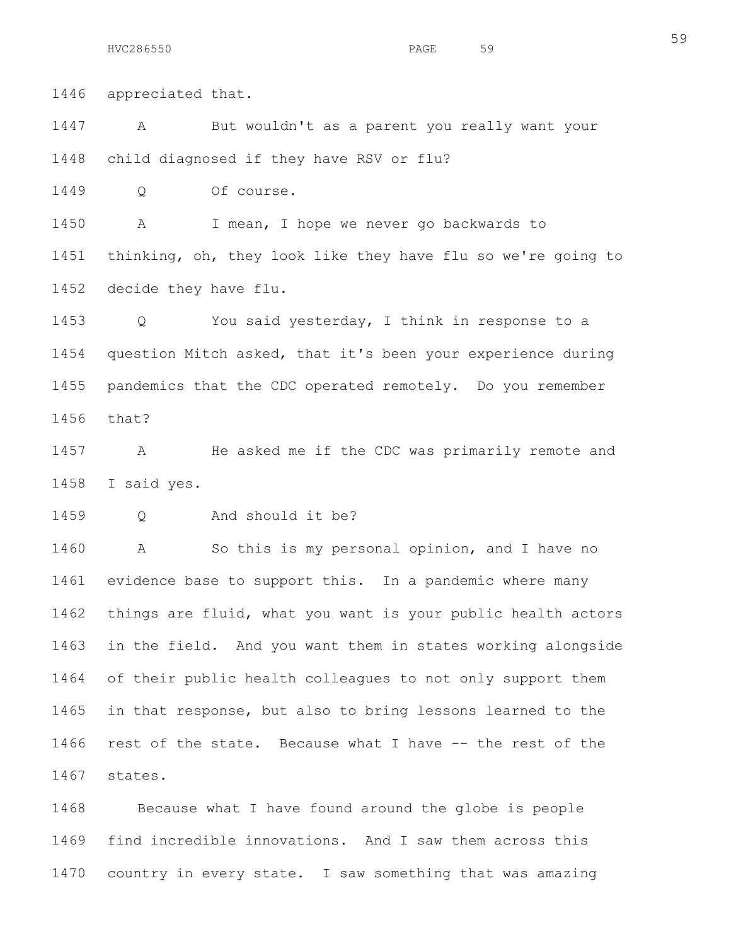1446 appreciated that. 1447 A But wouldn't as a parent you really want your 1448 child diagnosed if they have RSV or flu? 1449 Q Of course. 1450 A I mean, I hope we never go backwards to 1451 thinking, oh, they look like they have flu so we're going to 1452 decide they have flu. 1453 Q You said yesterday, I think in response to a 1454 question Mitch asked, that it's been your experience during 1455 pandemics that the CDC operated remotely. Do you remember 1456 that? 1457 A He asked me if the CDC was primarily remote and 1458 I said yes. 1459 Q And should it be? 1460 A So this is my personal opinion, and I have no 1461 evidence base to support this. In a pandemic where many 1462 things are fluid, what you want is your public health actors 1463 in the field. And you want them in states working alongside 1464 of their public health colleagues to not only support them 1465 in that response, but also to bring lessons learned to the 1466 rest of the state. Because what I have -- the rest of the 1467 states.

1468 Because what I have found around the globe is people 1469 find incredible innovations. And I saw them across this 1470 country in every state. I saw something that was amazing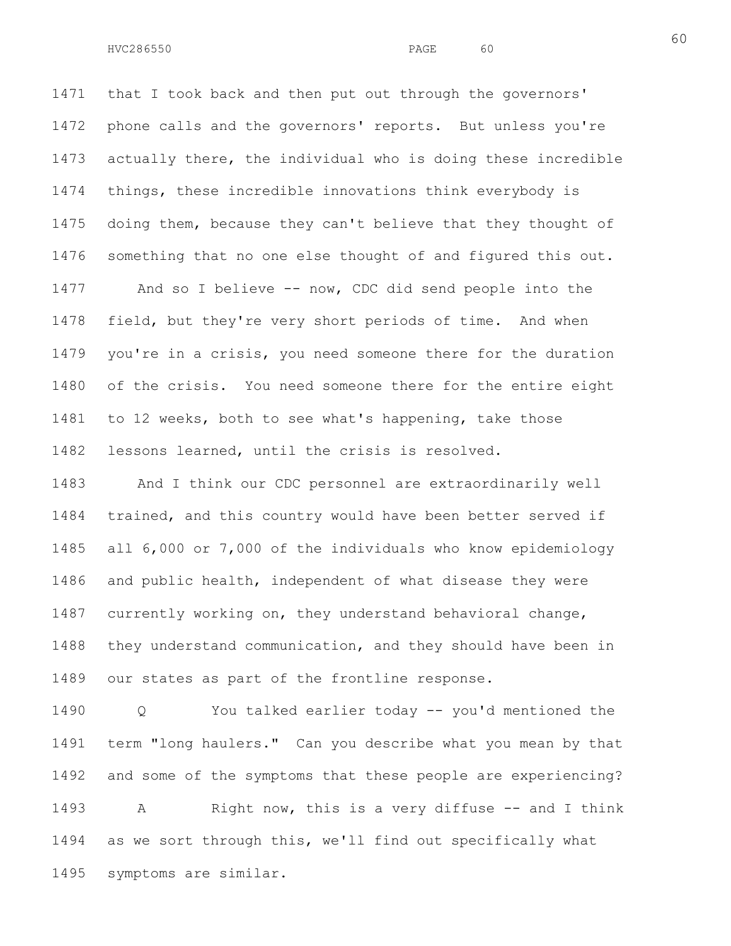1471 that I took back and then put out through the governors' 1472 phone calls and the governors' reports. But unless you're 1473 actually there, the individual who is doing these incredible 1474 things, these incredible innovations think everybody is 1475 doing them, because they can't believe that they thought of 1476 something that no one else thought of and figured this out.

1477 And so I believe -- now, CDC did send people into the 1478 field, but they're very short periods of time. And when 1479 you're in a crisis, you need someone there for the duration 1480 of the crisis. You need someone there for the entire eight 1481 to 12 weeks, both to see what's happening, take those 1482 lessons learned, until the crisis is resolved.

1483 And I think our CDC personnel are extraordinarily well 1484 trained, and this country would have been better served if 1485 all 6,000 or 7,000 of the individuals who know epidemiology 1486 and public health, independent of what disease they were 1487 currently working on, they understand behavioral change, 1488 they understand communication, and they should have been in 1489 our states as part of the frontline response.

1490 Q You talked earlier today -- you'd mentioned the 1491 term "long haulers." Can you describe what you mean by that 1492 and some of the symptoms that these people are experiencing? 1493 A Right now, this is a very diffuse -- and I think 1494 as we sort through this, we'll find out specifically what 1495 symptoms are similar.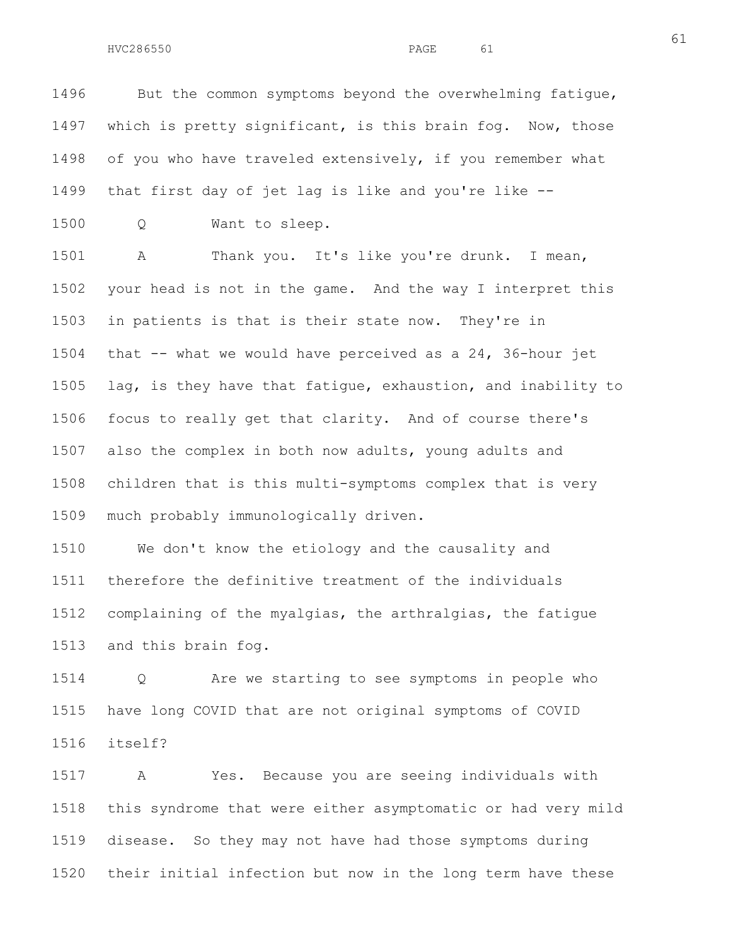61

1496 But the common symptoms beyond the overwhelming fatique, 1497 which is pretty significant, is this brain fog. Now, those 1498 of you who have traveled extensively, if you remember what 1499 that first day of jet lag is like and you're like --

1500 Q Want to sleep.

1501 A Thank you. It's like you're drunk. I mean, 1502 your head is not in the game. And the way I interpret this 1503 in patients is that is their state now. They're in 1504 that -- what we would have perceived as a 24, 36-hour jet 1505 lag, is they have that fatigue, exhaustion, and inability to 1506 focus to really get that clarity. And of course there's 1507 also the complex in both now adults, young adults and 1508 children that is this multi-symptoms complex that is very 1509 much probably immunologically driven.

1510 We don't know the etiology and the causality and 1511 therefore the definitive treatment of the individuals 1512 complaining of the myalgias, the arthralgias, the fatigue 1513 and this brain fog.

1514 Q Are we starting to see symptoms in people who 1515 have long COVID that are not original symptoms of COVID 1516 itself?

1517 A Yes. Because you are seeing individuals with 1518 this syndrome that were either asymptomatic or had very mild 1519 disease. So they may not have had those symptoms during 1520 their initial infection but now in the long term have these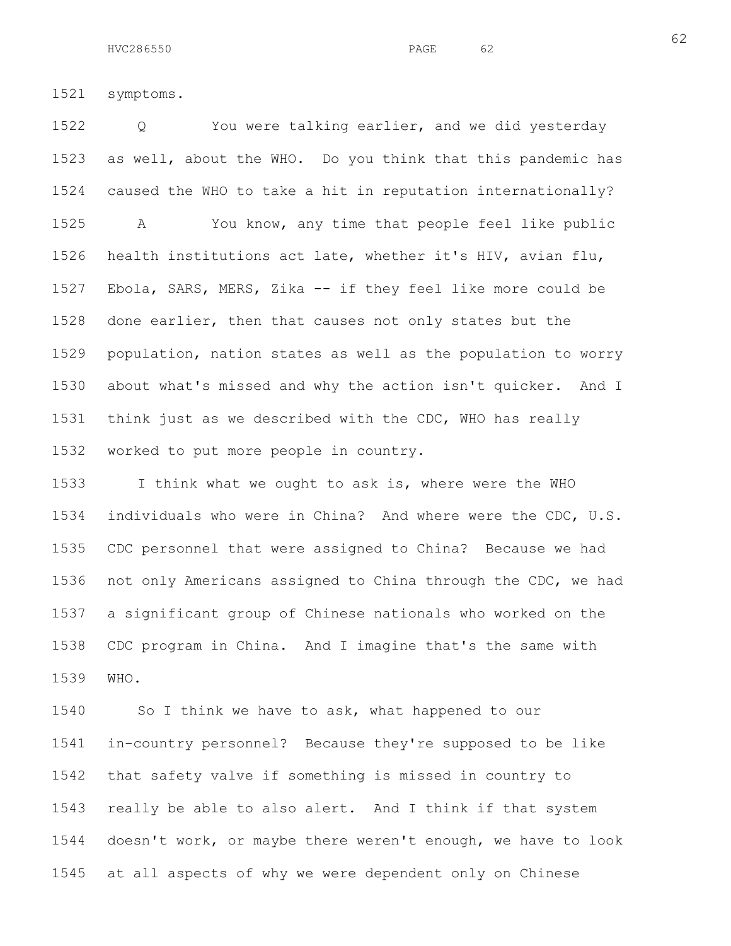1521 symptoms.

1522 Q You were talking earlier, and we did yesterday 1523 as well, about the WHO. Do you think that this pandemic has 1524 caused the WHO to take a hit in reputation internationally? 1525 A You know, any time that people feel like public 1526 health institutions act late, whether it's HIV, avian flu, 1527 Ebola, SARS, MERS, Zika -- if they feel like more could be 1528 done earlier, then that causes not only states but the 1529 population, nation states as well as the population to worry 1530 about what's missed and why the action isn't quicker. And I 1531 think just as we described with the CDC, WHO has really 1532 worked to put more people in country.

1533 I think what we ought to ask is, where were the WHO 1534 individuals who were in China? And where were the CDC, U.S. 1535 CDC personnel that were assigned to China? Because we had 1536 not only Americans assigned to China through the CDC, we had 1537 a significant group of Chinese nationals who worked on the 1538 CDC program in China. And I imagine that's the same with 1539 WHO.

1540 So I think we have to ask, what happened to our 1541 in-country personnel? Because they're supposed to be like 1542 that safety valve if something is missed in country to 1543 really be able to also alert. And I think if that system 1544 doesn't work, or maybe there weren't enough, we have to look 1545 at all aspects of why we were dependent only on Chinese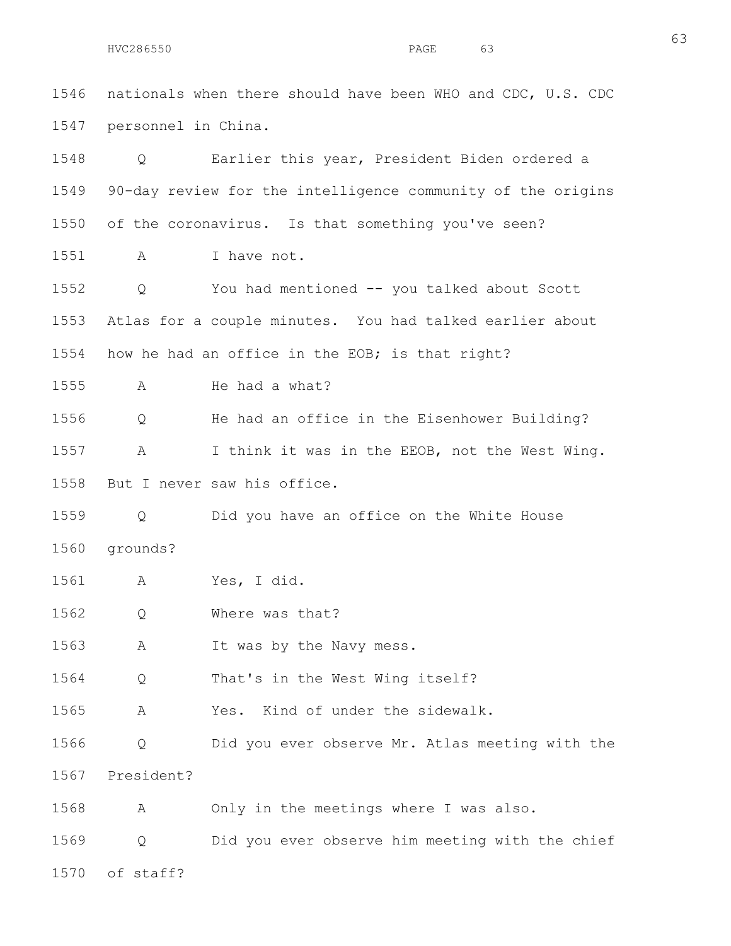63

1547 personnel in China. 1548 Q Earlier this year, President Biden ordered a 1549 90-day review for the intelligence community of the origins 1550 of the coronavirus. Is that something you've seen? 1551 A I have not. 1552 Q You had mentioned -- you talked about Scott 1553 Atlas for a couple minutes. You had talked earlier about 1554 how he had an office in the EOB; is that right? 1555 A He had a what? 1556 Q He had an office in the Eisenhower Building? 1557 A I think it was in the EEOB, not the West Wing. 1558 But I never saw his office. 1559 Q Did you have an office on the White House 1560 grounds? 1561 A Yes, I did. 1562 Q Where was that? 1563 A It was by the Navy mess. 1564 Q That's in the West Wing itself? 1565 A Yes. Kind of under the sidewalk. 1566 Q Did you ever observe Mr. Atlas meeting with the 1567 President? 1568 A Only in the meetings where I was also. 1569 Q Did you ever observe him meeting with the chief 1570 of staff?

1546 nationals when there should have been WHO and CDC, U.S. CDC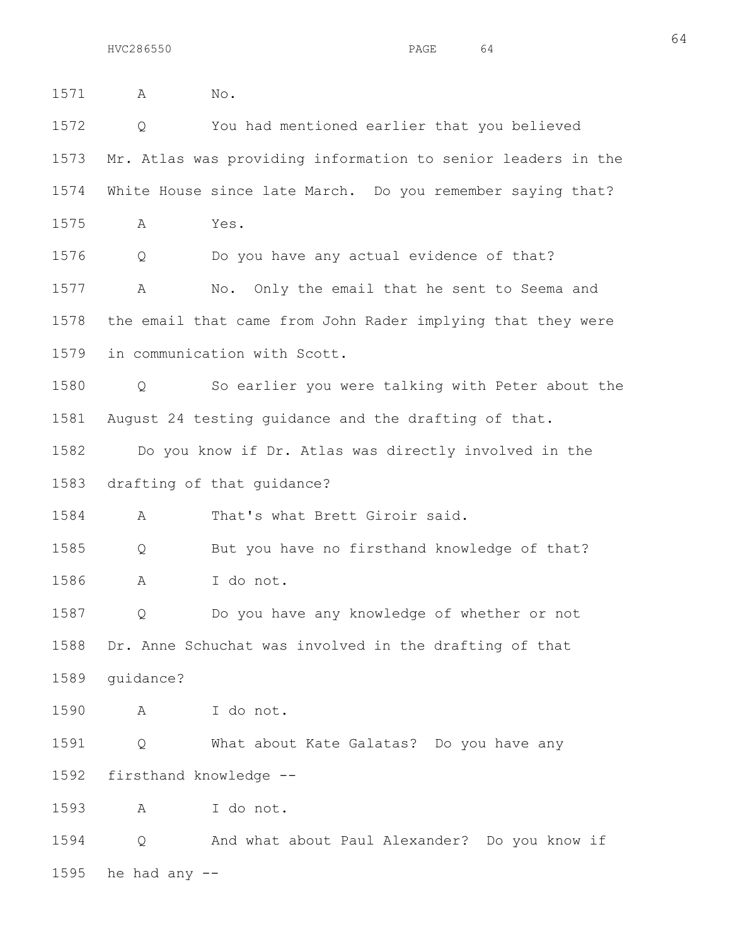1571 A No. 1572 Q You had mentioned earlier that you believed 1573 Mr. Atlas was providing information to senior leaders in the 1574 White House since late March. Do you remember saying that? 1575 A Yes. 1576 Q Do you have any actual evidence of that? 1577 A No. Only the email that he sent to Seema and 1578 the email that came from John Rader implying that they were 1579 in communication with Scott. 1580 Q So earlier you were talking with Peter about the 1581 August 24 testing guidance and the drafting of that. 1582 Do you know if Dr. Atlas was directly involved in the 1583 drafting of that guidance? 1584 A That's what Brett Giroir said. 1585 Q But you have no firsthand knowledge of that? 1586 A I do not. 1587 Q Do you have any knowledge of whether or not 1588 Dr. Anne Schuchat was involved in the drafting of that 1589 guidance? 1590 A I do not. 1591 Q What about Kate Galatas? Do you have any 1592 firsthand knowledge -- 1593 A I do not. 1594 Q And what about Paul Alexander? Do you know if

1595 he had any  $-$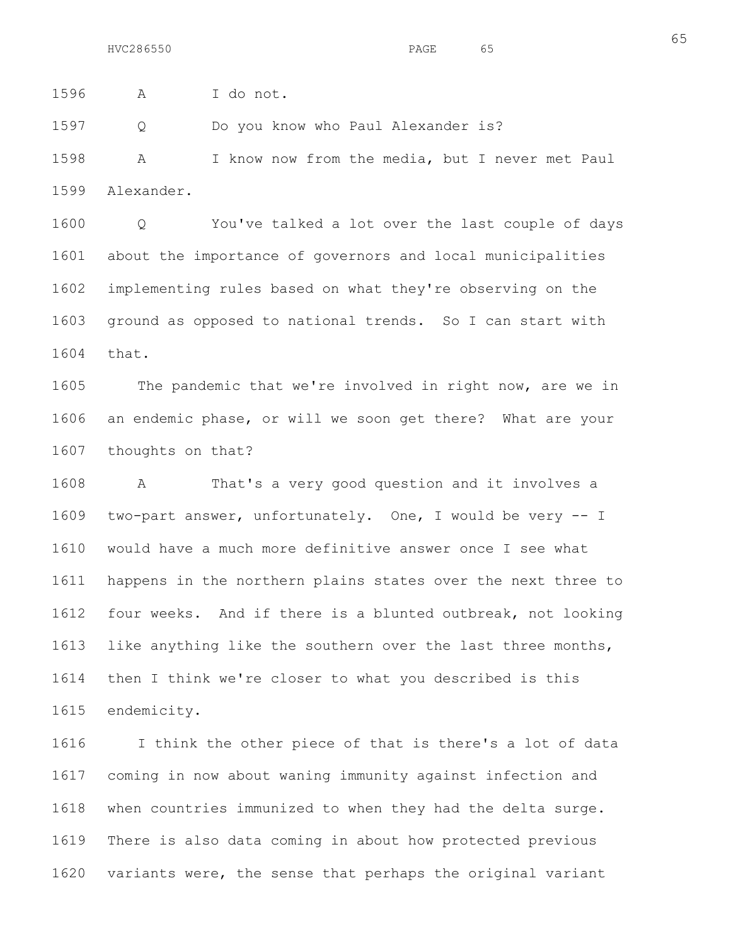65

1596 A I do not.

1597 Q Do you know who Paul Alexander is?

1598 A I know now from the media, but I never met Paul 1599 Alexander.

1600 Q You've talked a lot over the last couple of days 1601 about the importance of governors and local municipalities 1602 implementing rules based on what they're observing on the 1603 ground as opposed to national trends. So I can start with 1604 that.

1605 The pandemic that we're involved in right now, are we in 1606 an endemic phase, or will we soon get there? What are your 1607 thoughts on that?

1608 A That's a very good question and it involves a 1609 two-part answer, unfortunately. One, I would be very -- I 1610 would have a much more definitive answer once I see what 1611 happens in the northern plains states over the next three to 1612 four weeks. And if there is a blunted outbreak, not looking 1613 like anything like the southern over the last three months, 1614 then I think we're closer to what you described is this 1615 endemicity.

1616 I think the other piece of that is there's a lot of data 1617 coming in now about waning immunity against infection and 1618 when countries immunized to when they had the delta surge. 1619 There is also data coming in about how protected previous 1620 variants were, the sense that perhaps the original variant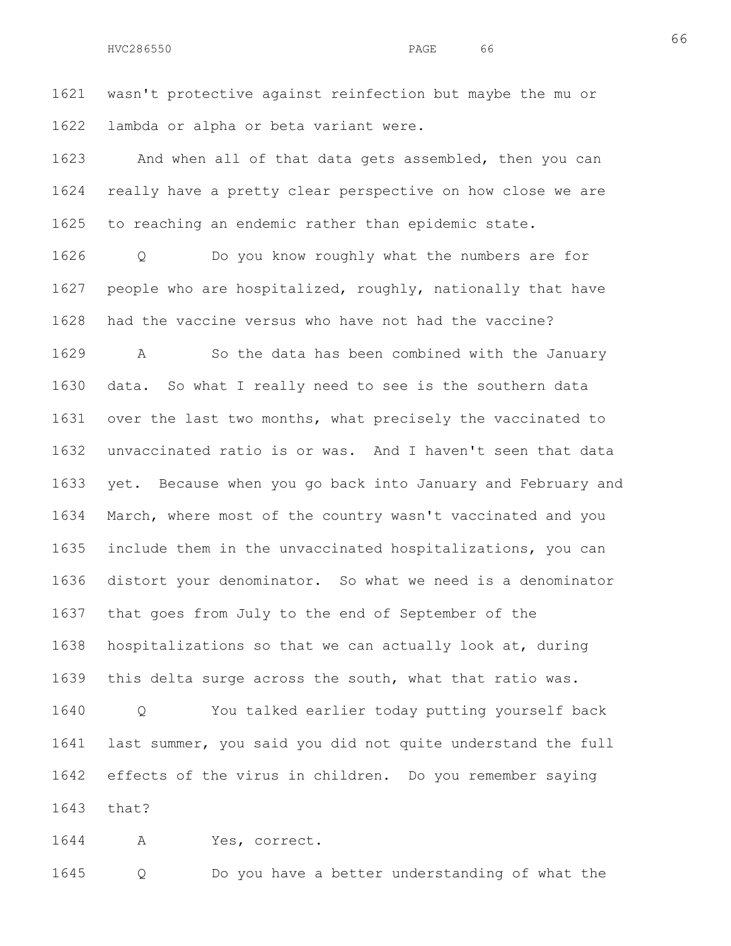1621 wasn't protective against reinfection but maybe the mu or 1622 lambda or alpha or beta variant were.

1623 And when all of that data gets assembled, then you can 1624 really have a pretty clear perspective on how close we are 1625 to reaching an endemic rather than epidemic state.

1626 Q Do you know roughly what the numbers are for 1627 people who are hospitalized, roughly, nationally that have 1628 had the vaccine versus who have not had the vaccine? 1629 A So the data has been combined with the January 1630 data. So what I really need to see is the southern data 1631 over the last two months, what precisely the vaccinated to 1632 unvaccinated ratio is or was. And I haven't seen that data 1633 yet. Because when you go back into January and February and 1634 March, where most of the country wasn't vaccinated and you 1635 include them in the unvaccinated hospitalizations, you can 1636 distort your denominator. So what we need is a denominator 1637 that goes from July to the end of September of the 1638 hospitalizations so that we can actually look at, during 1639 this delta surge across the south, what that ratio was. 1640 Q You talked earlier today putting yourself back 1641 last summer, you said you did not quite understand the full 1642 effects of the virus in children. Do you remember saying

1643 that?

1644 A Yes, correct.

1645 Q Do you have a better understanding of what the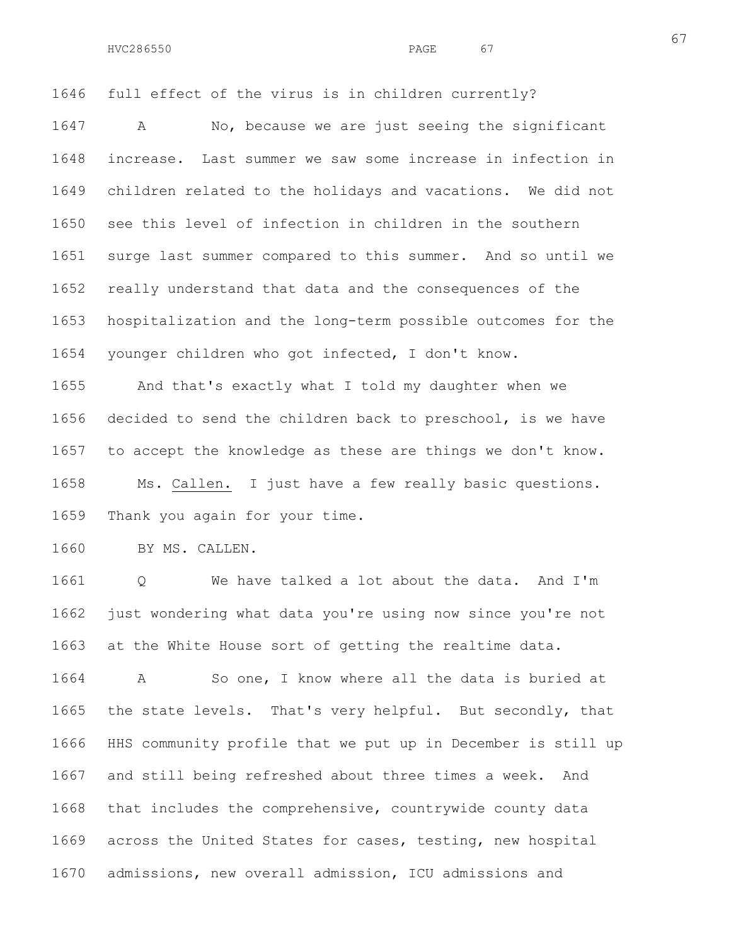1646 full effect of the virus is in children currently?

1647 A No, because we are just seeing the significant 1648 increase. Last summer we saw some increase in infection in 1649 children related to the holidays and vacations. We did not 1650 see this level of infection in children in the southern 1651 surge last summer compared to this summer. And so until we 1652 really understand that data and the consequences of the 1653 hospitalization and the long-term possible outcomes for the 1654 younger children who got infected, I don't know.

1655 And that's exactly what I told my daughter when we 1656 decided to send the children back to preschool, is we have 1657 to accept the knowledge as these are things we don't know. 1658 Ms. Callen. I just have a few really basic questions. 1659 Thank you again for your time.

1660 BY MS. CALLEN.

1661 Q We have talked a lot about the data. And I'm 1662 just wondering what data you're using now since you're not 1663 at the White House sort of getting the realtime data.

1664 A So one, I know where all the data is buried at 1665 the state levels. That's very helpful. But secondly, that 1666 HHS community profile that we put up in December is still up 1667 and still being refreshed about three times a week. And 1668 that includes the comprehensive, countrywide county data 1669 across the United States for cases, testing, new hospital 1670 admissions, new overall admission, ICU admissions and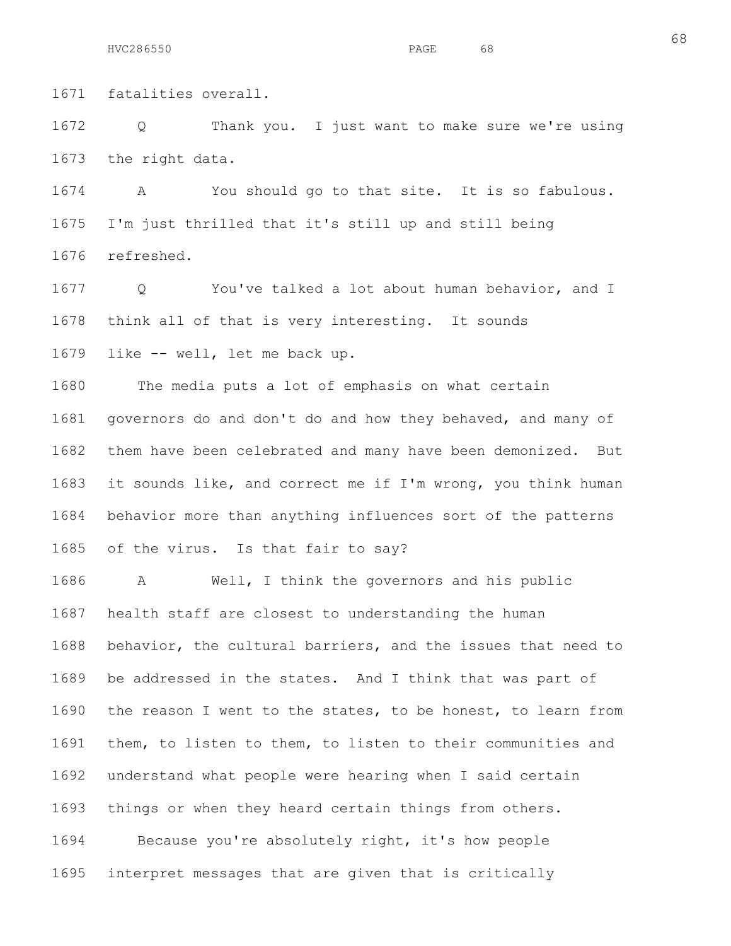1671 fatalities overall.

1672 Q Thank you. I just want to make sure we're using 1673 the right data.

1674 A You should go to that site. It is so fabulous. 1675 I'm just thrilled that it's still up and still being 1676 refreshed.

1677 Q You've talked a lot about human behavior, and I 1678 think all of that is very interesting. It sounds 1679 like -- well, let me back up.

1680 The media puts a lot of emphasis on what certain 1681 governors do and don't do and how they behaved, and many of 1682 them have been celebrated and many have been demonized. But 1683 it sounds like, and correct me if I'm wrong, you think human 1684 behavior more than anything influences sort of the patterns 1685 of the virus. Is that fair to say?

1686 A Well, I think the governors and his public 1687 health staff are closest to understanding the human 1688 behavior, the cultural barriers, and the issues that need to 1689 be addressed in the states. And I think that was part of 1690 the reason I went to the states, to be honest, to learn from 1691 them, to listen to them, to listen to their communities and 1692 understand what people were hearing when I said certain 1693 things or when they heard certain things from others. 1694 Because you're absolutely right, it's how people

1695 interpret messages that are given that is critically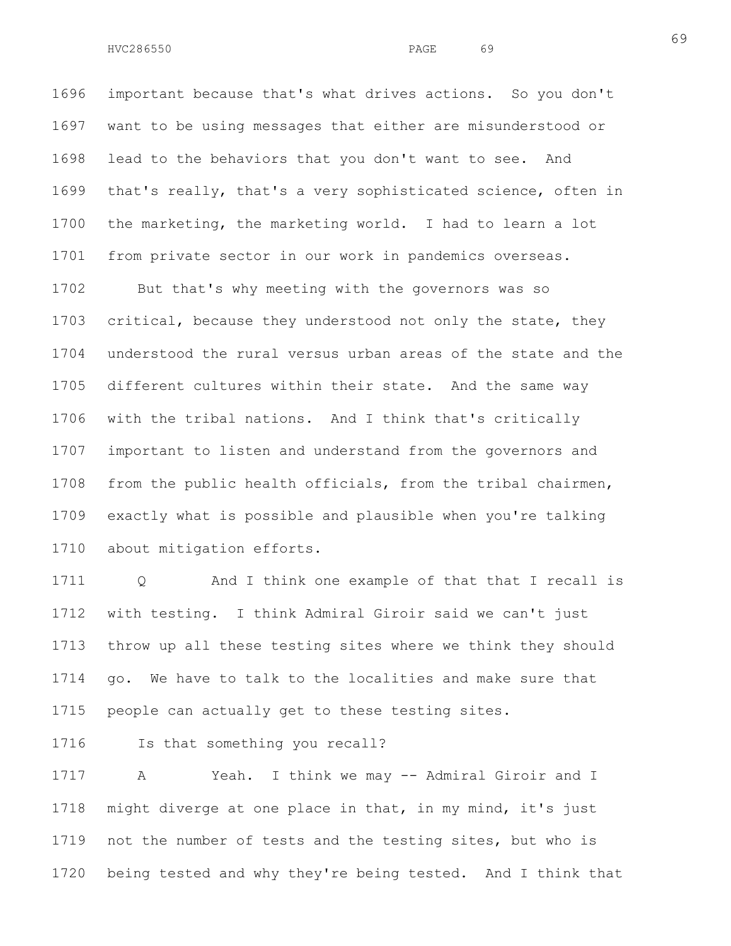1696 important because that's what drives actions. So you don't 1697 want to be using messages that either are misunderstood or 1698 lead to the behaviors that you don't want to see. And 1699 that's really, that's a very sophisticated science, often in 1700 the marketing, the marketing world. I had to learn a lot 1701 from private sector in our work in pandemics overseas.

1702 But that's why meeting with the governors was so 1703 critical, because they understood not only the state, they 1704 understood the rural versus urban areas of the state and the 1705 different cultures within their state. And the same way 1706 with the tribal nations. And I think that's critically 1707 important to listen and understand from the governors and 1708 from the public health officials, from the tribal chairmen, 1709 exactly what is possible and plausible when you're talking 1710 about mitigation efforts.

1711 Q and I think one example of that that I recall is 1712 with testing. I think Admiral Giroir said we can't just 1713 throw up all these testing sites where we think they should 1714 go. We have to talk to the localities and make sure that 1715 people can actually get to these testing sites.

1716 Is that something you recall?

1717 A Yeah. I think we may -- Admiral Giroir and I 1718 might diverge at one place in that, in my mind, it's just 1719 not the number of tests and the testing sites, but who is 1720 being tested and why they're being tested. And I think that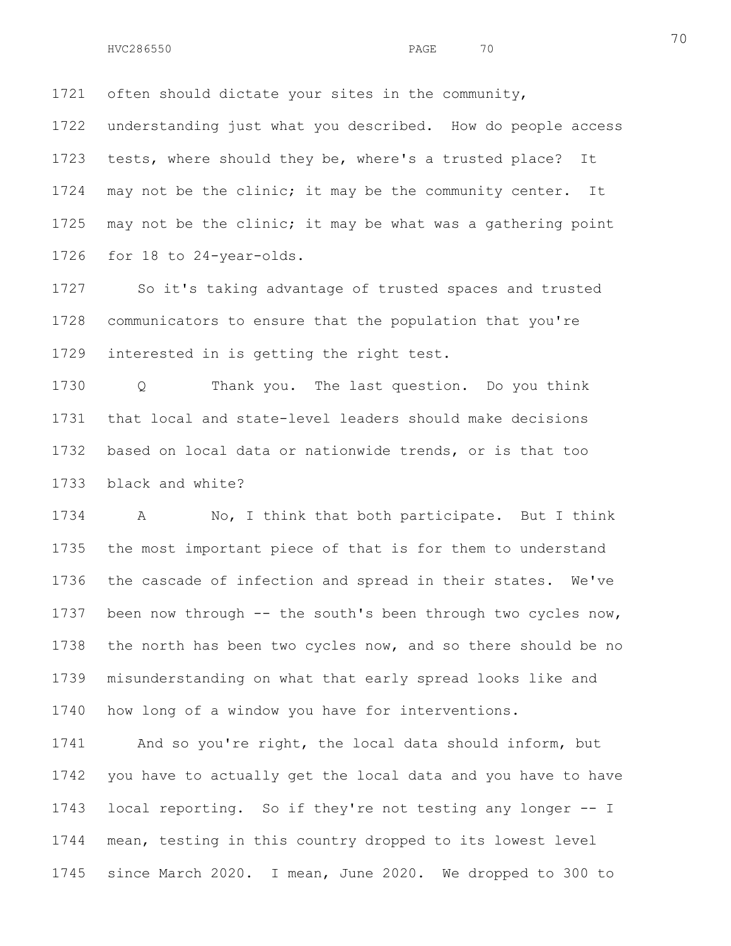1721 often should dictate your sites in the community,

1722 understanding just what you described. How do people access 1723 tests, where should they be, where's a trusted place? It 1724 may not be the clinic; it may be the community center. It 1725 may not be the clinic; it may be what was a gathering point 1726 for 18 to 24-year-olds.

1727 So it's taking advantage of trusted spaces and trusted 1728 communicators to ensure that the population that you're 1729 interested in is getting the right test.

1730 Q Thank you. The last question. Do you think 1731 that local and state-level leaders should make decisions 1732 based on local data or nationwide trends, or is that too 1733 black and white?

1734 A No, I think that both participate. But I think 1735 the most important piece of that is for them to understand 1736 the cascade of infection and spread in their states. We've 1737 been now through -- the south's been through two cycles now, 1738 the north has been two cycles now, and so there should be no 1739 misunderstanding on what that early spread looks like and 1740 how long of a window you have for interventions.

1741 And so you're right, the local data should inform, but 1742 you have to actually get the local data and you have to have 1743 local reporting. So if they're not testing any longer -- I 1744 mean, testing in this country dropped to its lowest level 1745 since March 2020. I mean, June 2020. We dropped to 300 to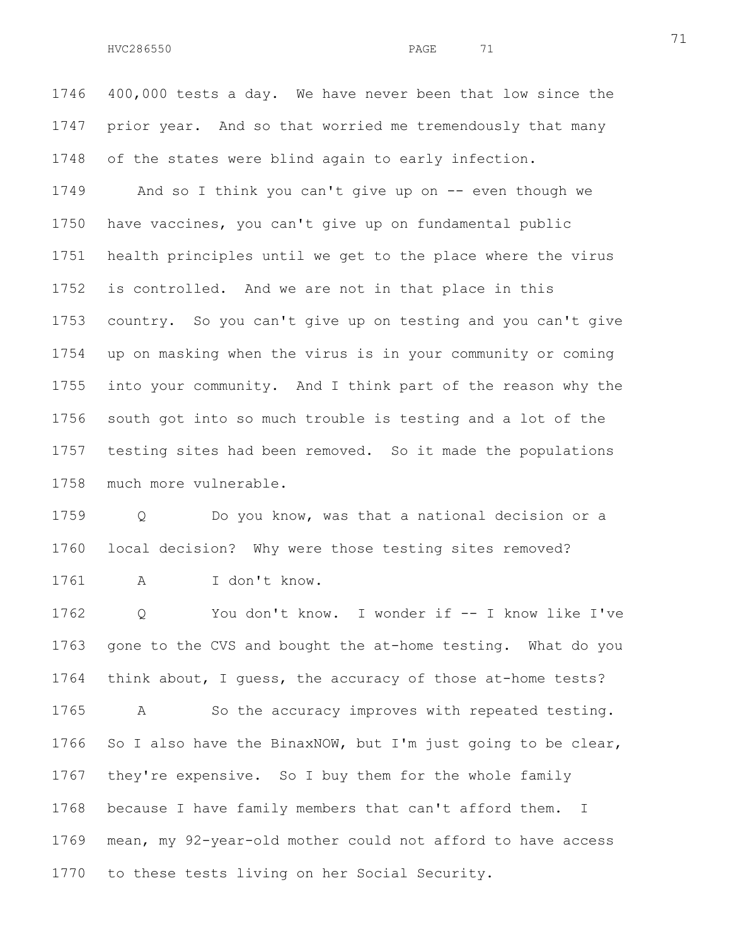1746 400,000 tests a day. We have never been that low since the 1747 prior year. And so that worried me tremendously that many 1748 of the states were blind again to early infection.

1749 And so I think you can't give up on -- even though we 1750 have vaccines, you can't give up on fundamental public 1751 health principles until we get to the place where the virus 1752 is controlled. And we are not in that place in this 1753 country. So you can't give up on testing and you can't give 1754 up on masking when the virus is in your community or coming 1755 into your community. And I think part of the reason why the 1756 south got into so much trouble is testing and a lot of the 1757 testing sites had been removed. So it made the populations 1758 much more vulnerable.

1759 Q Do you know, was that a national decision or a 1760 local decision? Why were those testing sites removed? 1761 A I don't know.

1762 Q You don't know. I wonder if -- I know like I've 1763 gone to the CVS and bought the at-home testing. What do you 1764 think about, I guess, the accuracy of those at-home tests? 1765 A So the accuracy improves with repeated testing. 1766 So I also have the BinaxNOW, but I'm just going to be clear, 1767 they're expensive. So I buy them for the whole family 1768 because I have family members that can't afford them. I 1769 mean, my 92-year-old mother could not afford to have access 1770 to these tests living on her Social Security.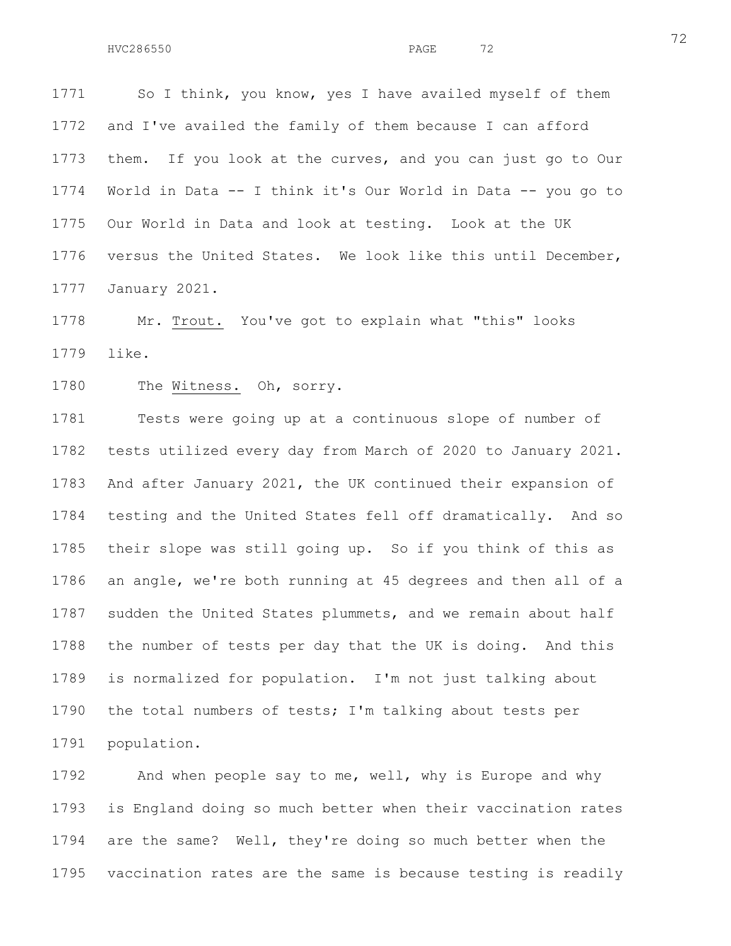1771 So I think, you know, yes I have availed myself of them 1772 and I've availed the family of them because I can afford 1773 them. If you look at the curves, and you can just go to Our 1774 World in Data -- I think it's Our World in Data -- you go to 1775 Our World in Data and look at testing. Look at the UK 1776 versus the United States. We look like this until December, 1777 January 2021.

1778 Mr. Trout. You've got to explain what "this" looks 1779 like.

1780 The Witness. Oh, sorry.

1781 Tests were going up at a continuous slope of number of 1782 tests utilized every day from March of 2020 to January 2021. 1783 And after January 2021, the UK continued their expansion of 1784 testing and the United States fell off dramatically. And so 1785 their slope was still going up. So if you think of this as 1786 an angle, we're both running at 45 degrees and then all of a 1787 sudden the United States plummets, and we remain about half 1788 the number of tests per day that the UK is doing. And this 1789 is normalized for population. I'm not just talking about 1790 the total numbers of tests; I'm talking about tests per 1791 population.

1792 And when people say to me, well, why is Europe and why 1793 is England doing so much better when their vaccination rates 1794 are the same? Well, they're doing so much better when the 1795 vaccination rates are the same is because testing is readily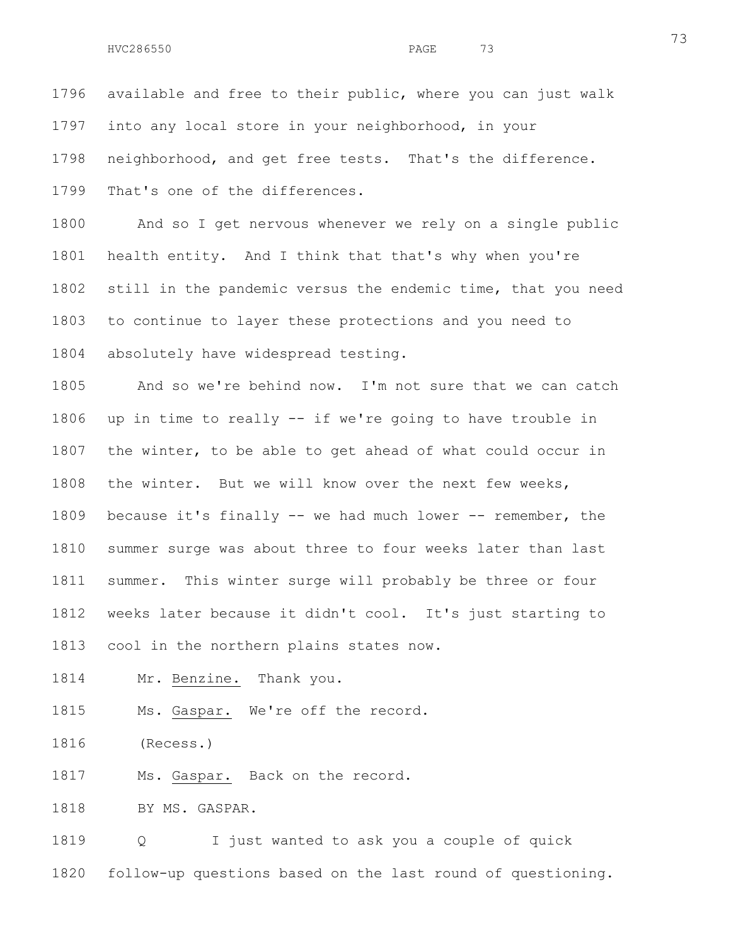1796 available and free to their public, where you can just walk 1797 into any local store in your neighborhood, in your 1798 neighborhood, and get free tests. That's the difference. 1799 That's one of the differences.

1800 And so I get nervous whenever we rely on a single public 1801 health entity. And I think that that's why when you're 1802 still in the pandemic versus the endemic time, that you need 1803 to continue to layer these protections and you need to 1804 absolutely have widespread testing.

1805 And so we're behind now. I'm not sure that we can catch 1806 up in time to really -- if we're going to have trouble in 1807 the winter, to be able to get ahead of what could occur in 1808 the winter. But we will know over the next few weeks, 1809 because it's finally -- we had much lower -- remember, the 1810 summer surge was about three to four weeks later than last 1811 summer. This winter surge will probably be three or four 1812 weeks later because it didn't cool. It's just starting to 1813 cool in the northern plains states now.

1814 Mr. Benzine. Thank you.

1815 Ms. Gaspar. We're off the record.

1816 (Recess.)

1817 Ms. Gaspar. Back on the record.

1818 BY MS. GASPAR.

1819 Q I just wanted to ask you a couple of quick 1820 follow-up questions based on the last round of questioning.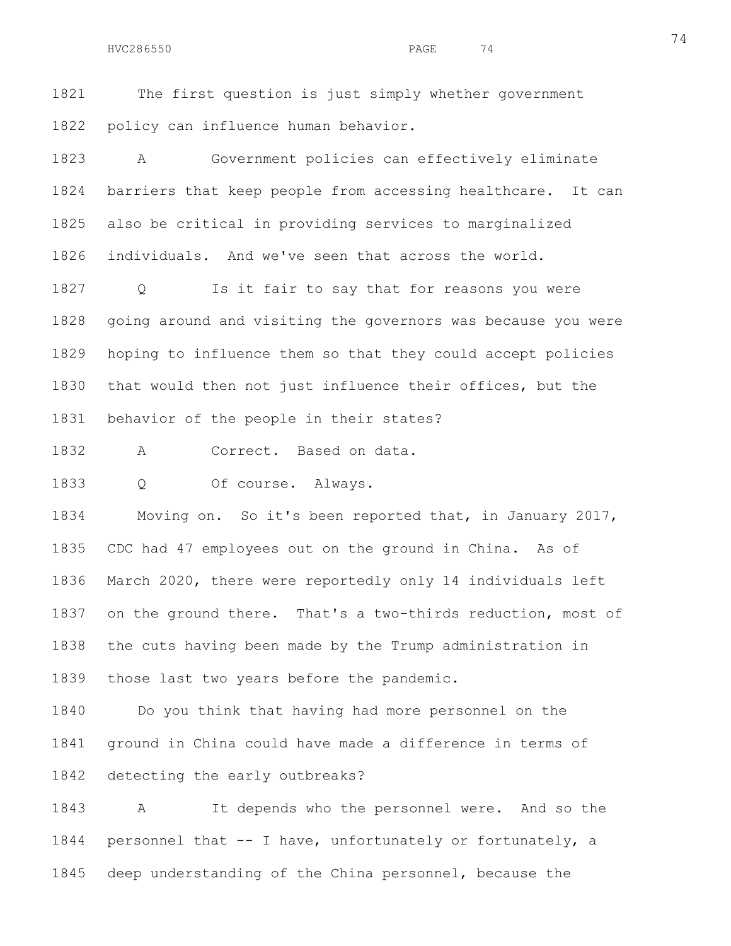1821 The first question is just simply whether government 1822 policy can influence human behavior.

1823 A Government policies can effectively eliminate 1824 barriers that keep people from accessing healthcare. It can 1825 also be critical in providing services to marginalized 1826 individuals. And we've seen that across the world.

1827 Q Is it fair to say that for reasons you were 1828 going around and visiting the governors was because you were 1829 hoping to influence them so that they could accept policies 1830 that would then not just influence their offices, but the 1831 behavior of the people in their states?

1832 A Correct. Based on data.

1833 Q Of course. Always.

1834 Moving on. So it's been reported that, in January 2017, 1835 CDC had 47 employees out on the ground in China. As of 1836 March 2020, there were reportedly only 14 individuals left 1837 on the ground there. That's a two-thirds reduction, most of 1838 the cuts having been made by the Trump administration in 1839 those last two years before the pandemic.

1840 Do you think that having had more personnel on the 1841 ground in China could have made a difference in terms of 1842 detecting the early outbreaks?

1843 A It depends who the personnel were. And so the 1844 personnel that -- I have, unfortunately or fortunately, a 1845 deep understanding of the China personnel, because the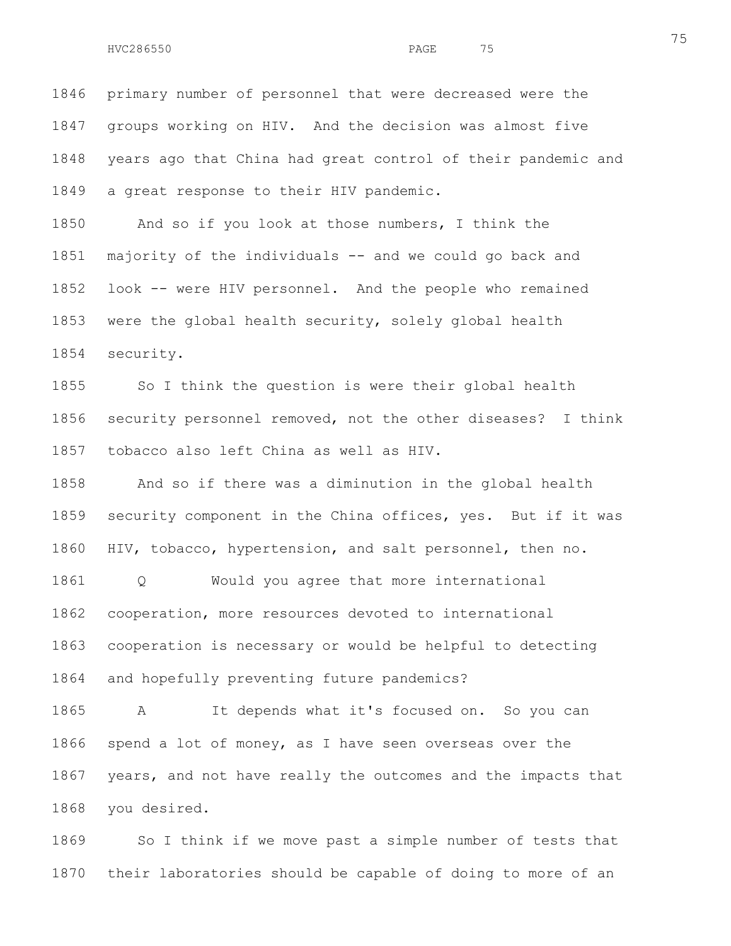1846 primary number of personnel that were decreased were the 1847 groups working on HIV. And the decision was almost five 1848 years ago that China had great control of their pandemic and 1849 a great response to their HIV pandemic.

1850 And so if you look at those numbers, I think the 1851 majority of the individuals -- and we could go back and 1852 look -- were HIV personnel. And the people who remained 1853 were the global health security, solely global health 1854 security.

1855 So I think the question is were their global health 1856 security personnel removed, not the other diseases? I think 1857 tobacco also left China as well as HIV.

1858 And so if there was a diminution in the global health 1859 security component in the China offices, yes. But if it was 1860 HIV, tobacco, hypertension, and salt personnel, then no.

1861 Q Would you agree that more international 1862 cooperation, more resources devoted to international 1863 cooperation is necessary or would be helpful to detecting 1864 and hopefully preventing future pandemics?

1865 A It depends what it's focused on. So you can 1866 spend a lot of money, as I have seen overseas over the 1867 years, and not have really the outcomes and the impacts that 1868 you desired.

1869 So I think if we move past a simple number of tests that 1870 their laboratories should be capable of doing to more of an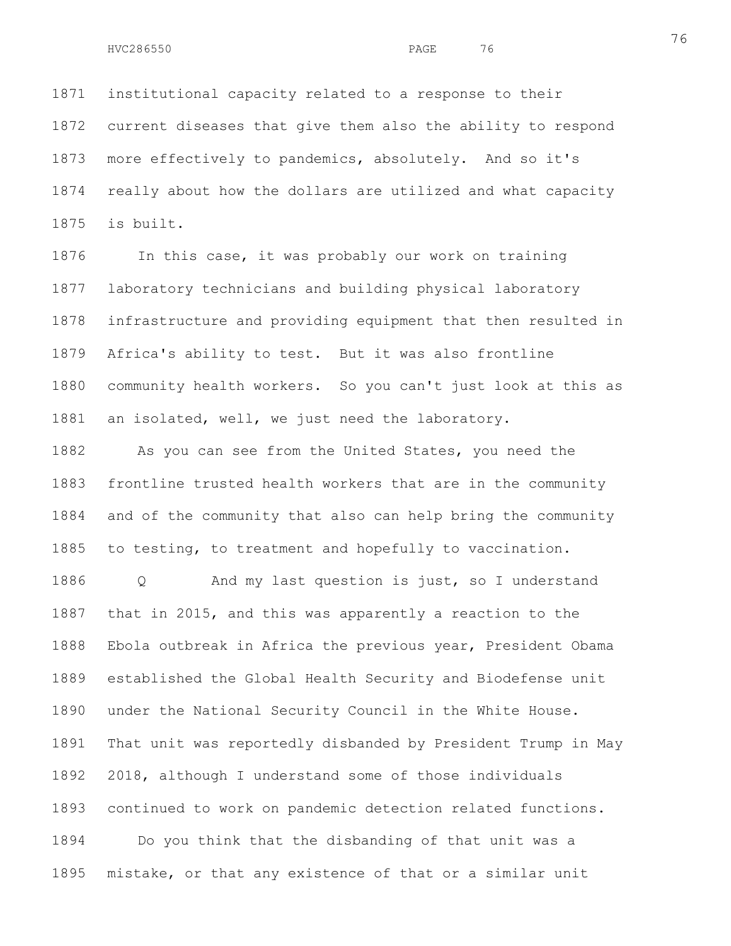1871 institutional capacity related to a response to their 1872 current diseases that give them also the ability to respond 1873 more effectively to pandemics, absolutely. And so it's 1874 really about how the dollars are utilized and what capacity 1875 is built.

1876 In this case, it was probably our work on training 1877 laboratory technicians and building physical laboratory 1878 infrastructure and providing equipment that then resulted in 1879 Africa's ability to test. But it was also frontline 1880 community health workers. So you can't just look at this as 1881 an isolated, well, we just need the laboratory.

1882 As you can see from the United States, you need the 1883 frontline trusted health workers that are in the community 1884 and of the community that also can help bring the community 1885 to testing, to treatment and hopefully to vaccination.

1886 Q And my last question is just, so I understand 1887 that in 2015, and this was apparently a reaction to the 1888 Ebola outbreak in Africa the previous year, President Obama 1889 established the Global Health Security and Biodefense unit 1890 under the National Security Council in the White House. 1891 That unit was reportedly disbanded by President Trump in May 1892 2018, although I understand some of those individuals 1893 continued to work on pandemic detection related functions. 1894 Do you think that the disbanding of that unit was a 1895 mistake, or that any existence of that or a similar unit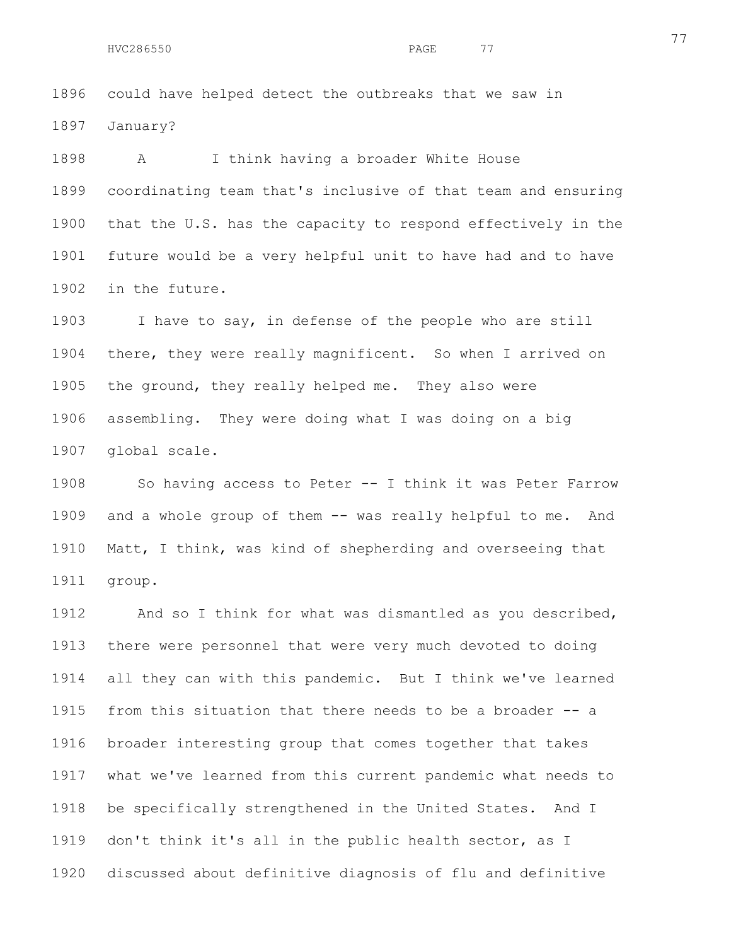1896 could have helped detect the outbreaks that we saw in 1897 January?

1898 A I think having a broader White House 1899 coordinating team that's inclusive of that team and ensuring 1900 that the U.S. has the capacity to respond effectively in the 1901 future would be a very helpful unit to have had and to have 1902 in the future.

1903 I have to say, in defense of the people who are still 1904 there, they were really magnificent. So when I arrived on 1905 the ground, they really helped me. They also were 1906 assembling. They were doing what I was doing on a big 1907 global scale.

1908 So having access to Peter -- I think it was Peter Farrow 1909 and a whole group of them -- was really helpful to me. And 1910 Matt, I think, was kind of shepherding and overseeing that 1911 group.

1912 And so I think for what was dismantled as you described, 1913 there were personnel that were very much devoted to doing 1914 all they can with this pandemic. But I think we've learned 1915 from this situation that there needs to be a broader -- a 1916 broader interesting group that comes together that takes 1917 what we've learned from this current pandemic what needs to 1918 be specifically strengthened in the United States. And I 1919 don't think it's all in the public health sector, as I 1920 discussed about definitive diagnosis of flu and definitive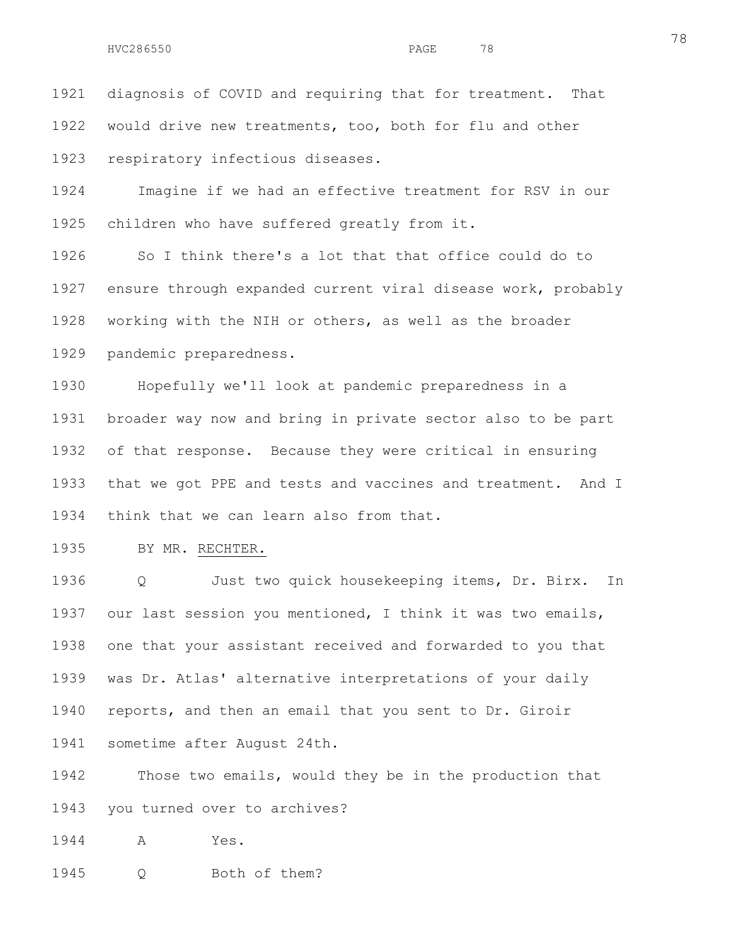1921 diagnosis of COVID and requiring that for treatment. That 1922 would drive new treatments, too, both for flu and other 1923 respiratory infectious diseases.

1924 Imagine if we had an effective treatment for RSV in our 1925 children who have suffered greatly from it.

1926 So I think there's a lot that that office could do to 1927 ensure through expanded current viral disease work, probably 1928 working with the NIH or others, as well as the broader 1929 pandemic preparedness.

1930 Hopefully we'll look at pandemic preparedness in a 1931 broader way now and bring in private sector also to be part 1932 of that response. Because they were critical in ensuring 1933 that we got PPE and tests and vaccines and treatment. And I 1934 think that we can learn also from that.

1935 BY MR. RECHTER.

1936 Q Just two quick housekeeping items, Dr. Birx. In 1937 our last session you mentioned, I think it was two emails, 1938 one that your assistant received and forwarded to you that 1939 was Dr. Atlas' alternative interpretations of your daily 1940 reports, and then an email that you sent to Dr. Giroir 1941 sometime after August 24th.

1942 Those two emails, would they be in the production that 1943 you turned over to archives?

1944 A Yes.

1945 Q Both of them?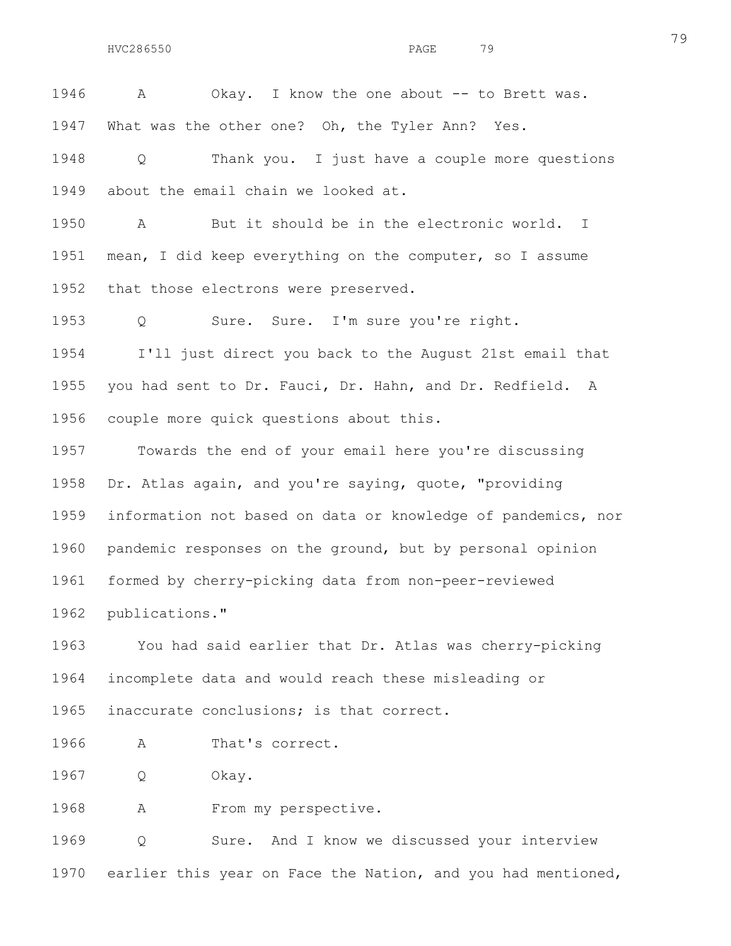1946 A Okay. I know the one about -- to Brett was. 1947 What was the other one? Oh, the Tyler Ann? Yes.

1948 Q Thank you. I just have a couple more questions 1949 about the email chain we looked at.

1950 A But it should be in the electronic world. I 1951 mean, I did keep everything on the computer, so I assume 1952 that those electrons were preserved.

1953 Q Sure. Sure. I'm sure you're right.

1954 I'll just direct you back to the August 21st email that 1955 you had sent to Dr. Fauci, Dr. Hahn, and Dr. Redfield. A 1956 couple more quick questions about this.

1957 Towards the end of your email here you're discussing 1958 Dr. Atlas again, and you're saying, quote, "providing 1959 information not based on data or knowledge of pandemics, nor 1960 pandemic responses on the ground, but by personal opinion 1961 formed by cherry-picking data from non-peer-reviewed 1962 publications."

1963 You had said earlier that Dr. Atlas was cherry-picking 1964 incomplete data and would reach these misleading or 1965 inaccurate conclusions; is that correct.

1966 A That's correct.

1967 Q Okay.

1968 A From my perspective.

1969 Q Sure. And I know we discussed your interview 1970 earlier this year on Face the Nation, and you had mentioned,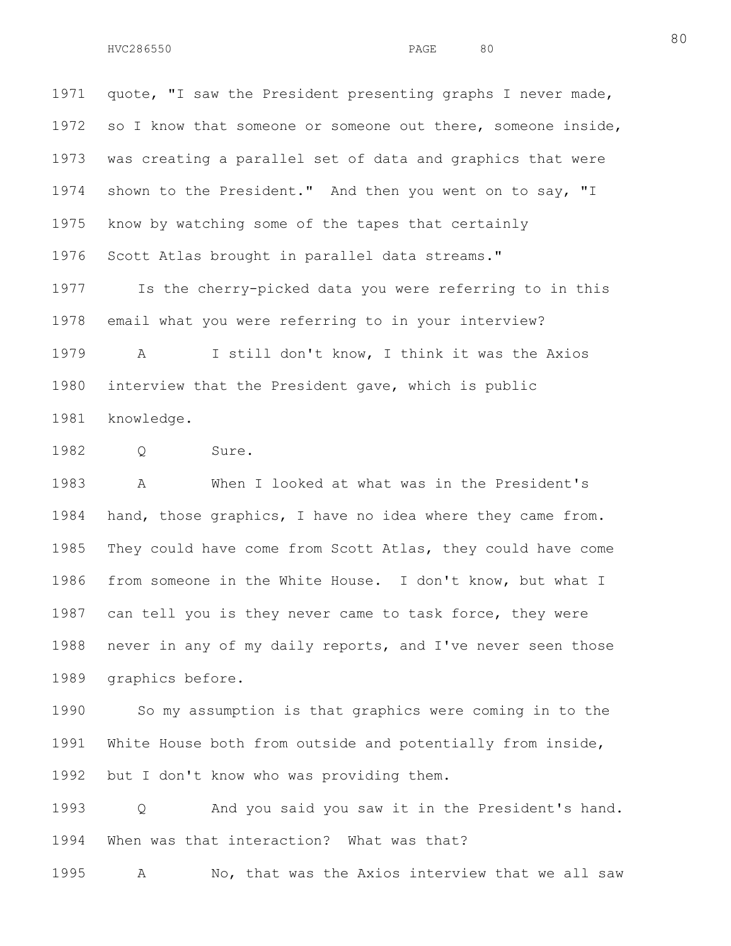1971 quote, "I saw the President presenting graphs I never made, 1972 so I know that someone or someone out there, someone inside, 1973 was creating a parallel set of data and graphics that were 1974 shown to the President." And then you went on to say, "I 1975 know by watching some of the tapes that certainly 1976 Scott Atlas brought in parallel data streams."

1977 Is the cherry-picked data you were referring to in this 1978 email what you were referring to in your interview?

1979 A I still don't know, I think it was the Axios 1980 interview that the President gave, which is public 1981 knowledge.

1982 Q Sure.

1983 A When I looked at what was in the President's 1984 hand, those graphics, I have no idea where they came from. 1985 They could have come from Scott Atlas, they could have come 1986 from someone in the White House. I don't know, but what I 1987 can tell you is they never came to task force, they were 1988 never in any of my daily reports, and I've never seen those 1989 graphics before.

1990 So my assumption is that graphics were coming in to the 1991 White House both from outside and potentially from inside, 1992 but I don't know who was providing them.

1993 Q And you said you saw it in the President's hand. 1994 When was that interaction? What was that?

1995 A No, that was the Axios interview that we all saw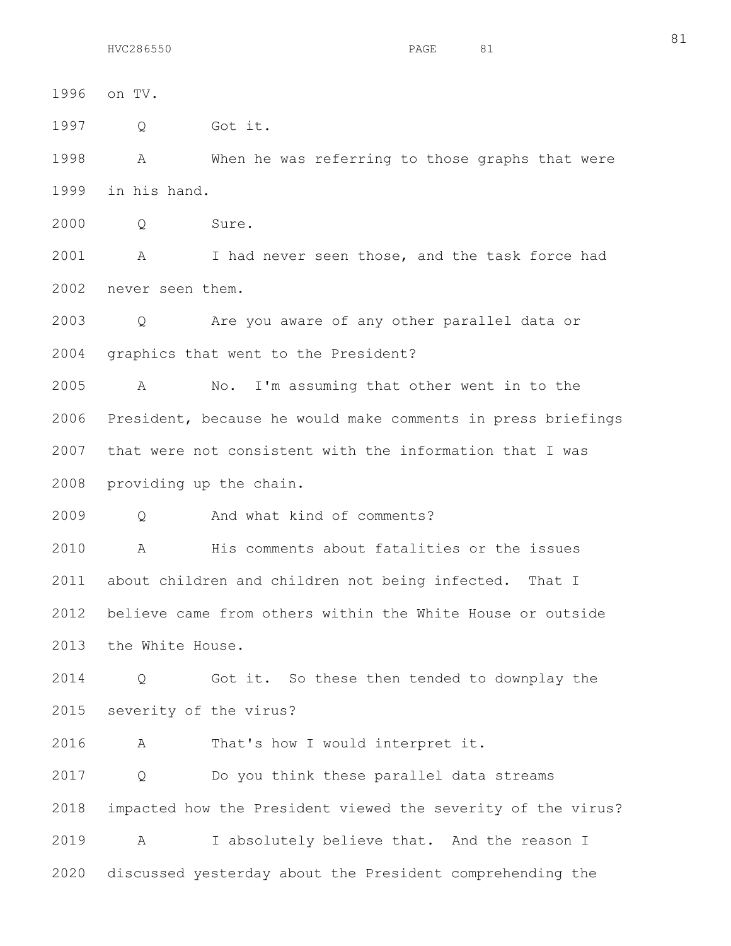1997 Q Got it.

1998 A When he was referring to those graphs that were 1999 in his hand.

2000 Q Sure.

2001 A I had never seen those, and the task force had 2002 never seen them.

2003 Q Are you aware of any other parallel data or 2004 graphics that went to the President?

2005 A No. I'm assuming that other went in to the 2006 President, because he would make comments in press briefings 2007 that were not consistent with the information that I was 2008 providing up the chain.

2009 Q And what kind of comments?

2010 A His comments about fatalities or the issues 2011 about children and children not being infected. That I 2012 believe came from others within the White House or outside 2013 the White House.

2014 Q Got it. So these then tended to downplay the 2015 severity of the virus?

2016 A That's how I would interpret it.

2017 Q Do you think these parallel data streams 2018 impacted how the President viewed the severity of the virus? 2019 A I absolutely believe that. And the reason I 2020 discussed yesterday about the President comprehending the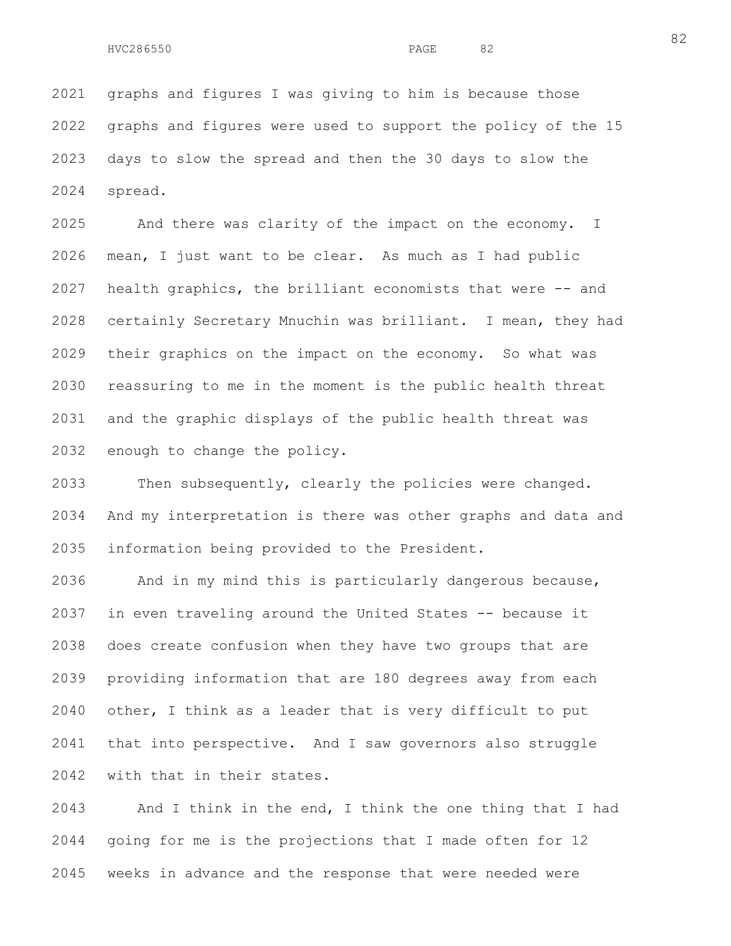2021 graphs and figures I was giving to him is because those 2022 graphs and figures were used to support the policy of the 15 2023 days to slow the spread and then the 30 days to slow the 2024 spread.

2025 And there was clarity of the impact on the economy. I 2026 mean, I just want to be clear. As much as I had public 2027 health graphics, the brilliant economists that were -- and 2028 certainly Secretary Mnuchin was brilliant. I mean, they had 2029 their graphics on the impact on the economy. So what was 2030 reassuring to me in the moment is the public health threat 2031 and the graphic displays of the public health threat was 2032 enough to change the policy.

2033 Then subsequently, clearly the policies were changed. 2034 And my interpretation is there was other graphs and data and 2035 information being provided to the President.

2036 And in my mind this is particularly dangerous because, 2037 in even traveling around the United States -- because it 2038 does create confusion when they have two groups that are 2039 providing information that are 180 degrees away from each 2040 other, I think as a leader that is very difficult to put 2041 that into perspective. And I saw governors also struggle 2042 with that in their states.

2043 And I think in the end, I think the one thing that I had 2044 going for me is the projections that I made often for 12 2045 weeks in advance and the response that were needed were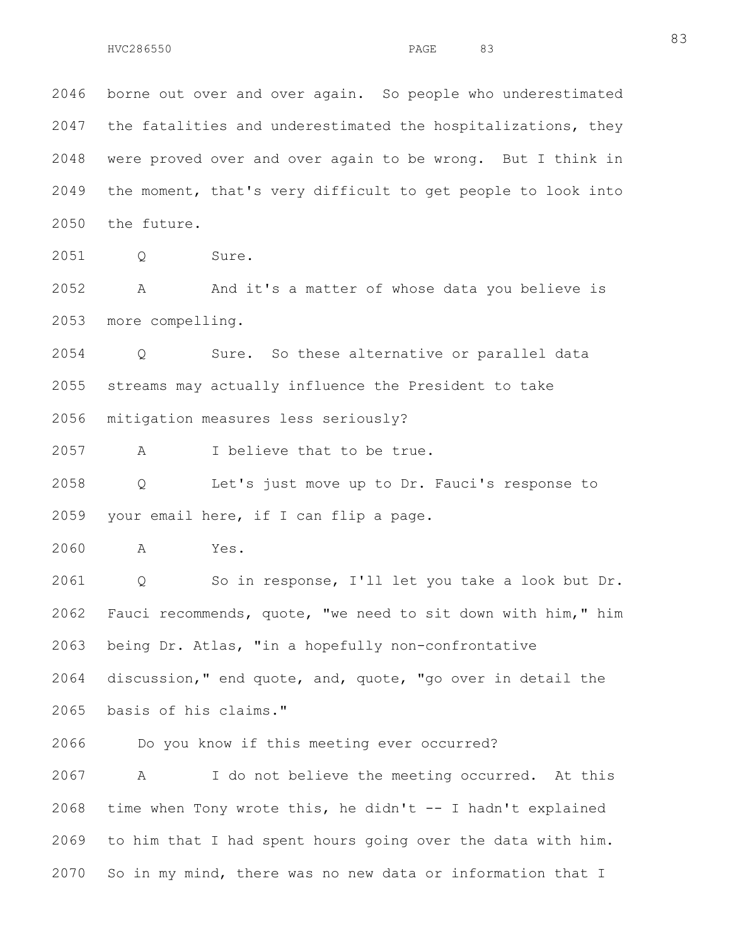2046 borne out over and over again. So people who underestimated 2047 the fatalities and underestimated the hospitalizations, they 2048 were proved over and over again to be wrong. But I think in 2049 the moment, that's very difficult to get people to look into 2050 the future.

2051 Q Sure.

2052 A And it's a matter of whose data you believe is 2053 more compelling.

2054 Q Sure. So these alternative or parallel data 2055 streams may actually influence the President to take 2056 mitigation measures less seriously?

2057 A I believe that to be true.

2058 Q Let's just move up to Dr. Fauci's response to 2059 your email here, if I can flip a page.

2060 A Yes.

2061 Q So in response, I'll let you take a look but Dr. 2062 Fauci recommends, quote, "we need to sit down with him," him 2063 being Dr. Atlas, "in a hopefully non-confrontative 2064 discussion," end quote, and, quote, "go over in detail the

2065 basis of his claims."

2066 Do you know if this meeting ever occurred?

2067 A I do not believe the meeting occurred. At this 2068 time when Tony wrote this, he didn't -- I hadn't explained 2069 to him that I had spent hours going over the data with him. 2070 So in my mind, there was no new data or information that I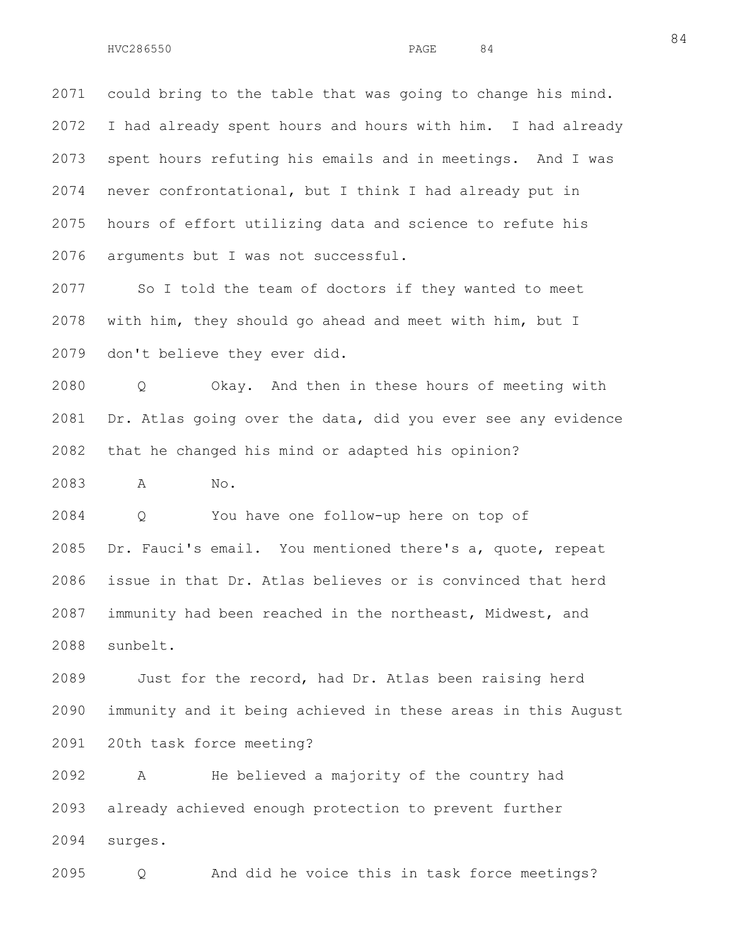2071 could bring to the table that was going to change his mind. 2072 I had already spent hours and hours with him. I had already 2073 spent hours refuting his emails and in meetings. And I was 2074 never confrontational, but I think I had already put in 2075 hours of effort utilizing data and science to refute his 2076 arguments but I was not successful.

2077 So I told the team of doctors if they wanted to meet 2078 with him, they should go ahead and meet with him, but I 2079 don't believe they ever did.

2080 Q Okay. And then in these hours of meeting with 2081 Dr. Atlas going over the data, did you ever see any evidence 2082 that he changed his mind or adapted his opinion?

2083 A No.

2084 Q You have one follow-up here on top of 2085 Dr. Fauci's email. You mentioned there's a, quote, repeat 2086 issue in that Dr. Atlas believes or is convinced that herd 2087 immunity had been reached in the northeast, Midwest, and 2088 sunbelt.

2089 Just for the record, had Dr. Atlas been raising herd 2090 immunity and it being achieved in these areas in this August 2091 20th task force meeting?

2092 A He believed a majority of the country had 2093 already achieved enough protection to prevent further 2094 surges.

2095 Q And did he voice this in task force meetings?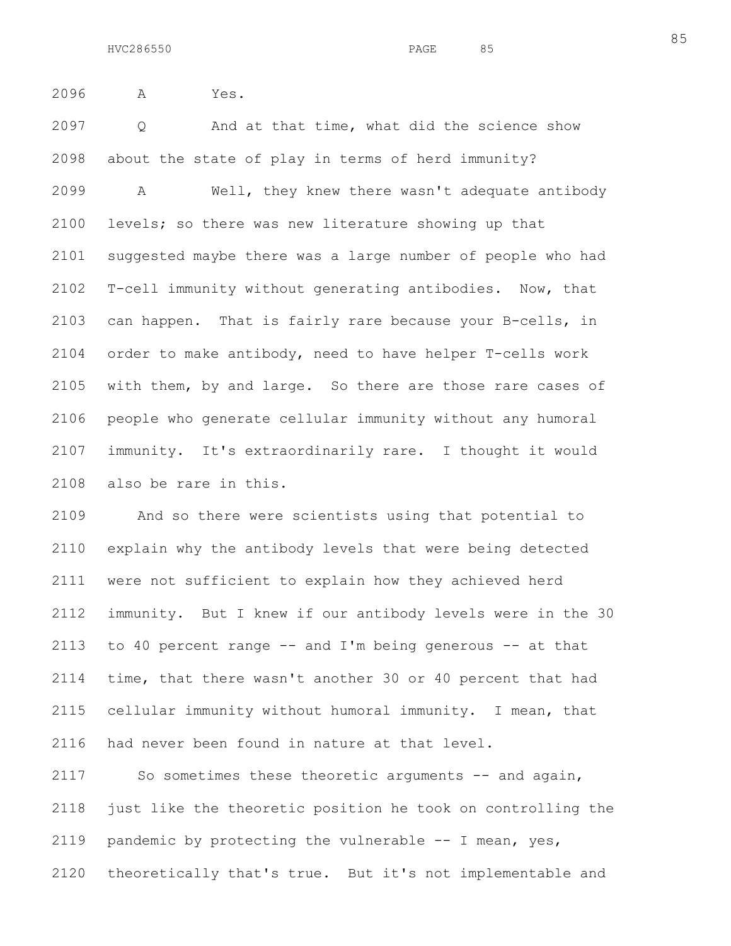2096 A Yes.

2097 Q And at that time, what did the science show 2098 about the state of play in terms of herd immunity?

2099 A Well, they knew there wasn't adequate antibody 2100 levels; so there was new literature showing up that 2101 suggested maybe there was a large number of people who had 2102 T-cell immunity without generating antibodies. Now, that 2103 can happen. That is fairly rare because your B-cells, in 2104 order to make antibody, need to have helper T-cells work 2105 with them, by and large. So there are those rare cases of 2106 people who generate cellular immunity without any humoral 2107 immunity. It's extraordinarily rare. I thought it would 2108 also be rare in this.

2109 And so there were scientists using that potential to 2110 explain why the antibody levels that were being detected 2111 were not sufficient to explain how they achieved herd 2112 immunity. But I knew if our antibody levels were in the 30 2113 to 40 percent range  $-$  and I'm being generous  $-$  at that 2114 time, that there wasn't another 30 or 40 percent that had 2115 cellular immunity without humoral immunity. I mean, that 2116 had never been found in nature at that level.

2117 So sometimes these theoretic arguments -- and again, 2118 just like the theoretic position he took on controlling the 2119 pandemic by protecting the vulnerable -- I mean, yes, 2120 theoretically that's true. But it's not implementable and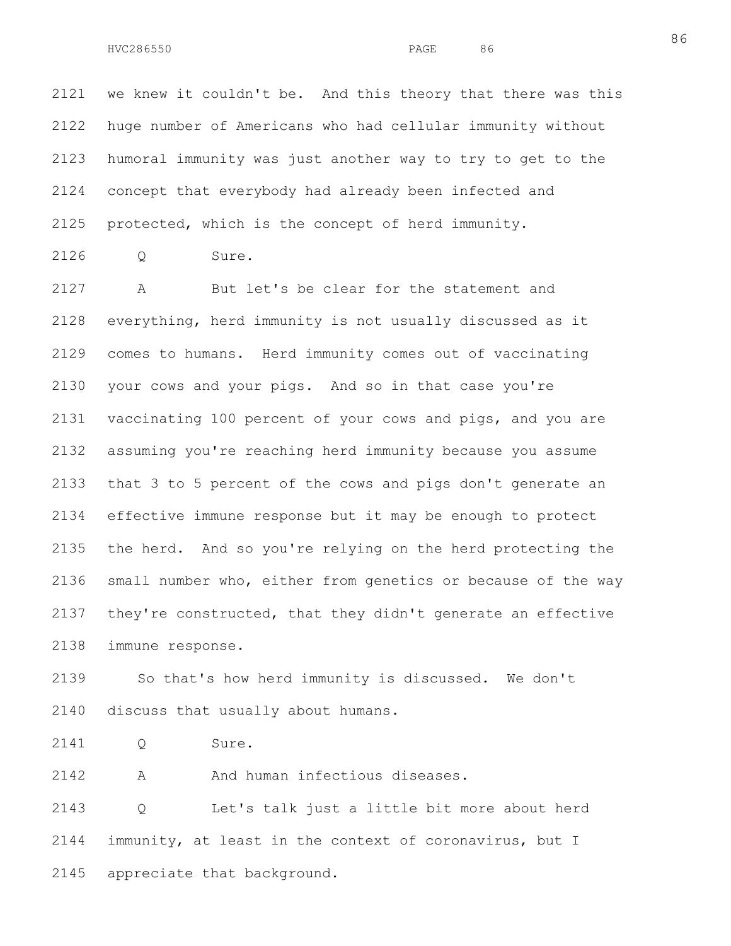2121 we knew it couldn't be. And this theory that there was this 2122 huge number of Americans who had cellular immunity without 2123 humoral immunity was just another way to try to get to the 2124 concept that everybody had already been infected and 2125 protected, which is the concept of herd immunity.

2126 Q Sure.

2127 A But let's be clear for the statement and 2128 everything, herd immunity is not usually discussed as it 2129 comes to humans. Herd immunity comes out of vaccinating 2130 your cows and your pigs. And so in that case you're 2131 vaccinating 100 percent of your cows and pigs, and you are 2132 assuming you're reaching herd immunity because you assume 2133 that 3 to 5 percent of the cows and pigs don't generate an 2134 effective immune response but it may be enough to protect 2135 the herd. And so you're relying on the herd protecting the 2136 small number who, either from genetics or because of the way 2137 they're constructed, that they didn't generate an effective 2138 immune response.

2139 So that's how herd immunity is discussed. We don't 2140 discuss that usually about humans.

2141 Q Sure.

2142 A And human infectious diseases.

2143 Q Let's talk just a little bit more about herd 2144 immunity, at least in the context of coronavirus, but I 2145 appreciate that background.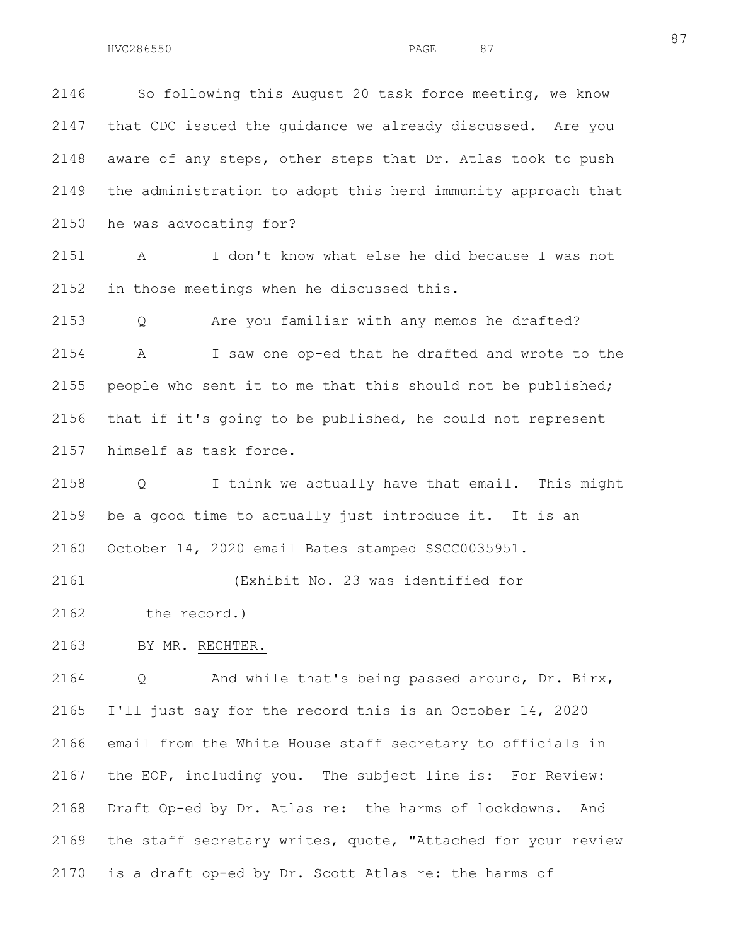2146 So following this August 20 task force meeting, we know 2147 that CDC issued the guidance we already discussed. Are you 2148 aware of any steps, other steps that Dr. Atlas took to push 2149 the administration to adopt this herd immunity approach that 2150 he was advocating for?

2151 A I don't know what else he did because I was not 2152 in those meetings when he discussed this.

2153 Q Are you familiar with any memos he drafted? 2154 A I saw one op-ed that he drafted and wrote to the 2155 people who sent it to me that this should not be published; 2156 that if it's going to be published, he could not represent 2157 himself as task force.

2158 Q I think we actually have that email. This might 2159 be a good time to actually just introduce it. It is an 2160 October 14, 2020 email Bates stamped SSCC0035951.

2161 (Exhibit No. 23 was identified for 2162 the record.)

2163 BY MR. RECHTER.

2164 Q And while that's being passed around, Dr. Birx, 2165 I'll just say for the record this is an October 14, 2020 2166 email from the White House staff secretary to officials in 2167 the EOP, including you. The subject line is: For Review: 2168 Draft Op-ed by Dr. Atlas re: the harms of lockdowns. And 2169 the staff secretary writes, quote, "Attached for your review 2170 is a draft op-ed by Dr. Scott Atlas re: the harms of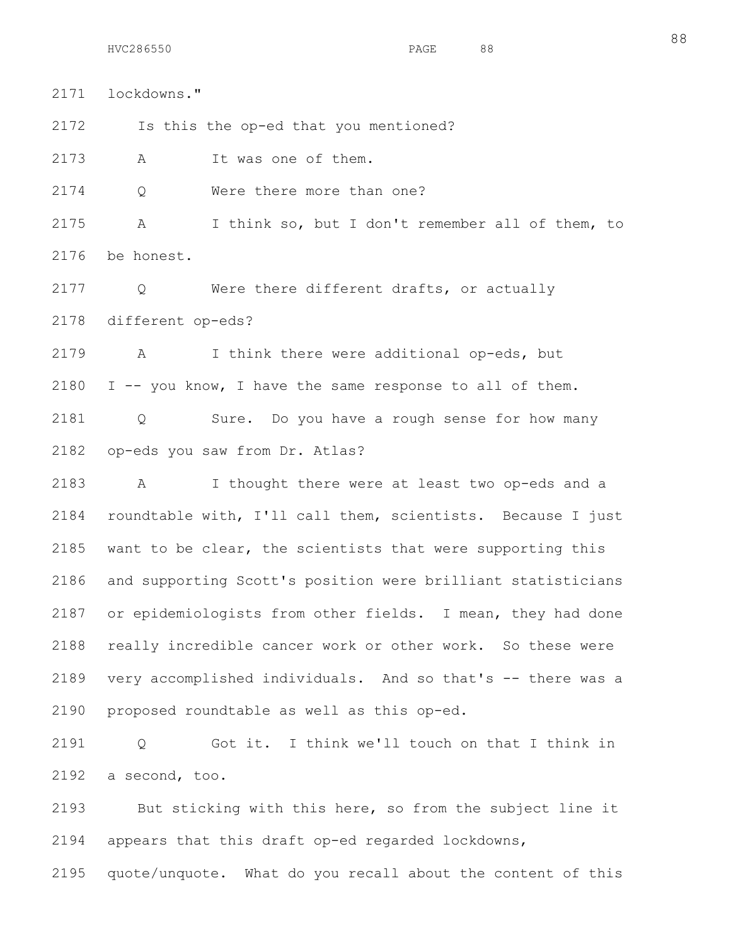2171 lockdowns." 2172 Is this the op-ed that you mentioned? 2173 A It was one of them. 2174 Q Were there more than one? 2175 A I think so, but I don't remember all of them, to 2176 be honest. 2177 Q Were there different drafts, or actually 2178 different op-eds? 2179 A I think there were additional op-eds, but 2180 I -- you know, I have the same response to all of them. 2181 Q Sure. Do you have a rough sense for how many

2182 op-eds you saw from Dr. Atlas?

2183 A I thought there were at least two op-eds and a 2184 roundtable with, I'll call them, scientists. Because I just 2185 want to be clear, the scientists that were supporting this 2186 and supporting Scott's position were brilliant statisticians 2187 or epidemiologists from other fields. I mean, they had done 2188 really incredible cancer work or other work. So these were 2189 very accomplished individuals. And so that's -- there was a 2190 proposed roundtable as well as this op-ed.

2191 Q Got it. I think we'll touch on that I think in 2192 a second, too.

2193 But sticking with this here, so from the subject line it 2194 appears that this draft op-ed regarded lockdowns,

2195 quote/unquote. What do you recall about the content of this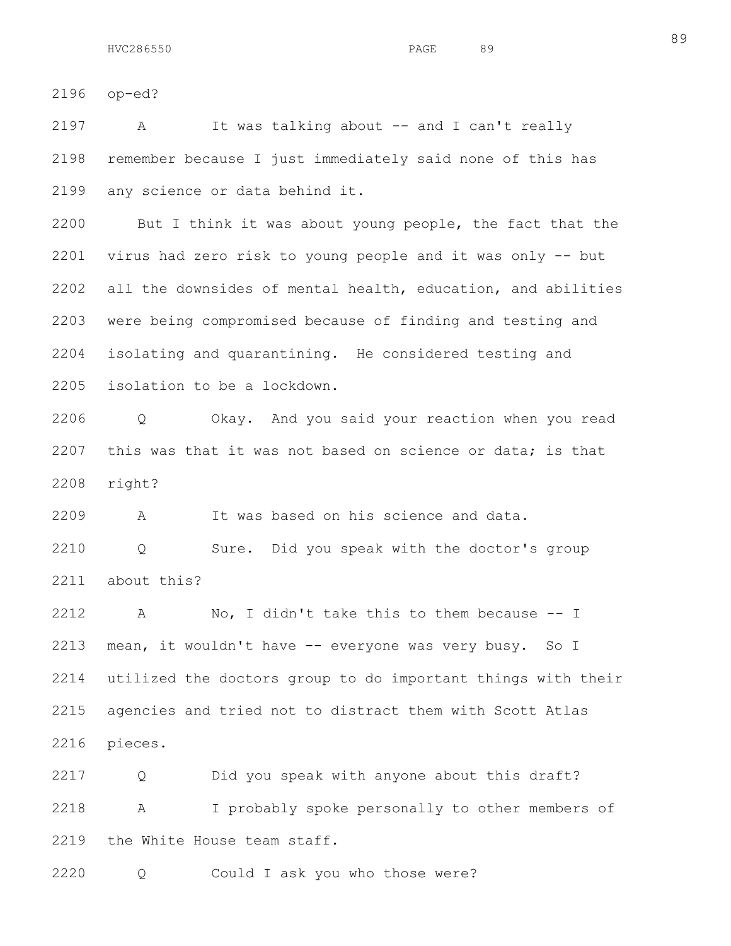2196 op-ed?

2197 A It was talking about -- and I can't really 2198 remember because I just immediately said none of this has 2199 any science or data behind it.

2200 But I think it was about young people, the fact that the 2201 virus had zero risk to young people and it was only -- but 2202 all the downsides of mental health, education, and abilities 2203 were being compromised because of finding and testing and 2204 isolating and quarantining. He considered testing and 2205 isolation to be a lockdown.

2206 Q Okay. And you said your reaction when you read 2207 this was that it was not based on science or data; is that 2208 right?

2209 A It was based on his science and data. 2210 Q Sure. Did you speak with the doctor's group 2211 about this?

2212 A No, I didn't take this to them because -- I 2213 mean, it wouldn't have -- everyone was very busy. So I 2214 utilized the doctors group to do important things with their 2215 agencies and tried not to distract them with Scott Atlas 2216 pieces.

2217 Q Did you speak with anyone about this draft? 2218 A I probably spoke personally to other members of 2219 the White House team staff.

2220 Q Could I ask you who those were?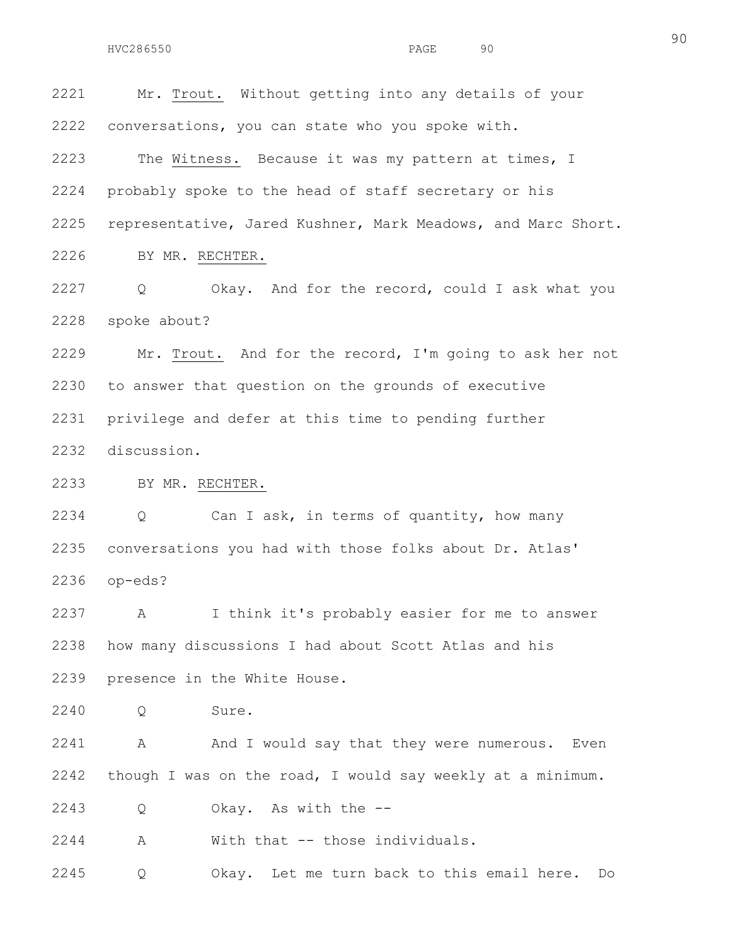2221 Mr. Trout. Without getting into any details of your 2222 conversations, you can state who you spoke with. 2223 The Witness. Because it was my pattern at times, I 2224 probably spoke to the head of staff secretary or his 2225 representative, Jared Kushner, Mark Meadows, and Marc Short. 2226 BY MR. RECHTER. 2227 Q Okay. And for the record, could I ask what you 2228 spoke about? 2229 Mr. Trout. And for the record, I'm going to ask her not 2230 to answer that question on the grounds of executive 2231 privilege and defer at this time to pending further 2232 discussion.

2233 BY MR. RECHTER.

2234 Q Can I ask, in terms of quantity, how many 2235 conversations you had with those folks about Dr. Atlas' 2236 op-eds?

2237 A I think it's probably easier for me to answer 2238 how many discussions I had about Scott Atlas and his 2239 presence in the White House.

2240 Q Sure.

2241 A And I would say that they were numerous. Even 2242 though I was on the road, I would say weekly at a minimum.

2243 Q Okay. As with the --

2244 A With that -- those individuals.

2245 Q Okay. Let me turn back to this email here. Do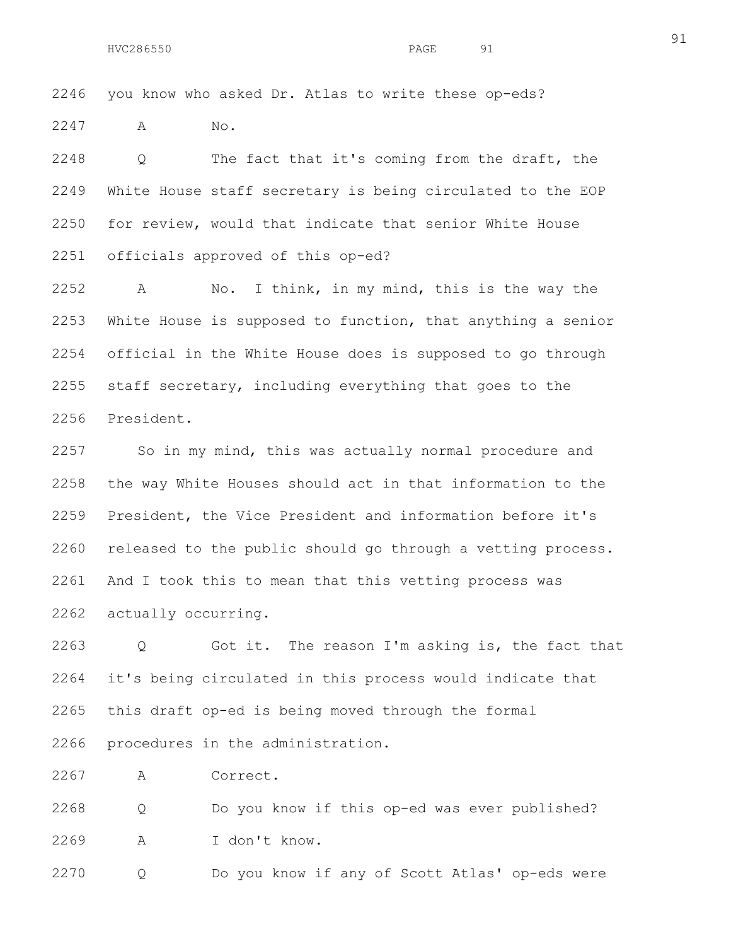2246 you know who asked Dr. Atlas to write these op-eds?

2247 A No.

2248 Q The fact that it's coming from the draft, the 2249 White House staff secretary is being circulated to the EOP 2250 for review, would that indicate that senior White House 2251 officials approved of this op-ed?

2252 A No. I think, in my mind, this is the way the 2253 White House is supposed to function, that anything a senior 2254 official in the White House does is supposed to go through 2255 staff secretary, including everything that goes to the 2256 President.

2257 So in my mind, this was actually normal procedure and 2258 the way White Houses should act in that information to the 2259 President, the Vice President and information before it's 2260 released to the public should go through a vetting process. 2261 And I took this to mean that this vetting process was 2262 actually occurring.

2263 Q Got it. The reason I'm asking is, the fact that 2264 it's being circulated in this process would indicate that 2265 this draft op-ed is being moved through the formal 2266 procedures in the administration.

2267 A Correct.

2268 Q Do you know if this op-ed was ever published? 2269 A I don't know.

2270 Q Do you know if any of Scott Atlas' op-eds were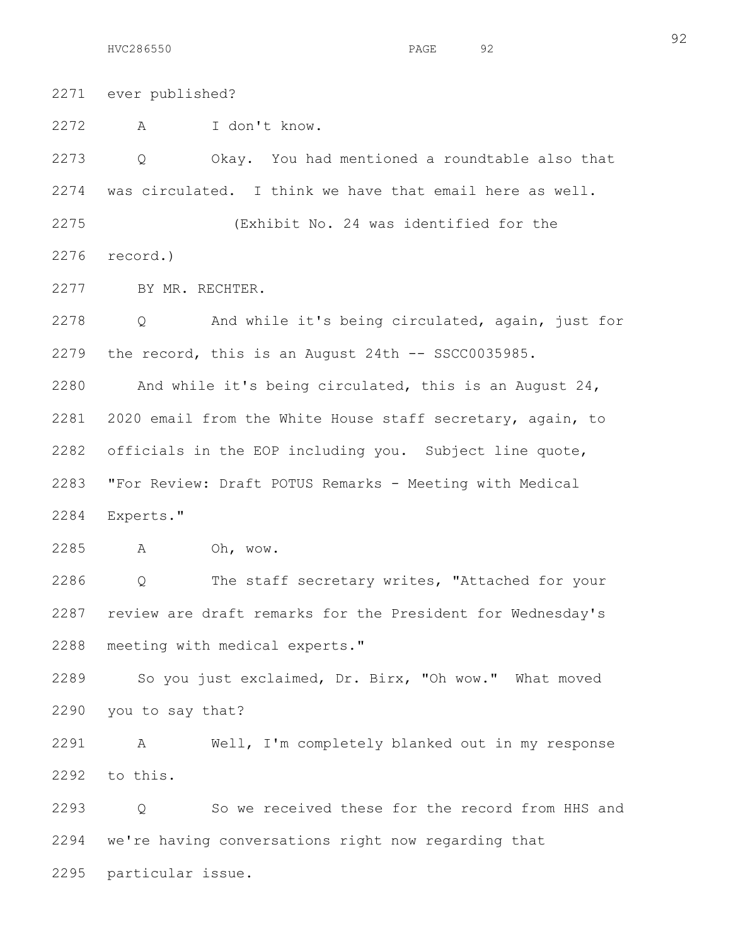2271 ever published? 2272 A I don't know. 2273 Q Okay. You had mentioned a roundtable also that 2274 was circulated. I think we have that email here as well. 2275 (Exhibit No. 24 was identified for the 2276 record.) 2277 BY MR. RECHTER. 2278 Q And while it's being circulated, again, just for 2279 the record, this is an August 24th -- SSCC0035985. 2280 And while it's being circulated, this is an August 24, 2281 2020 email from the White House staff secretary, again, to 2282 officials in the EOP including you. Subject line quote, 2283 "For Review: Draft POTUS Remarks - Meeting with Medical 2284 Experts." 2285 A Oh, wow. 2286 Q The staff secretary writes, "Attached for your 2287 review are draft remarks for the President for Wednesday's 2288 meeting with medical experts." 2289 So you just exclaimed, Dr. Birx, "Oh wow." What moved 2290 you to say that? 2291 A Well, I'm completely blanked out in my response 2292 to this. 2293 Q So we received these for the record from HHS and

2294 we're having conversations right now regarding that

2295 particular issue.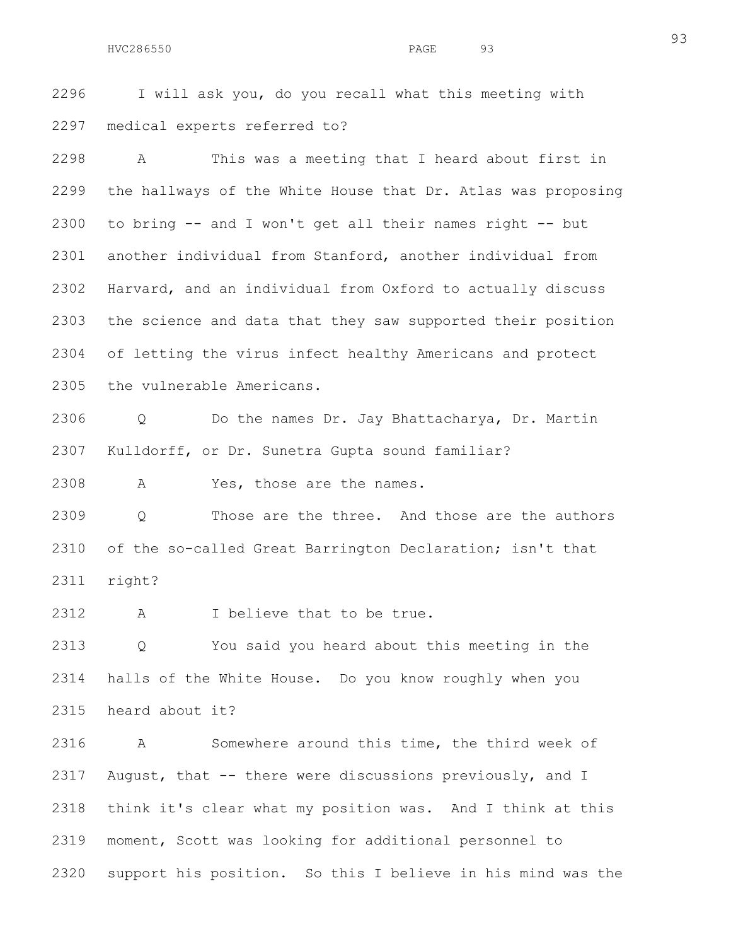2296 I will ask you, do you recall what this meeting with 2297 medical experts referred to?

2298 A This was a meeting that I heard about first in 2299 the hallways of the White House that Dr. Atlas was proposing 2300 to bring -- and I won't get all their names right -- but 2301 another individual from Stanford, another individual from 2302 Harvard, and an individual from Oxford to actually discuss 2303 the science and data that they saw supported their position 2304 of letting the virus infect healthy Americans and protect 2305 the vulnerable Americans.

2306 Q Do the names Dr. Jay Bhattacharya, Dr. Martin 2307 Kulldorff, or Dr. Sunetra Gupta sound familiar?

2308 A Yes, those are the names.

2309 Q Those are the three. And those are the authors 2310 of the so-called Great Barrington Declaration; isn't that 2311 right?

2312 A I believe that to be true.

2313 Q You said you heard about this meeting in the 2314 halls of the White House. Do you know roughly when you 2315 heard about it?

2316 A Somewhere around this time, the third week of 2317 August, that -- there were discussions previously, and I 2318 think it's clear what my position was. And I think at this 2319 moment, Scott was looking for additional personnel to 2320 support his position. So this I believe in his mind was the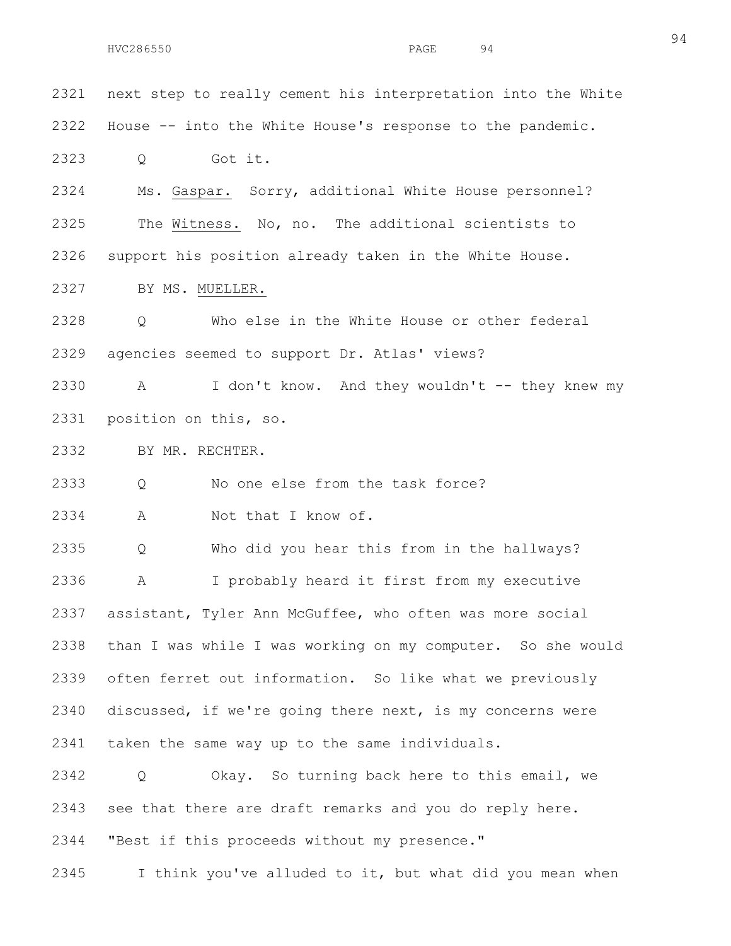2321 next step to really cement his interpretation into the White 2322 House -- into the White House's response to the pandemic. 2323 Q Got it. 2324 Ms. Gaspar. Sorry, additional White House personnel? 2325 The Witness. No, no. The additional scientists to 2326 support his position already taken in the White House. 2327 BY MS. MUELLER. 2328 Q Who else in the White House or other federal 2329 agencies seemed to support Dr. Atlas' views? 2330 A I don't know. And they wouldn't -- they knew my 2331 position on this, so. 2332 BY MR. RECHTER. 2333 Q No one else from the task force? 2334 A Not that I know of. 2335 Q Who did you hear this from in the hallways? 2336 A I probably heard it first from my executive 2337 assistant, Tyler Ann McGuffee, who often was more social 2338 than I was while I was working on my computer. So she would 2339 often ferret out information. So like what we previously 2340 discussed, if we're going there next, is my concerns were 2341 taken the same way up to the same individuals. 2342 Q Okay. So turning back here to this email, we 2343 see that there are draft remarks and you do reply here. 2344 "Best if this proceeds without my presence." 2345 I think you've alluded to it, but what did you mean when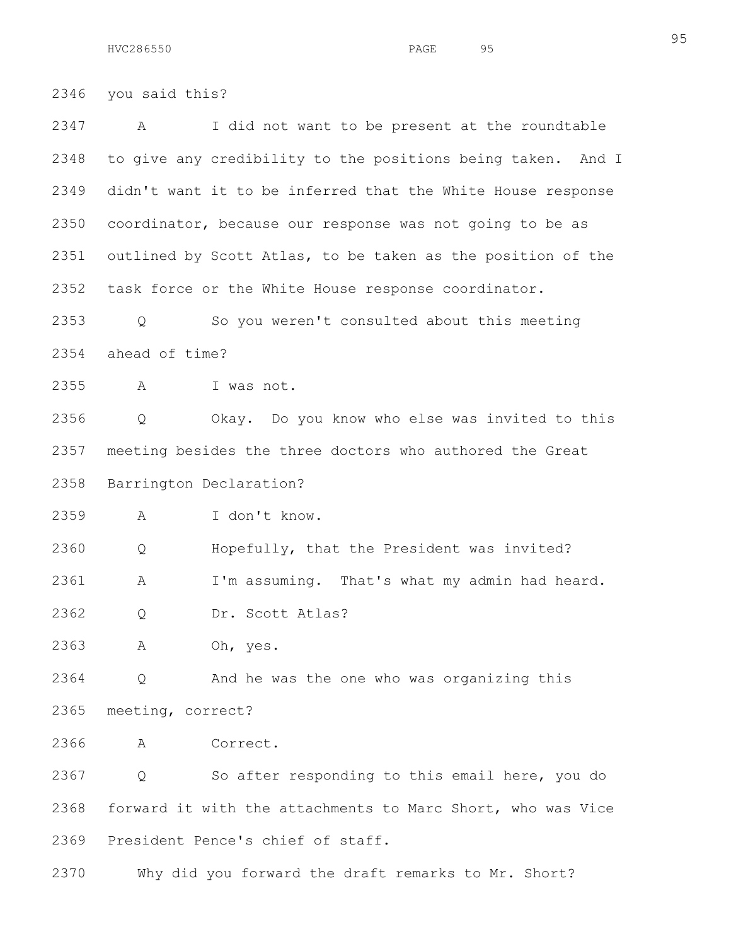2346 you said this?

2347 A I did not want to be present at the roundtable 2348 to give any credibility to the positions being taken. And I 2349 didn't want it to be inferred that the White House response 2350 coordinator, because our response was not going to be as 2351 outlined by Scott Atlas, to be taken as the position of the 2352 task force or the White House response coordinator.

2353 Q So you weren't consulted about this meeting 2354 ahead of time?

2355 A I was not.

2356 Q Okay. Do you know who else was invited to this 2357 meeting besides the three doctors who authored the Great 2358 Barrington Declaration?

2359 A I don't know.

2360 Q Hopefully, that the President was invited?

2361 A I'm assuming. That's what my admin had heard.

2362 Q Dr. Scott Atlas?

2363 A Oh, yes.

2364 Q And he was the one who was organizing this 2365 meeting, correct?

2366 A Correct.

2367 Q So after responding to this email here, you do 2368 forward it with the attachments to Marc Short, who was Vice 2369 President Pence's chief of staff.

2370 Why did you forward the draft remarks to Mr. Short?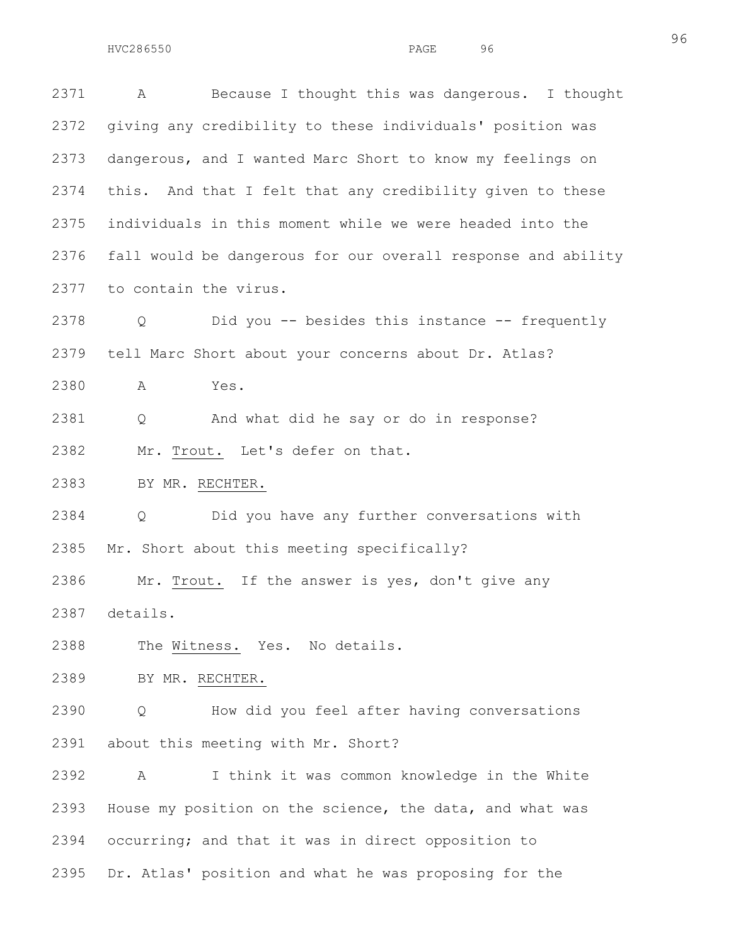2371 A Because I thought this was dangerous. I thought 2372 giving any credibility to these individuals' position was 2373 dangerous, and I wanted Marc Short to know my feelings on 2374 this. And that I felt that any credibility given to these 2375 individuals in this moment while we were headed into the 2376 fall would be dangerous for our overall response and ability 2377 to contain the virus.

2378 Q Did you -- besides this instance -- frequently 2379 tell Marc Short about your concerns about Dr. Atlas?

2380 A Yes.

2381 Q And what did he say or do in response?

2382 Mr. Trout. Let's defer on that.

2383 BY MR. RECHTER.

2384 Q Did you have any further conversations with 2385 Mr. Short about this meeting specifically?

2386 Mr. Trout. If the answer is yes, don't give any 2387 details.

2388 The Witness. Yes. No details.

2389 BY MR. RECHTER.

2390 Q How did you feel after having conversations 2391 about this meeting with Mr. Short?

2392 A I think it was common knowledge in the White 2393 House my position on the science, the data, and what was 2394 occurring; and that it was in direct opposition to 2395 Dr. Atlas' position and what he was proposing for the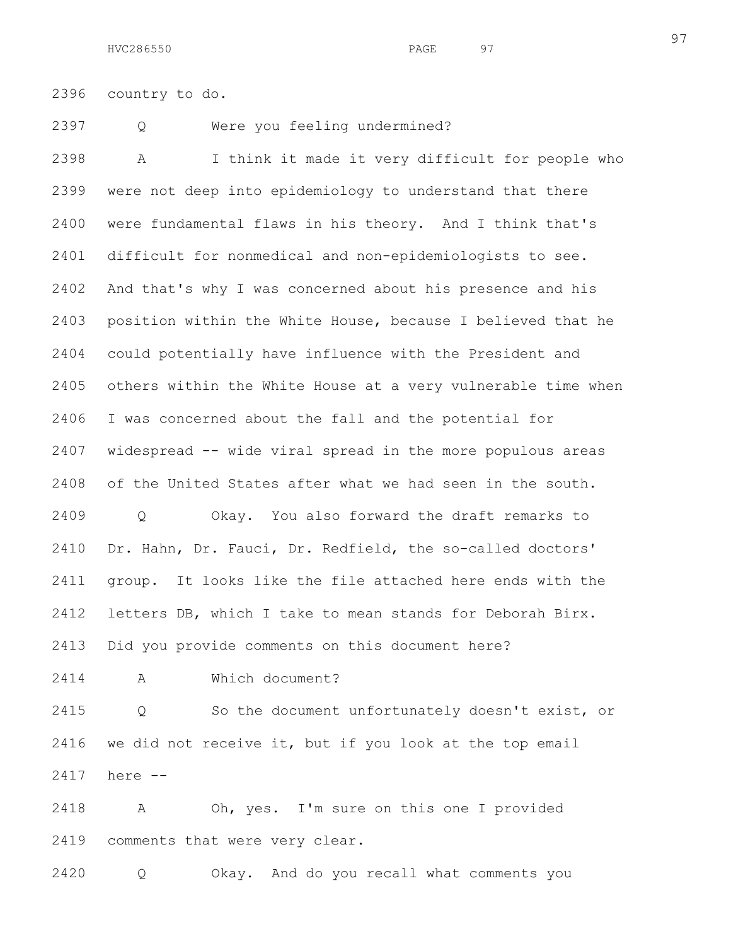2396 country to do.

2397 Q Were you feeling undermined?

2398 A I think it made it very difficult for people who 2399 were not deep into epidemiology to understand that there 2400 were fundamental flaws in his theory. And I think that's 2401 difficult for nonmedical and non-epidemiologists to see. 2402 And that's why I was concerned about his presence and his 2403 position within the White House, because I believed that he 2404 could potentially have influence with the President and 2405 others within the White House at a very vulnerable time when 2406 I was concerned about the fall and the potential for 2407 widespread -- wide viral spread in the more populous areas 2408 of the United States after what we had seen in the south. 2409 Q Okay. You also forward the draft remarks to 2410 Dr. Hahn, Dr. Fauci, Dr. Redfield, the so-called doctors' 2411 group. It looks like the file attached here ends with the 2412 letters DB, which I take to mean stands for Deborah Birx. 2413 Did you provide comments on this document here? 2414 A Which document?

2415 Q So the document unfortunately doesn't exist, or 2416 we did not receive it, but if you look at the top email 2417 here --

2418 A Oh, yes. I'm sure on this one I provided 2419 comments that were very clear.

2420 Q Okay. And do you recall what comments you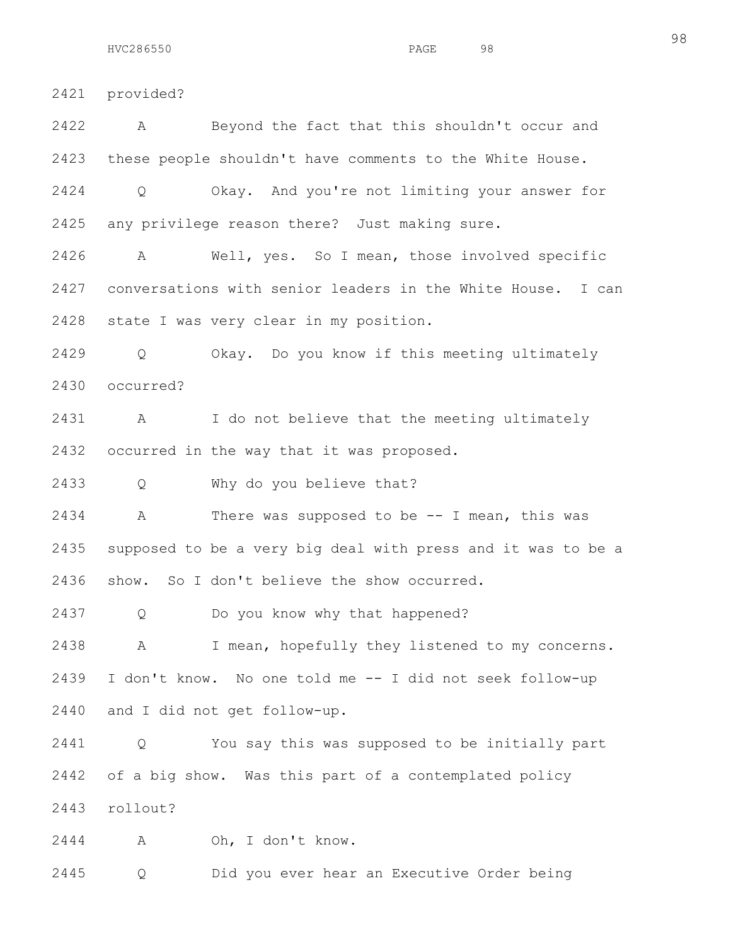2421 provided?

2422 A Beyond the fact that this shouldn't occur and 2423 these people shouldn't have comments to the White House. 2424 Q Okay. And you're not limiting your answer for 2425 any privilege reason there? Just making sure. 2426 A Well, yes. So I mean, those involved specific 2427 conversations with senior leaders in the White House. I can 2428 state I was very clear in my position. 2429 Q Okay. Do you know if this meeting ultimately 2430 occurred? 2431 A I do not believe that the meeting ultimately 2432 occurred in the way that it was proposed. 2433 Q Why do you believe that? 2434 A There was supposed to be -- I mean, this was 2435 supposed to be a very big deal with press and it was to be a 2436 show. So I don't believe the show occurred. 2437 Q Do you know why that happened? 2438 A I mean, hopefully they listened to my concerns. 2439 I don't know. No one told me -- I did not seek follow-up 2440 and I did not get follow-up. 2441 Q You say this was supposed to be initially part 2442 of a big show. Was this part of a contemplated policy 2443 rollout? 2444 A Oh, I don't know. 2445 Q Did you ever hear an Executive Order being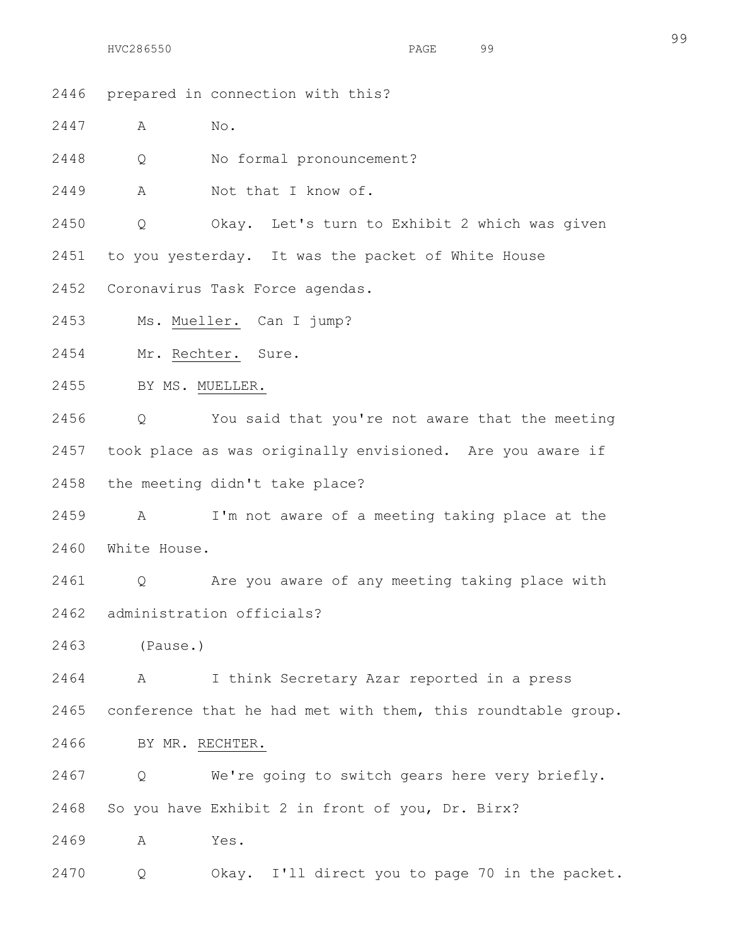- 2446 prepared in connection with this?
- 2447 A No.
- 2448 Q No formal pronouncement?
- 2449 A Not that I know of.
- 2450 Q Okay. Let's turn to Exhibit 2 which was given
- 2451 to you yesterday. It was the packet of White House
- 2452 Coronavirus Task Force agendas.
- 2453 Ms. Mueller. Can I jump?
- 2454 Mr. Rechter. Sure.
- 2455 BY MS. MUELLER.

2456 Q You said that you're not aware that the meeting 2457 took place as was originally envisioned. Are you aware if 2458 the meeting didn't take place?

2459 A I'm not aware of a meeting taking place at the 2460 White House.

2461 Q Are you aware of any meeting taking place with 2462 administration officials?

2463 (Pause.)

2464 A I think Secretary Azar reported in a press 2465 conference that he had met with them, this roundtable group.

2466 BY MR. RECHTER.

2467 Q We're going to switch gears here very briefly. 2468 So you have Exhibit 2 in front of you, Dr. Birx?

2469 A Yes.

2470 Q Okay. I'll direct you to page 70 in the packet.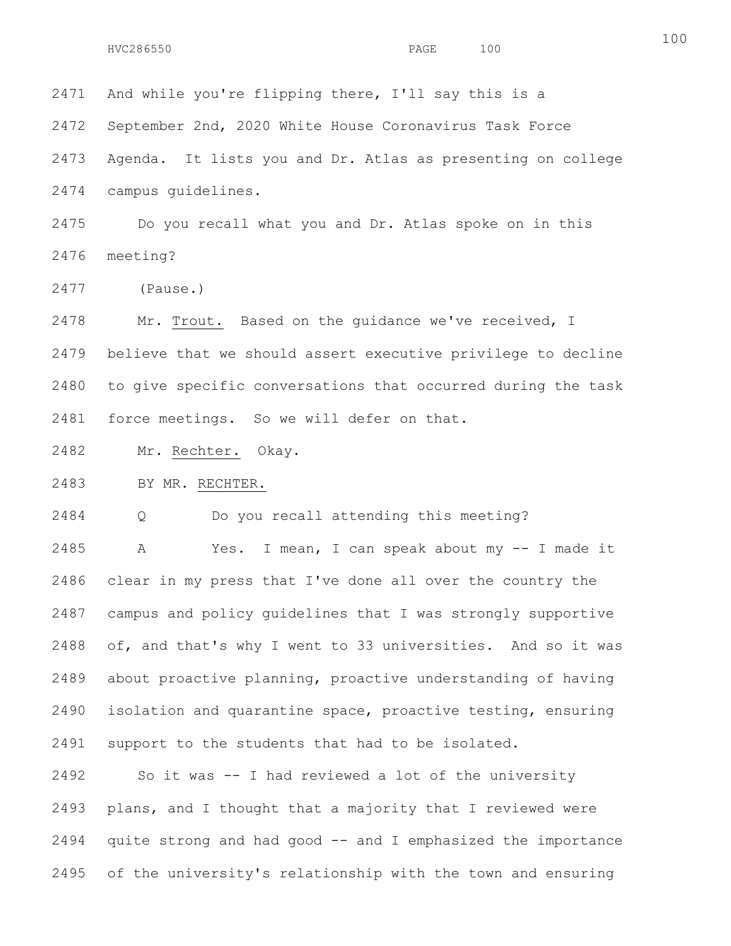2471 And while you're flipping there, I'll say this is a 2472 September 2nd, 2020 White House Coronavirus Task Force 2473 Agenda. It lists you and Dr. Atlas as presenting on college 2474 campus guidelines. 2475 Do you recall what you and Dr. Atlas spoke on in this 2476 meeting?

2477 (Pause.)

2478 Mr. Trout. Based on the guidance we've received, I 2479 believe that we should assert executive privilege to decline 2480 to give specific conversations that occurred during the task 2481 force meetings. So we will defer on that.

2482 Mr. Rechter. Okay.

2483 BY MR. RECHTER.

2484 Q Do you recall attending this meeting?

2485 A Yes. I mean, I can speak about my -- I made it 2486 clear in my press that I've done all over the country the 2487 campus and policy guidelines that I was strongly supportive 2488 of, and that's why I went to 33 universities. And so it was 2489 about proactive planning, proactive understanding of having 2490 isolation and quarantine space, proactive testing, ensuring 2491 support to the students that had to be isolated.

2492 So it was -- I had reviewed a lot of the university 2493 plans, and I thought that a majority that I reviewed were 2494 quite strong and had good -- and I emphasized the importance 2495 of the university's relationship with the town and ensuring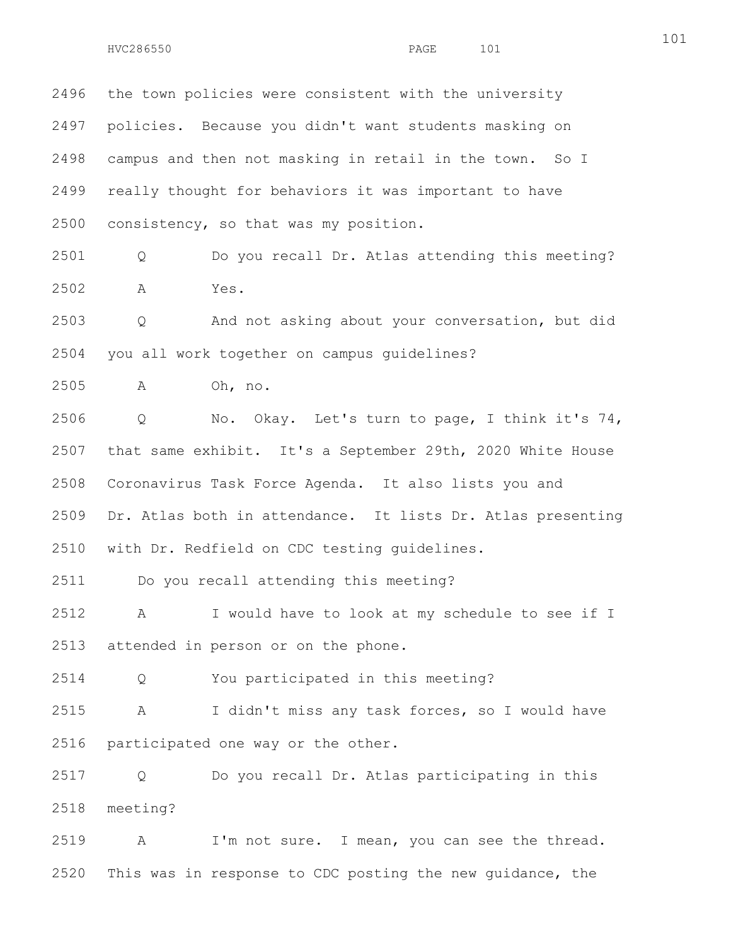2496 the town policies were consistent with the university 2497 policies. Because you didn't want students masking on 2498 campus and then not masking in retail in the town. So I 2499 really thought for behaviors it was important to have 2500 consistency, so that was my position.

2501 Q Do you recall Dr. Atlas attending this meeting? 2502 A Yes.

2503 Q And not asking about your conversation, but did 2504 you all work together on campus guidelines?

2505 A Oh, no.

2506 Q No. Okay. Let's turn to page, I think it's 74, 2507 that same exhibit. It's a September 29th, 2020 White House 2508 Coronavirus Task Force Agenda. It also lists you and 2509 Dr. Atlas both in attendance. It lists Dr. Atlas presenting 2510 with Dr. Redfield on CDC testing guidelines.

2511 Do you recall attending this meeting?

2512 A I would have to look at my schedule to see if I 2513 attended in person or on the phone.

2514 Q You participated in this meeting?

2515 A I didn't miss any task forces, so I would have 2516 participated one way or the other.

2517 Q Do you recall Dr. Atlas participating in this 2518 meeting?

2519 A I'm not sure. I mean, you can see the thread. 2520 This was in response to CDC posting the new guidance, the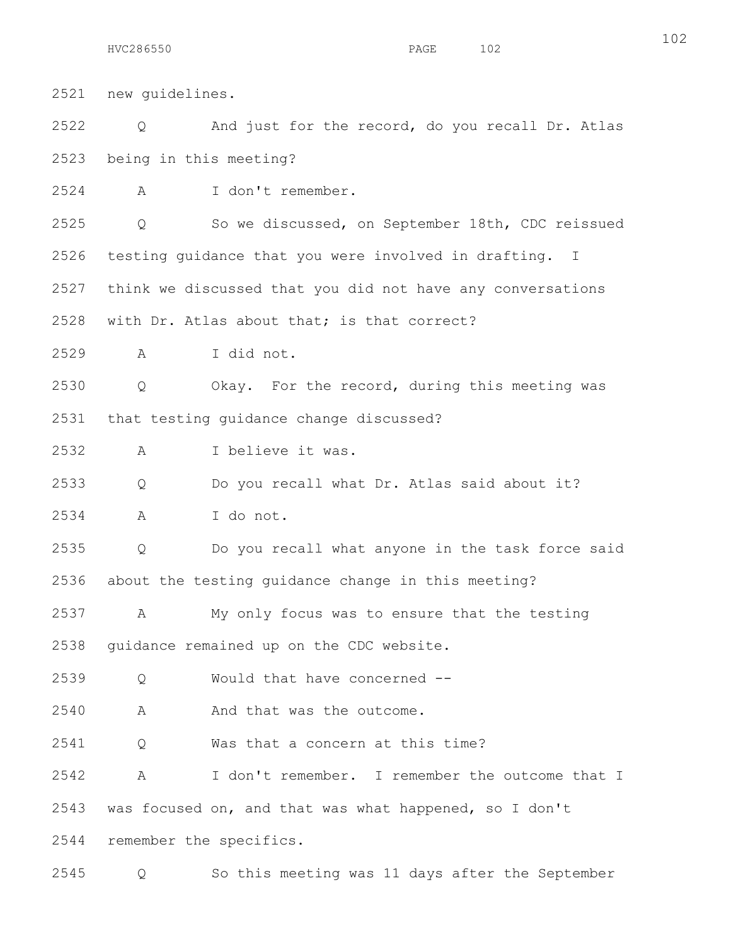2521 new guidelines. 2522 Q And just for the record, do you recall Dr. Atlas 2523 being in this meeting? 2524 A I don't remember. 2525 Q So we discussed, on September 18th, CDC reissued 2526 testing guidance that you were involved in drafting. I 2527 think we discussed that you did not have any conversations 2528 with Dr. Atlas about that; is that correct? 2529 A I did not. 2530 Q Okay. For the record, during this meeting was 2531 that testing guidance change discussed? 2532 A I believe it was. 2533 Q Do you recall what Dr. Atlas said about it? 2534 A I do not. 2535 Q Do you recall what anyone in the task force said 2536 about the testing guidance change in this meeting? 2537 A My only focus was to ensure that the testing 2538 guidance remained up on the CDC website. 2539 Q Would that have concerned -- 2540 A And that was the outcome. 2541 Q Was that a concern at this time? 2542 A I don't remember. I remember the outcome that I 2543 was focused on, and that was what happened, so I don't 2544 remember the specifics. 2545 Q So this meeting was 11 days after the September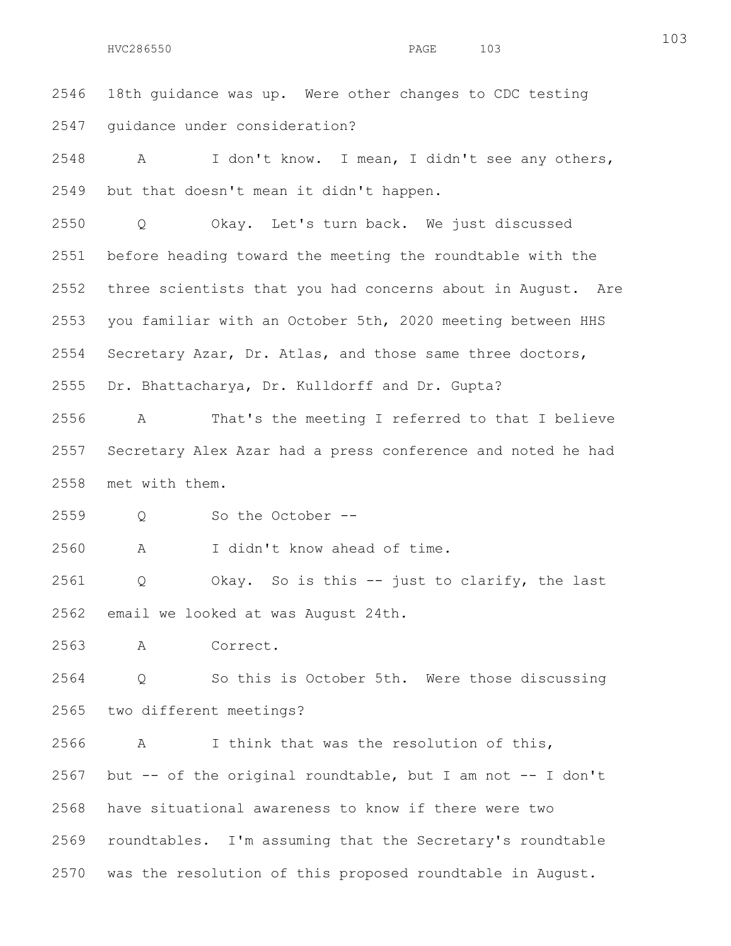2546 18th guidance was up. Were other changes to CDC testing 2547 guidance under consideration?

2548 A I don't know. I mean, I didn't see any others, 2549 but that doesn't mean it didn't happen.

2550 Q Okay. Let's turn back. We just discussed 2551 before heading toward the meeting the roundtable with the 2552 three scientists that you had concerns about in August. Are 2553 you familiar with an October 5th, 2020 meeting between HHS 2554 Secretary Azar, Dr. Atlas, and those same three doctors, 2555 Dr. Bhattacharya, Dr. Kulldorff and Dr. Gupta?

2556 A That's the meeting I referred to that I believe 2557 Secretary Alex Azar had a press conference and noted he had 2558 met with them.

2559 Q So the October --

2560 A I didn't know ahead of time.

2561 Q Okay. So is this -- just to clarify, the last 2562 email we looked at was August 24th.

2563 A Correct.

2564 Q So this is October 5th. Were those discussing 2565 two different meetings?

2566 A I think that was the resolution of this, 2567 but -- of the original roundtable, but I am not -- I don't 2568 have situational awareness to know if there were two 2569 roundtables. I'm assuming that the Secretary's roundtable 2570 was the resolution of this proposed roundtable in August.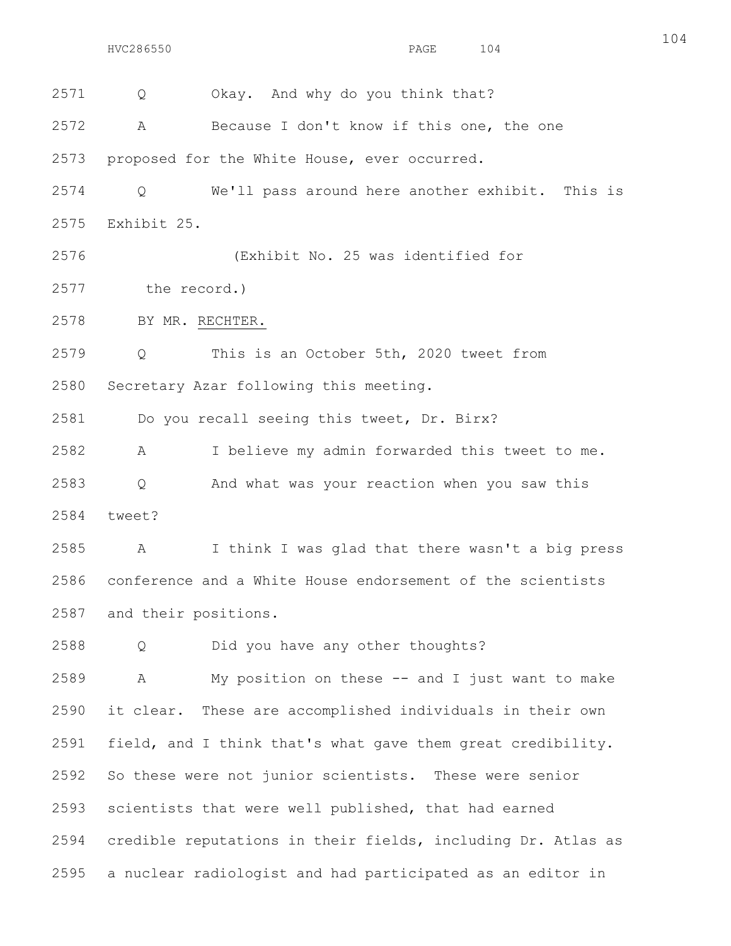2571 O Okay. And why do you think that?

2572 A Because I don't know if this one, the one

2573 proposed for the White House, ever occurred.

2574 Q We'll pass around here another exhibit. This is 2575 Exhibit 25.

2576 (Exhibit No. 25 was identified for

2577 the record.)

2578 BY MR. RECHTER.

2579 Q This is an October 5th, 2020 tweet from 2580 Secretary Azar following this meeting.

2581 Do you recall seeing this tweet, Dr. Birx?

2582 A I believe my admin forwarded this tweet to me. 2583 Q And what was your reaction when you saw this 2584 tweet?

2585 A I think I was glad that there wasn't a big press 2586 conference and a White House endorsement of the scientists 2587 and their positions.

2588 Q Did you have any other thoughts?

2589 A My position on these -- and I just want to make 2590 it clear. These are accomplished individuals in their own 2591 field, and I think that's what gave them great credibility. 2592 So these were not junior scientists. These were senior 2593 scientists that were well published, that had earned 2594 credible reputations in their fields, including Dr. Atlas as 2595 a nuclear radiologist and had participated as an editor in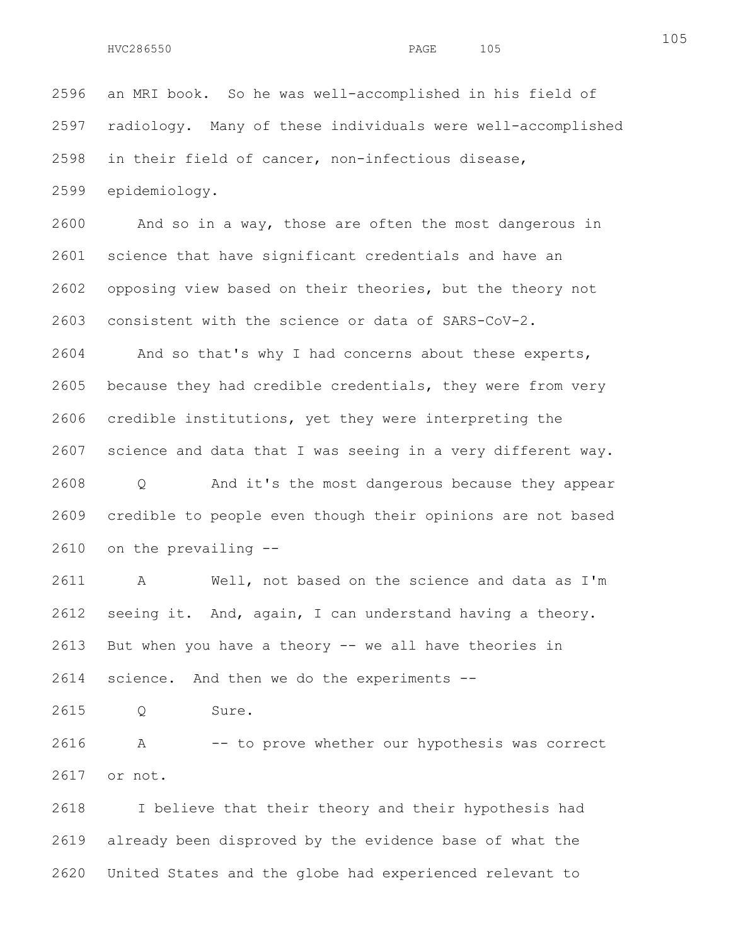2596 an MRI book. So he was well-accomplished in his field of 2597 radiology. Many of these individuals were well-accomplished 2598 in their field of cancer, non-infectious disease, 2599 epidemiology.

2600 And so in a way, those are often the most dangerous in 2601 science that have significant credentials and have an 2602 opposing view based on their theories, but the theory not 2603 consistent with the science or data of SARS-CoV-2.

2604 And so that's why I had concerns about these experts, 2605 because they had credible credentials, they were from very 2606 credible institutions, yet they were interpreting the 2607 science and data that I was seeing in a very different way. 2608 Q And it's the most dangerous because they appear 2609 credible to people even though their opinions are not based 2610 on the prevailing --

2611 A Well, not based on the science and data as I'm 2612 seeing it. And, again, I can understand having a theory. 2613 But when you have a theory -- we all have theories in 2614 science. And then we do the experiments --

2615 Q Sure.

2616 A -- to prove whether our hypothesis was correct 2617 or not.

2618 I believe that their theory and their hypothesis had 2619 already been disproved by the evidence base of what the 2620 United States and the globe had experienced relevant to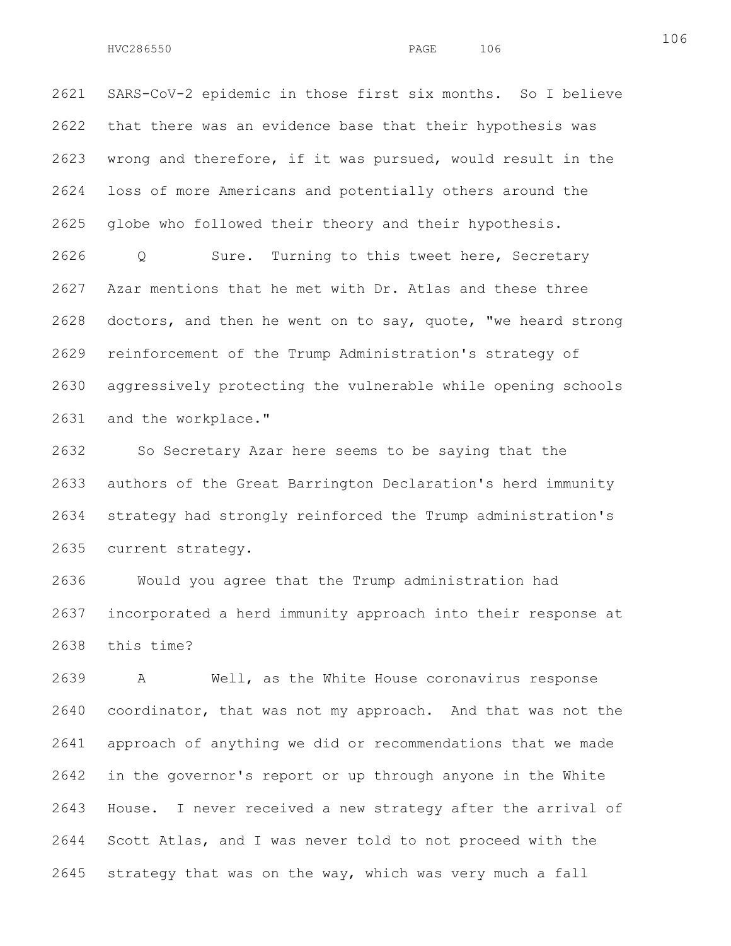2621 SARS-CoV-2 epidemic in those first six months. So I believe 2622 that there was an evidence base that their hypothesis was 2623 wrong and therefore, if it was pursued, would result in the 2624 loss of more Americans and potentially others around the 2625 globe who followed their theory and their hypothesis.

2626 Q Sure. Turning to this tweet here, Secretary 2627 Azar mentions that he met with Dr. Atlas and these three 2628 doctors, and then he went on to say, quote, "we heard strong 2629 reinforcement of the Trump Administration's strategy of 2630 aggressively protecting the vulnerable while opening schools 2631 and the workplace."

2632 So Secretary Azar here seems to be saying that the 2633 authors of the Great Barrington Declaration's herd immunity 2634 strategy had strongly reinforced the Trump administration's 2635 current strategy.

2636 Would you agree that the Trump administration had 2637 incorporated a herd immunity approach into their response at 2638 this time?

2639 A Well, as the White House coronavirus response 2640 coordinator, that was not my approach. And that was not the 2641 approach of anything we did or recommendations that we made 2642 in the governor's report or up through anyone in the White 2643 House. I never received a new strategy after the arrival of 2644 Scott Atlas, and I was never told to not proceed with the 2645 strategy that was on the way, which was very much a fall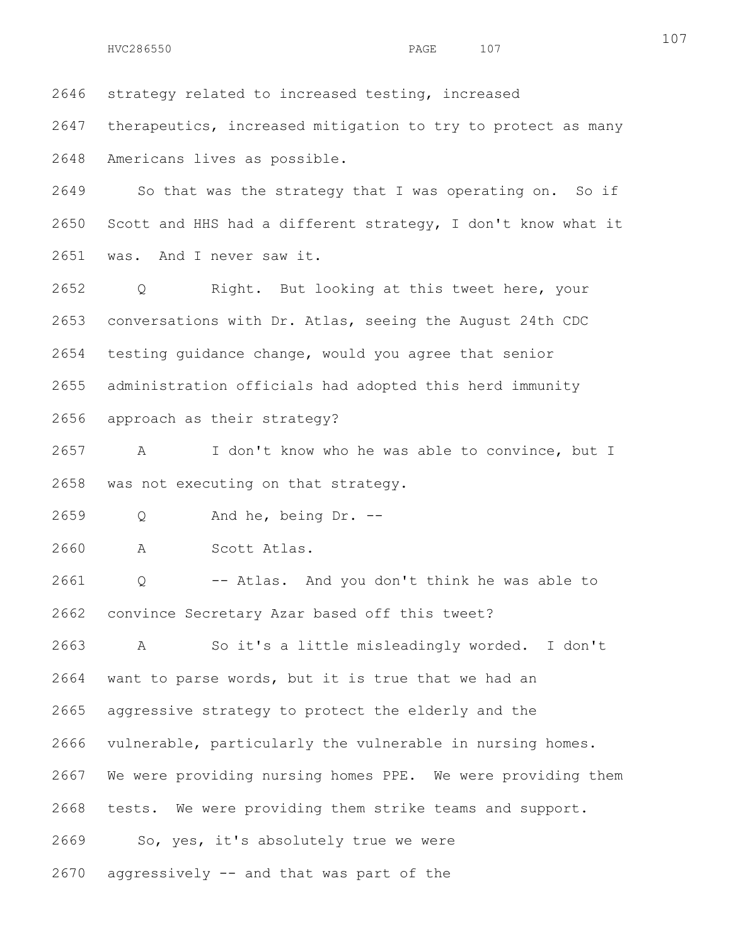2646 strategy related to increased testing, increased

2647 therapeutics, increased mitigation to try to protect as many 2648 Americans lives as possible.

2649 So that was the strategy that I was operating on. So if 2650 Scott and HHS had a different strategy, I don't know what it 2651 was. And I never saw it.

2652 Q Right. But looking at this tweet here, your 2653 conversations with Dr. Atlas, seeing the August 24th CDC 2654 testing guidance change, would you agree that senior 2655 administration officials had adopted this herd immunity 2656 approach as their strategy?

2657 A I don't know who he was able to convince, but I 2658 was not executing on that strategy.

2659 Q And he, being Dr. --

2660 A Scott Atlas.

2661 Q -- Atlas. And you don't think he was able to 2662 convince Secretary Azar based off this tweet?

2663 A So it's a little misleadingly worded. I don't 2664 want to parse words, but it is true that we had an

2665 aggressive strategy to protect the elderly and the

2666 vulnerable, particularly the vulnerable in nursing homes.

2667 We were providing nursing homes PPE. We were providing them

2668 tests. We were providing them strike teams and support.

2669 So, yes, it's absolutely true we were

2670 aggressively -- and that was part of the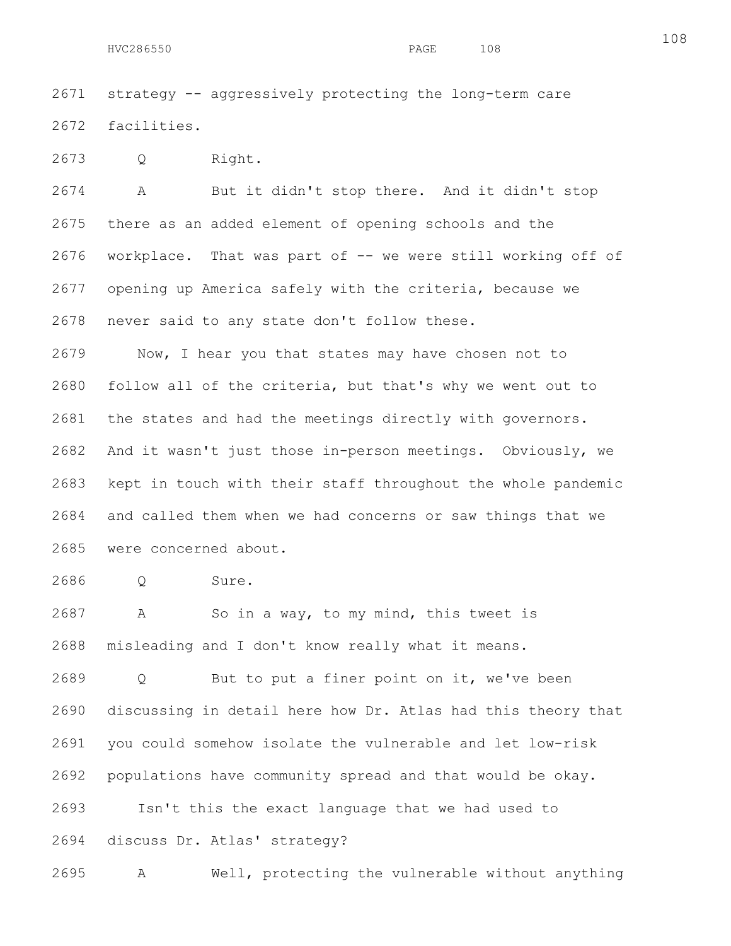2671 strategy -- aggressively protecting the long-term care 2672 facilities.

2673 Q Right.

2674 A But it didn't stop there. And it didn't stop 2675 there as an added element of opening schools and the 2676 workplace. That was part of -- we were still working off of 2677 opening up America safely with the criteria, because we 2678 never said to any state don't follow these.

2679 Now, I hear you that states may have chosen not to 2680 follow all of the criteria, but that's why we went out to 2681 the states and had the meetings directly with governors. 2682 And it wasn't just those in-person meetings. Obviously, we 2683 kept in touch with their staff throughout the whole pandemic 2684 and called them when we had concerns or saw things that we 2685 were concerned about.

2686 Q Sure.

2687 A So in a way, to my mind, this tweet is 2688 misleading and I don't know really what it means.

2689 Q But to put a finer point on it, we've been 2690 discussing in detail here how Dr. Atlas had this theory that 2691 you could somehow isolate the vulnerable and let low-risk 2692 populations have community spread and that would be okay. 2693 Isn't this the exact language that we had used to

2694 discuss Dr. Atlas' strategy?

2695 A Well, protecting the vulnerable without anything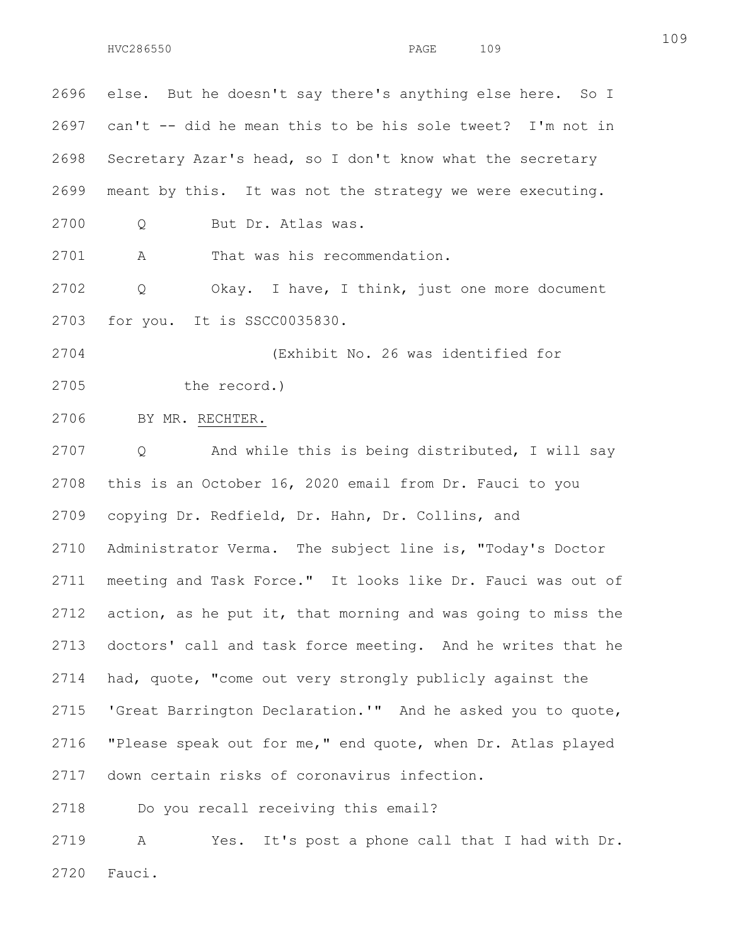109

2696 else. But he doesn't say there's anything else here. So I 2697 can't -- did he mean this to be his sole tweet? I'm not in 2698 Secretary Azar's head, so I don't know what the secretary 2699 meant by this. It was not the strategy we were executing. 2700 Q But Dr. Atlas was. 2701 A That was his recommendation. 2702 Q Okay. I have, I think, just one more document 2703 for you. It is SSCC0035830. 2704 (Exhibit No. 26 was identified for 2705 the record.) 2706 BY MR. RECHTER. 2707 Q And while this is being distributed, I will say 2708 this is an October 16, 2020 email from Dr. Fauci to you 2709 copying Dr. Redfield, Dr. Hahn, Dr. Collins, and 2710 Administrator Verma. The subject line is, "Today's Doctor 2711 meeting and Task Force." It looks like Dr. Fauci was out of 2712 action, as he put it, that morning and was going to miss the 2713 doctors' call and task force meeting. And he writes that he 2714 had, quote, "come out very strongly publicly against the 2715 'Great Barrington Declaration.'" And he asked you to quote, 2716 "Please speak out for me," end quote, when Dr. Atlas played 2717 down certain risks of coronavirus infection. 2718 Do you recall receiving this email? 2719 A Yes. It's post a phone call that I had with Dr. 2720 Fauci.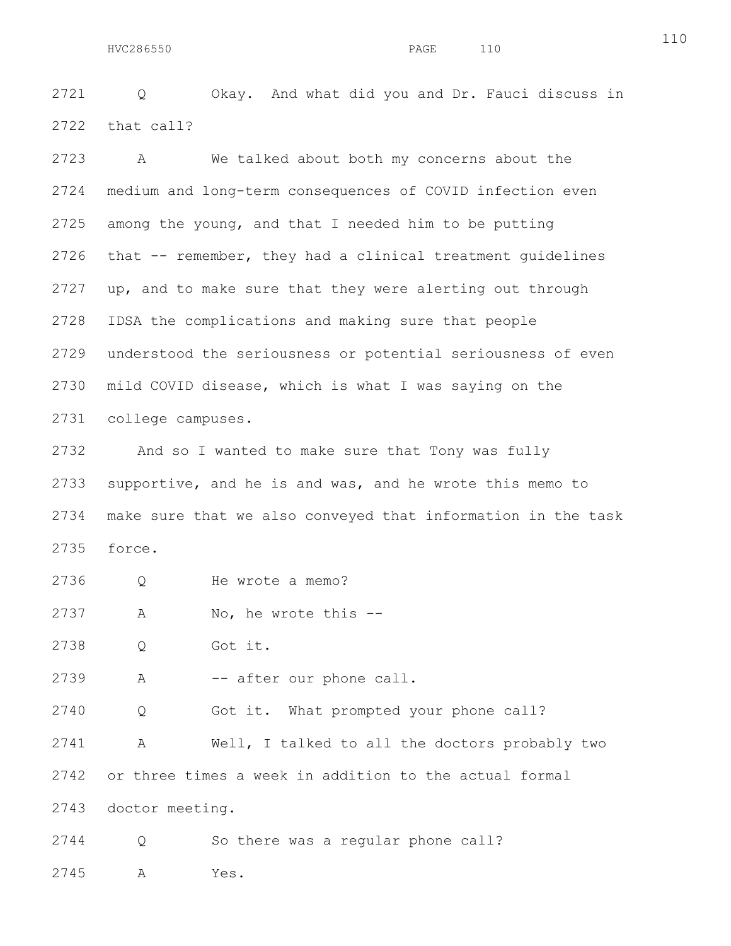2721 Q Okay. And what did you and Dr. Fauci discuss in 2722 that call?

2723 A We talked about both my concerns about the 2724 medium and long-term consequences of COVID infection even 2725 among the young, and that I needed him to be putting 2726 that -- remember, they had a clinical treatment guidelines 2727 up, and to make sure that they were alerting out through 2728 IDSA the complications and making sure that people 2729 understood the seriousness or potential seriousness of even 2730 mild COVID disease, which is what I was saying on the 2731 college campuses.

2732 And so I wanted to make sure that Tony was fully 2733 supportive, and he is and was, and he wrote this memo to 2734 make sure that we also conveyed that information in the task 2735 force.

- 2736 Q He wrote a memo?
- 2737 A No, he wrote this --

2738 Q Got it.

2739 A -- after our phone call.

2740 Q Got it. What prompted your phone call?

2741 A Well, I talked to all the doctors probably two 2742 or three times a week in addition to the actual formal 2743 doctor meeting.

2744 Q So there was a regular phone call?

2745 A Yes.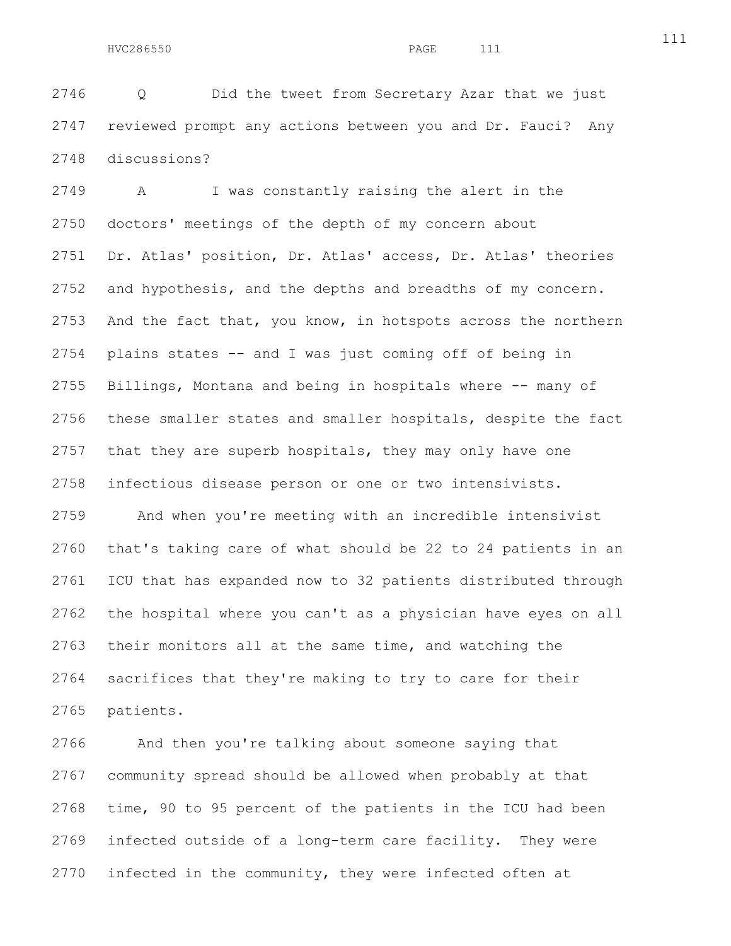2746 Q Did the tweet from Secretary Azar that we just 2747 reviewed prompt any actions between you and Dr. Fauci? Any 2748 discussions?

2749 A I was constantly raising the alert in the 2750 doctors' meetings of the depth of my concern about 2751 Dr. Atlas' position, Dr. Atlas' access, Dr. Atlas' theories 2752 and hypothesis, and the depths and breadths of my concern. 2753 And the fact that, you know, in hotspots across the northern 2754 plains states -- and I was just coming off of being in 2755 Billings, Montana and being in hospitals where -- many of 2756 these smaller states and smaller hospitals, despite the fact 2757 that they are superb hospitals, they may only have one 2758 infectious disease person or one or two intensivists.

2759 And when you're meeting with an incredible intensivist 2760 that's taking care of what should be 22 to 24 patients in an 2761 ICU that has expanded now to 32 patients distributed through 2762 the hospital where you can't as a physician have eyes on all 2763 their monitors all at the same time, and watching the 2764 sacrifices that they're making to try to care for their 2765 patients.

2766 And then you're talking about someone saying that 2767 community spread should be allowed when probably at that 2768 time, 90 to 95 percent of the patients in the ICU had been 2769 infected outside of a long-term care facility. They were 2770 infected in the community, they were infected often at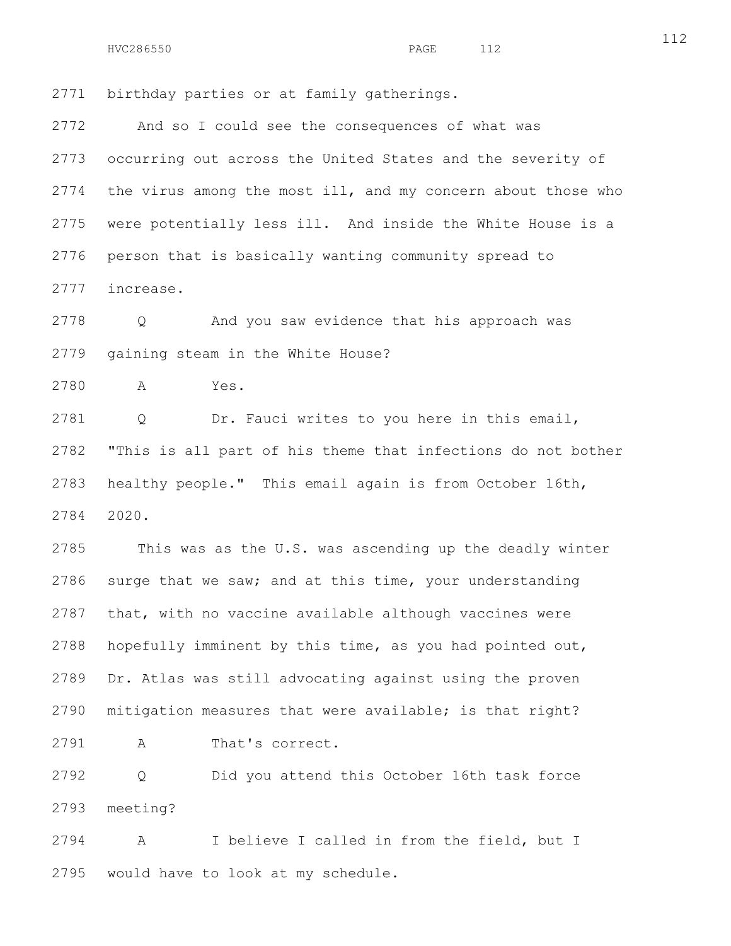2771 birthday parties or at family gatherings.

2772 And so I could see the consequences of what was 2773 occurring out across the United States and the severity of 2774 the virus among the most ill, and my concern about those who 2775 were potentially less ill. And inside the White House is a 2776 person that is basically wanting community spread to 2777 increase.

2778 Q And you saw evidence that his approach was 2779 gaining steam in the White House?

2780 A Yes.

2781 Q Dr. Fauci writes to you here in this email, 2782 "This is all part of his theme that infections do not bother 2783 healthy people." This email again is from October 16th, 2784 2020.

2785 This was as the U.S. was ascending up the deadly winter 2786 surge that we saw; and at this time, your understanding 2787 that, with no vaccine available although vaccines were 2788 hopefully imminent by this time, as you had pointed out, 2789 Dr. Atlas was still advocating against using the proven 2790 mitigation measures that were available; is that right?

2791 A That's correct.

2792 Q Did you attend this October 16th task force 2793 meeting?

2794 A I believe I called in from the field, but I 2795 would have to look at my schedule.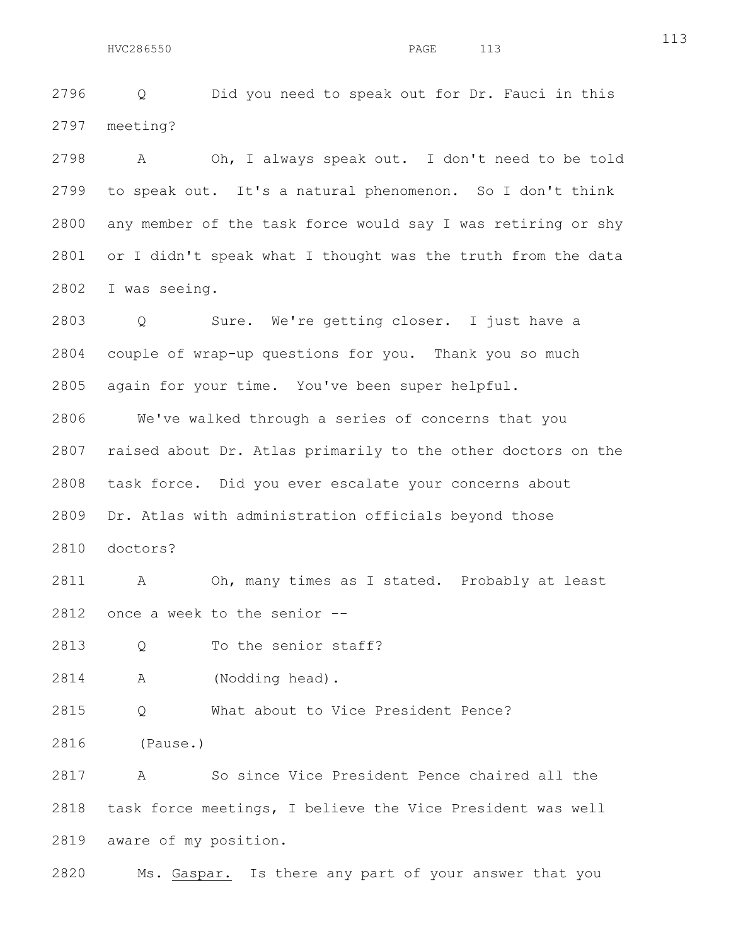2796 Q Did you need to speak out for Dr. Fauci in this 2797 meeting?

2798 A Oh, I always speak out. I don't need to be told 2799 to speak out. It's a natural phenomenon. So I don't think 2800 any member of the task force would say I was retiring or shy 2801 or I didn't speak what I thought was the truth from the data 2802 I was seeing.

2803 Q Sure. We're getting closer. I just have a 2804 couple of wrap-up questions for you. Thank you so much 2805 again for your time. You've been super helpful.

2806 We've walked through a series of concerns that you 2807 raised about Dr. Atlas primarily to the other doctors on the 2808 task force. Did you ever escalate your concerns about 2809 Dr. Atlas with administration officials beyond those 2810 doctors?

2811 A Oh, many times as I stated. Probably at least 2812 once a week to the senior --

2813 O To the senior staff?

2814 A (Nodding head).

2815 Q What about to Vice President Pence?

2816 (Pause.)

2817 A So since Vice President Pence chaired all the 2818 task force meetings, I believe the Vice President was well 2819 aware of my position.

2820 Ms. Gaspar. Is there any part of your answer that you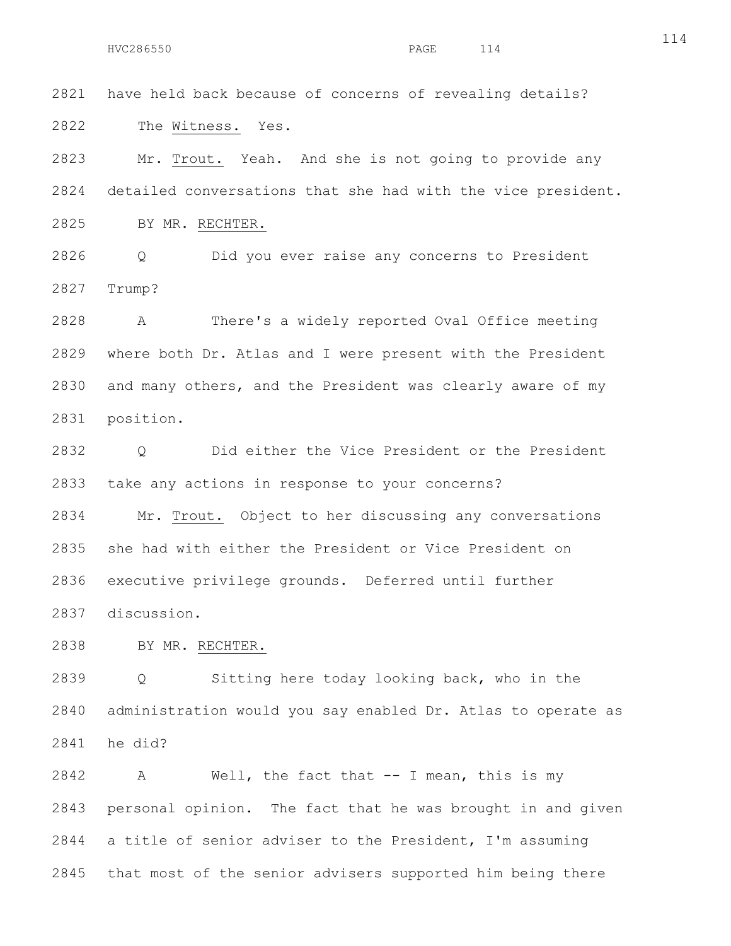2821 have held back because of concerns of revealing details? 2822 The Witness. Yes.

2823 Mr. Trout. Yeah. And she is not going to provide any 2824 detailed conversations that she had with the vice president. 2825 BY MR. RECHTER.

2826 Q Did you ever raise any concerns to President 2827 Trump?

2828 A There's a widely reported Oval Office meeting 2829 where both Dr. Atlas and I were present with the President 2830 and many others, and the President was clearly aware of my 2831 position.

2832 Q Did either the Vice President or the President 2833 take any actions in response to your concerns?

2834 Mr. Trout. Object to her discussing any conversations 2835 she had with either the President or Vice President on 2836 executive privilege grounds. Deferred until further 2837 discussion.

2838 BY MR. RECHTER.

2839 Q Sitting here today looking back, who in the 2840 administration would you say enabled Dr. Atlas to operate as 2841 he did?

2842 A Well, the fact that -- I mean, this is my 2843 personal opinion. The fact that he was brought in and given 2844 a title of senior adviser to the President, I'm assuming 2845 that most of the senior advisers supported him being there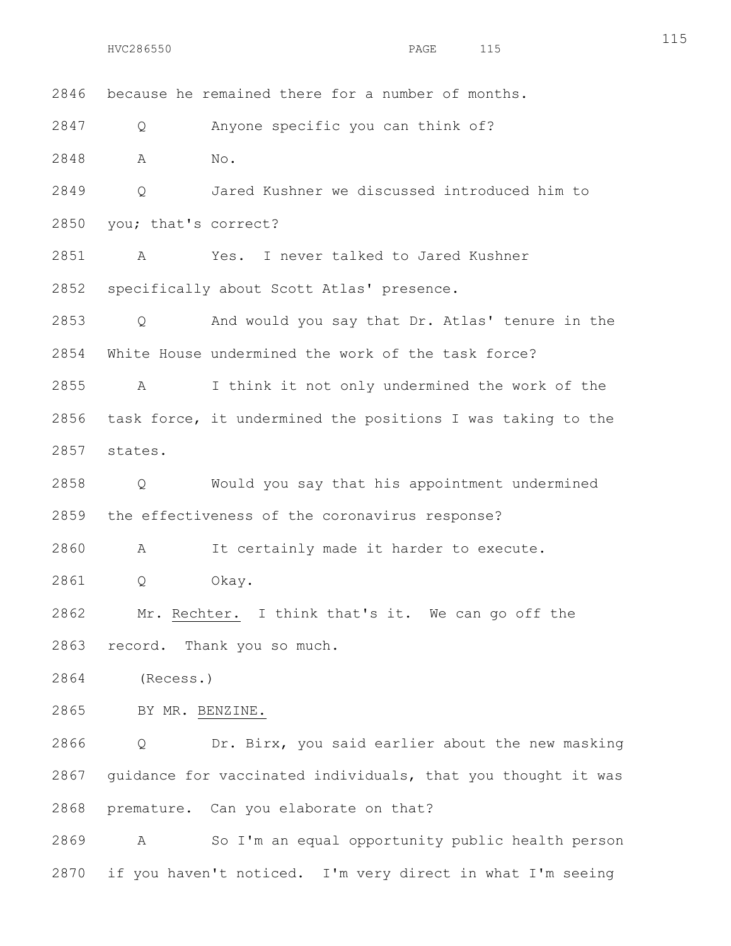2846 because he remained there for a number of months. 2847 Q Anyone specific you can think of? 2848 A No. 2849 Q Jared Kushner we discussed introduced him to 2850 you; that's correct? 2851 A Yes. I never talked to Jared Kushner 2852 specifically about Scott Atlas' presence. 2853 Q And would you say that Dr. Atlas' tenure in the 2854 White House undermined the work of the task force? 2855 A I think it not only undermined the work of the 2856 task force, it undermined the positions I was taking to the 2857 states. 2858 Q Would you say that his appointment undermined 2859 the effectiveness of the coronavirus response? 2860 A It certainly made it harder to execute. 2861 Q Okay. 2862 Mr. Rechter. I think that's it. We can go off the 2863 record. Thank you so much. 2864 (Recess.)

2865 BY MR. BENZINE.

2866 Q Dr. Birx, you said earlier about the new masking 2867 guidance for vaccinated individuals, that you thought it was 2868 premature. Can you elaborate on that?

2869 A So I'm an equal opportunity public health person 2870 if you haven't noticed. I'm very direct in what I'm seeing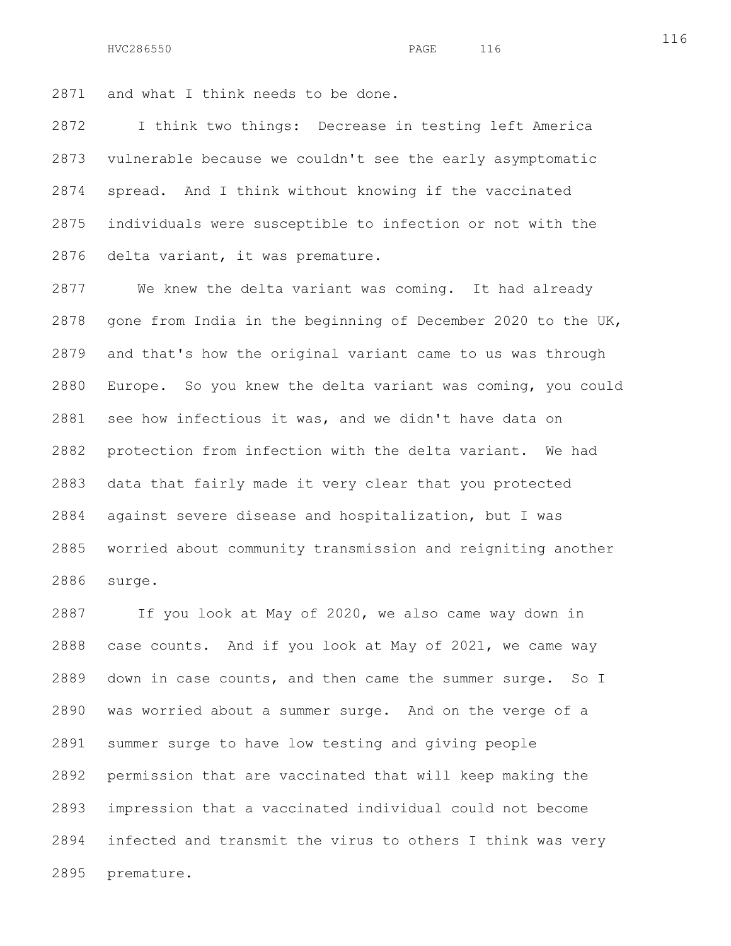2871 and what I think needs to be done.

2872 I think two things: Decrease in testing left America 2873 vulnerable because we couldn't see the early asymptomatic 2874 spread. And I think without knowing if the vaccinated 2875 individuals were susceptible to infection or not with the 2876 delta variant, it was premature.

2877 We knew the delta variant was coming. It had already 2878 gone from India in the beginning of December 2020 to the UK, 2879 and that's how the original variant came to us was through 2880 Europe. So you knew the delta variant was coming, you could 2881 see how infectious it was, and we didn't have data on 2882 protection from infection with the delta variant. We had 2883 data that fairly made it very clear that you protected 2884 against severe disease and hospitalization, but I was 2885 worried about community transmission and reigniting another 2886 surge.

2887 If you look at May of 2020, we also came way down in 2888 case counts. And if you look at May of 2021, we came way 2889 down in case counts, and then came the summer surge. So I 2890 was worried about a summer surge. And on the verge of a 2891 summer surge to have low testing and giving people 2892 permission that are vaccinated that will keep making the 2893 impression that a vaccinated individual could not become 2894 infected and transmit the virus to others I think was very 2895 premature.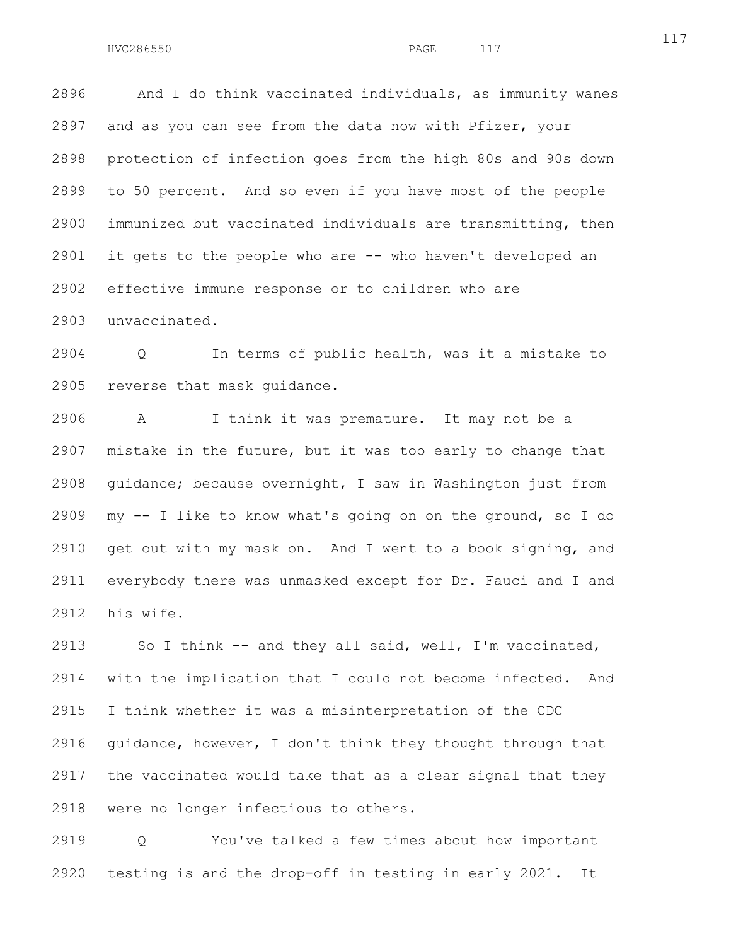2896 And I do think vaccinated individuals, as immunity wanes 2897 and as you can see from the data now with Pfizer, your 2898 protection of infection goes from the high 80s and 90s down 2899 to 50 percent. And so even if you have most of the people 2900 immunized but vaccinated individuals are transmitting, then 2901 it gets to the people who are -- who haven't developed an 2902 effective immune response or to children who are 2903 unvaccinated.

2904 Q In terms of public health, was it a mistake to 2905 reverse that mask guidance.

2906 A I think it was premature. It may not be a 2907 mistake in the future, but it was too early to change that 2908 guidance; because overnight, I saw in Washington just from 2909 my -- I like to know what's going on on the ground, so I do 2910 get out with my mask on. And I went to a book signing, and 2911 everybody there was unmasked except for Dr. Fauci and I and 2912 his wife.

2913 So I think -- and they all said, well, I'm vaccinated, 2914 with the implication that I could not become infected. And 2915 I think whether it was a misinterpretation of the CDC 2916 guidance, however, I don't think they thought through that 2917 the vaccinated would take that as a clear signal that they 2918 were no longer infectious to others.

2919 Q You've talked a few times about how important 2920 testing is and the drop-off in testing in early 2021. It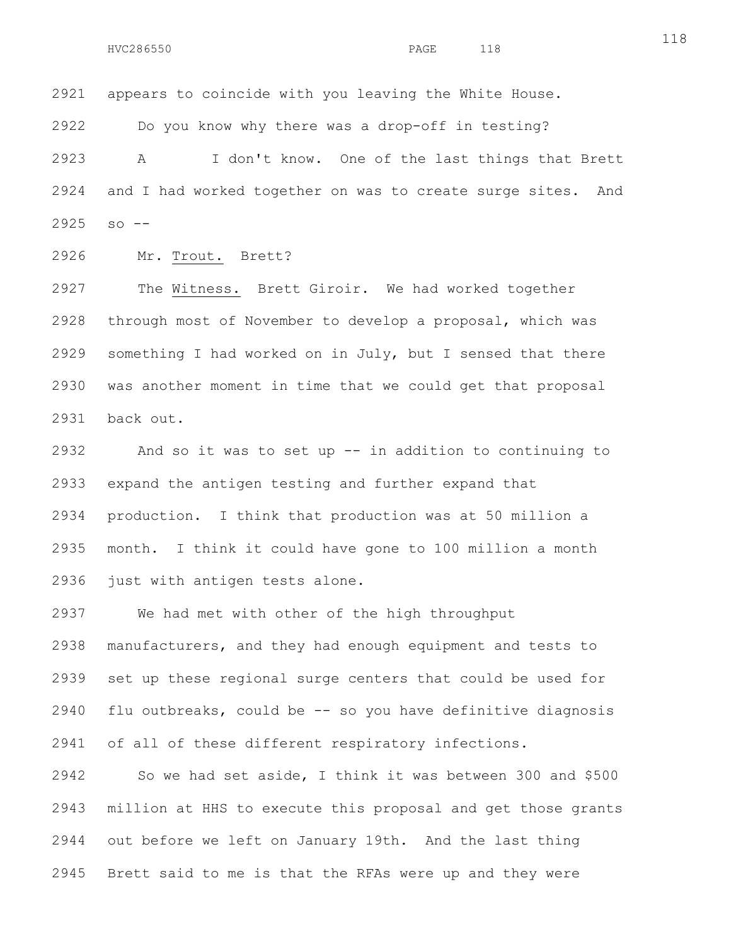2921 appears to coincide with you leaving the White House.

2922 Do you know why there was a drop-off in testing?

2923 A I don't know. One of the last things that Brett 2924 and I had worked together on was to create surge sites. And 2925 so --

2926 Mr. Trout. Brett?

2927 The Witness. Brett Giroir. We had worked together 2928 through most of November to develop a proposal, which was 2929 something I had worked on in July, but I sensed that there 2930 was another moment in time that we could get that proposal 2931 back out.

2932 And so it was to set up -- in addition to continuing to 2933 expand the antigen testing and further expand that 2934 production. I think that production was at 50 million a 2935 month. I think it could have gone to 100 million a month 2936 just with antigen tests alone.

2937 We had met with other of the high throughput 2938 manufacturers, and they had enough equipment and tests to 2939 set up these regional surge centers that could be used for 2940 flu outbreaks, could be -- so you have definitive diagnosis 2941 of all of these different respiratory infections.

2942 So we had set aside, I think it was between 300 and \$500 2943 million at HHS to execute this proposal and get those grants 2944 out before we left on January 19th. And the last thing 2945 Brett said to me is that the RFAs were up and they were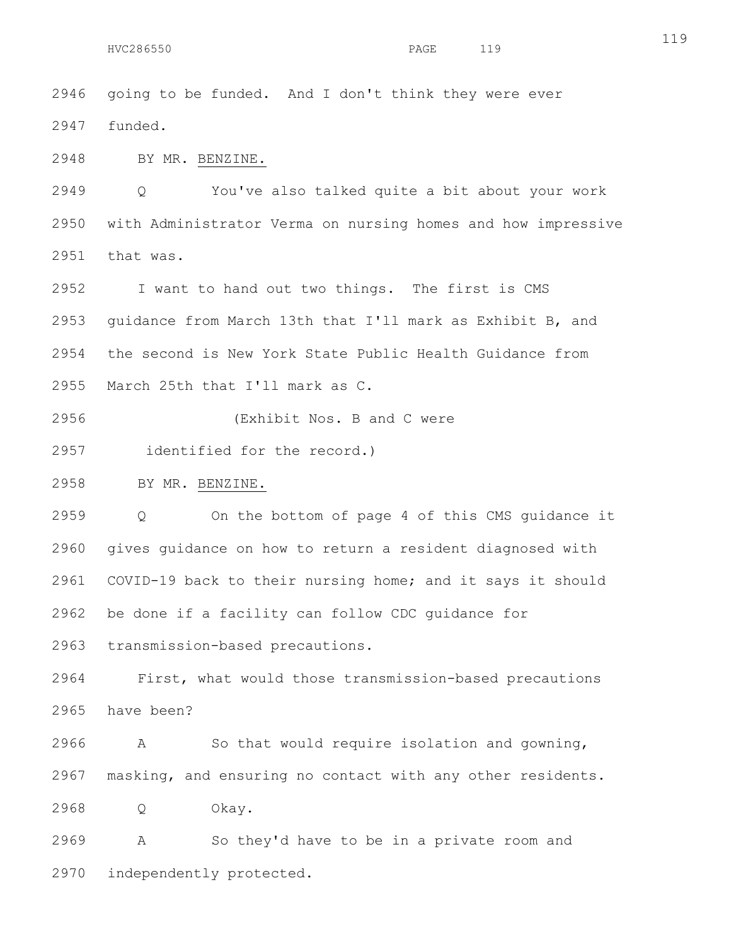2946 going to be funded. And I don't think they were ever 2947 funded. 2948 BY MR. BENZINE.

2949 Q You've also talked quite a bit about your work 2950 with Administrator Verma on nursing homes and how impressive 2951 that was.

2952 I want to hand out two things. The first is CMS 2953 guidance from March 13th that I'll mark as Exhibit B, and 2954 the second is New York State Public Health Guidance from 2955 March 25th that I'll mark as C.

2956 (Exhibit Nos. B and C were

2957 identified for the record.)

2958 BY MR. BENZINE.

2959 Q On the bottom of page 4 of this CMS guidance it 2960 gives guidance on how to return a resident diagnosed with 2961 COVID-19 back to their nursing home; and it says it should 2962 be done if a facility can follow CDC guidance for

2963 transmission-based precautions.

2964 First, what would those transmission-based precautions 2965 have been?

2966 A So that would require isolation and gowning, 2967 masking, and ensuring no contact with any other residents.

2968 Q Okay.

2969 A So they'd have to be in a private room and 2970 independently protected.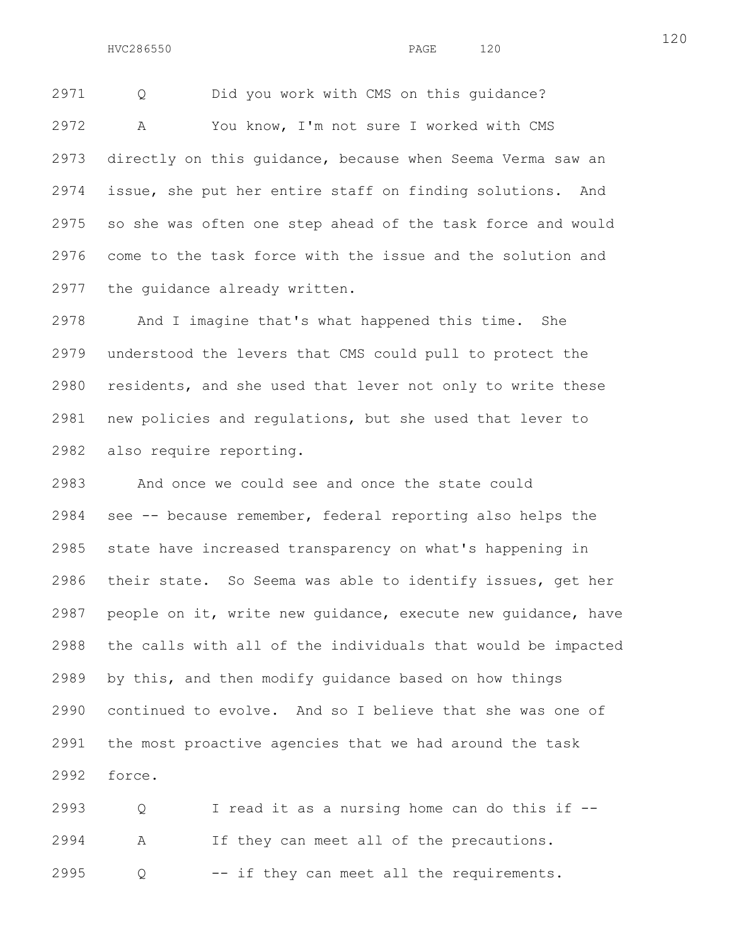2971 Q Did you work with CMS on this guidance? 2972 A You know, I'm not sure I worked with CMS 2973 directly on this guidance, because when Seema Verma saw an 2974 issue, she put her entire staff on finding solutions. And 2975 so she was often one step ahead of the task force and would 2976 come to the task force with the issue and the solution and 2977 the guidance already written.

2978 And I imagine that's what happened this time. She 2979 understood the levers that CMS could pull to protect the 2980 residents, and she used that lever not only to write these 2981 new policies and regulations, but she used that lever to 2982 also require reporting.

2983 And once we could see and once the state could 2984 see -- because remember, federal reporting also helps the 2985 state have increased transparency on what's happening in 2986 their state. So Seema was able to identify issues, get her 2987 people on it, write new guidance, execute new guidance, have 2988 the calls with all of the individuals that would be impacted 2989 by this, and then modify guidance based on how things 2990 continued to evolve. And so I believe that she was one of 2991 the most proactive agencies that we had around the task 2992 force.

2993 Q I read it as a nursing home can do this if -- 2994 A If they can meet all of the precautions. 2995 Q -- if they can meet all the requirements.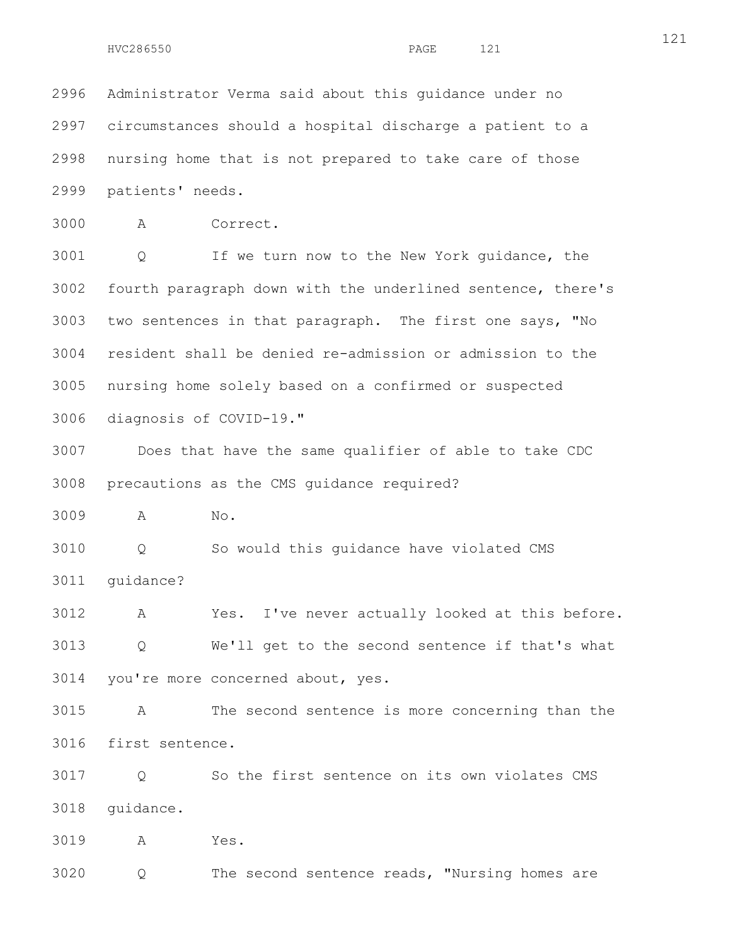2996 Administrator Verma said about this guidance under no 2997 circumstances should a hospital discharge a patient to a 2998 nursing home that is not prepared to take care of those 2999 patients' needs.

3000 A Correct.

3001 Q If we turn now to the New York guidance, the 3002 fourth paragraph down with the underlined sentence, there's 3003 two sentences in that paragraph. The first one says, "No 3004 resident shall be denied re-admission or admission to the 3005 nursing home solely based on a confirmed or suspected 3006 diagnosis of COVID-19."

3007 Does that have the same qualifier of able to take CDC 3008 precautions as the CMS guidance required?

3009 A No.

3010 Q So would this guidance have violated CMS 3011 guidance?

3012 A Yes. I've never actually looked at this before. 3013 Q We'll get to the second sentence if that's what 3014 you're more concerned about, yes.

3015 A The second sentence is more concerning than the 3016 first sentence.

3017 Q So the first sentence on its own violates CMS 3018 guidance.

3019 A Yes.

3020 Q The second sentence reads, "Nursing homes are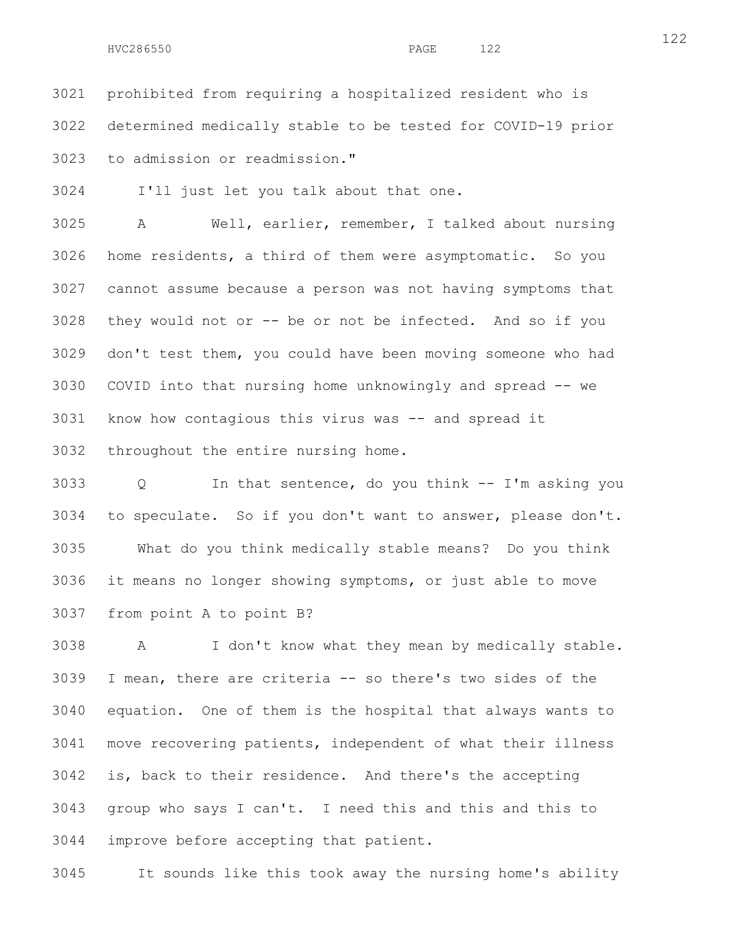3021 prohibited from requiring a hospitalized resident who is 3022 determined medically stable to be tested for COVID-19 prior 3023 to admission or readmission."

3024 I'll just let you talk about that one.

3025 A Well, earlier, remember, I talked about nursing 3026 home residents, a third of them were asymptomatic. So you 3027 cannot assume because a person was not having symptoms that 3028 they would not or -- be or not be infected. And so if you 3029 don't test them, you could have been moving someone who had 3030 COVID into that nursing home unknowingly and spread -- we 3031 know how contagious this virus was -- and spread it 3032 throughout the entire nursing home.

3033 Q In that sentence, do you think -- I'm asking you 3034 to speculate. So if you don't want to answer, please don't. 3035 What do you think medically stable means? Do you think 3036 it means no longer showing symptoms, or just able to move 3037 from point A to point B?

3038 A I don't know what they mean by medically stable. 3039 I mean, there are criteria -- so there's two sides of the 3040 equation. One of them is the hospital that always wants to 3041 move recovering patients, independent of what their illness 3042 is, back to their residence. And there's the accepting 3043 group who says I can't. I need this and this and this to 3044 improve before accepting that patient.

3045 It sounds like this took away the nursing home's ability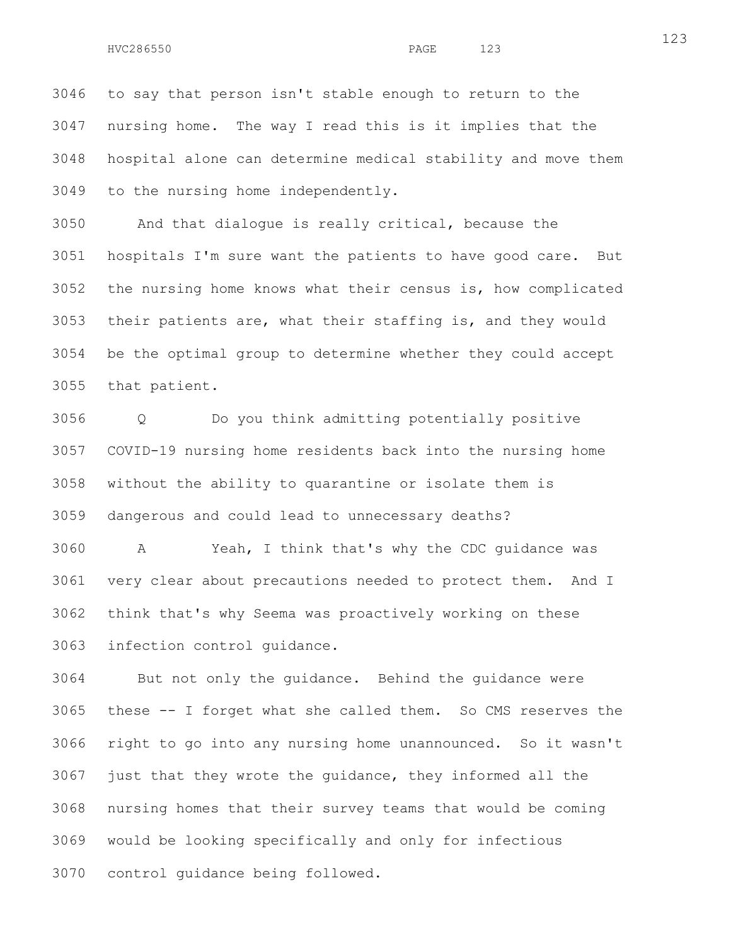3046 to say that person isn't stable enough to return to the 3047 nursing home. The way I read this is it implies that the 3048 hospital alone can determine medical stability and move them 3049 to the nursing home independently.

3050 And that dialogue is really critical, because the 3051 hospitals I'm sure want the patients to have good care. But 3052 the nursing home knows what their census is, how complicated 3053 their patients are, what their staffing is, and they would 3054 be the optimal group to determine whether they could accept 3055 that patient.

3056 Q Do you think admitting potentially positive 3057 COVID-19 nursing home residents back into the nursing home 3058 without the ability to quarantine or isolate them is 3059 dangerous and could lead to unnecessary deaths?

3060 A Yeah, I think that's why the CDC guidance was 3061 very clear about precautions needed to protect them. And I 3062 think that's why Seema was proactively working on these 3063 infection control guidance.

3064 But not only the guidance. Behind the guidance were 3065 these -- I forget what she called them. So CMS reserves the 3066 right to go into any nursing home unannounced. So it wasn't 3067 just that they wrote the guidance, they informed all the 3068 nursing homes that their survey teams that would be coming 3069 would be looking specifically and only for infectious 3070 control guidance being followed.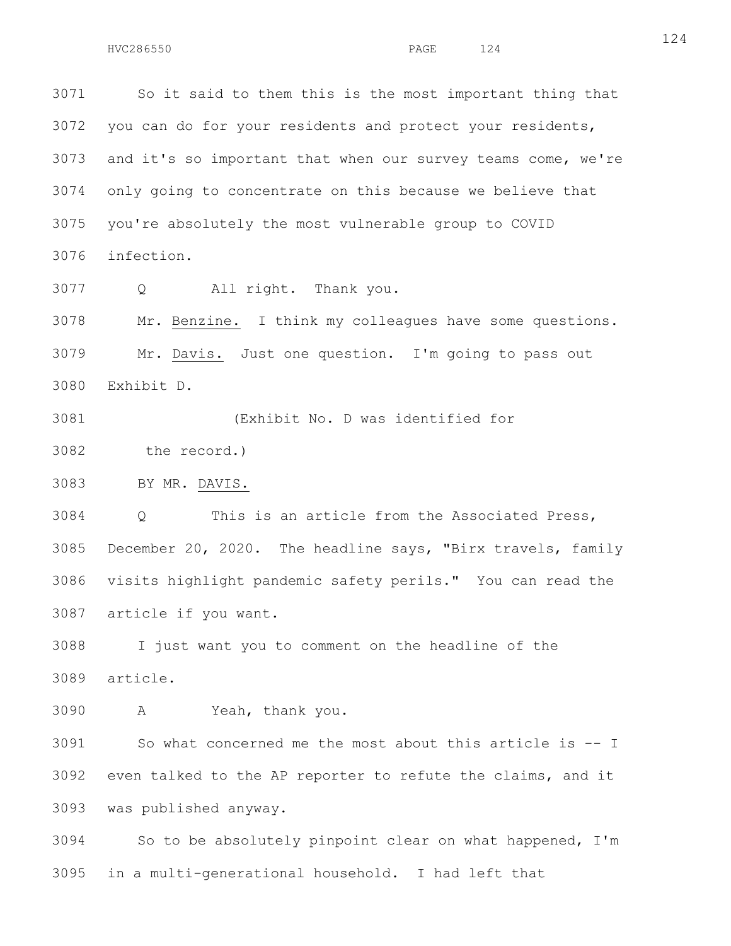3071 So it said to them this is the most important thing that 3072 you can do for your residents and protect your residents, 3073 and it's so important that when our survey teams come, we're 3074 only going to concentrate on this because we believe that 3075 you're absolutely the most vulnerable group to COVID 3076 infection.

3077 Q All right. Thank you.

3078 Mr. Benzine. I think my colleagues have some questions. 3079 Mr. Davis. Just one question. I'm going to pass out 3080 Exhibit D.

3081 (Exhibit No. D was identified for

3082 the record.)

3083 BY MR. DAVIS.

3084 Q This is an article from the Associated Press, 3085 December 20, 2020. The headline says, "Birx travels, family 3086 visits highlight pandemic safety perils." You can read the 3087 article if you want.

3088 I just want you to comment on the headline of the 3089 article.

3090 A Yeah, thank you.

3091 So what concerned me the most about this article is -- I 3092 even talked to the AP reporter to refute the claims, and it 3093 was published anyway.

3094 So to be absolutely pinpoint clear on what happened, I'm 3095 in a multi-generational household. I had left that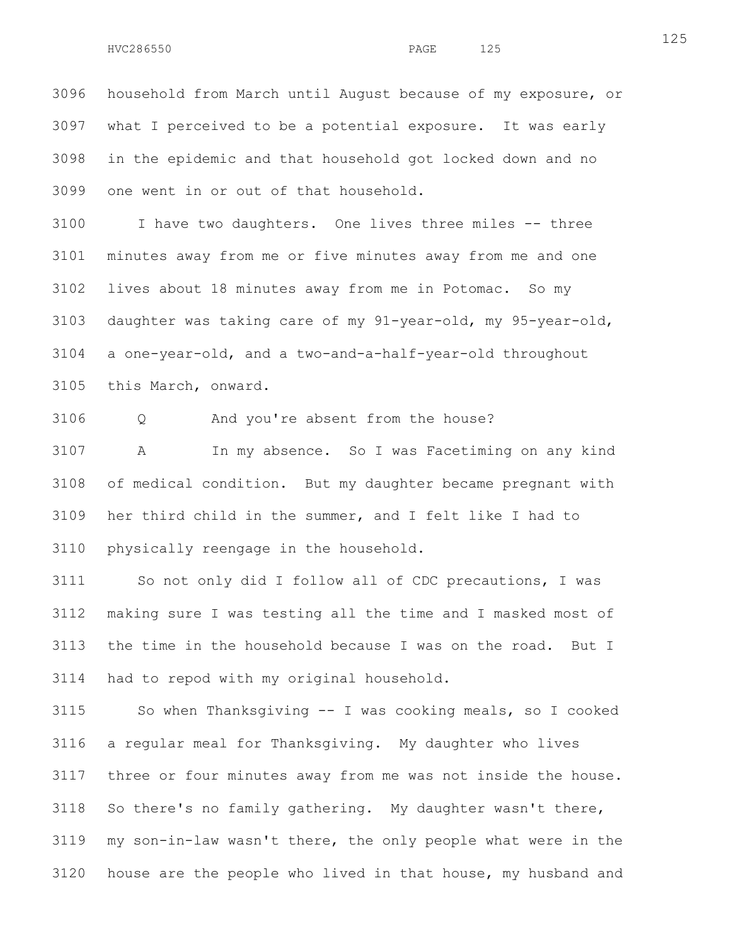3096 household from March until August because of my exposure, or 3097 what I perceived to be a potential exposure. It was early 3098 in the epidemic and that household got locked down and no 3099 one went in or out of that household.

3100 I have two daughters. One lives three miles -- three 3101 minutes away from me or five minutes away from me and one 3102 lives about 18 minutes away from me in Potomac. So my 3103 daughter was taking care of my 91-year-old, my 95-year-old, 3104 a one-year-old, and a two-and-a-half-year-old throughout 3105 this March, onward.

3106 Q And you're absent from the house?

3107 A In my absence. So I was Facetiming on any kind 3108 of medical condition. But my daughter became pregnant with 3109 her third child in the summer, and I felt like I had to 3110 physically reengage in the household.

3111 So not only did I follow all of CDC precautions, I was 3112 making sure I was testing all the time and I masked most of 3113 the time in the household because I was on the road. But I 3114 had to repod with my original household.

3115 So when Thanksgiving -- I was cooking meals, so I cooked 3116 a regular meal for Thanksgiving. My daughter who lives 3117 three or four minutes away from me was not inside the house. 3118 So there's no family gathering. My daughter wasn't there, 3119 my son-in-law wasn't there, the only people what were in the 3120 house are the people who lived in that house, my husband and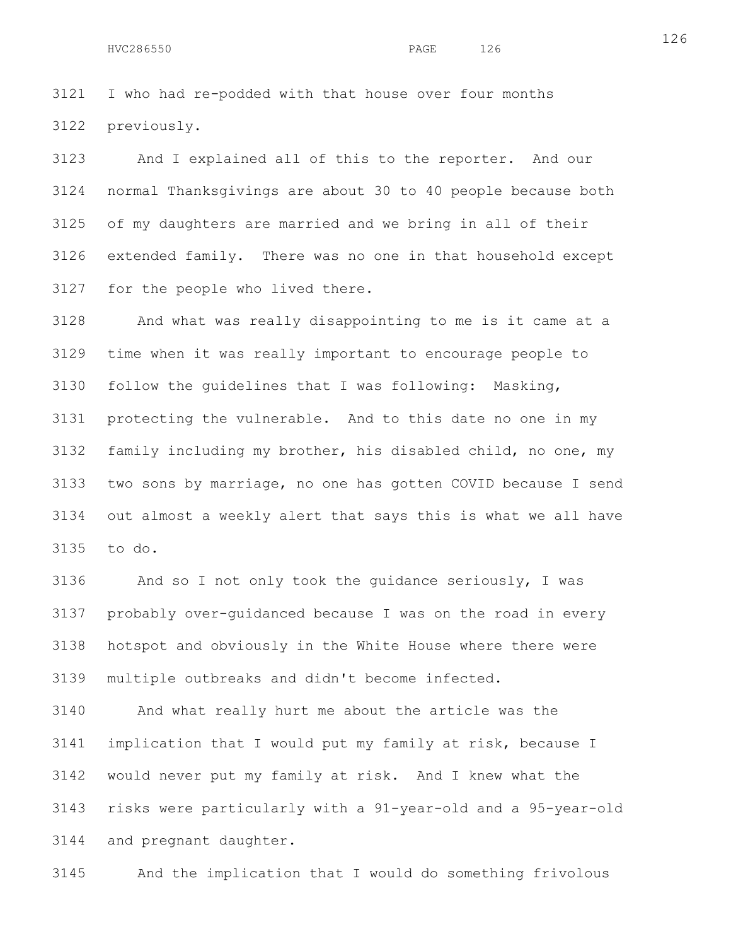3121 I who had re-podded with that house over four months 3122 previously.

3123 And I explained all of this to the reporter. And our 3124 normal Thanksgivings are about 30 to 40 people because both 3125 of my daughters are married and we bring in all of their 3126 extended family. There was no one in that household except 3127 for the people who lived there.

3128 And what was really disappointing to me is it came at a 3129 time when it was really important to encourage people to 3130 follow the guidelines that I was following: Masking, 3131 protecting the vulnerable. And to this date no one in my 3132 family including my brother, his disabled child, no one, my 3133 two sons by marriage, no one has gotten COVID because I send 3134 out almost a weekly alert that says this is what we all have 3135 to do.

3136 And so I not only took the guidance seriously, I was 3137 probably over-guidanced because I was on the road in every 3138 hotspot and obviously in the White House where there were 3139 multiple outbreaks and didn't become infected.

3140 And what really hurt me about the article was the 3141 implication that I would put my family at risk, because I 3142 would never put my family at risk. And I knew what the 3143 risks were particularly with a 91-year-old and a 95-year-old 3144 and pregnant daughter.

3145 And the implication that I would do something frivolous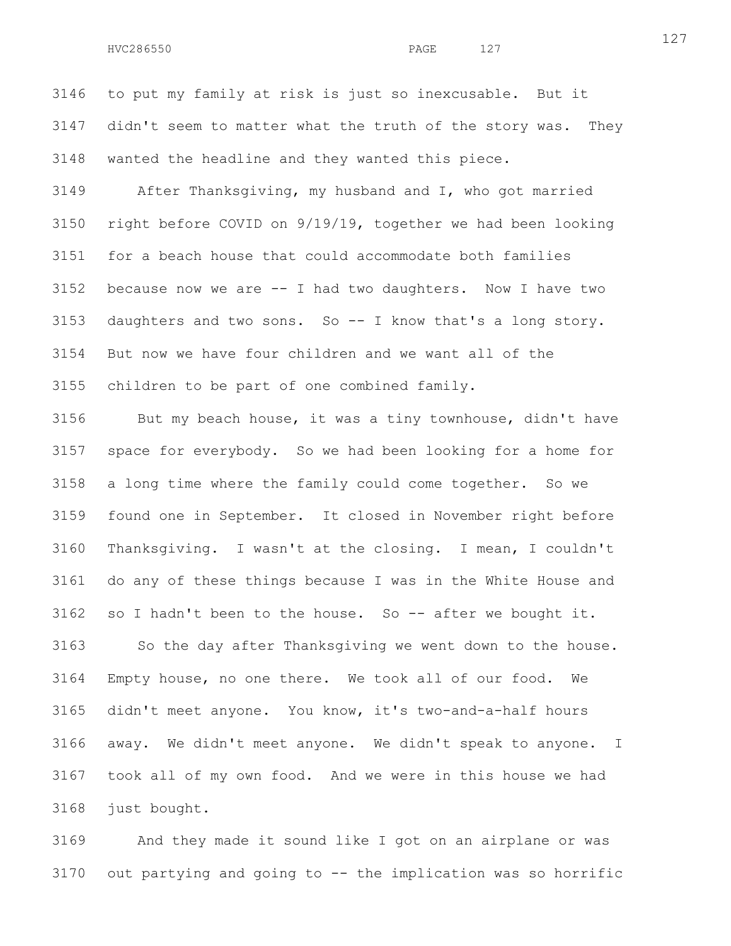3146 to put my family at risk is just so inexcusable. But it 3147 didn't seem to matter what the truth of the story was. They 3148 wanted the headline and they wanted this piece.

3149 After Thanksgiving, my husband and I, who got married 3150 right before COVID on 9/19/19, together we had been looking 3151 for a beach house that could accommodate both families 3152 because now we are -- I had two daughters. Now I have two 3153 daughters and two sons. So -- I know that's a long story. 3154 But now we have four children and we want all of the 3155 children to be part of one combined family.

3156 But my beach house, it was a tiny townhouse, didn't have 3157 space for everybody. So we had been looking for a home for 3158 a long time where the family could come together. So we 3159 found one in September. It closed in November right before 3160 Thanksgiving. I wasn't at the closing. I mean, I couldn't 3161 do any of these things because I was in the White House and 3162 so I hadn't been to the house. So -- after we bought it. 3163 So the day after Thanksgiving we went down to the house. 3164 Empty house, no one there. We took all of our food. We 3165 didn't meet anyone. You know, it's two-and-a-half hours

3166 away. We didn't meet anyone. We didn't speak to anyone. I 3167 took all of my own food. And we were in this house we had 3168 just bought.

3169 And they made it sound like I got on an airplane or was 3170 out partying and going to -- the implication was so horrific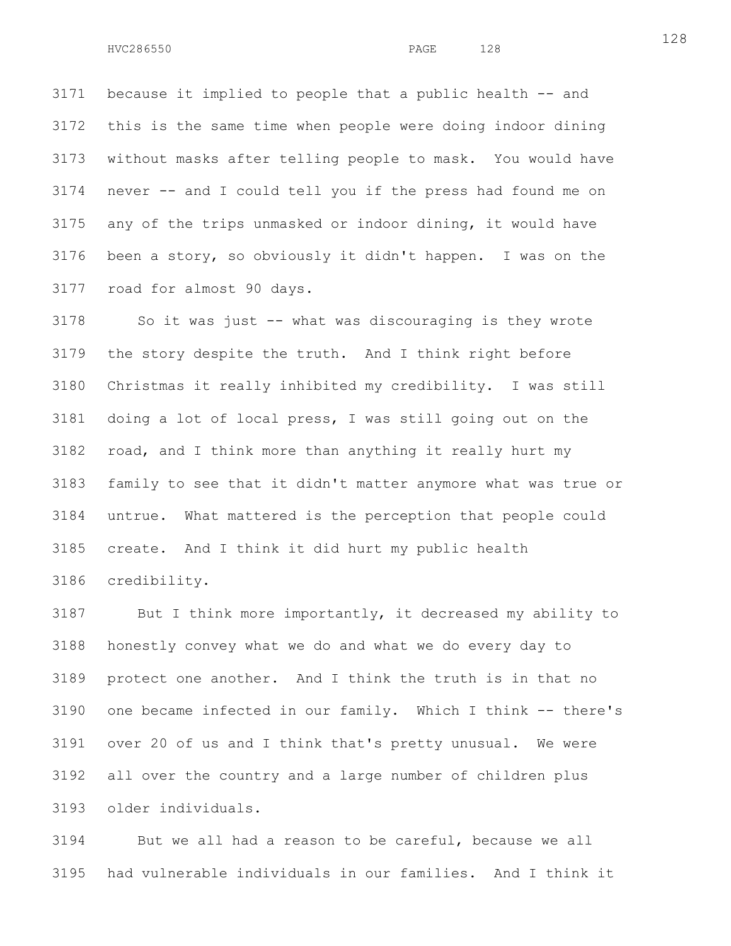3171 because it implied to people that a public health -- and 3172 this is the same time when people were doing indoor dining 3173 without masks after telling people to mask. You would have 3174 never -- and I could tell you if the press had found me on 3175 any of the trips unmasked or indoor dining, it would have 3176 been a story, so obviously it didn't happen. I was on the 3177 road for almost 90 days.

3178 So it was just -- what was discouraging is they wrote 3179 the story despite the truth. And I think right before 3180 Christmas it really inhibited my credibility. I was still 3181 doing a lot of local press, I was still going out on the 3182 road, and I think more than anything it really hurt my 3183 family to see that it didn't matter anymore what was true or 3184 untrue. What mattered is the perception that people could 3185 create. And I think it did hurt my public health 3186 credibility.

3187 But I think more importantly, it decreased my ability to 3188 honestly convey what we do and what we do every day to 3189 protect one another. And I think the truth is in that no 3190 one became infected in our family. Which I think -- there's 3191 over 20 of us and I think that's pretty unusual. We were 3192 all over the country and a large number of children plus 3193 older individuals.

3194 But we all had a reason to be careful, because we all 3195 had vulnerable individuals in our families. And I think it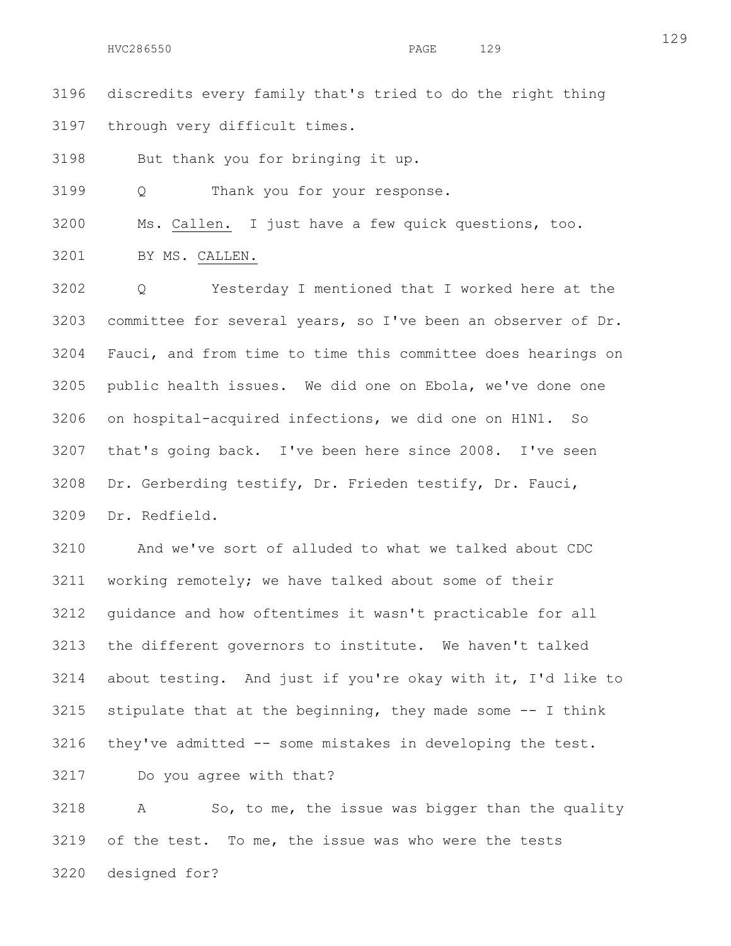3196 discredits every family that's tried to do the right thing 3197 through very difficult times.

3198 But thank you for bringing it up.

3199 Q Thank you for your response.

3200 Ms. Callen. I just have a few quick questions, too.

3201 BY MS. CALLEN.

3202 Q Yesterday I mentioned that I worked here at the 3203 committee for several years, so I've been an observer of Dr. 3204 Fauci, and from time to time this committee does hearings on 3205 public health issues. We did one on Ebola, we've done one 3206 on hospital-acquired infections, we did one on H1N1. So 3207 that's going back. I've been here since 2008. I've seen 3208 Dr. Gerberding testify, Dr. Frieden testify, Dr. Fauci, 3209 Dr. Redfield.

3210 And we've sort of alluded to what we talked about CDC 3211 working remotely; we have talked about some of their 3212 guidance and how oftentimes it wasn't practicable for all 3213 the different governors to institute. We haven't talked 3214 about testing. And just if you're okay with it, I'd like to 3215 stipulate that at the beginning, they made some -- I think 3216 they've admitted -- some mistakes in developing the test.

3217 Do you agree with that?

3218 A So, to me, the issue was bigger than the quality 3219 of the test. To me, the issue was who were the tests 3220 designed for?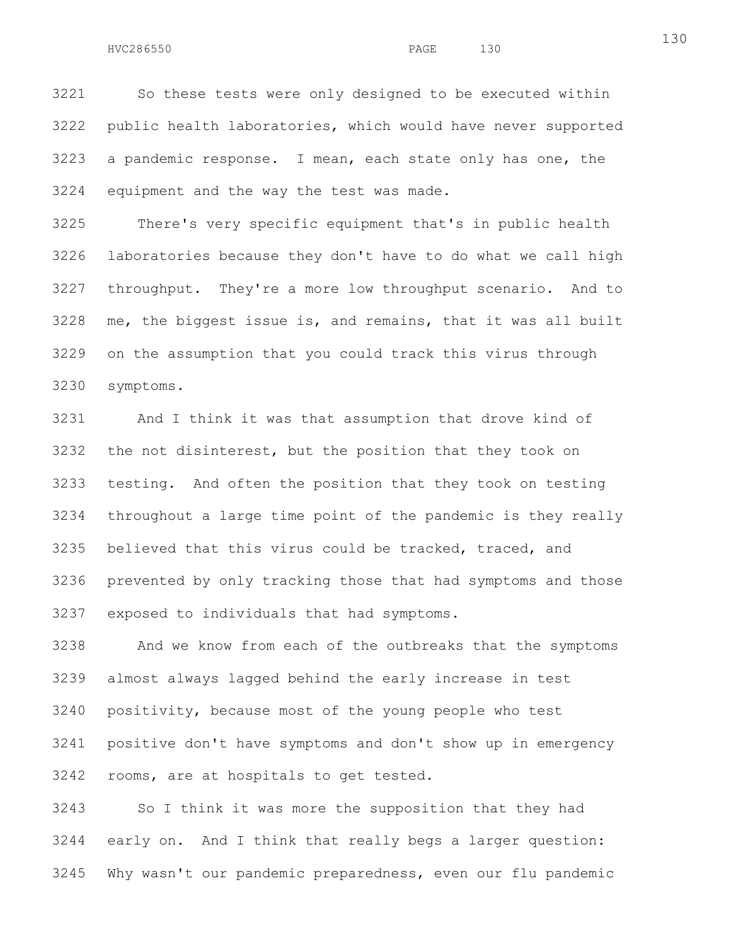3221 So these tests were only designed to be executed within 3222 public health laboratories, which would have never supported 3223 a pandemic response. I mean, each state only has one, the 3224 equipment and the way the test was made.

3225 There's very specific equipment that's in public health 3226 laboratories because they don't have to do what we call high 3227 throughput. They're a more low throughput scenario. And to 3228 me, the biggest issue is, and remains, that it was all built 3229 on the assumption that you could track this virus through 3230 symptoms.

3231 And I think it was that assumption that drove kind of 3232 the not disinterest, but the position that they took on 3233 testing. And often the position that they took on testing 3234 throughout a large time point of the pandemic is they really 3235 believed that this virus could be tracked, traced, and 3236 prevented by only tracking those that had symptoms and those 3237 exposed to individuals that had symptoms.

3238 And we know from each of the outbreaks that the symptoms 3239 almost always lagged behind the early increase in test 3240 positivity, because most of the young people who test 3241 positive don't have symptoms and don't show up in emergency 3242 rooms, are at hospitals to get tested.

3243 So I think it was more the supposition that they had 3244 early on. And I think that really begs a larger question: 3245 Why wasn't our pandemic preparedness, even our flu pandemic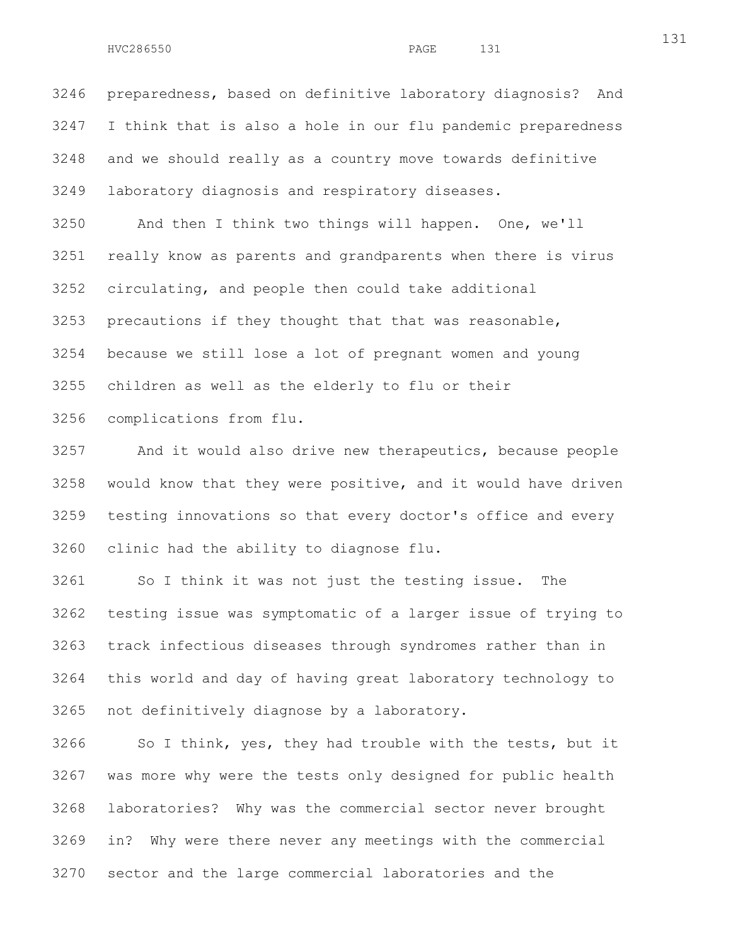3246 preparedness, based on definitive laboratory diagnosis? And 3247 I think that is also a hole in our flu pandemic preparedness 3248 and we should really as a country move towards definitive 3249 laboratory diagnosis and respiratory diseases.

3250 And then I think two things will happen. One, we'll 3251 really know as parents and grandparents when there is virus 3252 circulating, and people then could take additional 3253 precautions if they thought that that was reasonable, 3254 because we still lose a lot of pregnant women and young 3255 children as well as the elderly to flu or their 3256 complications from flu.

3257 And it would also drive new therapeutics, because people 3258 would know that they were positive, and it would have driven 3259 testing innovations so that every doctor's office and every 3260 clinic had the ability to diagnose flu.

3261 So I think it was not just the testing issue. The 3262 testing issue was symptomatic of a larger issue of trying to 3263 track infectious diseases through syndromes rather than in 3264 this world and day of having great laboratory technology to 3265 not definitively diagnose by a laboratory.

3266 So I think, yes, they had trouble with the tests, but it 3267 was more why were the tests only designed for public health 3268 laboratories? Why was the commercial sector never brought 3269 in? Why were there never any meetings with the commercial 3270 sector and the large commercial laboratories and the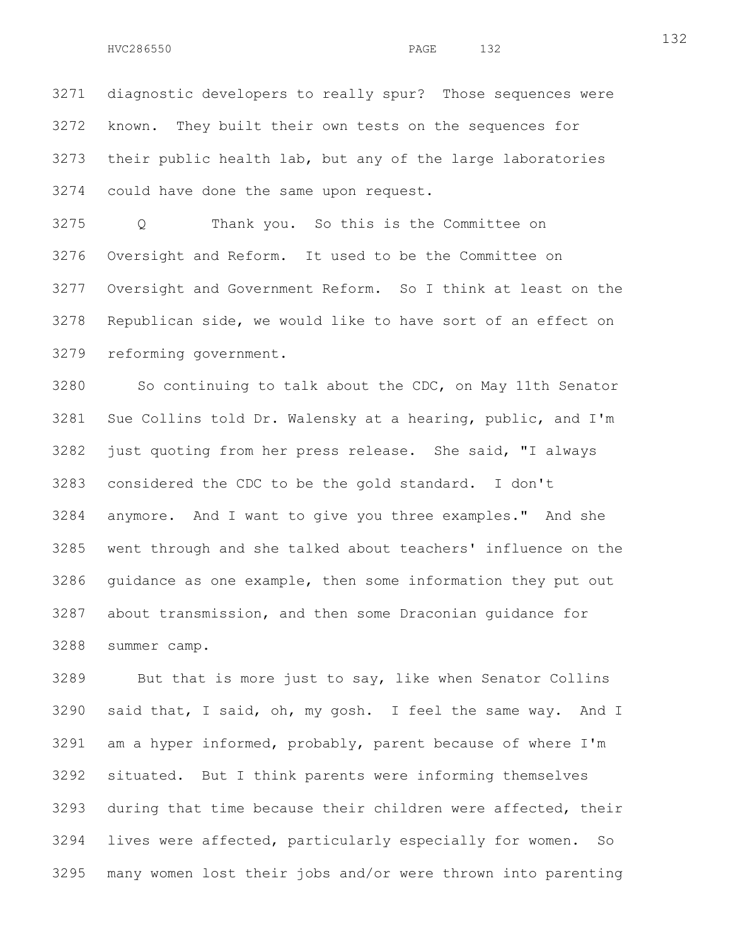3271 diagnostic developers to really spur? Those sequences were 3272 known. They built their own tests on the sequences for 3273 their public health lab, but any of the large laboratories 3274 could have done the same upon request.

3275 Q Thank you. So this is the Committee on 3276 Oversight and Reform. It used to be the Committee on 3277 Oversight and Government Reform. So I think at least on the 3278 Republican side, we would like to have sort of an effect on 3279 reforming government.

3280 So continuing to talk about the CDC, on May 11th Senator 3281 Sue Collins told Dr. Walensky at a hearing, public, and I'm 3282 just quoting from her press release. She said, "I always 3283 considered the CDC to be the gold standard. I don't 3284 anymore. And I want to give you three examples." And she 3285 went through and she talked about teachers' influence on the 3286 guidance as one example, then some information they put out 3287 about transmission, and then some Draconian guidance for 3288 summer camp.

3289 But that is more just to say, like when Senator Collins 3290 said that, I said, oh, my gosh. I feel the same way. And I 3291 am a hyper informed, probably, parent because of where I'm 3292 situated. But I think parents were informing themselves 3293 during that time because their children were affected, their 3294 lives were affected, particularly especially for women. So 3295 many women lost their jobs and/or were thrown into parenting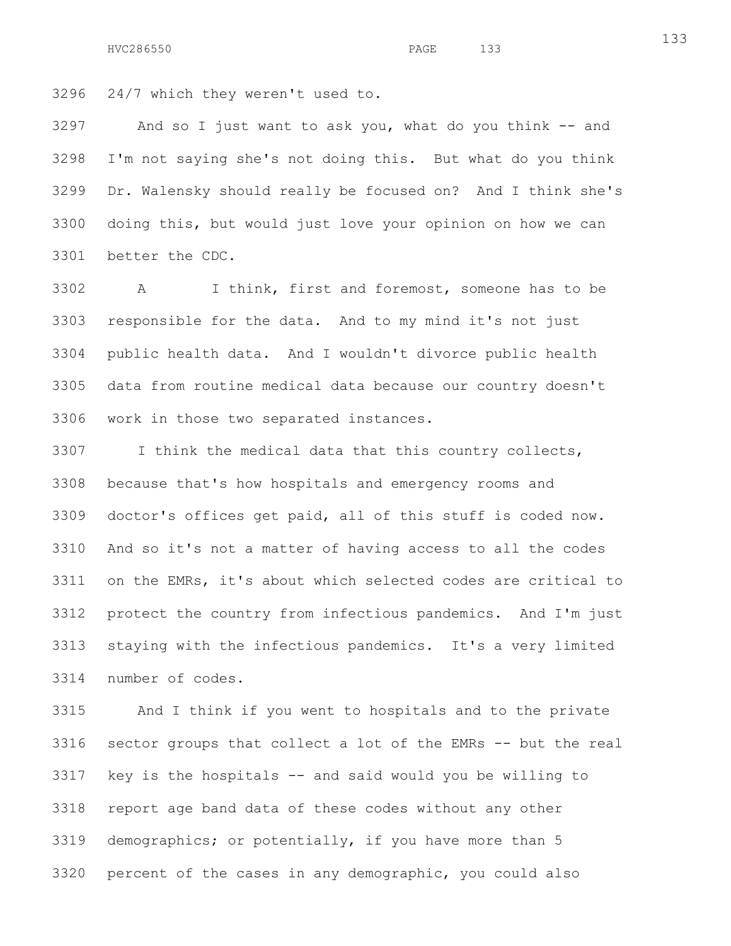3296 24/7 which they weren't used to.

3297 And so I just want to ask you, what do you think -- and 3298 I'm not saying she's not doing this. But what do you think 3299 Dr. Walensky should really be focused on? And I think she's 3300 doing this, but would just love your opinion on how we can 3301 better the CDC.

3302 A I think, first and foremost, someone has to be 3303 responsible for the data. And to my mind it's not just 3304 public health data. And I wouldn't divorce public health 3305 data from routine medical data because our country doesn't 3306 work in those two separated instances.

3307 I think the medical data that this country collects, 3308 because that's how hospitals and emergency rooms and 3309 doctor's offices get paid, all of this stuff is coded now. 3310 And so it's not a matter of having access to all the codes 3311 on the EMRs, it's about which selected codes are critical to 3312 protect the country from infectious pandemics. And I'm just 3313 staying with the infectious pandemics. It's a very limited 3314 number of codes.

3315 And I think if you went to hospitals and to the private 3316 sector groups that collect a lot of the EMRs -- but the real 3317 key is the hospitals -- and said would you be willing to 3318 report age band data of these codes without any other 3319 demographics; or potentially, if you have more than 5 3320 percent of the cases in any demographic, you could also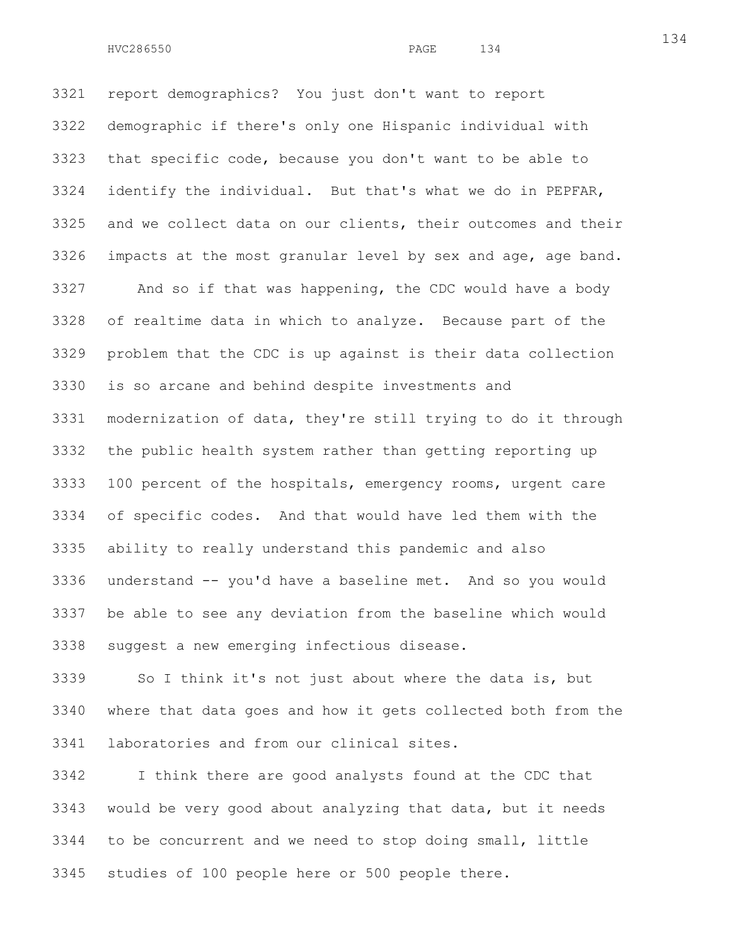3321 report demographics? You just don't want to report 3322 demographic if there's only one Hispanic individual with 3323 that specific code, because you don't want to be able to 3324 identify the individual. But that's what we do in PEPFAR, 3325 and we collect data on our clients, their outcomes and their 3326 impacts at the most granular level by sex and age, age band.

3327 And so if that was happening, the CDC would have a body 3328 of realtime data in which to analyze. Because part of the 3329 problem that the CDC is up against is their data collection 3330 is so arcane and behind despite investments and 3331 modernization of data, they're still trying to do it through 3332 the public health system rather than getting reporting up 3333 100 percent of the hospitals, emergency rooms, urgent care 3334 of specific codes. And that would have led them with the 3335 ability to really understand this pandemic and also 3336 understand -- you'd have a baseline met. And so you would 3337 be able to see any deviation from the baseline which would 3338 suggest a new emerging infectious disease.

3339 So I think it's not just about where the data is, but 3340 where that data goes and how it gets collected both from the 3341 laboratories and from our clinical sites.

3342 I think there are good analysts found at the CDC that 3343 would be very good about analyzing that data, but it needs 3344 to be concurrent and we need to stop doing small, little 3345 studies of 100 people here or 500 people there.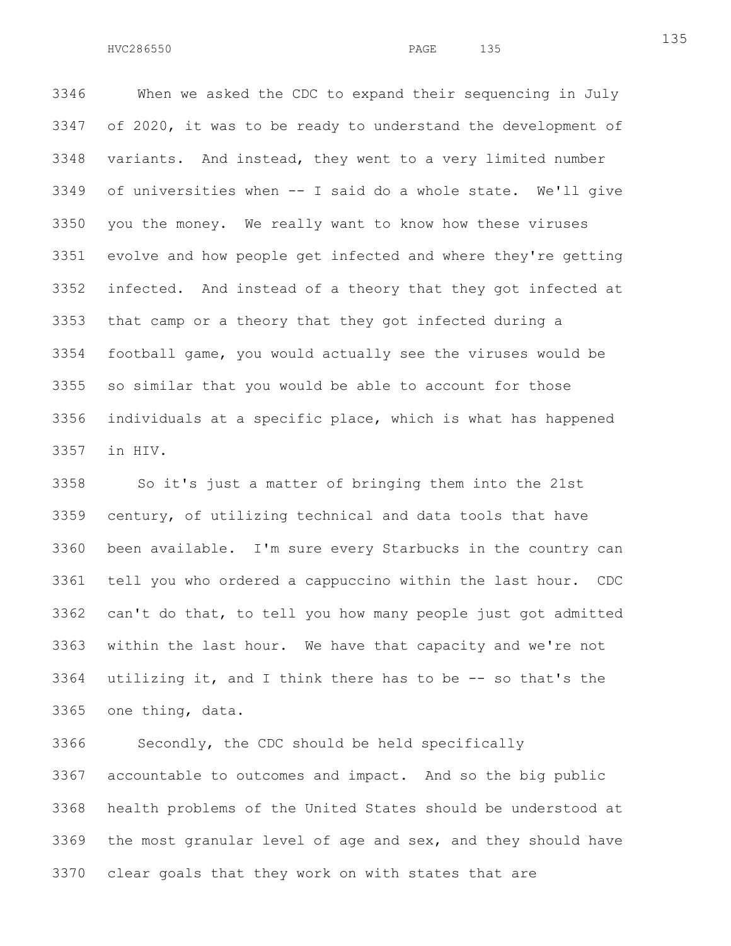3346 When we asked the CDC to expand their sequencing in July 3347 of 2020, it was to be ready to understand the development of 3348 variants. And instead, they went to a very limited number 3349 of universities when -- I said do a whole state. We'll give 3350 you the money. We really want to know how these viruses 3351 evolve and how people get infected and where they're getting 3352 infected. And instead of a theory that they got infected at 3353 that camp or a theory that they got infected during a 3354 football game, you would actually see the viruses would be 3355 so similar that you would be able to account for those 3356 individuals at a specific place, which is what has happened 3357 in HIV.

3358 So it's just a matter of bringing them into the 21st 3359 century, of utilizing technical and data tools that have 3360 been available. I'm sure every Starbucks in the country can 3361 tell you who ordered a cappuccino within the last hour. CDC 3362 can't do that, to tell you how many people just got admitted 3363 within the last hour. We have that capacity and we're not 3364 utilizing it, and I think there has to be  $-$ - so that's the 3365 one thing, data.

3366 Secondly, the CDC should be held specifically 3367 accountable to outcomes and impact. And so the big public 3368 health problems of the United States should be understood at 3369 the most granular level of age and sex, and they should have 3370 clear goals that they work on with states that are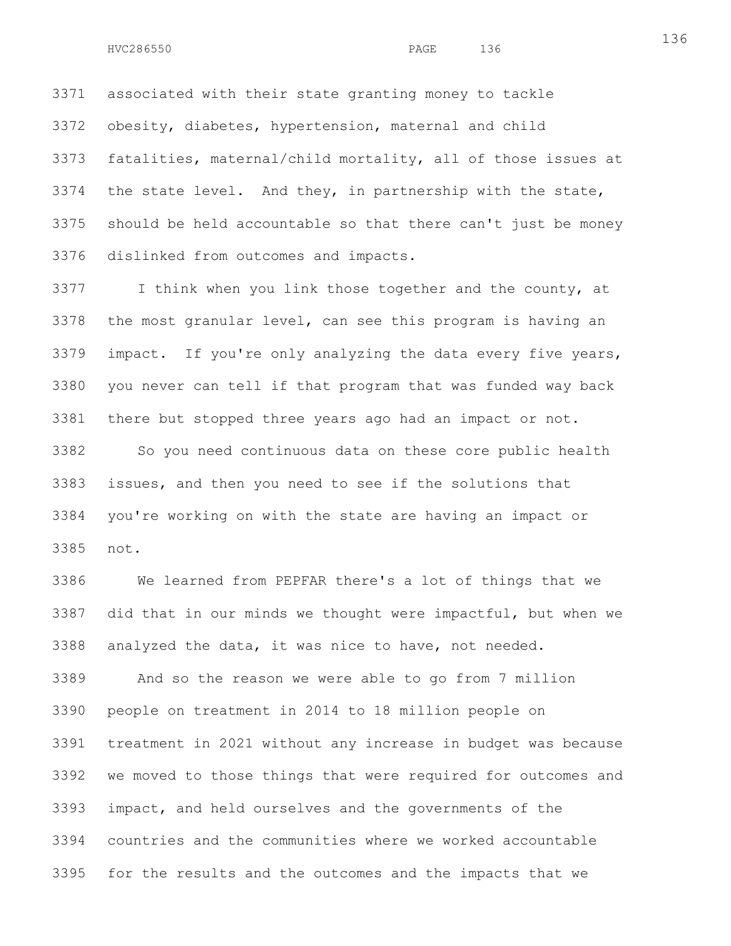3371 associated with their state granting money to tackle 3372 obesity, diabetes, hypertension, maternal and child 3373 fatalities, maternal/child mortality, all of those issues at 3374 the state level. And they, in partnership with the state, 3375 should be held accountable so that there can't just be money 3376 dislinked from outcomes and impacts.

3377 I think when you link those together and the county, at 3378 the most granular level, can see this program is having an 3379 impact. If you're only analyzing the data every five years, 3380 you never can tell if that program that was funded way back 3381 there but stopped three years ago had an impact or not. 3382 So you need continuous data on these core public health 3383 issues, and then you need to see if the solutions that 3384 you're working on with the state are having an impact or

3385 not.

3386 We learned from PEPFAR there's a lot of things that we 3387 did that in our minds we thought were impactful, but when we 3388 analyzed the data, it was nice to have, not needed.

3389 And so the reason we were able to go from 7 million 3390 people on treatment in 2014 to 18 million people on 3391 treatment in 2021 without any increase in budget was because 3392 we moved to those things that were required for outcomes and 3393 impact, and held ourselves and the governments of the 3394 countries and the communities where we worked accountable 3395 for the results and the outcomes and the impacts that we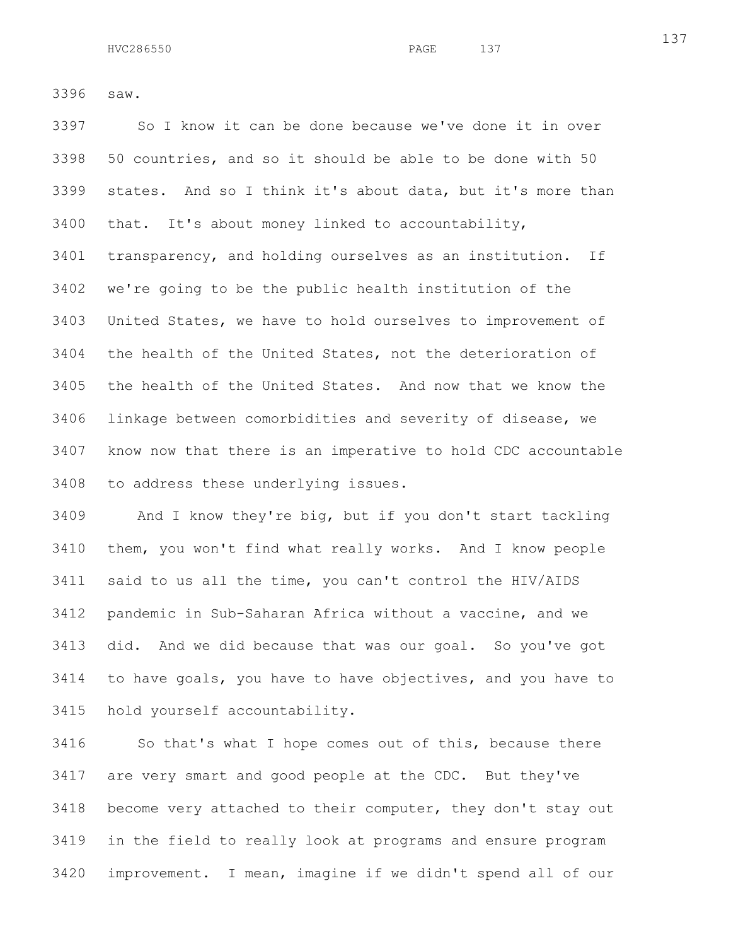3396 saw.

3397 So I know it can be done because we've done it in over 3398 50 countries, and so it should be able to be done with 50 3399 states. And so I think it's about data, but it's more than 3400 that. It's about money linked to accountability, 3401 transparency, and holding ourselves as an institution. If 3402 we're going to be the public health institution of the 3403 United States, we have to hold ourselves to improvement of 3404 the health of the United States, not the deterioration of 3405 the health of the United States. And now that we know the 3406 linkage between comorbidities and severity of disease, we 3407 know now that there is an imperative to hold CDC accountable 3408 to address these underlying issues.

3409 And I know they're big, but if you don't start tackling 3410 them, you won't find what really works. And I know people 3411 said to us all the time, you can't control the HIV/AIDS 3412 pandemic in Sub-Saharan Africa without a vaccine, and we 3413 did. And we did because that was our goal. So you've got 3414 to have goals, you have to have objectives, and you have to 3415 hold yourself accountability.

3416 So that's what I hope comes out of this, because there 3417 are very smart and good people at the CDC. But they've 3418 become very attached to their computer, they don't stay out 3419 in the field to really look at programs and ensure program 3420 improvement. I mean, imagine if we didn't spend all of our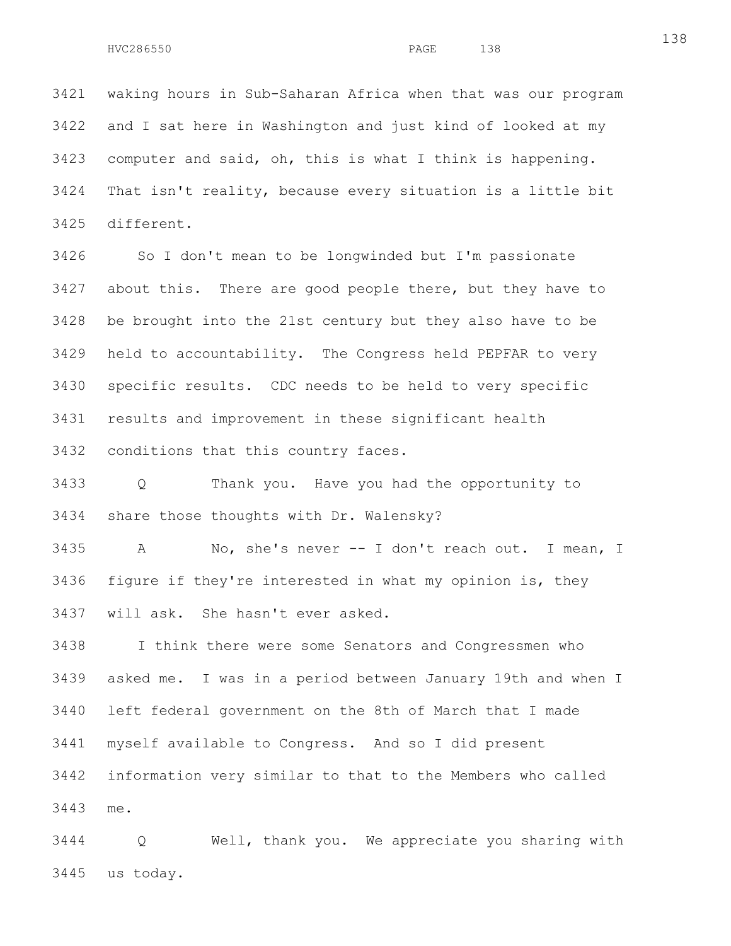3421 waking hours in Sub-Saharan Africa when that was our program 3422 and I sat here in Washington and just kind of looked at my 3423 computer and said, oh, this is what I think is happening. 3424 That isn't reality, because every situation is a little bit 3425 different.

3426 So I don't mean to be longwinded but I'm passionate 3427 about this. There are good people there, but they have to 3428 be brought into the 21st century but they also have to be 3429 held to accountability. The Congress held PEPFAR to very 3430 specific results. CDC needs to be held to very specific 3431 results and improvement in these significant health 3432 conditions that this country faces.

3433 Q Thank you. Have you had the opportunity to 3434 share those thoughts with Dr. Walensky?

3435 A No, she's never -- I don't reach out. I mean, I 3436 figure if they're interested in what my opinion is, they 3437 will ask. She hasn't ever asked.

3438 I think there were some Senators and Congressmen who 3439 asked me. I was in a period between January 19th and when I 3440 left federal government on the 8th of March that I made 3441 myself available to Congress. And so I did present 3442 information very similar to that to the Members who called 3443 me.

3444 Q Well, thank you. We appreciate you sharing with 3445 us today.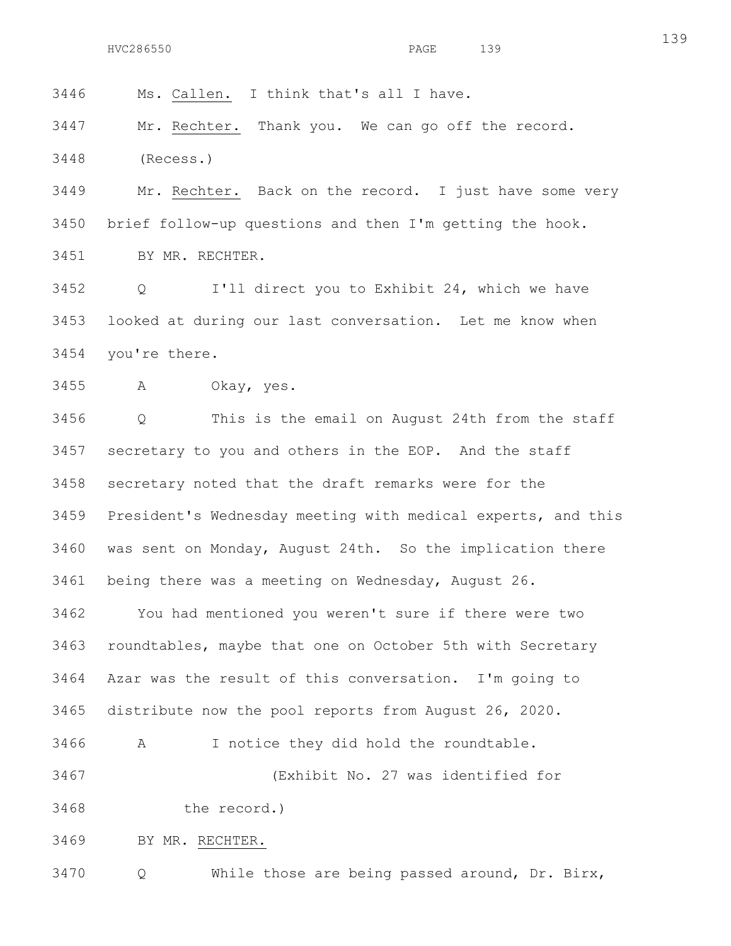3446 Ms. Callen. I think that's all I have.

3447 Mr. Rechter. Thank you. We can go off the record. 3448 (Recess.)

3449 Mr. Rechter. Back on the record. I just have some very 3450 brief follow-up questions and then I'm getting the hook. 3451 BY MR. RECHTER.

3452 Q I'll direct you to Exhibit 24, which we have 3453 looked at during our last conversation. Let me know when 3454 you're there.

3455 A Okay, yes.

3456 Q This is the email on August 24th from the staff 3457 secretary to you and others in the EOP. And the staff 3458 secretary noted that the draft remarks were for the 3459 President's Wednesday meeting with medical experts, and this 3460 was sent on Monday, August 24th. So the implication there 3461 being there was a meeting on Wednesday, August 26.

3462 You had mentioned you weren't sure if there were two 3463 roundtables, maybe that one on October 5th with Secretary 3464 Azar was the result of this conversation. I'm going to 3465 distribute now the pool reports from August 26, 2020.

3466 A I notice they did hold the roundtable.

3467 (Exhibit No. 27 was identified for

3468 the record.)

3469 BY MR. RECHTER.

3470 Q While those are being passed around, Dr. Birx,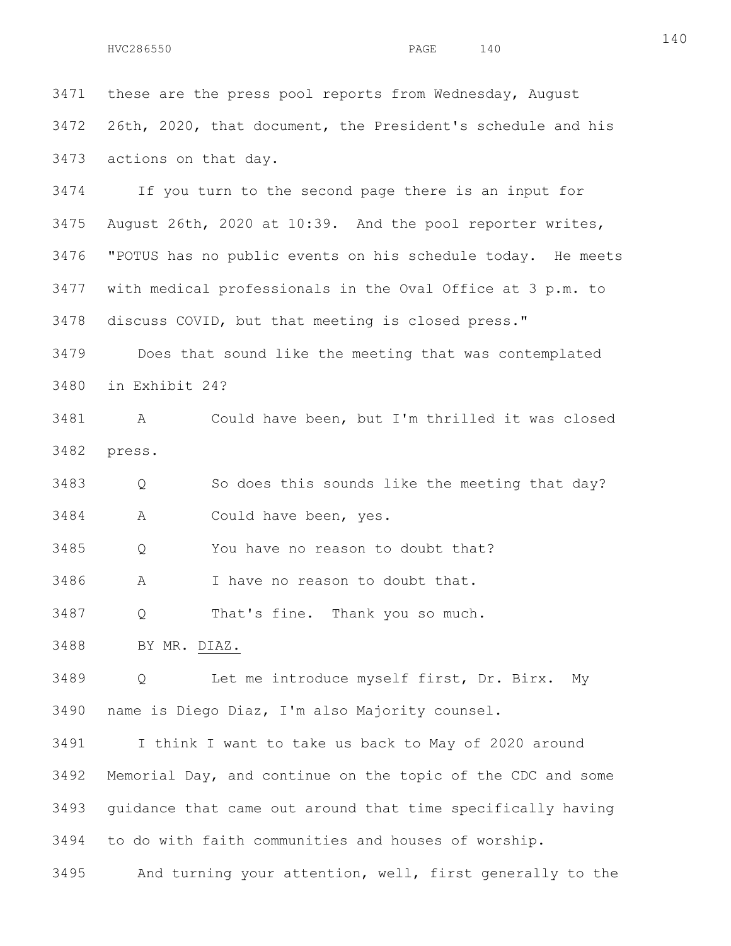3471 these are the press pool reports from Wednesday, August 3472 26th, 2020, that document, the President's schedule and his 3473 actions on that day.

3474 If you turn to the second page there is an input for 3475 August 26th, 2020 at 10:39. And the pool reporter writes, 3476 "POTUS has no public events on his schedule today. He meets 3477 with medical professionals in the Oval Office at 3 p.m. to 3478 discuss COVID, but that meeting is closed press."

3479 Does that sound like the meeting that was contemplated 3480 in Exhibit 24?

3481 A Could have been, but I'm thrilled it was closed 3482 press.

3483 Q So does this sounds like the meeting that day? 3484 A Could have been, yes.

3485 Q You have no reason to doubt that?

3486 A I have no reason to doubt that.

3487 Q That's fine. Thank you so much.

3488 BY MR. DIAZ.

3489 Q Let me introduce myself first, Dr. Birx. My 3490 name is Diego Diaz, I'm also Majority counsel.

3491 I think I want to take us back to May of 2020 around 3492 Memorial Day, and continue on the topic of the CDC and some 3493 guidance that came out around that time specifically having 3494 to do with faith communities and houses of worship.

3495 And turning your attention, well, first generally to the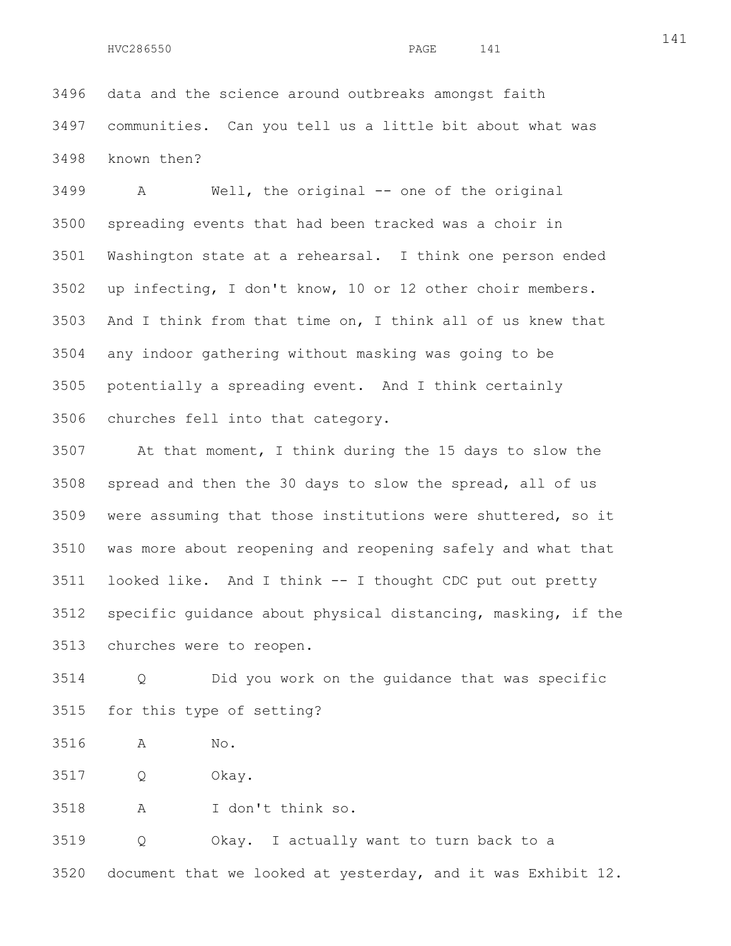3496 data and the science around outbreaks amongst faith 3497 communities. Can you tell us a little bit about what was 3498 known then?

3499 A Well, the original -- one of the original 3500 spreading events that had been tracked was a choir in 3501 Washington state at a rehearsal. I think one person ended 3502 up infecting, I don't know, 10 or 12 other choir members. 3503 And I think from that time on, I think all of us knew that 3504 any indoor gathering without masking was going to be 3505 potentially a spreading event. And I think certainly 3506 churches fell into that category.

3507 At that moment, I think during the 15 days to slow the 3508 spread and then the 30 days to slow the spread, all of us 3509 were assuming that those institutions were shuttered, so it 3510 was more about reopening and reopening safely and what that 3511 looked like. And I think -- I thought CDC put out pretty 3512 specific guidance about physical distancing, masking, if the 3513 churches were to reopen.

3514 Q Did you work on the guidance that was specific 3515 for this type of setting?

3516 A No.

3517 Q Okay.

3518 A I don't think so.

3519 Q Okay. I actually want to turn back to a 3520 document that we looked at yesterday, and it was Exhibit 12.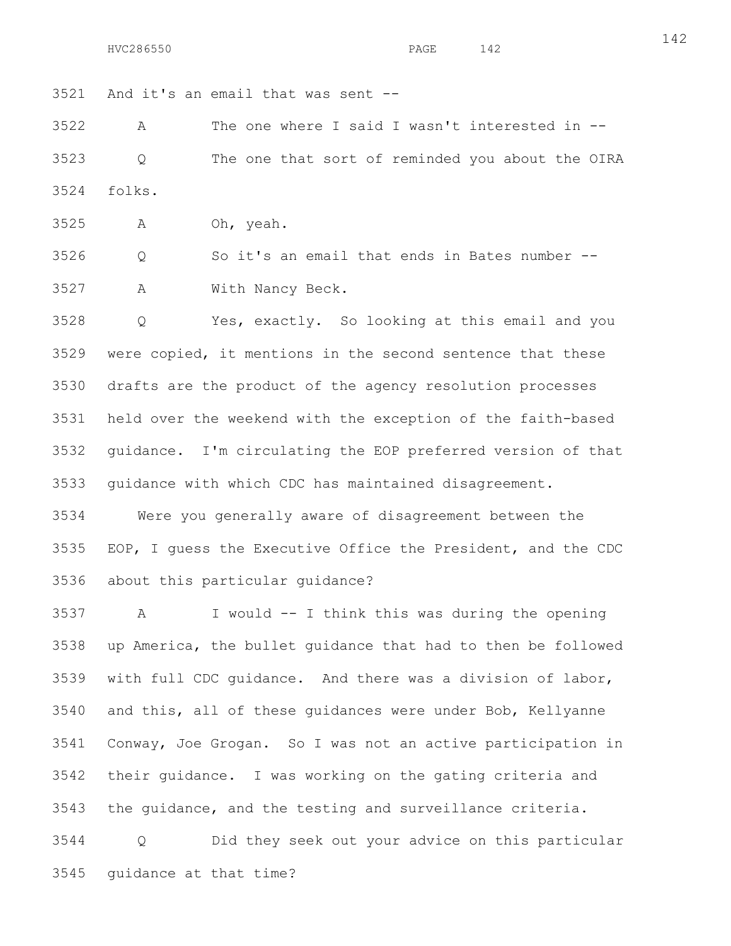3521 And it's an email that was sent --

3522 A The one where I said I wasn't interested in -- 3523 Q The one that sort of reminded you about the OIRA 3524 folks.

3525 A Oh, yeah.

3526 Q So it's an email that ends in Bates number -- 3527 A With Nancy Beck.

3528 Q Yes, exactly. So looking at this email and you 3529 were copied, it mentions in the second sentence that these 3530 drafts are the product of the agency resolution processes 3531 held over the weekend with the exception of the faith-based 3532 guidance. I'm circulating the EOP preferred version of that 3533 guidance with which CDC has maintained disagreement.

3534 Were you generally aware of disagreement between the 3535 EOP, I guess the Executive Office the President, and the CDC 3536 about this particular guidance?

3537 A I would -- I think this was during the opening 3538 up America, the bullet guidance that had to then be followed 3539 with full CDC guidance. And there was a division of labor, 3540 and this, all of these guidances were under Bob, Kellyanne 3541 Conway, Joe Grogan. So I was not an active participation in 3542 their guidance. I was working on the gating criteria and 3543 the guidance, and the testing and surveillance criteria. 3544 Q Did they seek out your advice on this particular

3545 guidance at that time?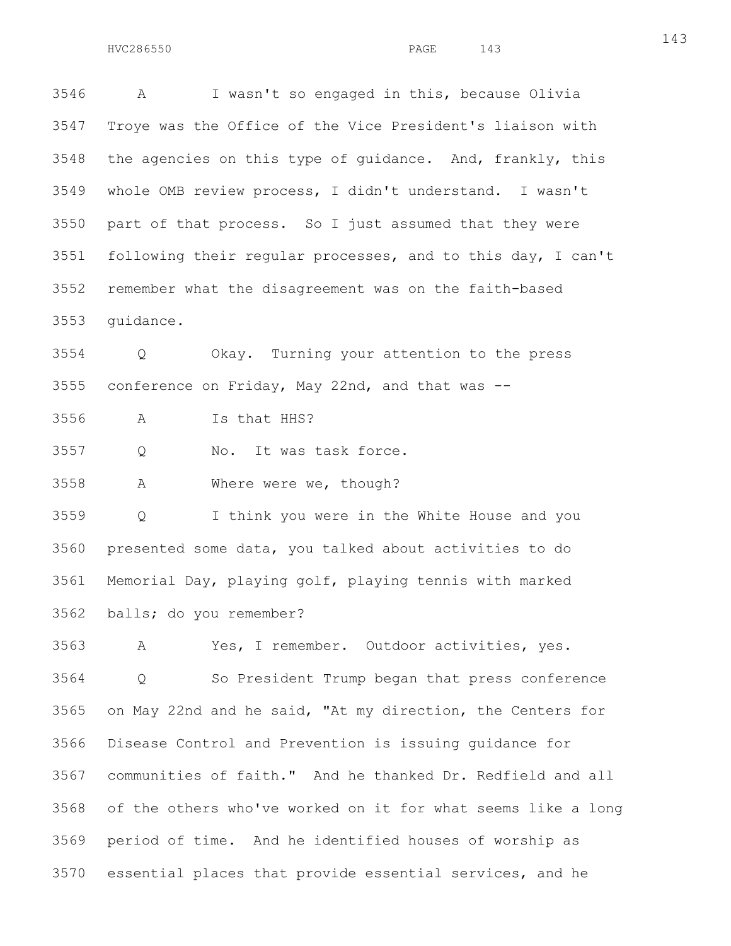3546 A I wasn't so engaged in this, because Olivia 3547 Troye was the Office of the Vice President's liaison with 3548 the agencies on this type of guidance. And, frankly, this 3549 whole OMB review process, I didn't understand. I wasn't 3550 part of that process. So I just assumed that they were 3551 following their regular processes, and to this day, I can't 3552 remember what the disagreement was on the faith-based 3553 guidance.

3554 Q Okay. Turning your attention to the press 3555 conference on Friday, May 22nd, and that was --

3556 A Is that HHS?

3557 Q No. It was task force.

3558 A Where were we, though?

3559 Q I think you were in the White House and you 3560 presented some data, you talked about activities to do 3561 Memorial Day, playing golf, playing tennis with marked 3562 balls; do you remember?

3563 A Yes, I remember. Outdoor activities, yes. 3564 Q So President Trump began that press conference 3565 on May 22nd and he said, "At my direction, the Centers for 3566 Disease Control and Prevention is issuing guidance for 3567 communities of faith." And he thanked Dr. Redfield and all 3568 of the others who've worked on it for what seems like a long 3569 period of time. And he identified houses of worship as 3570 essential places that provide essential services, and he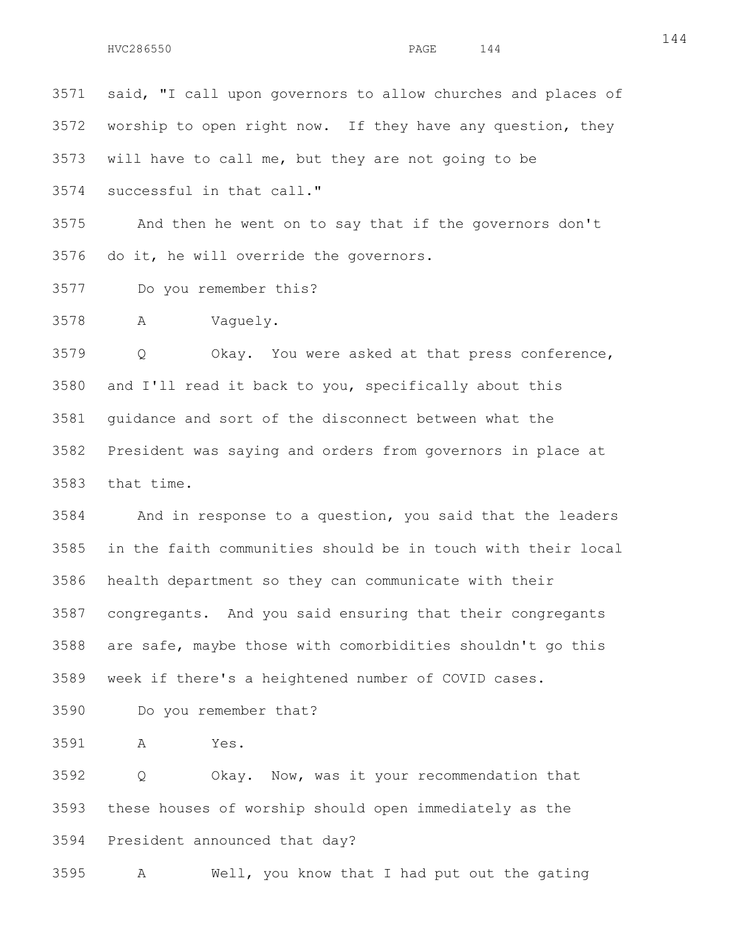3571 said, "I call upon governors to allow churches and places of 3572 worship to open right now. If they have any question, they 3573 will have to call me, but they are not going to be 3574 successful in that call." 3575 And then he went on to say that if the governors don't 3576 do it, he will override the governors.

3577 Do you remember this?

3578 A Vaguely.

3579 Q Okay. You were asked at that press conference, 3580 and I'll read it back to you, specifically about this 3581 guidance and sort of the disconnect between what the 3582 President was saying and orders from governors in place at 3583 that time.

3584 And in response to a question, you said that the leaders 3585 in the faith communities should be in touch with their local 3586 health department so they can communicate with their 3587 congregants. And you said ensuring that their congregants 3588 are safe, maybe those with comorbidities shouldn't go this 3589 week if there's a heightened number of COVID cases.

3590 Do you remember that?

3591 A Yes.

3592 Q Okay. Now, was it your recommendation that 3593 these houses of worship should open immediately as the 3594 President announced that day?

3595 A Well, you know that I had put out the gating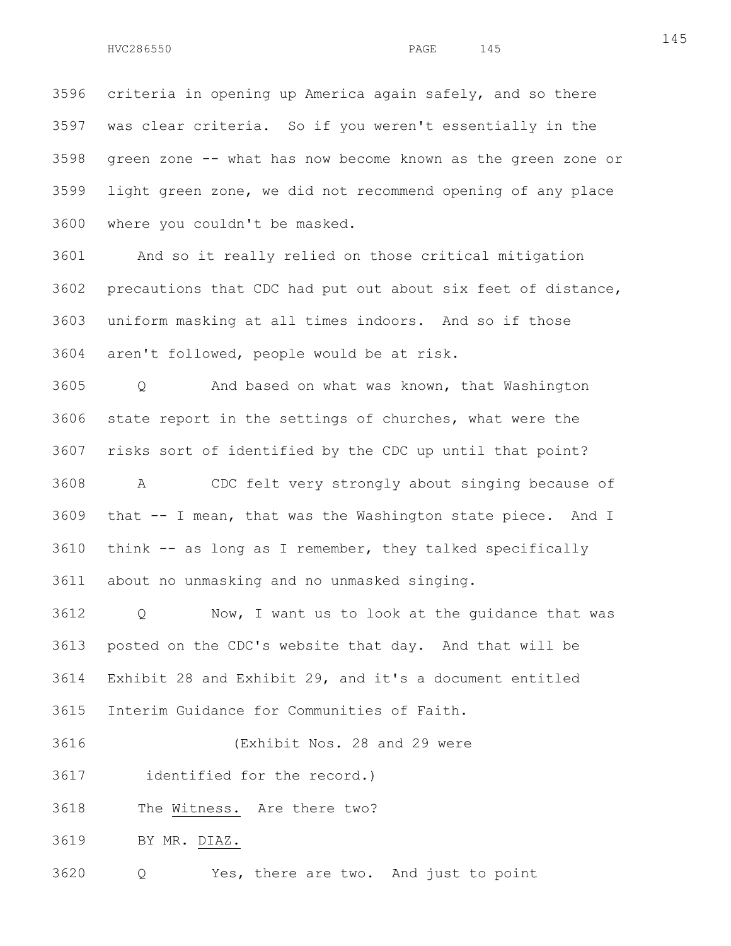3596 criteria in opening up America again safely, and so there 3597 was clear criteria. So if you weren't essentially in the 3598 green zone -- what has now become known as the green zone or 3599 light green zone, we did not recommend opening of any place 3600 where you couldn't be masked.

3601 And so it really relied on those critical mitigation 3602 precautions that CDC had put out about six feet of distance, 3603 uniform masking at all times indoors. And so if those 3604 aren't followed, people would be at risk.

3605 Q And based on what was known, that Washington 3606 state report in the settings of churches, what were the 3607 risks sort of identified by the CDC up until that point? 3608 A CDC felt very strongly about singing because of 3609 that -- I mean, that was the Washington state piece. And I 3610 think -- as long as I remember, they talked specifically 3611 about no unmasking and no unmasked singing.

3612 Q Now, I want us to look at the guidance that was 3613 posted on the CDC's website that day. And that will be 3614 Exhibit 28 and Exhibit 29, and it's a document entitled 3615 Interim Guidance for Communities of Faith.

3616 (Exhibit Nos. 28 and 29 were

3617 identified for the record.)

3618 The Witness. Are there two?

3619 BY MR. DIAZ.

3620 Q Yes, there are two. And just to point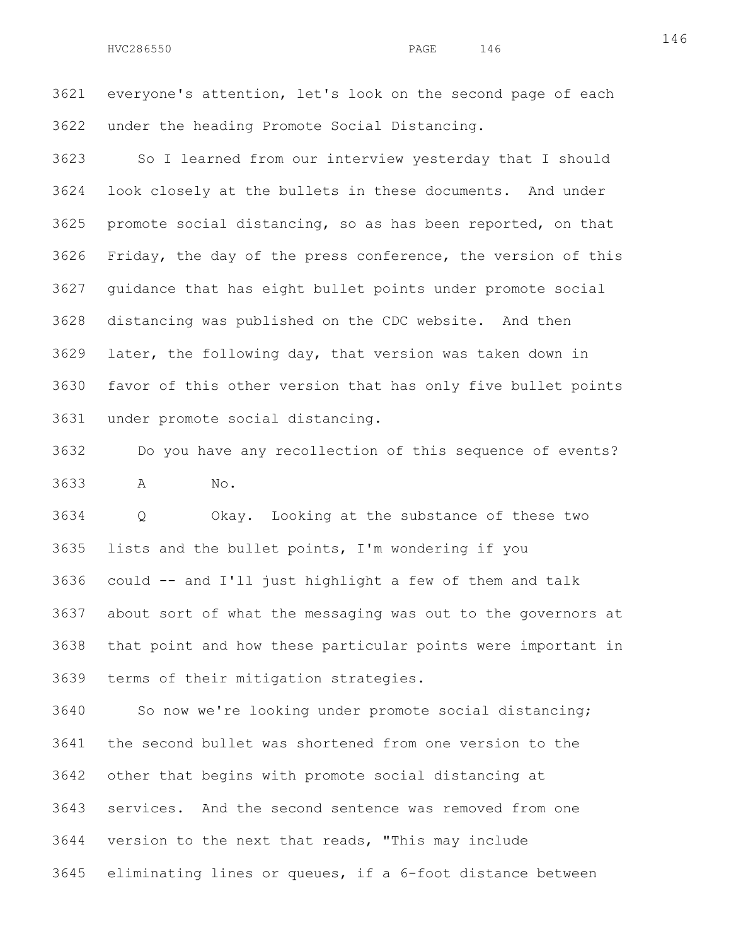3621 everyone's attention, let's look on the second page of each 3622 under the heading Promote Social Distancing.

3623 So I learned from our interview yesterday that I should 3624 look closely at the bullets in these documents. And under 3625 promote social distancing, so as has been reported, on that 3626 Friday, the day of the press conference, the version of this 3627 guidance that has eight bullet points under promote social 3628 distancing was published on the CDC website. And then 3629 later, the following day, that version was taken down in 3630 favor of this other version that has only five bullet points 3631 under promote social distancing.

3632 Do you have any recollection of this sequence of events? 3633 A No.

3634 Q Okay. Looking at the substance of these two 3635 lists and the bullet points, I'm wondering if you 3636 could -- and I'll just highlight a few of them and talk 3637 about sort of what the messaging was out to the governors at 3638 that point and how these particular points were important in 3639 terms of their mitigation strategies.

3640 So now we're looking under promote social distancing; 3641 the second bullet was shortened from one version to the 3642 other that begins with promote social distancing at 3643 services. And the second sentence was removed from one 3644 version to the next that reads, "This may include 3645 eliminating lines or queues, if a 6-foot distance between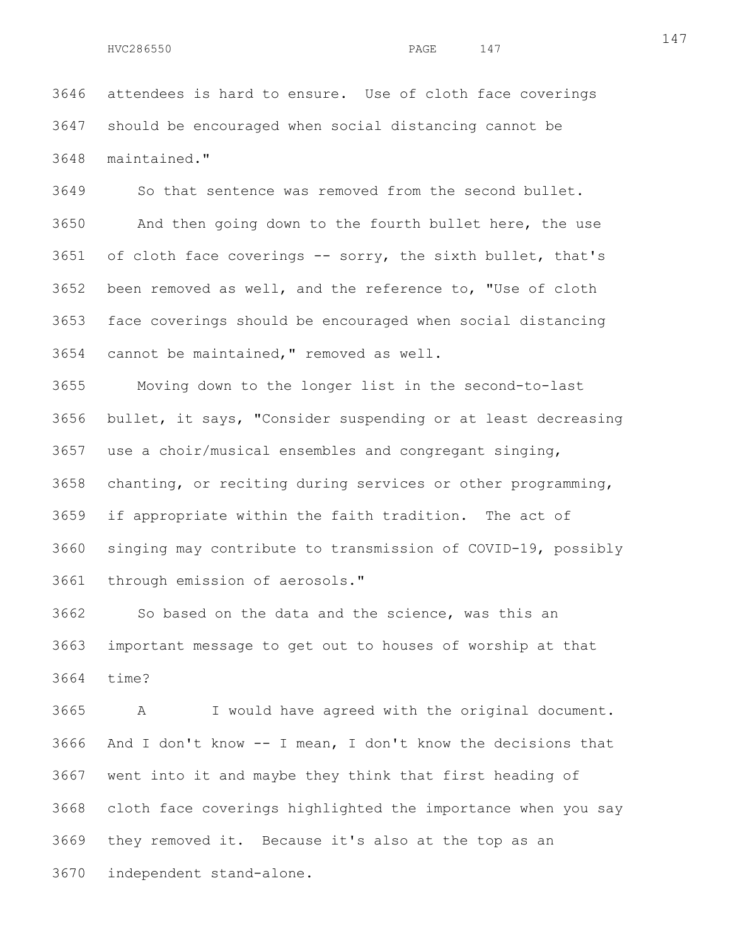3646 attendees is hard to ensure. Use of cloth face coverings 3647 should be encouraged when social distancing cannot be 3648 maintained."

3649 So that sentence was removed from the second bullet. 3650 And then going down to the fourth bullet here, the use 3651 of cloth face coverings -- sorry, the sixth bullet, that's 3652 been removed as well, and the reference to, "Use of cloth 3653 face coverings should be encouraged when social distancing 3654 cannot be maintained," removed as well.

3655 Moving down to the longer list in the second-to-last 3656 bullet, it says, "Consider suspending or at least decreasing 3657 use a choir/musical ensembles and congregant singing, 3658 chanting, or reciting during services or other programming, 3659 if appropriate within the faith tradition. The act of 3660 singing may contribute to transmission of COVID-19, possibly 3661 through emission of aerosols."

3662 So based on the data and the science, was this an 3663 important message to get out to houses of worship at that 3664 time?

3665 A I would have agreed with the original document. 3666 And I don't know -- I mean, I don't know the decisions that 3667 went into it and maybe they think that first heading of 3668 cloth face coverings highlighted the importance when you say 3669 they removed it. Because it's also at the top as an 3670 independent stand-alone.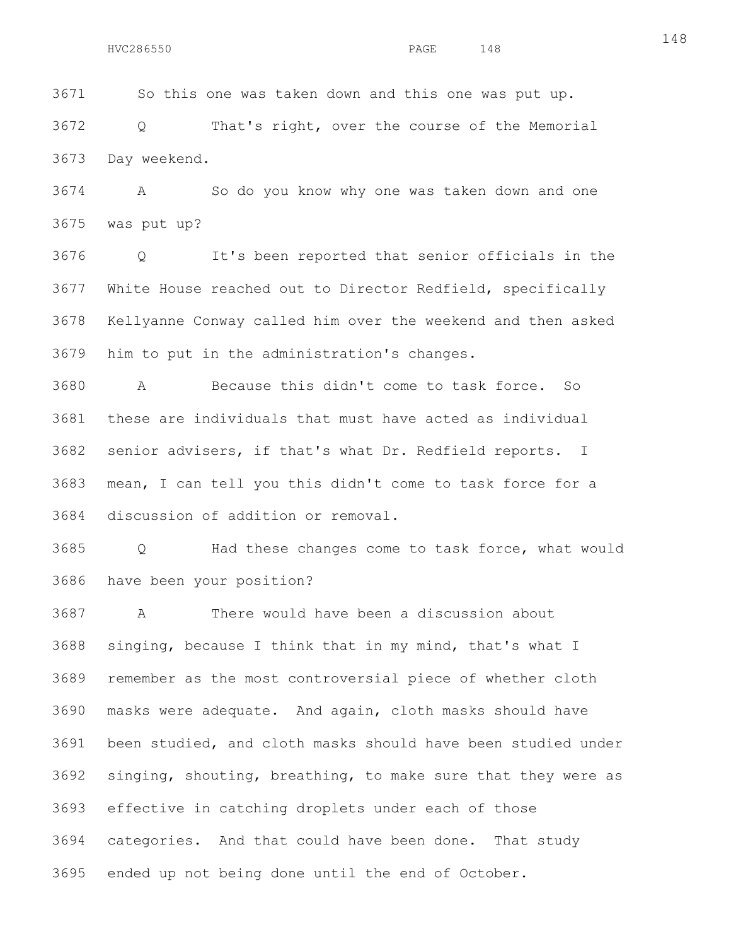3671 So this one was taken down and this one was put up.

3672 Q That's right, over the course of the Memorial 3673 Day weekend.

3674 A So do you know why one was taken down and one 3675 was put up?

3676 Q It's been reported that senior officials in the 3677 White House reached out to Director Redfield, specifically 3678 Kellyanne Conway called him over the weekend and then asked 3679 him to put in the administration's changes.

3680 A Because this didn't come to task force. So 3681 these are individuals that must have acted as individual 3682 senior advisers, if that's what Dr. Redfield reports. I 3683 mean, I can tell you this didn't come to task force for a 3684 discussion of addition or removal.

3685 Q Had these changes come to task force, what would 3686 have been your position?

3687 A There would have been a discussion about 3688 singing, because I think that in my mind, that's what I 3689 remember as the most controversial piece of whether cloth 3690 masks were adequate. And again, cloth masks should have 3691 been studied, and cloth masks should have been studied under 3692 singing, shouting, breathing, to make sure that they were as 3693 effective in catching droplets under each of those 3694 categories. And that could have been done. That study 3695 ended up not being done until the end of October.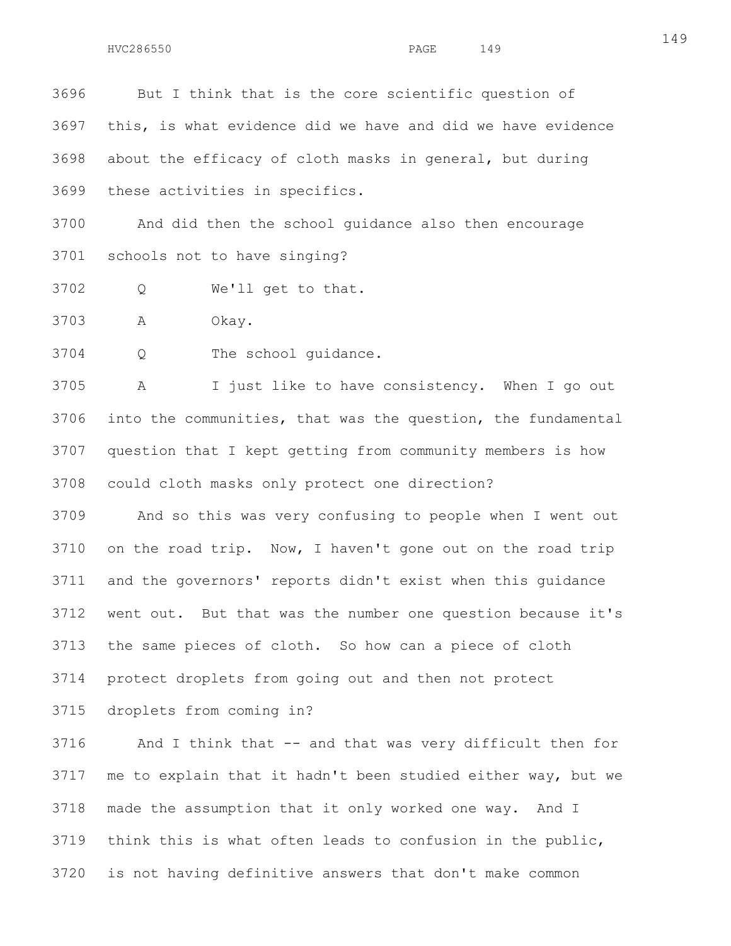3696 But I think that is the core scientific question of 3697 this, is what evidence did we have and did we have evidence 3698 about the efficacy of cloth masks in general, but during 3699 these activities in specifics.

3700 And did then the school guidance also then encourage 3701 schools not to have singing?

3702 Q We'll get to that.

3703 A Okay.

3704 Q The school guidance.

3705 A I just like to have consistency. When I go out 3706 into the communities, that was the question, the fundamental 3707 question that I kept getting from community members is how 3708 could cloth masks only protect one direction?

3709 And so this was very confusing to people when I went out 3710 on the road trip. Now, I haven't gone out on the road trip 3711 and the governors' reports didn't exist when this guidance 3712 went out. But that was the number one question because it's 3713 the same pieces of cloth. So how can a piece of cloth 3714 protect droplets from going out and then not protect

3715 droplets from coming in?

3716 And I think that -- and that was very difficult then for 3717 me to explain that it hadn't been studied either way, but we 3718 made the assumption that it only worked one way. And I 3719 think this is what often leads to confusion in the public, 3720 is not having definitive answers that don't make common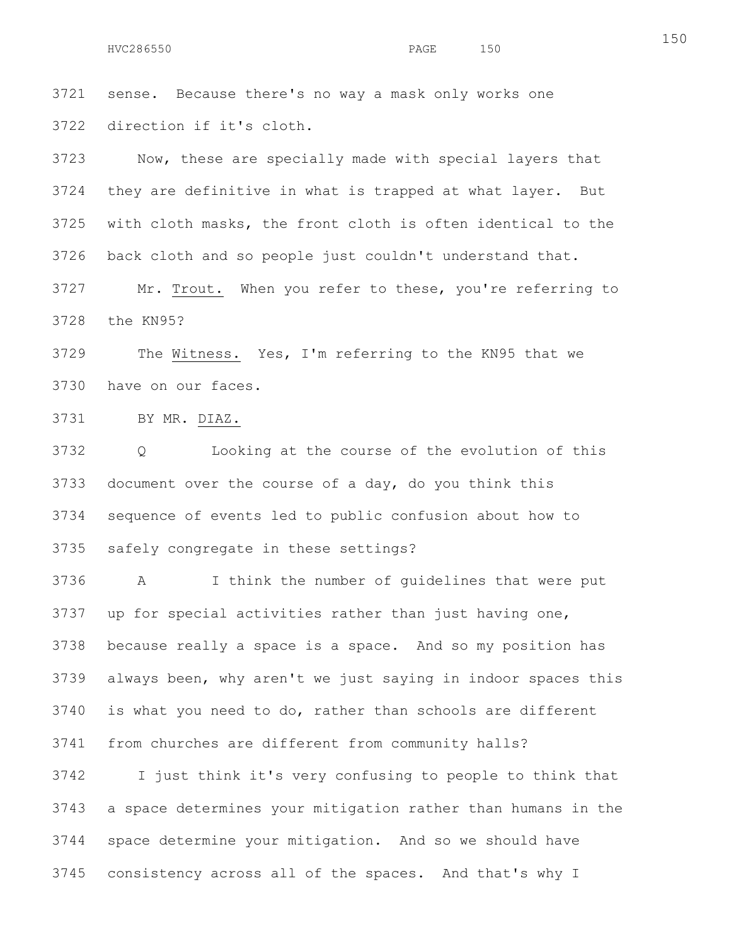3721 sense. Because there's no way a mask only works one 3722 direction if it's cloth.

3723 Now, these are specially made with special layers that 3724 they are definitive in what is trapped at what layer. But 3725 with cloth masks, the front cloth is often identical to the 3726 back cloth and so people just couldn't understand that.

3727 Mr. Trout. When you refer to these, you're referring to 3728 the KN95?

3729 The Witness. Yes, I'm referring to the KN95 that we 3730 have on our faces.

3731 BY MR. DIAZ.

3732 Q Looking at the course of the evolution of this 3733 document over the course of a day, do you think this 3734 sequence of events led to public confusion about how to 3735 safely congregate in these settings?

3736 A I think the number of guidelines that were put 3737 up for special activities rather than just having one, 3738 because really a space is a space. And so my position has 3739 always been, why aren't we just saying in indoor spaces this 3740 is what you need to do, rather than schools are different 3741 from churches are different from community halls?

3742 I just think it's very confusing to people to think that 3743 a space determines your mitigation rather than humans in the 3744 space determine your mitigation. And so we should have 3745 consistency across all of the spaces. And that's why I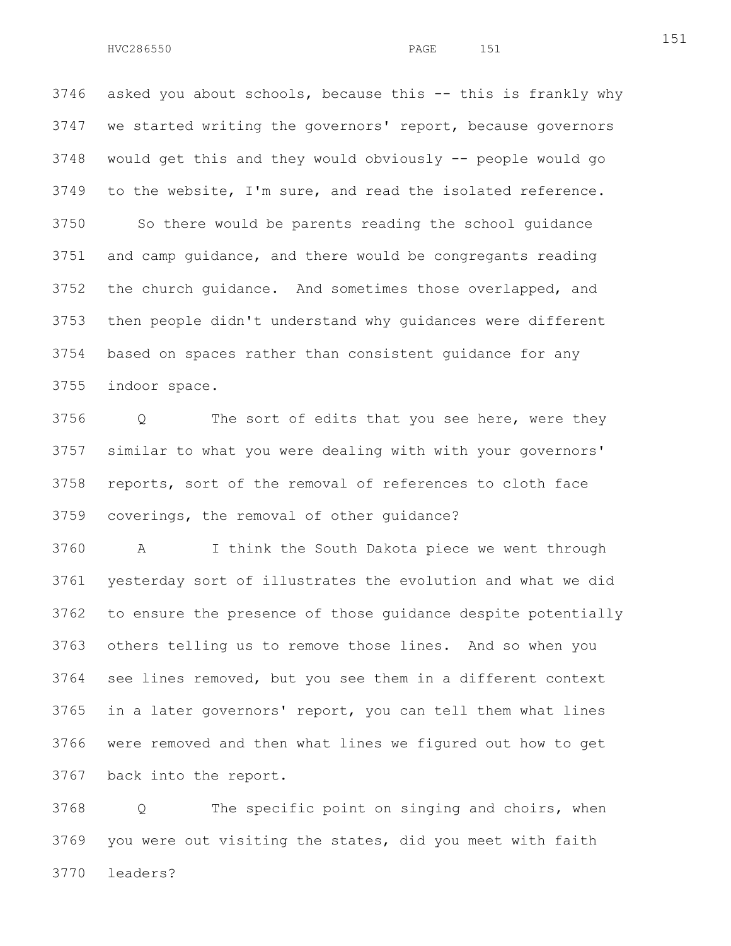3746 asked you about schools, because this -- this is frankly why 3747 we started writing the governors' report, because governors 3748 would get this and they would obviously -- people would go 3749 to the website, I'm sure, and read the isolated reference. 3750 So there would be parents reading the school guidance 3751 and camp guidance, and there would be congregants reading 3752 the church guidance. And sometimes those overlapped, and 3753 then people didn't understand why guidances were different 3754 based on spaces rather than consistent guidance for any 3755 indoor space.

3756 Q The sort of edits that you see here, were they 3757 similar to what you were dealing with with your governors' 3758 reports, sort of the removal of references to cloth face 3759 coverings, the removal of other guidance?

3760 A I think the South Dakota piece we went through 3761 yesterday sort of illustrates the evolution and what we did 3762 to ensure the presence of those guidance despite potentially 3763 others telling us to remove those lines. And so when you 3764 see lines removed, but you see them in a different context 3765 in a later governors' report, you can tell them what lines 3766 were removed and then what lines we figured out how to get 3767 back into the report.

3768 Q The specific point on singing and choirs, when 3769 you were out visiting the states, did you meet with faith 3770 leaders?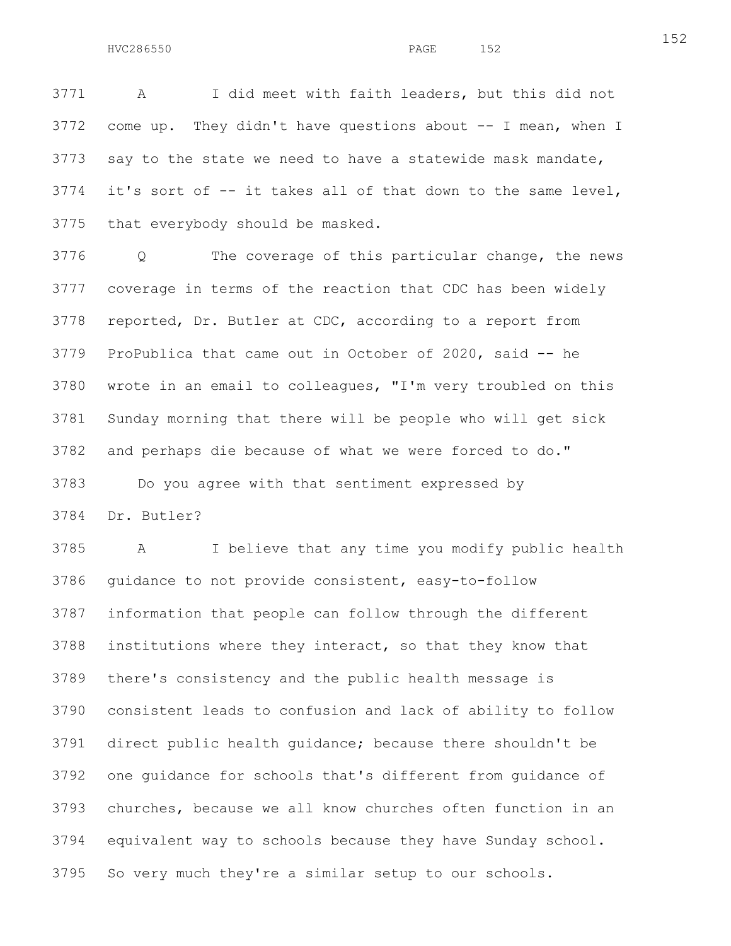3771 A I did meet with faith leaders, but this did not 3772 come up. They didn't have questions about -- I mean, when I 3773 say to the state we need to have a statewide mask mandate, 3774 it's sort of -- it takes all of that down to the same level, 3775 that everybody should be masked.

3776 Q The coverage of this particular change, the news 3777 coverage in terms of the reaction that CDC has been widely 3778 reported, Dr. Butler at CDC, according to a report from 3779 ProPublica that came out in October of 2020, said -- he 3780 wrote in an email to colleagues, "I'm very troubled on this 3781 Sunday morning that there will be people who will get sick 3782 and perhaps die because of what we were forced to do." 3783 Do you agree with that sentiment expressed by

3784 Dr. Butler?

3785 A I believe that any time you modify public health 3786 guidance to not provide consistent, easy-to-follow 3787 information that people can follow through the different 3788 institutions where they interact, so that they know that 3789 there's consistency and the public health message is 3790 consistent leads to confusion and lack of ability to follow 3791 direct public health guidance; because there shouldn't be 3792 one guidance for schools that's different from guidance of 3793 churches, because we all know churches often function in an 3794 equivalent way to schools because they have Sunday school. 3795 So very much they're a similar setup to our schools.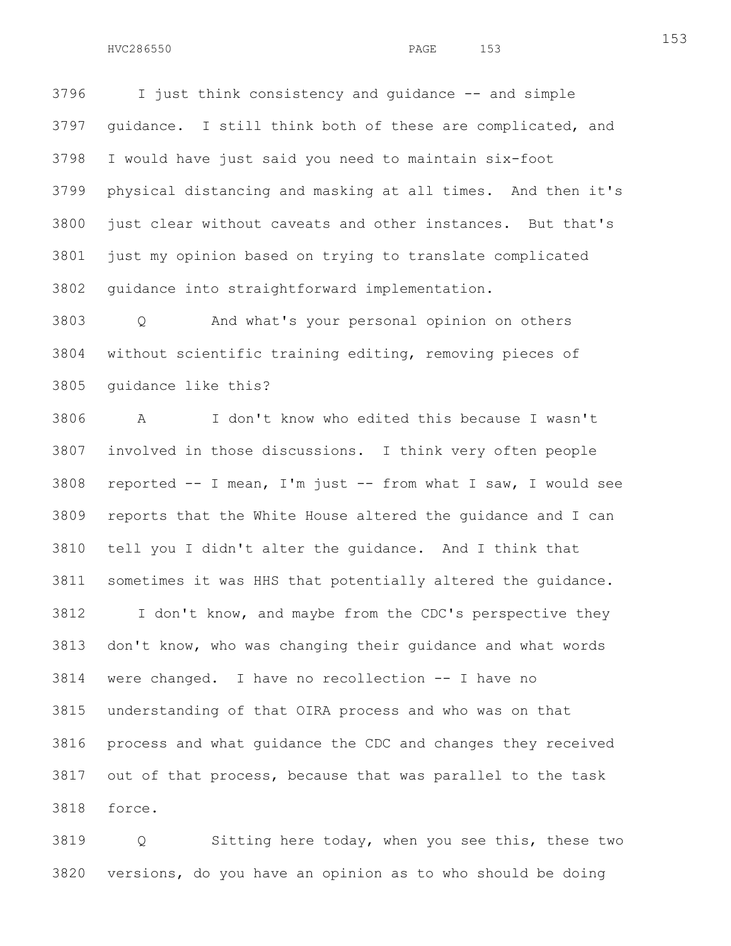3796 I just think consistency and guidance -- and simple 3797 guidance. I still think both of these are complicated, and 3798 I would have just said you need to maintain six-foot 3799 physical distancing and masking at all times. And then it's 3800 just clear without caveats and other instances. But that's 3801 just my opinion based on trying to translate complicated 3802 guidance into straightforward implementation.

3803 Q And what's your personal opinion on others 3804 without scientific training editing, removing pieces of 3805 guidance like this?

3806 A I don't know who edited this because I wasn't 3807 involved in those discussions. I think very often people 3808 reported -- I mean, I'm just -- from what I saw, I would see 3809 reports that the White House altered the guidance and I can 3810 tell you I didn't alter the guidance. And I think that 3811 sometimes it was HHS that potentially altered the guidance. 3812 I don't know, and maybe from the CDC's perspective they 3813 don't know, who was changing their guidance and what words 3814 were changed. I have no recollection -- I have no 3815 understanding of that OIRA process and who was on that 3816 process and what guidance the CDC and changes they received 3817 out of that process, because that was parallel to the task 3818 force.

3819 Q Sitting here today, when you see this, these two 3820 versions, do you have an opinion as to who should be doing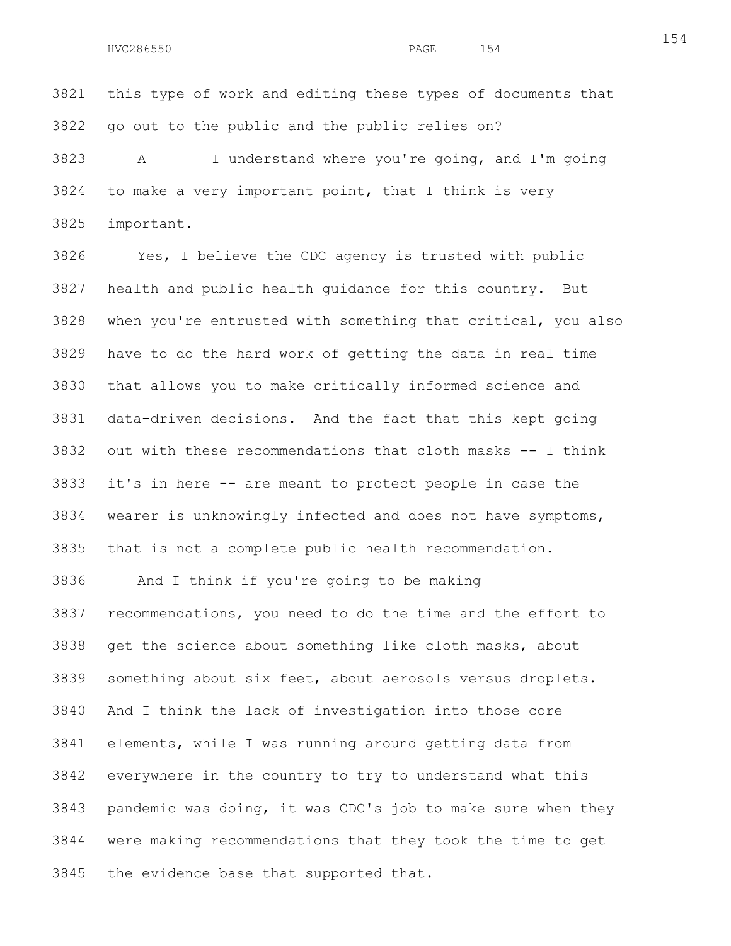3821 this type of work and editing these types of documents that 3822 go out to the public and the public relies on?

3823 A I understand where you're going, and I'm going 3824 to make a very important point, that I think is very 3825 important.

3826 Yes, I believe the CDC agency is trusted with public 3827 health and public health guidance for this country. But 3828 when you're entrusted with something that critical, you also 3829 have to do the hard work of getting the data in real time 3830 that allows you to make critically informed science and 3831 data-driven decisions. And the fact that this kept going 3832 out with these recommendations that cloth masks -- I think 3833 it's in here -- are meant to protect people in case the 3834 wearer is unknowingly infected and does not have symptoms, 3835 that is not a complete public health recommendation.

3836 And I think if you're going to be making 3837 recommendations, you need to do the time and the effort to 3838 get the science about something like cloth masks, about 3839 something about six feet, about aerosols versus droplets. 3840 And I think the lack of investigation into those core 3841 elements, while I was running around getting data from 3842 everywhere in the country to try to understand what this 3843 pandemic was doing, it was CDC's job to make sure when they 3844 were making recommendations that they took the time to get 3845 the evidence base that supported that.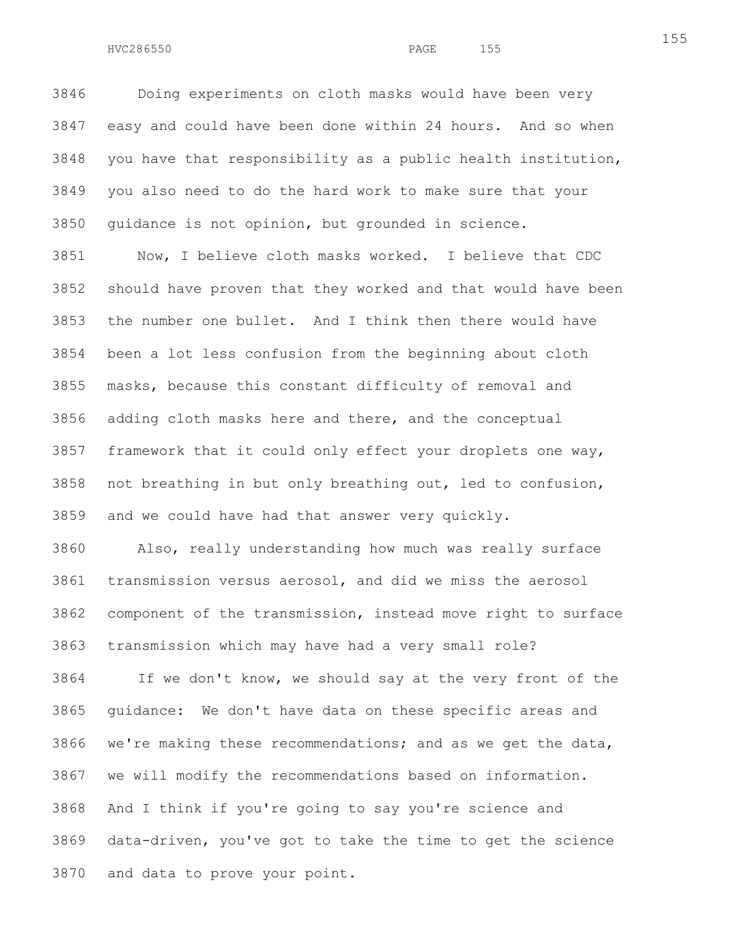3846 Doing experiments on cloth masks would have been very 3847 easy and could have been done within 24 hours. And so when 3848 you have that responsibility as a public health institution, 3849 you also need to do the hard work to make sure that your 3850 guidance is not opinion, but grounded in science.

3851 Now, I believe cloth masks worked. I believe that CDC 3852 should have proven that they worked and that would have been 3853 the number one bullet. And I think then there would have 3854 been a lot less confusion from the beginning about cloth 3855 masks, because this constant difficulty of removal and 3856 adding cloth masks here and there, and the conceptual 3857 framework that it could only effect your droplets one way, 3858 not breathing in but only breathing out, led to confusion, 3859 and we could have had that answer very quickly.

3860 Also, really understanding how much was really surface 3861 transmission versus aerosol, and did we miss the aerosol 3862 component of the transmission, instead move right to surface 3863 transmission which may have had a very small role?

3864 If we don't know, we should say at the very front of the 3865 guidance: We don't have data on these specific areas and 3866 we're making these recommendations; and as we get the data, 3867 we will modify the recommendations based on information. 3868 And I think if you're going to say you're science and 3869 data-driven, you've got to take the time to get the science 3870 and data to prove your point.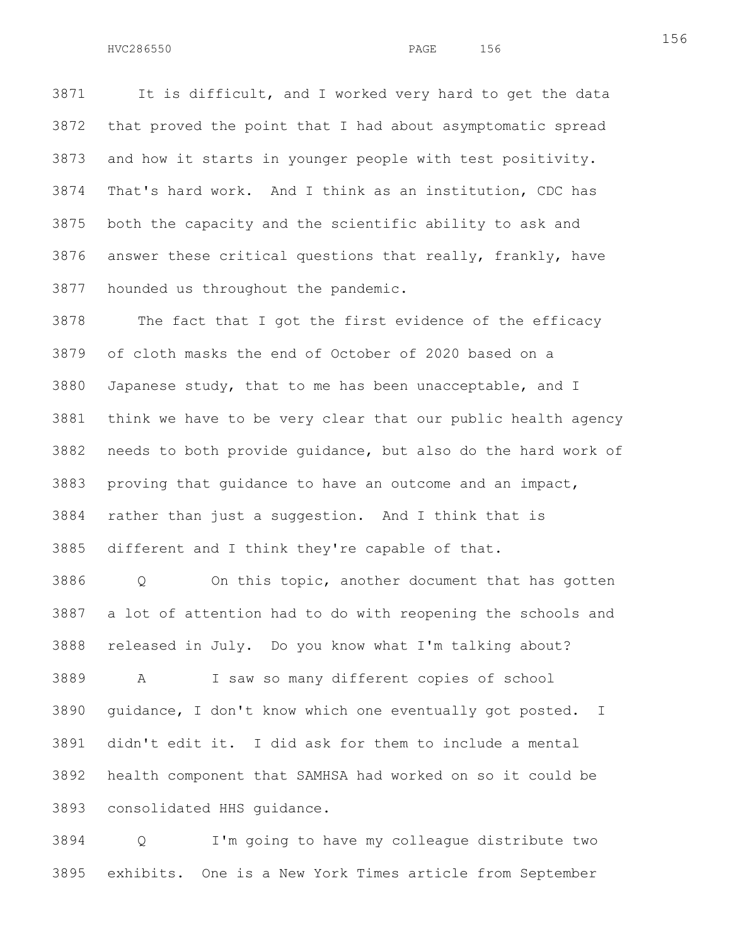3871 It is difficult, and I worked very hard to get the data 3872 that proved the point that I had about asymptomatic spread 3873 and how it starts in younger people with test positivity. 3874 That's hard work. And I think as an institution, CDC has 3875 both the capacity and the scientific ability to ask and 3876 answer these critical questions that really, frankly, have 3877 hounded us throughout the pandemic.

3878 The fact that I got the first evidence of the efficacy 3879 of cloth masks the end of October of 2020 based on a 3880 Japanese study, that to me has been unacceptable, and I 3881 think we have to be very clear that our public health agency 3882 needs to both provide guidance, but also do the hard work of 3883 proving that guidance to have an outcome and an impact, 3884 rather than just a suggestion. And I think that is 3885 different and I think they're capable of that.

3886 Q On this topic, another document that has gotten 3887 a lot of attention had to do with reopening the schools and 3888 released in July. Do you know what I'm talking about?

3889 A I saw so many different copies of school 3890 guidance, I don't know which one eventually got posted. I 3891 didn't edit it. I did ask for them to include a mental 3892 health component that SAMHSA had worked on so it could be 3893 consolidated HHS guidance.

3894 Q I'm going to have my colleague distribute two 3895 exhibits. One is a New York Times article from September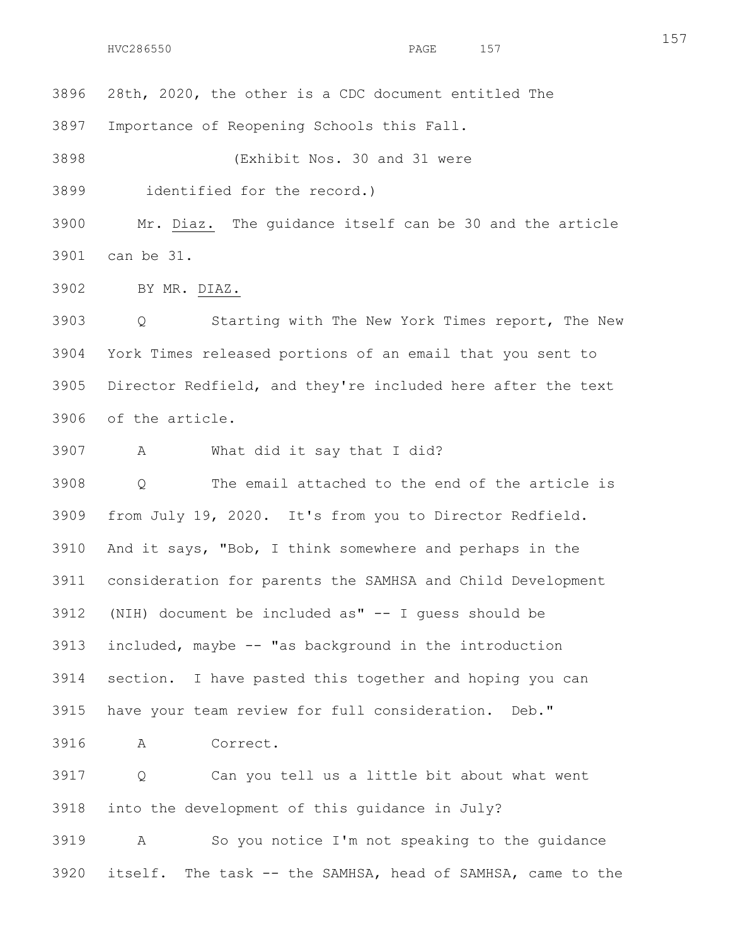3896 28th, 2020, the other is a CDC document entitled The

3897 Importance of Reopening Schools this Fall.

3898 (Exhibit Nos. 30 and 31 were

3899 identified for the record.)

3900 Mr. Diaz. The guidance itself can be 30 and the article 3901 can be 31.

3902 BY MR. DIAZ.

3903 Q Starting with The New York Times report, The New 3904 York Times released portions of an email that you sent to 3905 Director Redfield, and they're included here after the text 3906 of the article.

3907 A What did it say that I did?

3908 Q The email attached to the end of the article is 3909 from July 19, 2020. It's from you to Director Redfield. 3910 And it says, "Bob, I think somewhere and perhaps in the 3911 consideration for parents the SAMHSA and Child Development 3912 (NIH) document be included as" -- I guess should be 3913 included, maybe -- "as background in the introduction 3914 section. I have pasted this together and hoping you can 3915 have your team review for full consideration. Deb."

3916 A Correct.

3917 Q Can you tell us a little bit about what went 3918 into the development of this guidance in July?

3919 A So you notice I'm not speaking to the guidance 3920 itself. The task -- the SAMHSA, head of SAMHSA, came to the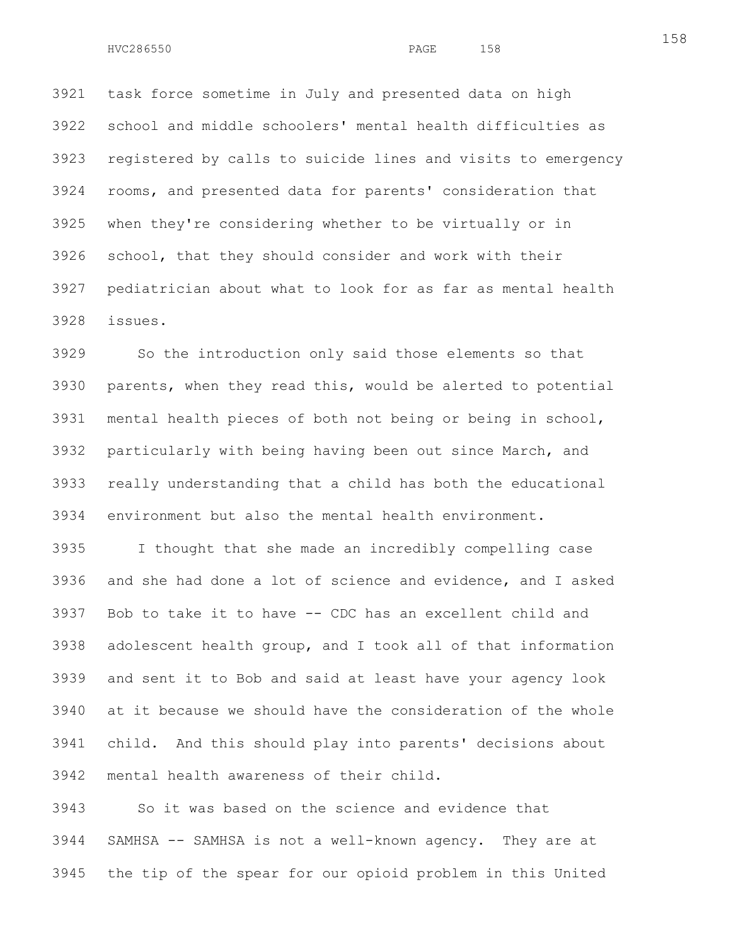3921 task force sometime in July and presented data on high 3922 school and middle schoolers' mental health difficulties as 3923 registered by calls to suicide lines and visits to emergency 3924 rooms, and presented data for parents' consideration that 3925 when they're considering whether to be virtually or in 3926 school, that they should consider and work with their 3927 pediatrician about what to look for as far as mental health 3928 issues.

3929 So the introduction only said those elements so that 3930 parents, when they read this, would be alerted to potential 3931 mental health pieces of both not being or being in school, 3932 particularly with being having been out since March, and 3933 really understanding that a child has both the educational 3934 environment but also the mental health environment.

3935 I thought that she made an incredibly compelling case 3936 and she had done a lot of science and evidence, and I asked 3937 Bob to take it to have -- CDC has an excellent child and 3938 adolescent health group, and I took all of that information 3939 and sent it to Bob and said at least have your agency look 3940 at it because we should have the consideration of the whole 3941 child. And this should play into parents' decisions about 3942 mental health awareness of their child.

3943 So it was based on the science and evidence that 3944 SAMHSA -- SAMHSA is not a well-known agency. They are at 3945 the tip of the spear for our opioid problem in this United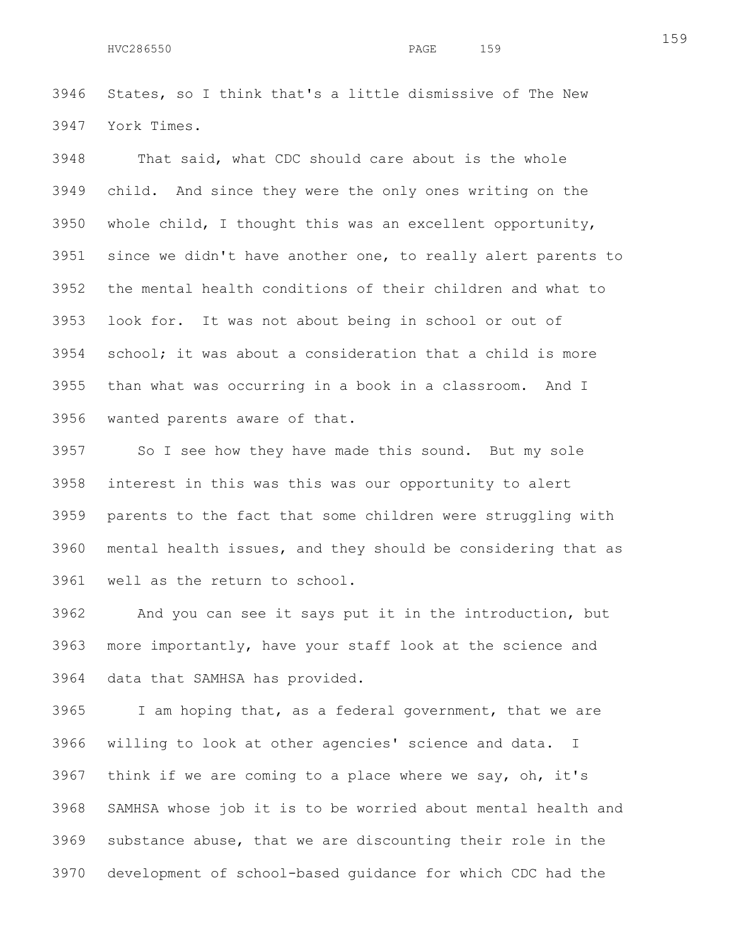3946 States, so I think that's a little dismissive of The New 3947 York Times.

3948 That said, what CDC should care about is the whole 3949 child. And since they were the only ones writing on the 3950 whole child, I thought this was an excellent opportunity, 3951 since we didn't have another one, to really alert parents to 3952 the mental health conditions of their children and what to 3953 look for. It was not about being in school or out of 3954 school; it was about a consideration that a child is more 3955 than what was occurring in a book in a classroom. And I 3956 wanted parents aware of that.

3957 So I see how they have made this sound. But my sole 3958 interest in this was this was our opportunity to alert 3959 parents to the fact that some children were struggling with 3960 mental health issues, and they should be considering that as 3961 well as the return to school.

3962 And you can see it says put it in the introduction, but 3963 more importantly, have your staff look at the science and 3964 data that SAMHSA has provided.

3965 I am hoping that, as a federal government, that we are 3966 willing to look at other agencies' science and data. I 3967 think if we are coming to a place where we say, oh, it's 3968 SAMHSA whose job it is to be worried about mental health and 3969 substance abuse, that we are discounting their role in the 3970 development of school-based guidance for which CDC had the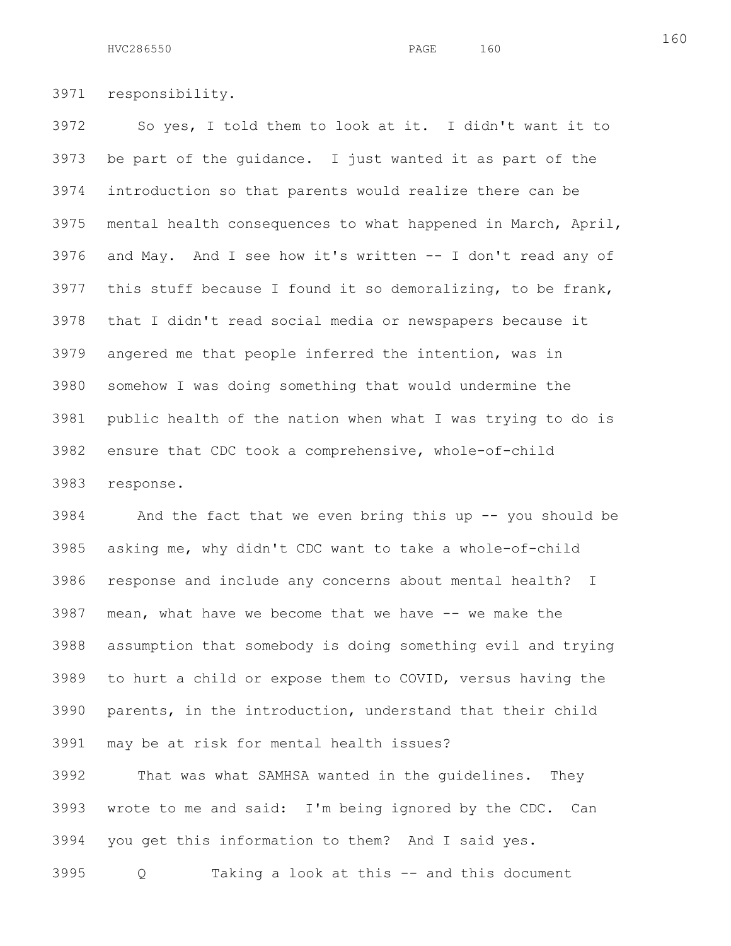3971 responsibility.

3972 So yes, I told them to look at it. I didn't want it to 3973 be part of the guidance. I just wanted it as part of the 3974 introduction so that parents would realize there can be 3975 mental health consequences to what happened in March, April, 3976 and May. And I see how it's written -- I don't read any of 3977 this stuff because I found it so demoralizing, to be frank, 3978 that I didn't read social media or newspapers because it 3979 angered me that people inferred the intention, was in 3980 somehow I was doing something that would undermine the 3981 public health of the nation when what I was trying to do is 3982 ensure that CDC took a comprehensive, whole-of-child 3983 response.

3984 And the fact that we even bring this up -- you should be 3985 asking me, why didn't CDC want to take a whole-of-child 3986 response and include any concerns about mental health? I 3987 mean, what have we become that we have -- we make the 3988 assumption that somebody is doing something evil and trying 3989 to hurt a child or expose them to COVID, versus having the 3990 parents, in the introduction, understand that their child 3991 may be at risk for mental health issues?

3992 That was what SAMHSA wanted in the guidelines. They 3993 wrote to me and said: I'm being ignored by the CDC. Can 3994 you get this information to them? And I said yes.

3995 Q Taking a look at this -- and this document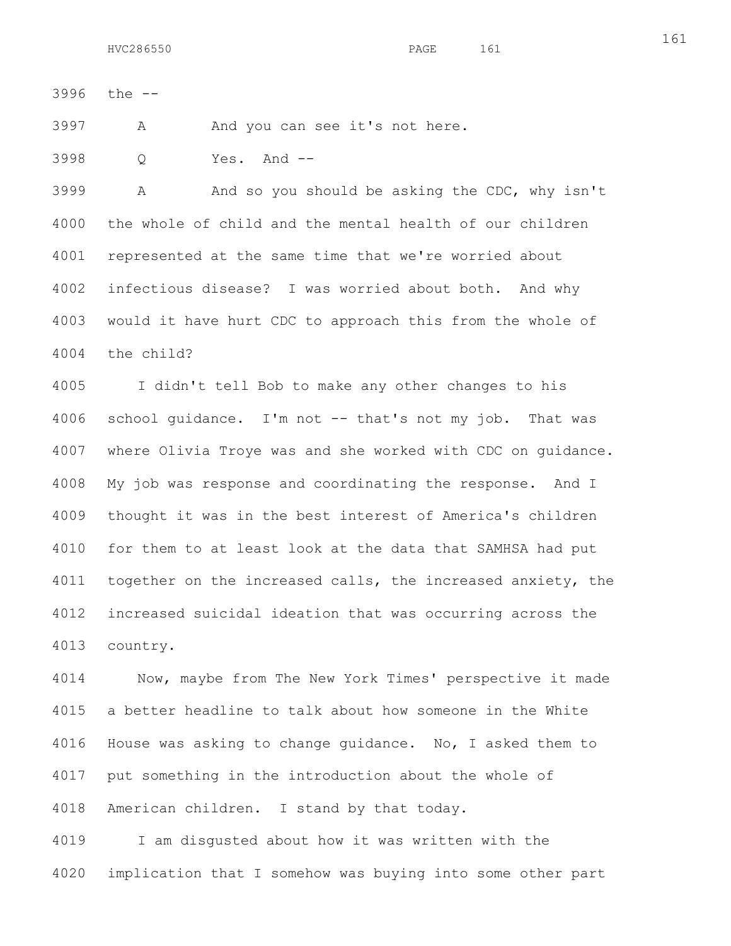3996 the --

3997 A And you can see it's not here.

3998 Q Yes. And --

3999 A And so you should be asking the CDC, why isn't 4000 the whole of child and the mental health of our children 4001 represented at the same time that we're worried about 4002 infectious disease? I was worried about both. And why 4003 would it have hurt CDC to approach this from the whole of 4004 the child?

4005 I didn't tell Bob to make any other changes to his 4006 school guidance. I'm not -- that's not my job. That was 4007 where Olivia Troye was and she worked with CDC on guidance. 4008 My job was response and coordinating the response. And I 4009 thought it was in the best interest of America's children 4010 for them to at least look at the data that SAMHSA had put 4011 together on the increased calls, the increased anxiety, the 4012 increased suicidal ideation that was occurring across the 4013 country.

4014 Now, maybe from The New York Times' perspective it made 4015 a better headline to talk about how someone in the White 4016 House was asking to change guidance. No, I asked them to 4017 put something in the introduction about the whole of 4018 American children. I stand by that today.

4019 I am disgusted about how it was written with the 4020 implication that I somehow was buying into some other part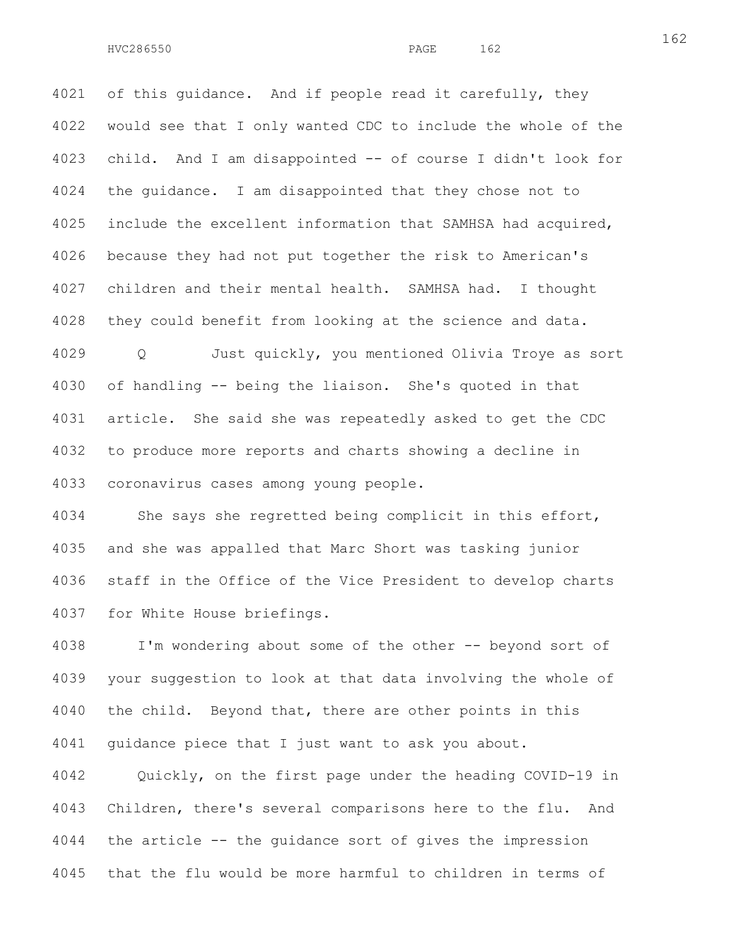4021 of this quidance. And if people read it carefully, they 4022 would see that I only wanted CDC to include the whole of the 4023 child. And I am disappointed -- of course I didn't look for 4024 the guidance. I am disappointed that they chose not to 4025 include the excellent information that SAMHSA had acquired, 4026 because they had not put together the risk to American's 4027 children and their mental health. SAMHSA had. I thought 4028 they could benefit from looking at the science and data. 4029 Q Just quickly, you mentioned Olivia Troye as sort 4030 of handling -- being the liaison. She's quoted in that 4031 article. She said she was repeatedly asked to get the CDC

4033 coronavirus cases among young people.

4034 She says she regretted being complicit in this effort, 4035 and she was appalled that Marc Short was tasking junior 4036 staff in the Office of the Vice President to develop charts 4037 for White House briefings.

4032 to produce more reports and charts showing a decline in

4038 I'm wondering about some of the other -- beyond sort of 4039 your suggestion to look at that data involving the whole of 4040 the child. Beyond that, there are other points in this 4041 guidance piece that I just want to ask you about.

4042 Quickly, on the first page under the heading COVID-19 in 4043 Children, there's several comparisons here to the flu. And 4044 the article -- the guidance sort of gives the impression 4045 that the flu would be more harmful to children in terms of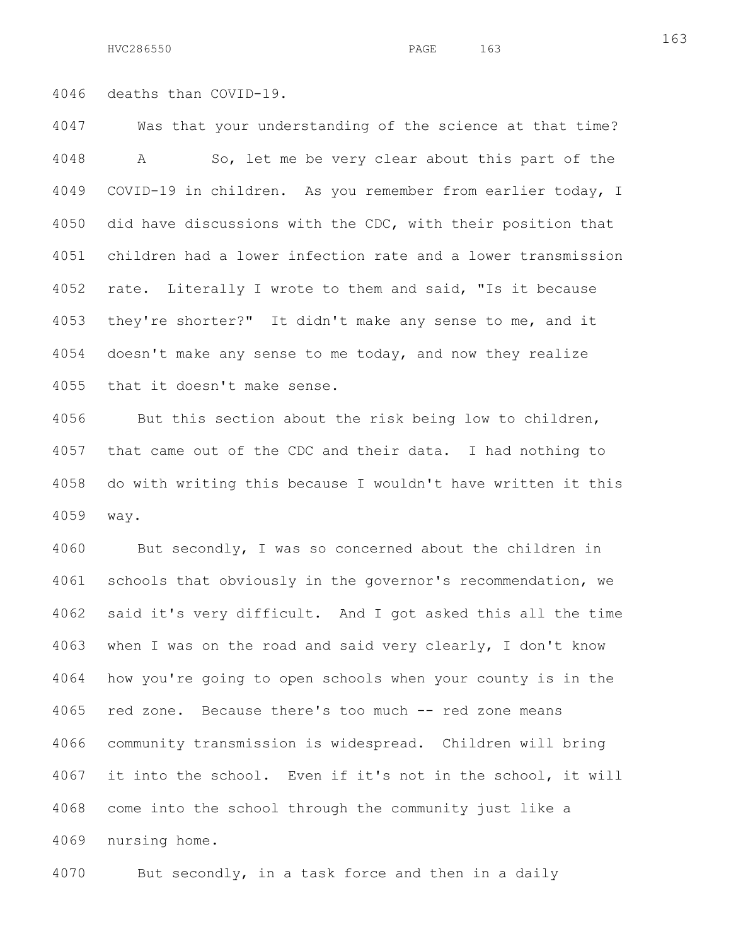4046 deaths than COVID-19.

4047 Was that your understanding of the science at that time? 4048 A So, let me be very clear about this part of the 4049 COVID-19 in children. As you remember from earlier today, I 4050 did have discussions with the CDC, with their position that 4051 children had a lower infection rate and a lower transmission 4052 rate. Literally I wrote to them and said, "Is it because 4053 they're shorter?" It didn't make any sense to me, and it 4054 doesn't make any sense to me today, and now they realize 4055 that it doesn't make sense.

4056 But this section about the risk being low to children, 4057 that came out of the CDC and their data. I had nothing to 4058 do with writing this because I wouldn't have written it this 4059 way.

4060 But secondly, I was so concerned about the children in 4061 schools that obviously in the governor's recommendation, we 4062 said it's very difficult. And I got asked this all the time 4063 when I was on the road and said very clearly, I don't know 4064 how you're going to open schools when your county is in the 4065 red zone. Because there's too much -- red zone means 4066 community transmission is widespread. Children will bring 4067 it into the school. Even if it's not in the school, it will 4068 come into the school through the community just like a 4069 nursing home.

4070 But secondly, in a task force and then in a daily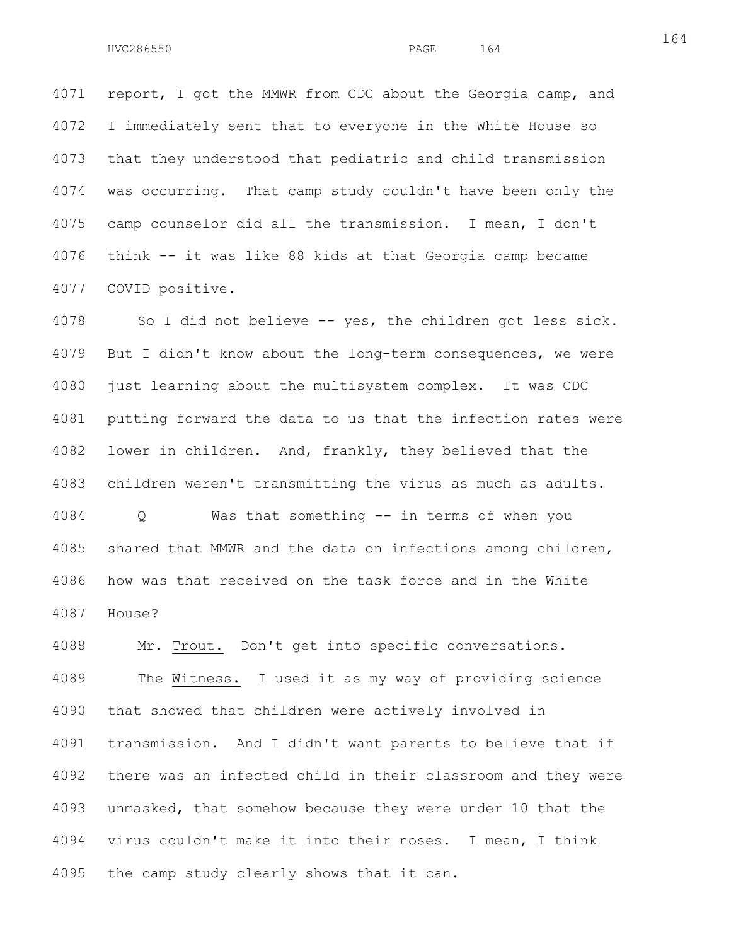4071 report, I got the MMWR from CDC about the Georgia camp, and 4072 I immediately sent that to everyone in the White House so 4073 that they understood that pediatric and child transmission 4074 was occurring. That camp study couldn't have been only the 4075 camp counselor did all the transmission. I mean, I don't 4076 think -- it was like 88 kids at that Georgia camp became 4077 COVID positive.

4078 So I did not believe -- yes, the children got less sick. 4079 But I didn't know about the long-term consequences, we were 4080 just learning about the multisystem complex. It was CDC 4081 putting forward the data to us that the infection rates were 4082 lower in children. And, frankly, they believed that the 4083 children weren't transmitting the virus as much as adults.

4084 Q Was that something -- in terms of when you 4085 shared that MMWR and the data on infections among children, 4086 how was that received on the task force and in the White 4087 House?

4088 Mr. Trout. Don't get into specific conversations. 4089 The Witness. I used it as my way of providing science 4090 that showed that children were actively involved in 4091 transmission. And I didn't want parents to believe that if 4092 there was an infected child in their classroom and they were 4093 unmasked, that somehow because they were under 10 that the 4094 virus couldn't make it into their noses. I mean, I think 4095 the camp study clearly shows that it can.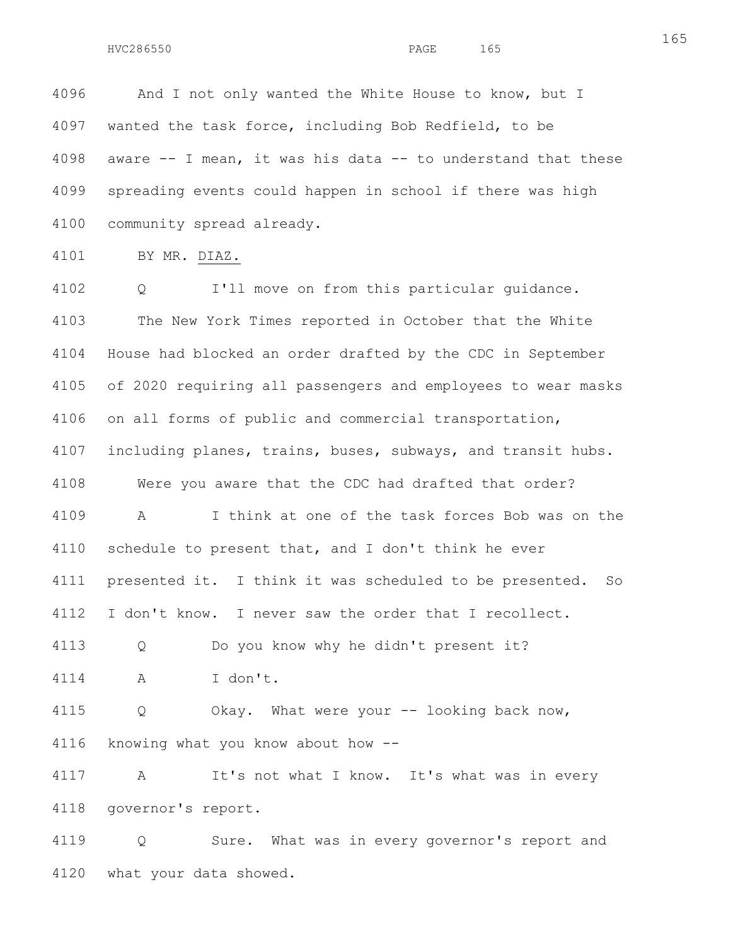4096 And I not only wanted the White House to know, but I 4097 wanted the task force, including Bob Redfield, to be 4098 aware -- I mean, it was his data -- to understand that these 4099 spreading events could happen in school if there was high 4100 community spread already.

4101 BY MR. DIAZ.

4102 Q I'll move on from this particular guidance. 4103 The New York Times reported in October that the White 4104 House had blocked an order drafted by the CDC in September 4105 of 2020 requiring all passengers and employees to wear masks 4106 on all forms of public and commercial transportation, 4107 including planes, trains, buses, subways, and transit hubs. 4108 Were you aware that the CDC had drafted that order? 4109 A I think at one of the task forces Bob was on the 4110 schedule to present that, and I don't think he ever 4111 presented it. I think it was scheduled to be presented. So 4112 I don't know. I never saw the order that I recollect. 4113 Q Do you know why he didn't present it? 4114 A I don't. 4115 Q Okay. What were your -- looking back now, 4116 knowing what you know about how -- 4117 A It's not what I know. It's what was in every 4118 governor's report. 4119 Q Sure. What was in every governor's report and

4120 what your data showed.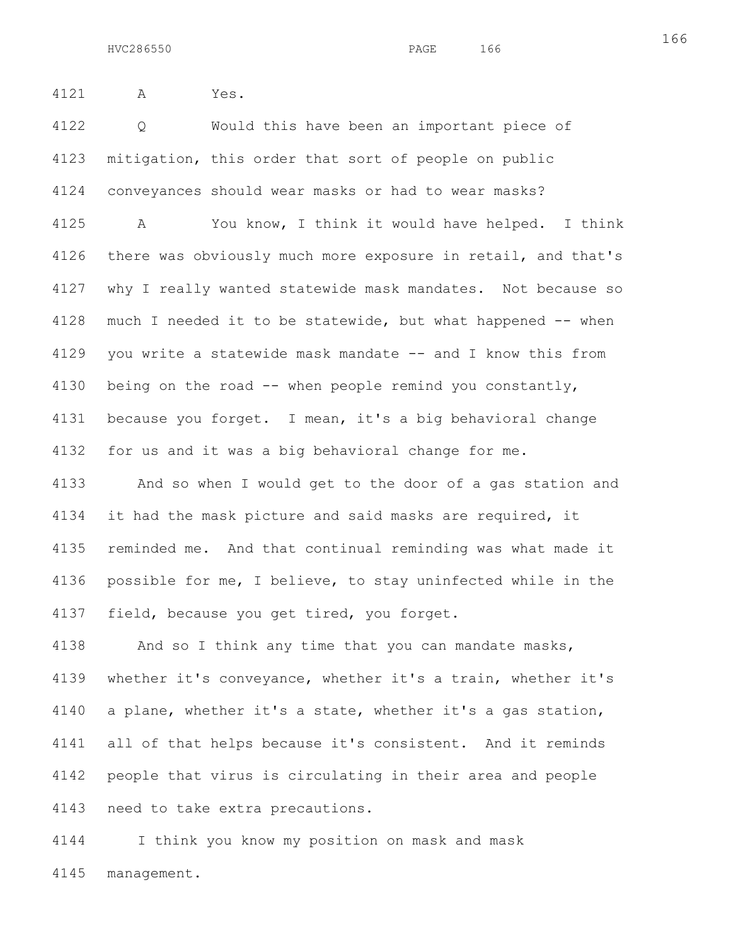4121 A Yes.

4122 Q Would this have been an important piece of 4123 mitigation, this order that sort of people on public 4124 conveyances should wear masks or had to wear masks?

4125 A You know, I think it would have helped. I think 4126 there was obviously much more exposure in retail, and that's 4127 why I really wanted statewide mask mandates. Not because so 4128 much I needed it to be statewide, but what happened -- when 4129 you write a statewide mask mandate -- and I know this from 4130 being on the road -- when people remind you constantly, 4131 because you forget. I mean, it's a big behavioral change 4132 for us and it was a big behavioral change for me.

4133 And so when I would get to the door of a gas station and 4134 it had the mask picture and said masks are required, it 4135 reminded me. And that continual reminding was what made it 4136 possible for me, I believe, to stay uninfected while in the 4137 field, because you get tired, you forget.

4138 And so I think any time that you can mandate masks, 4139 whether it's conveyance, whether it's a train, whether it's 4140 a plane, whether it's a state, whether it's a gas station, 4141 all of that helps because it's consistent. And it reminds 4142 people that virus is circulating in their area and people 4143 need to take extra precautions.

4144 I think you know my position on mask and mask 4145 management.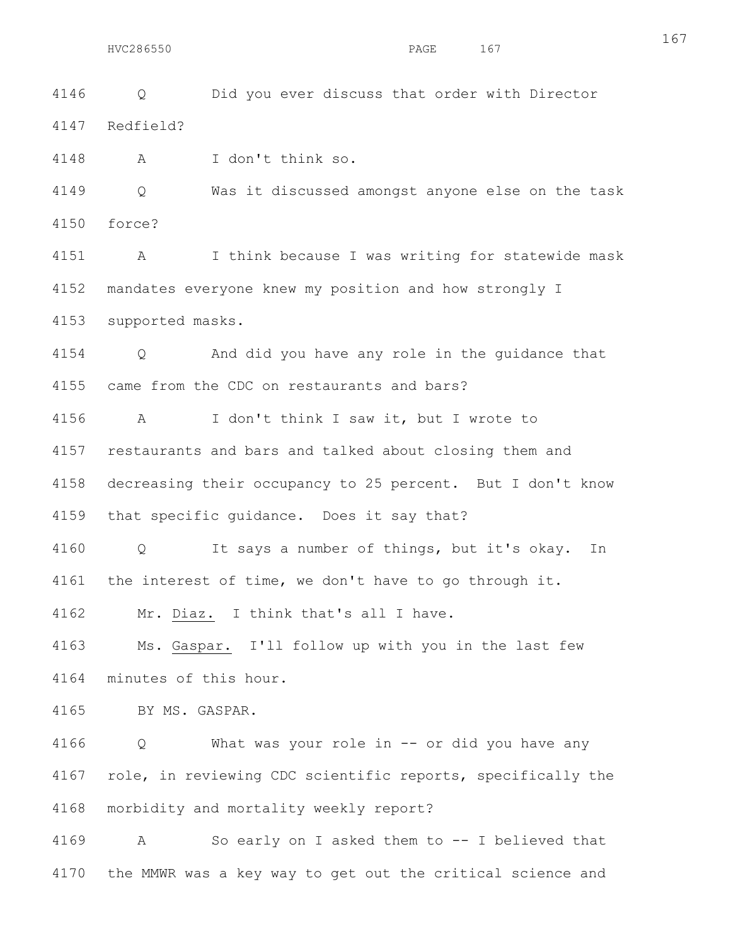4146 Q Did you ever discuss that order with Director 4147 Redfield?

4148 A I don't think so.

4149 Q Was it discussed amongst anyone else on the task 4150 force?

4151 A I think because I was writing for statewide mask 4152 mandates everyone knew my position and how strongly I 4153 supported masks.

4154 Q And did you have any role in the guidance that 4155 came from the CDC on restaurants and bars?

4156 A I don't think I saw it, but I wrote to 4157 restaurants and bars and talked about closing them and 4158 decreasing their occupancy to 25 percent. But I don't know 4159 that specific guidance. Does it say that?

4160 Q It says a number of things, but it's okay. In 4161 the interest of time, we don't have to go through it.

4162 Mr. Diaz. I think that's all I have.

4163 Ms. Gaspar. I'll follow up with you in the last few 4164 minutes of this hour.

4165 BY MS. GASPAR.

4166 Q What was your role in -- or did you have any 4167 role, in reviewing CDC scientific reports, specifically the 4168 morbidity and mortality weekly report?

4169 A So early on I asked them to -- I believed that 4170 the MMWR was a key way to get out the critical science and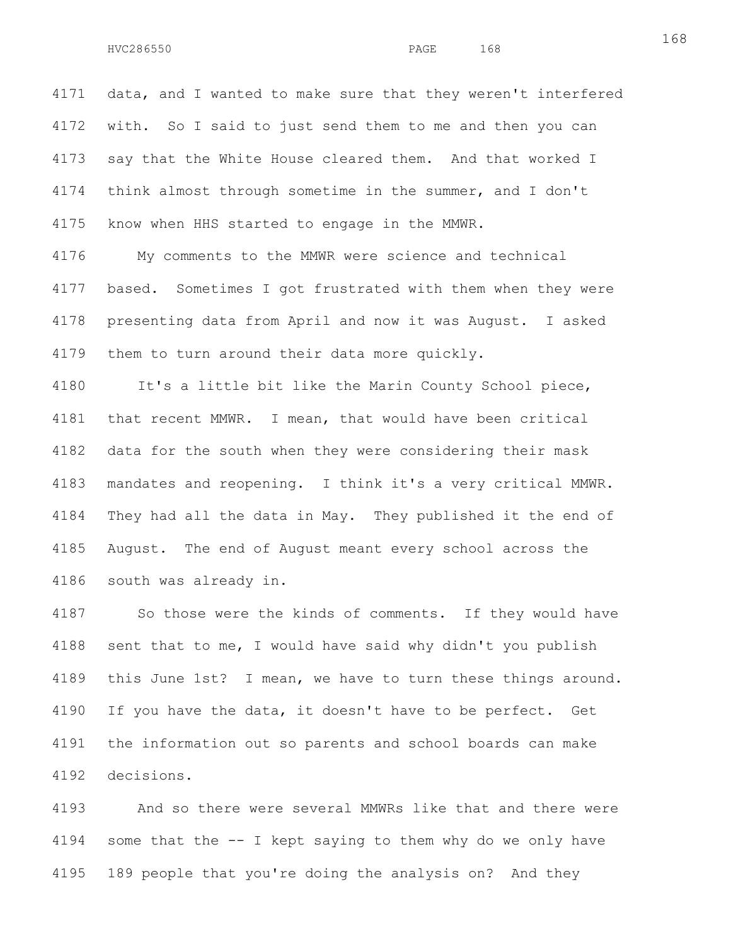4171 data, and I wanted to make sure that they weren't interfered 4172 with. So I said to just send them to me and then you can 4173 say that the White House cleared them. And that worked I 4174 think almost through sometime in the summer, and I don't 4175 know when HHS started to engage in the MMWR.

4176 My comments to the MMWR were science and technical 4177 based. Sometimes I got frustrated with them when they were 4178 presenting data from April and now it was August. I asked 4179 them to turn around their data more quickly.

4180 It's a little bit like the Marin County School piece, 4181 that recent MMWR. I mean, that would have been critical 4182 data for the south when they were considering their mask 4183 mandates and reopening. I think it's a very critical MMWR. 4184 They had all the data in May. They published it the end of 4185 August. The end of August meant every school across the 4186 south was already in.

4187 So those were the kinds of comments. If they would have 4188 sent that to me, I would have said why didn't you publish 4189 this June 1st? I mean, we have to turn these things around. 4190 If you have the data, it doesn't have to be perfect. Get 4191 the information out so parents and school boards can make 4192 decisions.

4193 And so there were several MMWRs like that and there were 4194 some that the -- I kept saying to them why do we only have 4195 189 people that you're doing the analysis on? And they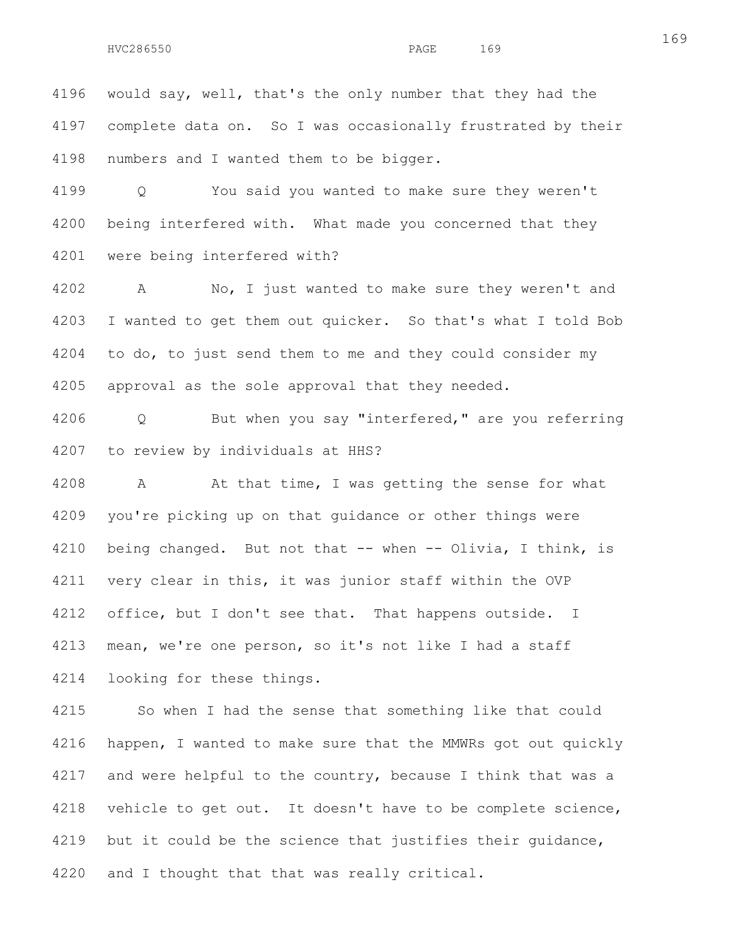4196 would say, well, that's the only number that they had the 4197 complete data on. So I was occasionally frustrated by their 4198 numbers and I wanted them to be bigger.

4199 Q You said you wanted to make sure they weren't 4200 being interfered with. What made you concerned that they 4201 were being interfered with?

4202 A No, I just wanted to make sure they weren't and 4203 I wanted to get them out quicker. So that's what I told Bob 4204 to do, to just send them to me and they could consider my 4205 approval as the sole approval that they needed.

4206 Q But when you say "interfered," are you referring 4207 to review by individuals at HHS?

4208 A At that time, I was getting the sense for what 4209 you're picking up on that guidance or other things were 4210 being changed. But not that -- when -- Olivia, I think, is 4211 very clear in this, it was junior staff within the OVP 4212 office, but I don't see that. That happens outside. I 4213 mean, we're one person, so it's not like I had a staff 4214 looking for these things.

4215 So when I had the sense that something like that could 4216 happen, I wanted to make sure that the MMWRs got out quickly 4217 and were helpful to the country, because I think that was a 4218 vehicle to get out. It doesn't have to be complete science, 4219 but it could be the science that justifies their quidance, 4220 and I thought that that was really critical.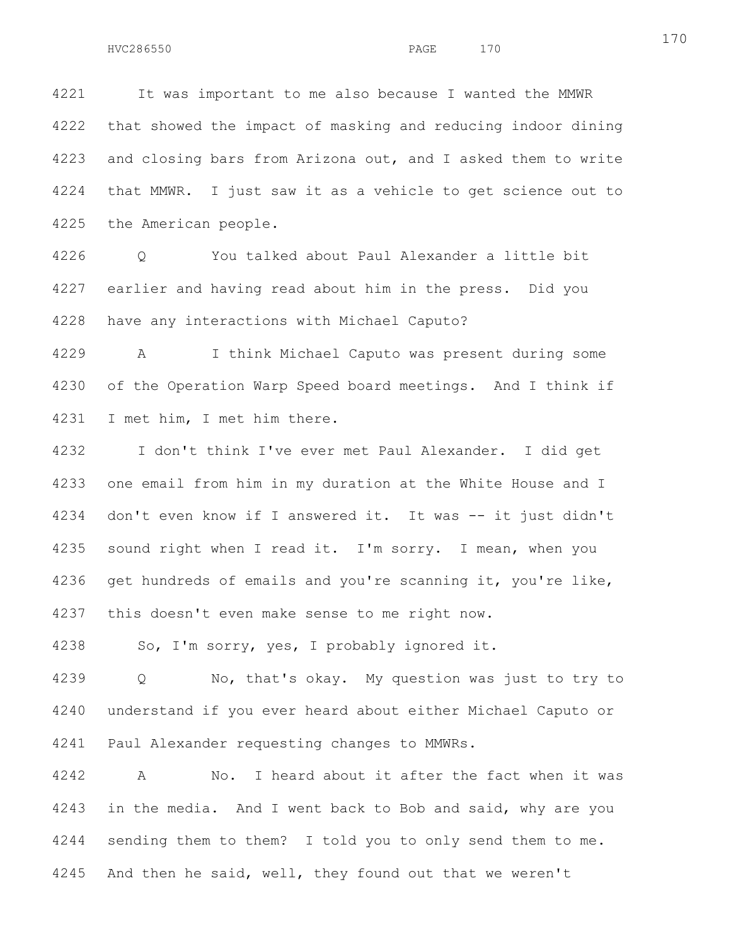4221 It was important to me also because I wanted the MMWR 4222 that showed the impact of masking and reducing indoor dining 4223 and closing bars from Arizona out, and I asked them to write 4224 that MMWR. I just saw it as a vehicle to get science out to 4225 the American people.

4226 Q You talked about Paul Alexander a little bit 4227 earlier and having read about him in the press. Did you 4228 have any interactions with Michael Caputo?

4229 A I think Michael Caputo was present during some 4230 of the Operation Warp Speed board meetings. And I think if 4231 I met him, I met him there.

4232 I don't think I've ever met Paul Alexander. I did get 4233 one email from him in my duration at the White House and I 4234 don't even know if I answered it. It was -- it just didn't 4235 sound right when I read it. I'm sorry. I mean, when you 4236 get hundreds of emails and you're scanning it, you're like, 4237 this doesn't even make sense to me right now.

4238 So, I'm sorry, yes, I probably ignored it.

4239 Q No, that's okay. My question was just to try to 4240 understand if you ever heard about either Michael Caputo or 4241 Paul Alexander requesting changes to MMWRs.

4242 A No. I heard about it after the fact when it was 4243 in the media. And I went back to Bob and said, why are you 4244 sending them to them? I told you to only send them to me. 4245 And then he said, well, they found out that we weren't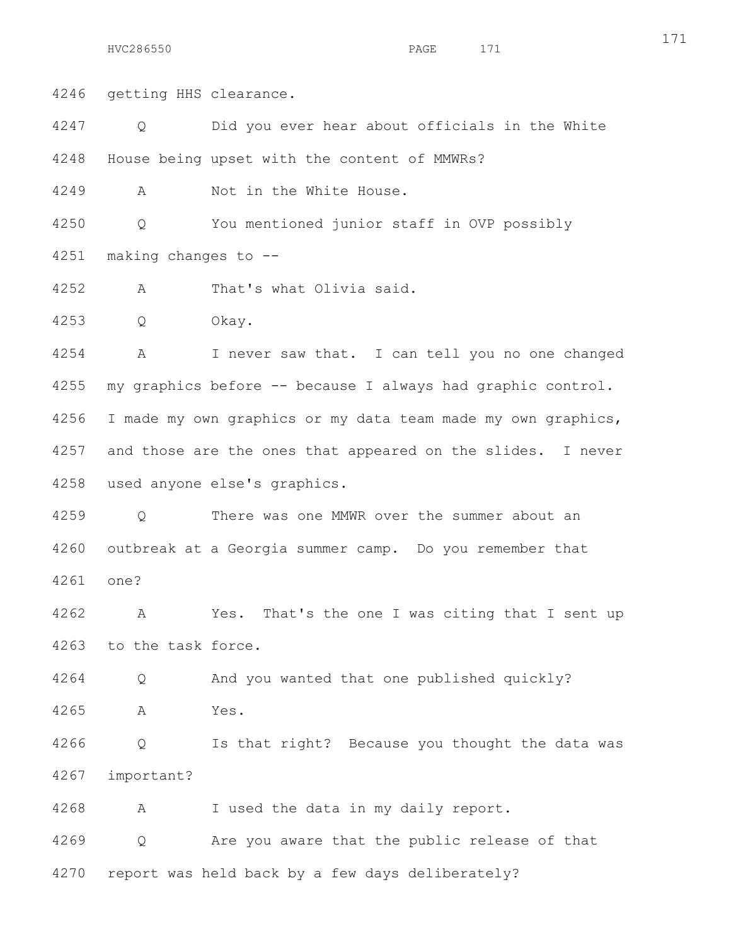171

4246 getting HHS clearance.

4247 Q Did you ever hear about officials in the White 4248 House being upset with the content of MMWRs?

4249 A Not in the White House.

4250 Q You mentioned junior staff in OVP possibly 4251 making changes to --

4252 A That's what Olivia said.

4253 Q Okay.

4254 A I never saw that. I can tell you no one changed 4255 my graphics before -- because I always had graphic control. 4256 I made my own graphics or my data team made my own graphics, 4257 and those are the ones that appeared on the slides. I never 4258 used anyone else's graphics.

4259 Q There was one MMWR over the summer about an 4260 outbreak at a Georgia summer camp. Do you remember that 4261 one?

4262 A Yes. That's the one I was citing that I sent up 4263 to the task force.

4264 Q And you wanted that one published quickly? 4265 A Yes.

4266 Q Is that right? Because you thought the data was 4267 important?

4268 A I used the data in my daily report.

4269 Q Are you aware that the public release of that

4270 report was held back by a few days deliberately?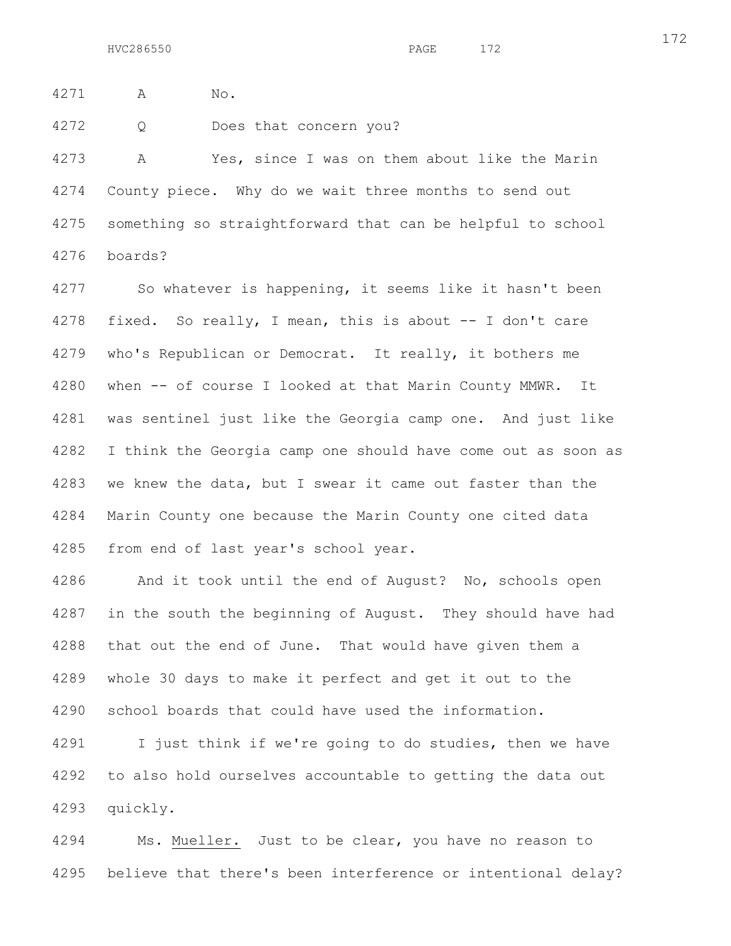4271 A No.

4272 Q Does that concern you?

4273 A Yes, since I was on them about like the Marin 4274 County piece. Why do we wait three months to send out 4275 something so straightforward that can be helpful to school 4276 boards?

4277 So whatever is happening, it seems like it hasn't been 4278 fixed. So really, I mean, this is about -- I don't care 4279 who's Republican or Democrat. It really, it bothers me 4280 when -- of course I looked at that Marin County MMWR. It 4281 was sentinel just like the Georgia camp one. And just like 4282 I think the Georgia camp one should have come out as soon as 4283 we knew the data, but I swear it came out faster than the 4284 Marin County one because the Marin County one cited data 4285 from end of last year's school year.

4286 And it took until the end of August? No, schools open 4287 in the south the beginning of August. They should have had 4288 that out the end of June. That would have given them a 4289 whole 30 days to make it perfect and get it out to the 4290 school boards that could have used the information.

4291 I just think if we're going to do studies, then we have 4292 to also hold ourselves accountable to getting the data out 4293 quickly.

4294 Ms. Mueller. Just to be clear, you have no reason to 4295 believe that there's been interference or intentional delay?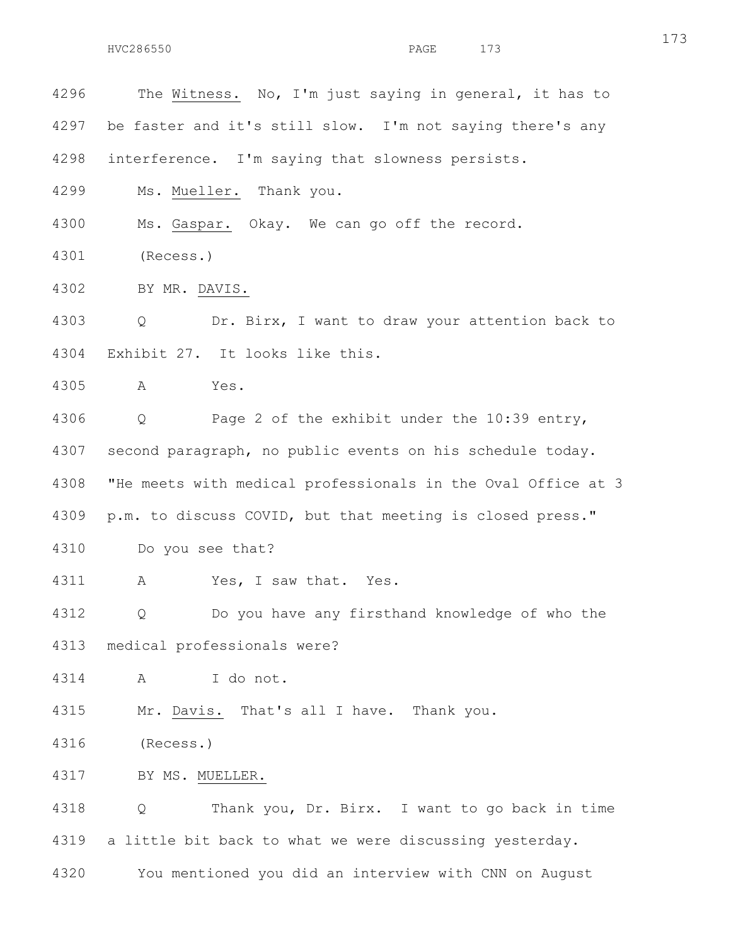4296 The Witness. No, I'm just saying in general, it has to 4297 be faster and it's still slow. I'm not saying there's any 4298 interference. I'm saying that slowness persists. 4299 Ms. Mueller. Thank you. 4300 Ms. Gaspar. Okay. We can go off the record. 4301 (Recess.) 4302 BY MR. DAVIS. 4303 Q Dr. Birx, I want to draw your attention back to 4304 Exhibit 27. It looks like this. 4305 A Yes. 4306 Q Page 2 of the exhibit under the 10:39 entry, 4307 second paragraph, no public events on his schedule today. 4308 "He meets with medical professionals in the Oval Office at 3 4309 p.m. to discuss COVID, but that meeting is closed press." 4310 Do you see that? 4311 A Yes, I saw that. Yes. 4312 Q Do you have any firsthand knowledge of who the 4313 medical professionals were? 4314 A I do not. 4315 Mr. Davis. That's all I have. Thank you. 4316 (Recess.) 4317 BY MS. MUELLER. 4318 Q Thank you, Dr. Birx. I want to go back in time 4319 a little bit back to what we were discussing yesterday. 4320 You mentioned you did an interview with CNN on August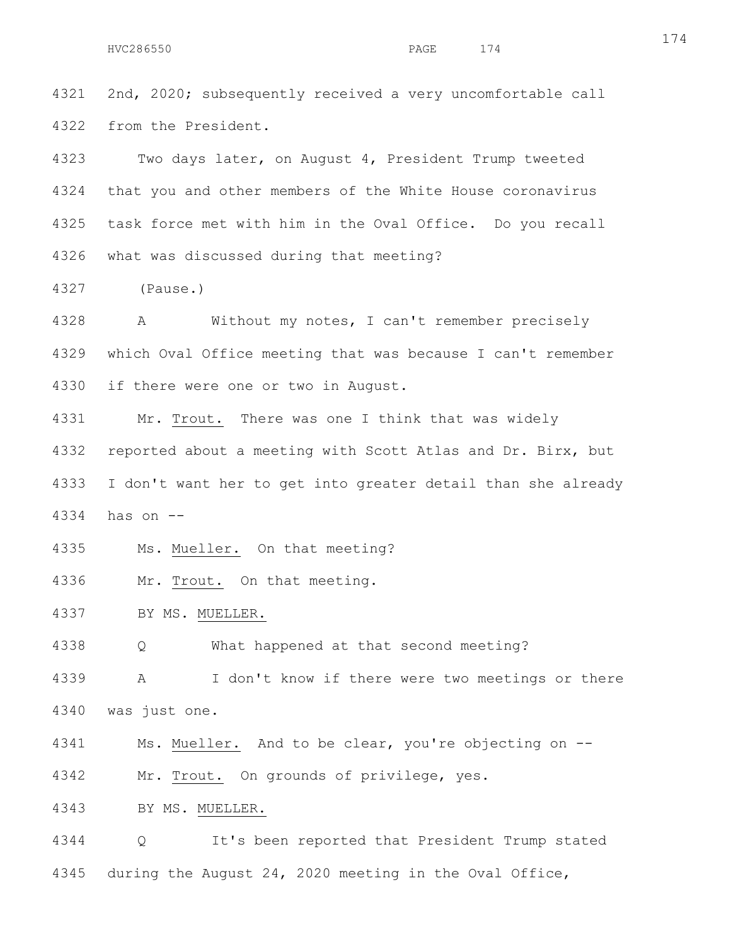4321 2nd, 2020; subsequently received a very uncomfortable call 4322 from the President.

4323 Two days later, on August 4, President Trump tweeted 4324 that you and other members of the White House coronavirus 4325 task force met with him in the Oval Office. Do you recall 4326 what was discussed during that meeting?

4327 (Pause.)

4328 A Without my notes, I can't remember precisely 4329 which Oval Office meeting that was because I can't remember 4330 if there were one or two in August.

4331 Mr. Trout. There was one I think that was widely 4332 reported about a meeting with Scott Atlas and Dr. Birx, but 4333 I don't want her to get into greater detail than she already 4334 has on --

4335 Ms. Mueller. On that meeting?

4336 Mr. Trout. On that meeting.

4337 BY MS. MUELLER.

4338 Q What happened at that second meeting?

4339 A I don't know if there were two meetings or there 4340 was just one.

4341 Ms. Mueller. And to be clear, you're objecting on --

4342 Mr. Trout. On grounds of privilege, yes.

4343 BY MS. MUELLER.

4344 Q It's been reported that President Trump stated 4345 during the August 24, 2020 meeting in the Oval Office,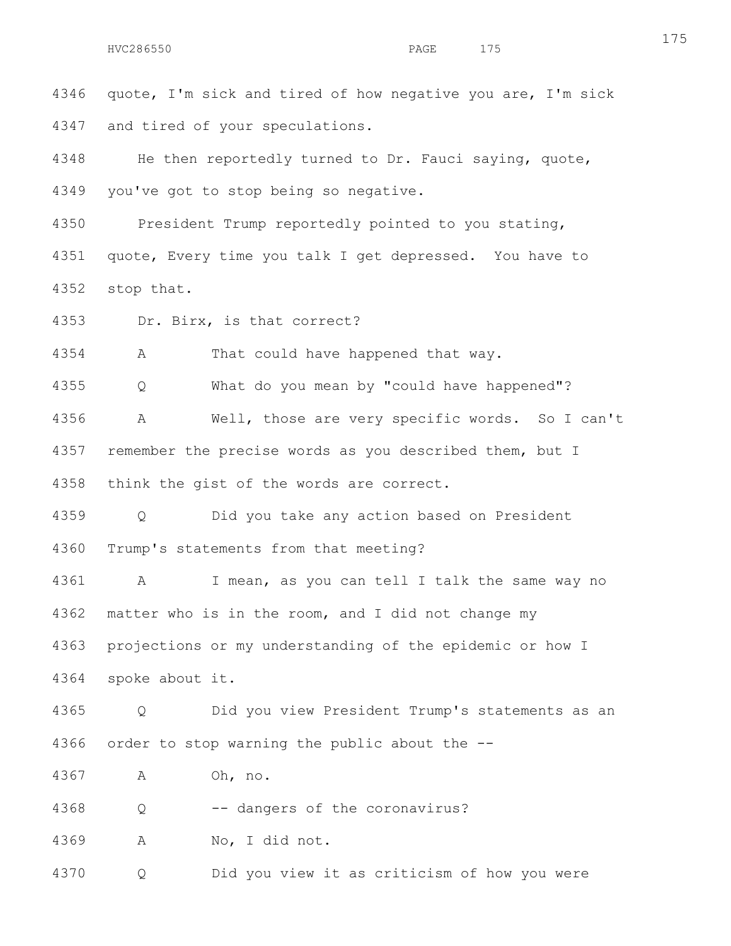4346 quote, I'm sick and tired of how negative you are, I'm sick 4347 and tired of your speculations.

4348 He then reportedly turned to Dr. Fauci saying, quote, 4349 you've got to stop being so negative.

4350 President Trump reportedly pointed to you stating, 4351 quote, Every time you talk I get depressed. You have to 4352 stop that.

4353 Dr. Birx, is that correct?

4354 A That could have happened that way.

4355 Q What do you mean by "could have happened"?

4356 A Well, those are very specific words. So I can't 4357 remember the precise words as you described them, but I 4358 think the gist of the words are correct.

4359 Q Did you take any action based on President 4360 Trump's statements from that meeting?

4361 A I mean, as you can tell I talk the same way no 4362 matter who is in the room, and I did not change my 4363 projections or my understanding of the epidemic or how I 4364 spoke about it.

4365 Q Did you view President Trump's statements as an

4366 order to stop warning the public about the --

4367 A Oh, no.

4368 Q -- dangers of the coronavirus?

4369 A No, I did not.

4370 Q Did you view it as criticism of how you were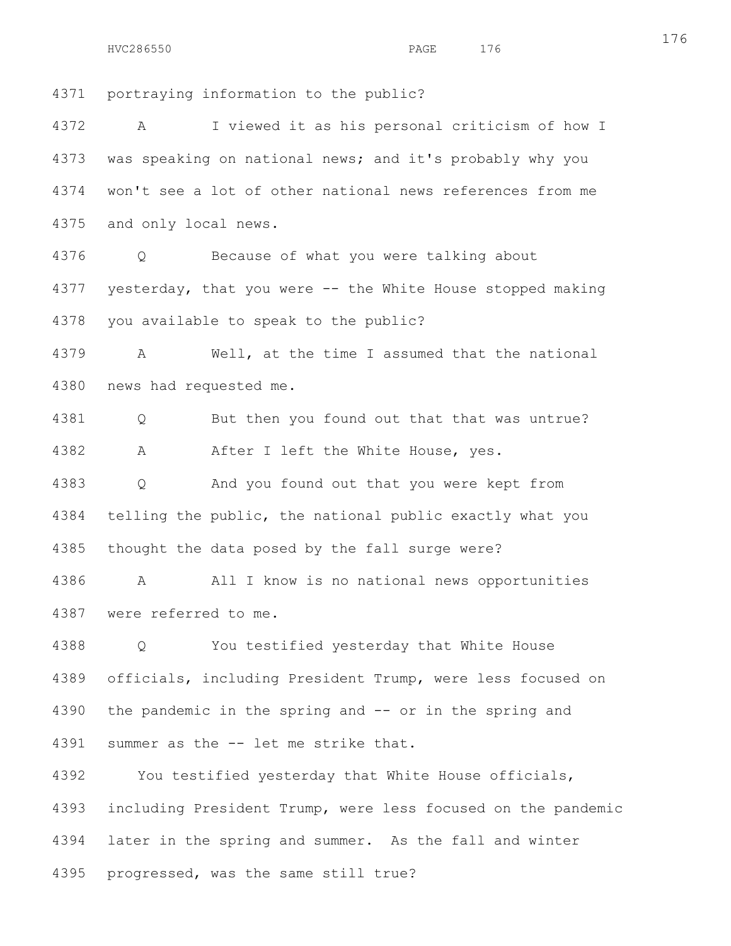4371 portraying information to the public?

4372 A I viewed it as his personal criticism of how I 4373 was speaking on national news; and it's probably why you 4374 won't see a lot of other national news references from me 4375 and only local news.

4376 Q Because of what you were talking about 4377 yesterday, that you were -- the White House stopped making 4378 you available to speak to the public?

4379 A Well, at the time I assumed that the national 4380 news had requested me.

4381 Q But then you found out that that was untrue? 4382 A After I left the White House, yes.

4383 Q And you found out that you were kept from 4384 telling the public, the national public exactly what you 4385 thought the data posed by the fall surge were?

4386 A All I know is no national news opportunities 4387 were referred to me.

4388 Q You testified yesterday that White House 4389 officials, including President Trump, were less focused on 4390 the pandemic in the spring and -- or in the spring and 4391 summer as the -- let me strike that.

4392 You testified yesterday that White House officials, 4393 including President Trump, were less focused on the pandemic 4394 later in the spring and summer. As the fall and winter 4395 progressed, was the same still true?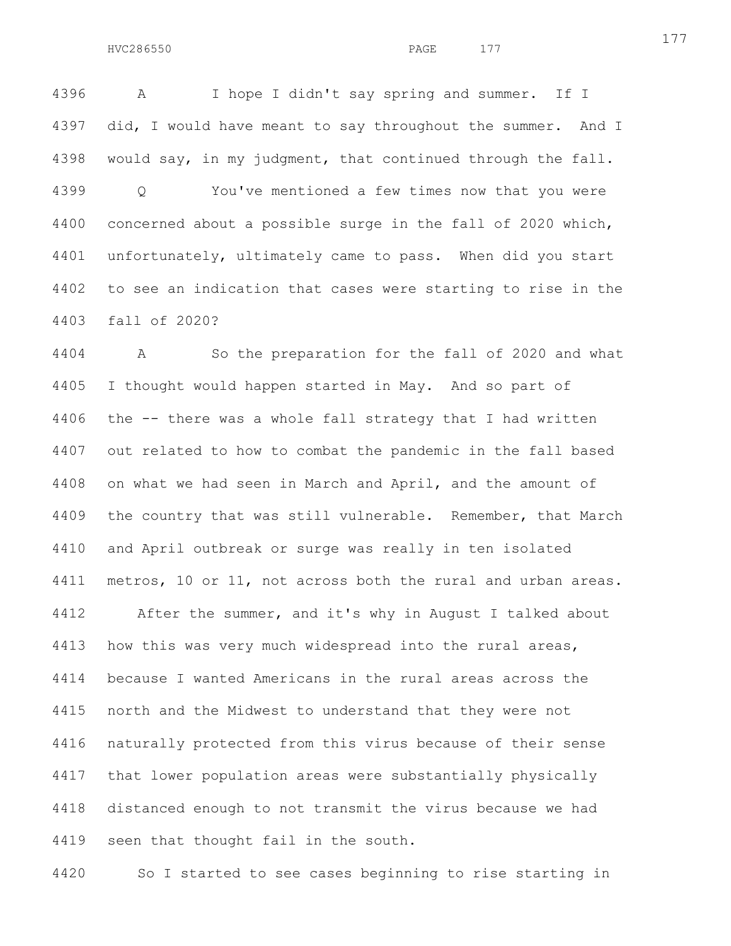4396 A I hope I didn't say spring and summer. If I 4397 did, I would have meant to say throughout the summer. And I 4398 would say, in my judgment, that continued through the fall. 4399 Q You've mentioned a few times now that you were 4400 concerned about a possible surge in the fall of 2020 which, 4401 unfortunately, ultimately came to pass. When did you start 4402 to see an indication that cases were starting to rise in the 4403 fall of 2020?

4404 A So the preparation for the fall of 2020 and what 4405 I thought would happen started in May. And so part of 4406 the -- there was a whole fall strategy that I had written 4407 out related to how to combat the pandemic in the fall based 4408 on what we had seen in March and April, and the amount of 4409 the country that was still vulnerable. Remember, that March 4410 and April outbreak or surge was really in ten isolated 4411 metros, 10 or 11, not across both the rural and urban areas. 4412 After the summer, and it's why in August I talked about 4413 how this was very much widespread into the rural areas, 4414 because I wanted Americans in the rural areas across the 4415 north and the Midwest to understand that they were not 4416 naturally protected from this virus because of their sense 4417 that lower population areas were substantially physically 4418 distanced enough to not transmit the virus because we had 4419 seen that thought fail in the south.

4420 So I started to see cases beginning to rise starting in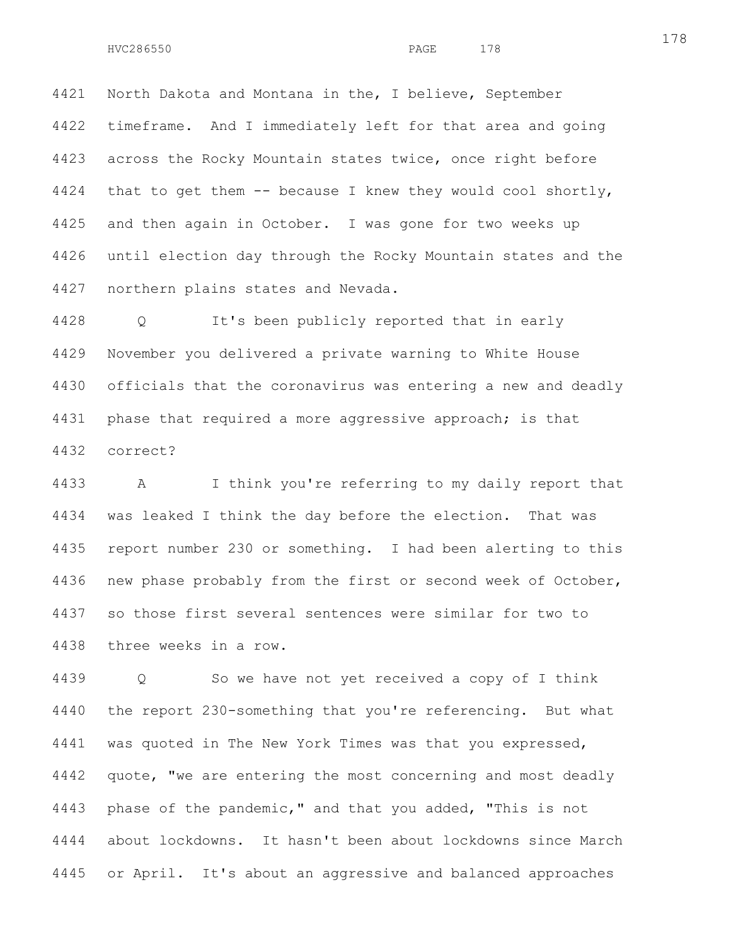4421 North Dakota and Montana in the, I believe, September 4422 timeframe. And I immediately left for that area and going 4423 across the Rocky Mountain states twice, once right before 4424 that to get them -- because I knew they would cool shortly, 4425 and then again in October. I was gone for two weeks up 4426 until election day through the Rocky Mountain states and the 4427 northern plains states and Nevada.

4428 Q It's been publicly reported that in early 4429 November you delivered a private warning to White House 4430 officials that the coronavirus was entering a new and deadly 4431 phase that required a more aggressive approach; is that 4432 correct?

4433 A I think you're referring to my daily report that 4434 was leaked I think the day before the election. That was 4435 report number 230 or something. I had been alerting to this 4436 new phase probably from the first or second week of October, 4437 so those first several sentences were similar for two to 4438 three weeks in a row.

4439 Q So we have not yet received a copy of I think 4440 the report 230-something that you're referencing. But what 4441 was quoted in The New York Times was that you expressed, 4442 quote, "we are entering the most concerning and most deadly 4443 phase of the pandemic," and that you added, "This is not 4444 about lockdowns. It hasn't been about lockdowns since March 4445 or April. It's about an aggressive and balanced approaches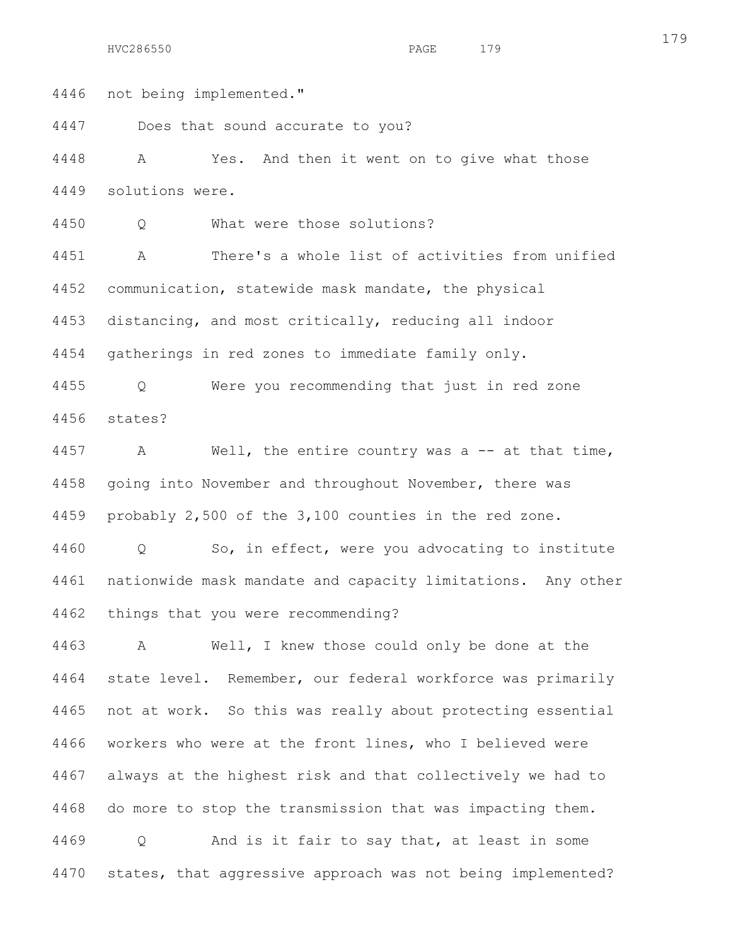4446 not being implemented."

4447 Does that sound accurate to you?

4448 A Yes. And then it went on to give what those 4449 solutions were.

4450 Q What were those solutions?

4451 A There's a whole list of activities from unified 4452 communication, statewide mask mandate, the physical 4453 distancing, and most critically, reducing all indoor 4454 gatherings in red zones to immediate family only.

4455 Q Were you recommending that just in red zone 4456 states?

4457 A Well, the entire country was a -- at that time, 4458 going into November and throughout November, there was 4459 probably 2,500 of the 3,100 counties in the red zone.

4460 Q So, in effect, were you advocating to institute 4461 nationwide mask mandate and capacity limitations. Any other 4462 things that you were recommending?

4463 A Well, I knew those could only be done at the 4464 state level. Remember, our federal workforce was primarily 4465 not at work. So this was really about protecting essential 4466 workers who were at the front lines, who I believed were 4467 always at the highest risk and that collectively we had to 4468 do more to stop the transmission that was impacting them. 4469 Q And is it fair to say that, at least in some 4470 states, that aggressive approach was not being implemented?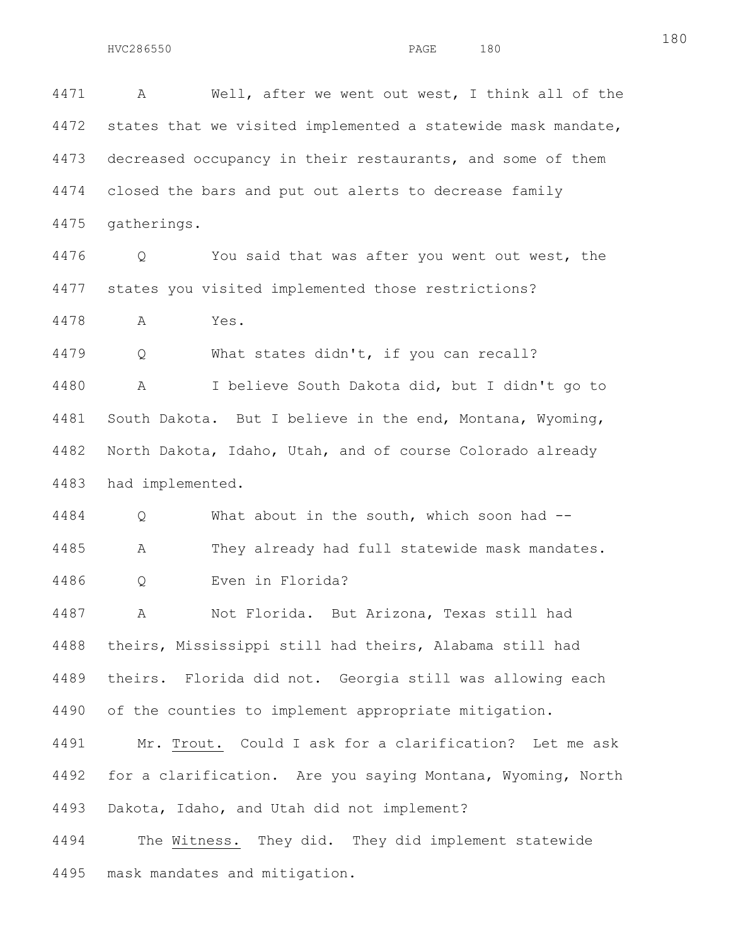4471 A Well, after we went out west, I think all of the 4472 states that we visited implemented a statewide mask mandate, 4473 decreased occupancy in their restaurants, and some of them 4474 closed the bars and put out alerts to decrease family 4475 gatherings.

4476 Q You said that was after you went out west, the 4477 states you visited implemented those restrictions?

4478 A Yes.

4479 Q What states didn't, if you can recall?

4480 A I believe South Dakota did, but I didn't go to 4481 South Dakota. But I believe in the end, Montana, Wyoming, 4482 North Dakota, Idaho, Utah, and of course Colorado already 4483 had implemented.

4484 Q What about in the south, which soon had -- 4485 A They already had full statewide mask mandates. 4486 Q Even in Florida?

4487 A Not Florida. But Arizona, Texas still had 4488 theirs, Mississippi still had theirs, Alabama still had 4489 theirs. Florida did not. Georgia still was allowing each 4490 of the counties to implement appropriate mitigation.

4491 Mr. Trout. Could I ask for a clarification? Let me ask 4492 for a clarification. Are you saying Montana, Wyoming, North 4493 Dakota, Idaho, and Utah did not implement?

4494 The Witness. They did. They did implement statewide 4495 mask mandates and mitigation.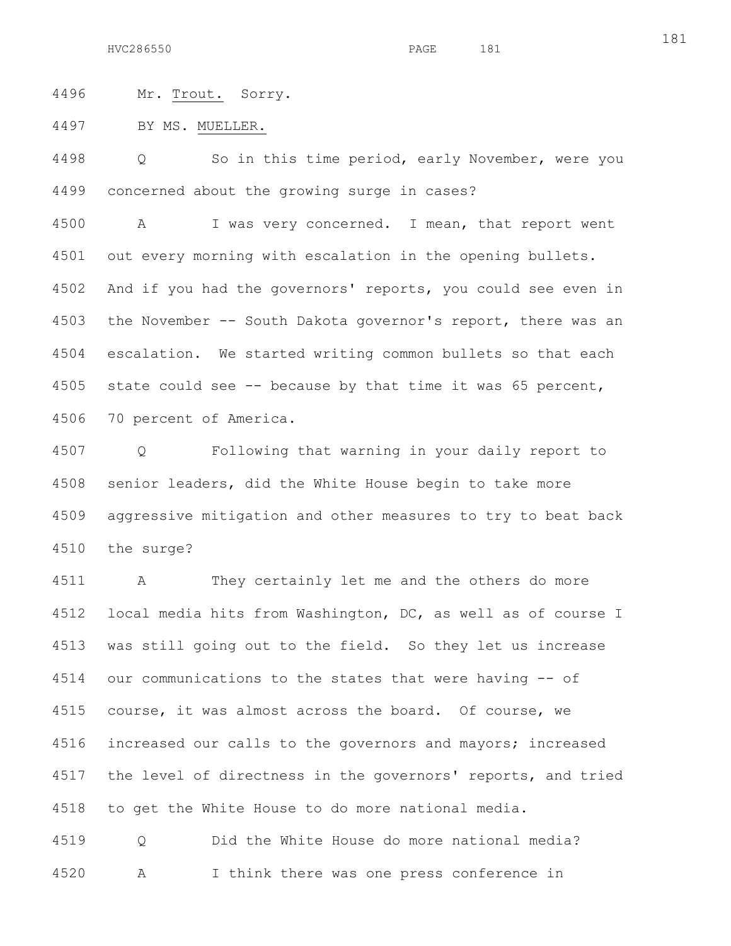4496 Mr. Trout. Sorry.

4497 BY MS. MUELLER.

4498 Q So in this time period, early November, were you 4499 concerned about the growing surge in cases?

4500 A I was very concerned. I mean, that report went 4501 out every morning with escalation in the opening bullets. 4502 And if you had the governors' reports, you could see even in 4503 the November -- South Dakota governor's report, there was an 4504 escalation. We started writing common bullets so that each 4505 state could see -- because by that time it was 65 percent, 4506 70 percent of America.

4507 Q Following that warning in your daily report to 4508 senior leaders, did the White House begin to take more 4509 aggressive mitigation and other measures to try to beat back 4510 the surge?

4511 A They certainly let me and the others do more 4512 local media hits from Washington, DC, as well as of course I 4513 was still going out to the field. So they let us increase 4514 our communications to the states that were having -- of 4515 course, it was almost across the board. Of course, we 4516 increased our calls to the governors and mayors; increased 4517 the level of directness in the governors' reports, and tried 4518 to get the White House to do more national media.

4519 Q Did the White House do more national media? 4520 A I think there was one press conference in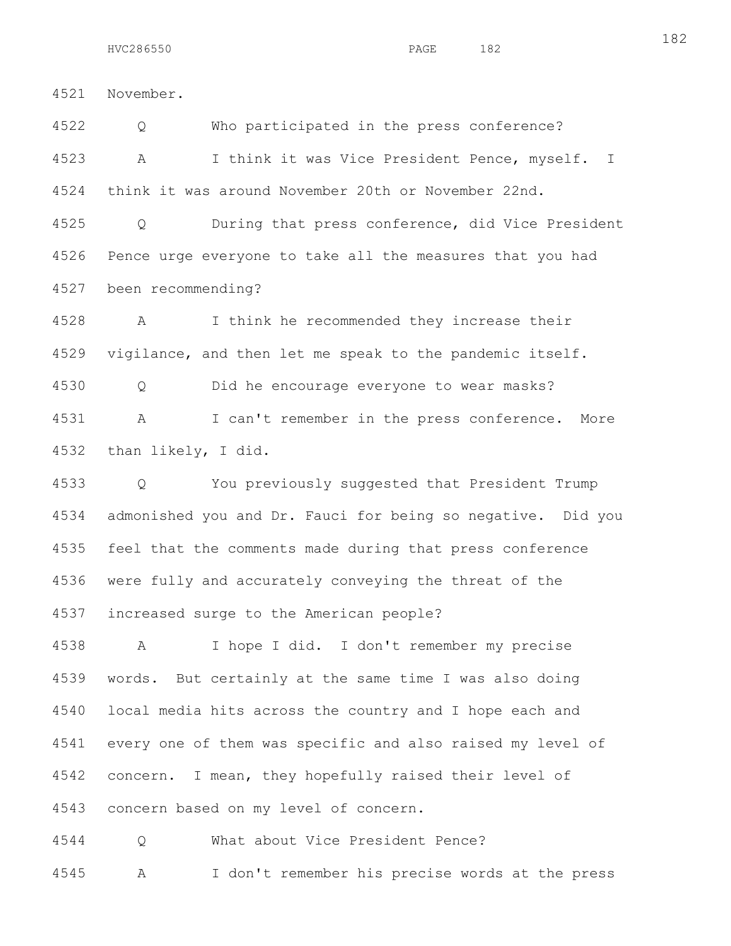182

4521 November.

4522 Q Who participated in the press conference? 4523 A I think it was Vice President Pence, myself. I 4524 think it was around November 20th or November 22nd.

4525 Q During that press conference, did Vice President 4526 Pence urge everyone to take all the measures that you had 4527 been recommending?

4528 A I think he recommended they increase their 4529 vigilance, and then let me speak to the pandemic itself.

4530 Q Did he encourage everyone to wear masks? 4531 A I can't remember in the press conference. More

4532 than likely, I did.

4533 Q You previously suggested that President Trump 4534 admonished you and Dr. Fauci for being so negative. Did you 4535 feel that the comments made during that press conference 4536 were fully and accurately conveying the threat of the 4537 increased surge to the American people?

4538 A I hope I did. I don't remember my precise 4539 words. But certainly at the same time I was also doing 4540 local media hits across the country and I hope each and 4541 every one of them was specific and also raised my level of 4542 concern. I mean, they hopefully raised their level of 4543 concern based on my level of concern.

4544 Q What about Vice President Pence?

4545 A I don't remember his precise words at the press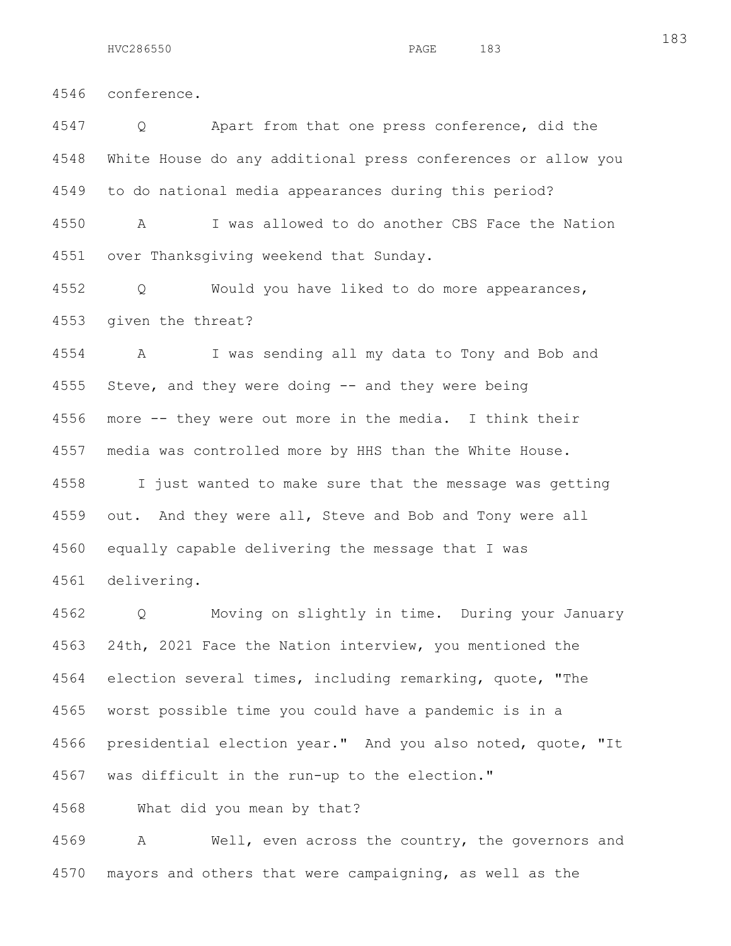4546 conference.

4547 Q Apart from that one press conference, did the 4548 White House do any additional press conferences or allow you 4549 to do national media appearances during this period?

4550 A I was allowed to do another CBS Face the Nation 4551 over Thanksgiving weekend that Sunday.

4552 Q Would you have liked to do more appearances, 4553 given the threat?

4554 A I was sending all my data to Tony and Bob and 4555 Steve, and they were doing -- and they were being 4556 more -- they were out more in the media. I think their 4557 media was controlled more by HHS than the White House.

4558 I just wanted to make sure that the message was getting 4559 out. And they were all, Steve and Bob and Tony were all 4560 equally capable delivering the message that I was 4561 delivering.

4562 Q Moving on slightly in time. During your January 4563 24th, 2021 Face the Nation interview, you mentioned the 4564 election several times, including remarking, quote, "The 4565 worst possible time you could have a pandemic is in a 4566 presidential election year." And you also noted, quote, "It 4567 was difficult in the run-up to the election."

4568 What did you mean by that?

4569 A Well, even across the country, the governors and 4570 mayors and others that were campaigning, as well as the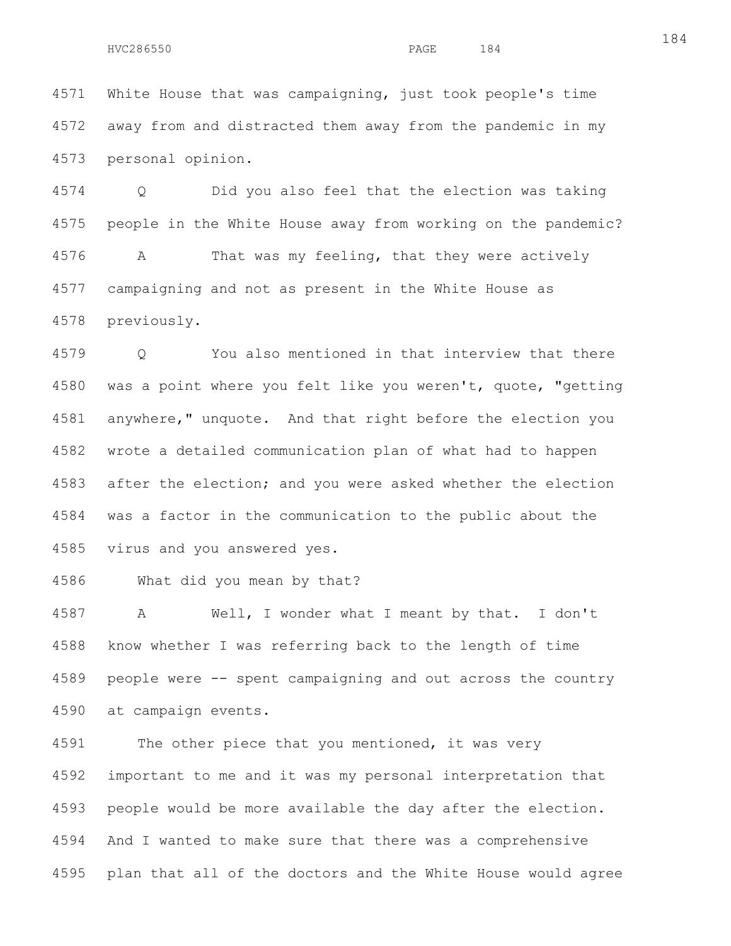4571 White House that was campaigning, just took people's time 4572 away from and distracted them away from the pandemic in my 4573 personal opinion.

4574 Q Did you also feel that the election was taking 4575 people in the White House away from working on the pandemic? 4576 A That was my feeling, that they were actively 4577 campaigning and not as present in the White House as 4578 previously.

4579 Q You also mentioned in that interview that there 4580 was a point where you felt like you weren't, quote, "getting 4581 anywhere," unquote. And that right before the election you 4582 wrote a detailed communication plan of what had to happen 4583 after the election; and you were asked whether the election 4584 was a factor in the communication to the public about the 4585 virus and you answered yes.

4586 What did you mean by that?

4587 A Well, I wonder what I meant by that. I don't 4588 know whether I was referring back to the length of time 4589 people were -- spent campaigning and out across the country 4590 at campaign events.

4591 The other piece that you mentioned, it was very 4592 important to me and it was my personal interpretation that 4593 people would be more available the day after the election. 4594 And I wanted to make sure that there was a comprehensive 4595 plan that all of the doctors and the White House would agree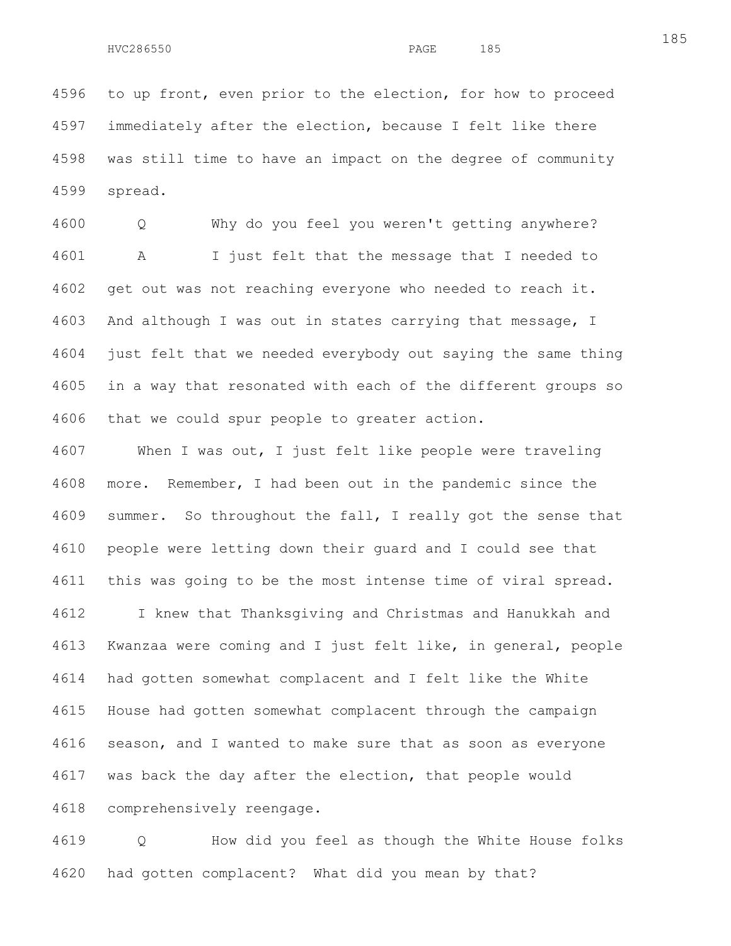4596 to up front, even prior to the election, for how to proceed 4597 immediately after the election, because I felt like there 4598 was still time to have an impact on the degree of community 4599 spread.

4600 Q Why do you feel you weren't getting anywhere? 4601 A I just felt that the message that I needed to 4602 get out was not reaching everyone who needed to reach it. 4603 And although I was out in states carrying that message, I 4604 just felt that we needed everybody out saying the same thing 4605 in a way that resonated with each of the different groups so 4606 that we could spur people to greater action.

4607 When I was out, I just felt like people were traveling 4608 more. Remember, I had been out in the pandemic since the 4609 summer. So throughout the fall, I really got the sense that 4610 people were letting down their guard and I could see that 4611 this was going to be the most intense time of viral spread. 4612 I knew that Thanksgiving and Christmas and Hanukkah and 4613 Kwanzaa were coming and I just felt like, in general, people 4614 had gotten somewhat complacent and I felt like the White 4615 House had gotten somewhat complacent through the campaign 4616 season, and I wanted to make sure that as soon as everyone 4617 was back the day after the election, that people would 4618 comprehensively reengage.

4619 Q How did you feel as though the White House folks 4620 had gotten complacent? What did you mean by that?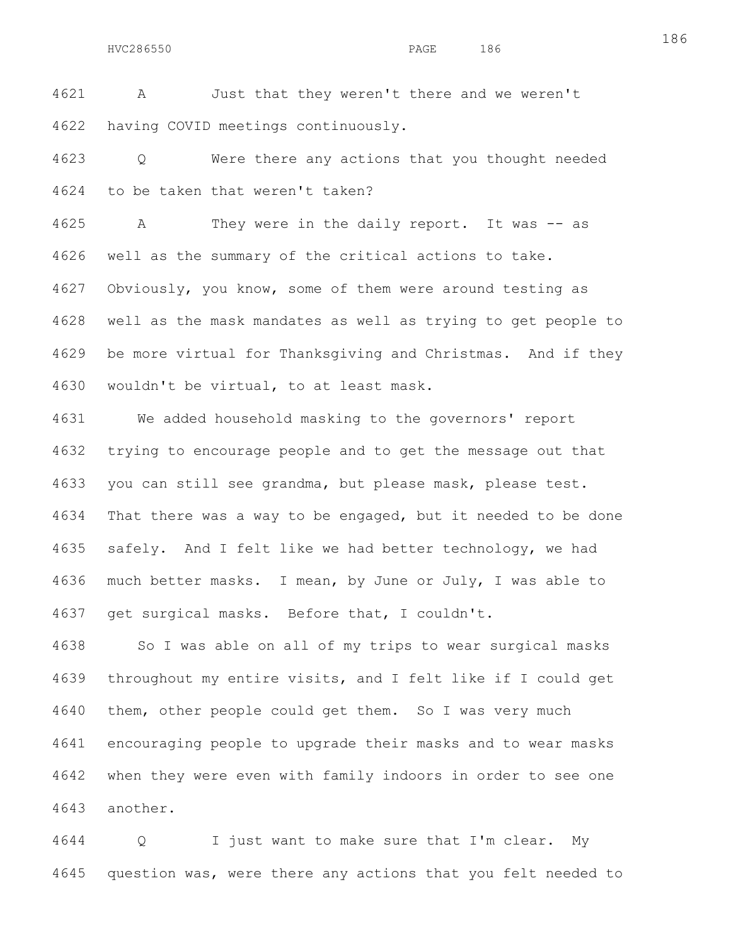4621 A Just that they weren't there and we weren't 4622 having COVID meetings continuously.

4623 Q Were there any actions that you thought needed 4624 to be taken that weren't taken?

4625 A They were in the daily report. It was -- as 4626 well as the summary of the critical actions to take. 4627 Obviously, you know, some of them were around testing as 4628 well as the mask mandates as well as trying to get people to 4629 be more virtual for Thanksgiving and Christmas. And if they 4630 wouldn't be virtual, to at least mask.

4631 We added household masking to the governors' report 4632 trying to encourage people and to get the message out that 4633 you can still see grandma, but please mask, please test. 4634 That there was a way to be engaged, but it needed to be done 4635 safely. And I felt like we had better technology, we had 4636 much better masks. I mean, by June or July, I was able to 4637 get surgical masks. Before that, I couldn't.

4638 So I was able on all of my trips to wear surgical masks 4639 throughout my entire visits, and I felt like if I could get 4640 them, other people could get them. So I was very much 4641 encouraging people to upgrade their masks and to wear masks 4642 when they were even with family indoors in order to see one 4643 another.

4644 Q I just want to make sure that I'm clear. My 4645 question was, were there any actions that you felt needed to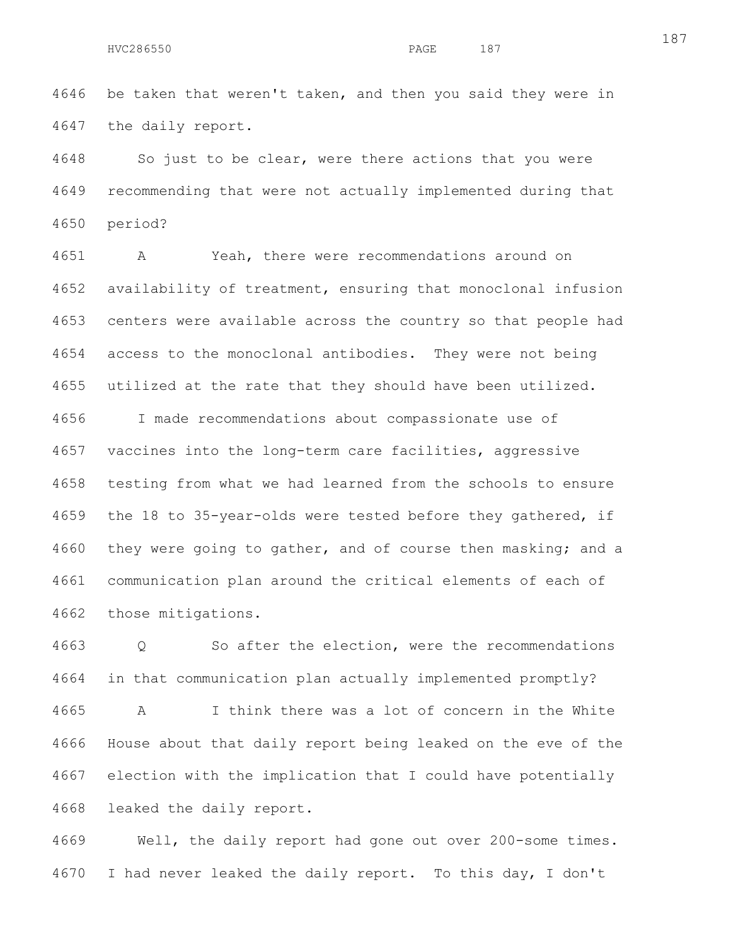4646 be taken that weren't taken, and then you said they were in 4647 the daily report.

4648 So just to be clear, were there actions that you were 4649 recommending that were not actually implemented during that 4650 period?

4651 A Yeah, there were recommendations around on 4652 availability of treatment, ensuring that monoclonal infusion 4653 centers were available across the country so that people had 4654 access to the monoclonal antibodies. They were not being 4655 utilized at the rate that they should have been utilized.

4656 I made recommendations about compassionate use of 4657 vaccines into the long-term care facilities, aggressive 4658 testing from what we had learned from the schools to ensure 4659 the 18 to 35-year-olds were tested before they gathered, if 4660 they were going to gather, and of course then masking; and a 4661 communication plan around the critical elements of each of 4662 those mitigations.

4663 Q So after the election, were the recommendations 4664 in that communication plan actually implemented promptly? 4665 A I think there was a lot of concern in the White 4666 House about that daily report being leaked on the eve of the 4667 election with the implication that I could have potentially 4668 leaked the daily report.

4669 Well, the daily report had gone out over 200-some times. 4670 I had never leaked the daily report. To this day, I don't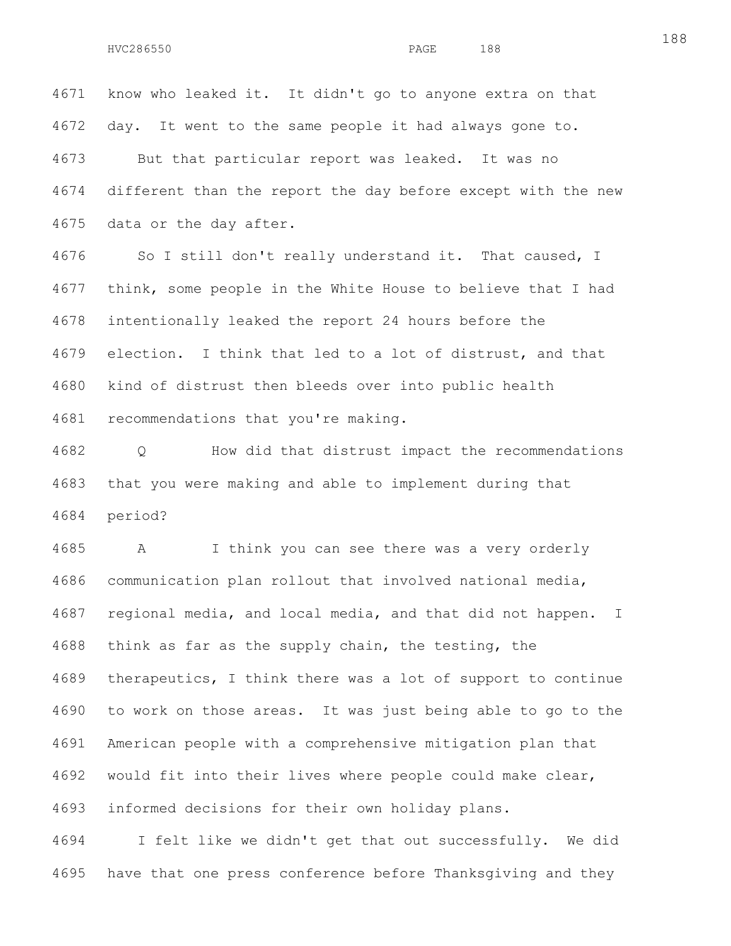4671 know who leaked it. It didn't go to anyone extra on that 4672 day. It went to the same people it had always gone to. 4673 But that particular report was leaked. It was no 4674 different than the report the day before except with the new 4675 data or the day after. 4676 So I still don't really understand it. That caused, I

4677 think, some people in the White House to believe that I had 4678 intentionally leaked the report 24 hours before the 4679 election. I think that led to a lot of distrust, and that 4680 kind of distrust then bleeds over into public health 4681 recommendations that you're making.

4682 Q How did that distrust impact the recommendations 4683 that you were making and able to implement during that 4684 period?

4685 A I think you can see there was a very orderly 4686 communication plan rollout that involved national media, 4687 regional media, and local media, and that did not happen. I 4688 think as far as the supply chain, the testing, the 4689 therapeutics, I think there was a lot of support to continue 4690 to work on those areas. It was just being able to go to the 4691 American people with a comprehensive mitigation plan that 4692 would fit into their lives where people could make clear, 4693 informed decisions for their own holiday plans.

4694 I felt like we didn't get that out successfully. We did 4695 have that one press conference before Thanksgiving and they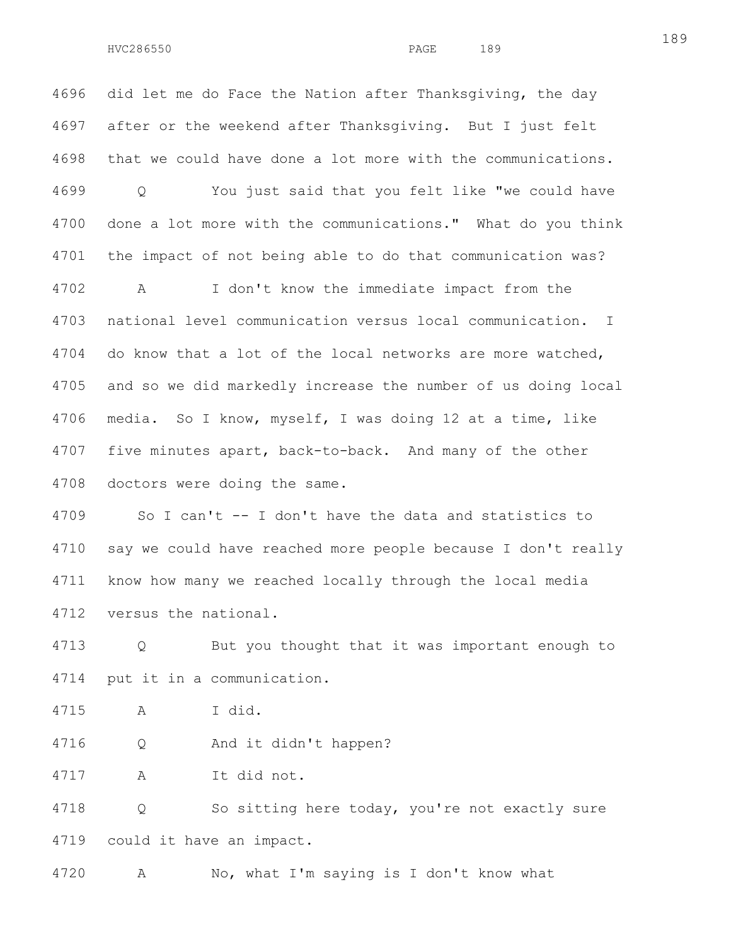4696 did let me do Face the Nation after Thanksgiving, the day 4697 after or the weekend after Thanksgiving. But I just felt 4698 that we could have done a lot more with the communications. 4699 Q You just said that you felt like "we could have 4700 done a lot more with the communications." What do you think 4701 the impact of not being able to do that communication was? 4702 A I don't know the immediate impact from the 4703 national level communication versus local communication. I 4704 do know that a lot of the local networks are more watched, 4705 and so we did markedly increase the number of us doing local 4706 media. So I know, myself, I was doing 12 at a time, like 4707 five minutes apart, back-to-back. And many of the other 4708 doctors were doing the same.

4709 So I can't -- I don't have the data and statistics to 4710 say we could have reached more people because I don't really 4711 know how many we reached locally through the local media 4712 versus the national.

4713 Q But you thought that it was important enough to 4714 put it in a communication.

4715 A I did.

4716 Q And it didn't happen?

4717 A It did not.

4718 Q So sitting here today, you're not exactly sure 4719 could it have an impact.

4720 A No, what I'm saying is I don't know what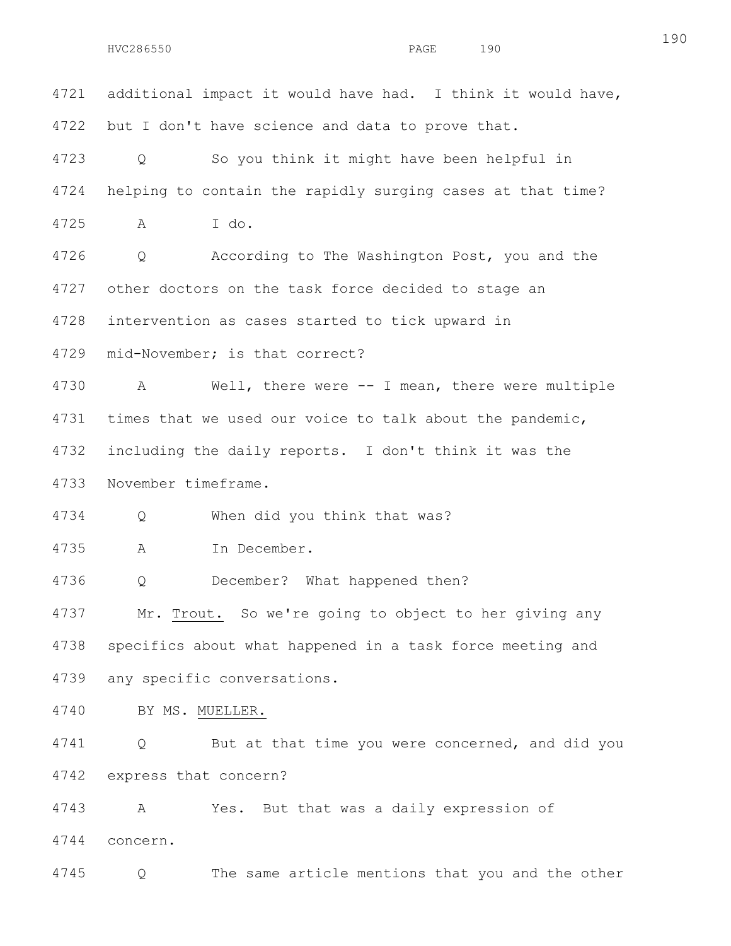4721 additional impact it would have had. I think it would have, 4722 but I don't have science and data to prove that. 4723 Q So you think it might have been helpful in 4724 helping to contain the rapidly surging cases at that time? 4725 A I do. 4726 Q According to The Washington Post, you and the 4727 other doctors on the task force decided to stage an 4728 intervention as cases started to tick upward in 4729 mid-November; is that correct? 4730 A Well, there were -- I mean, there were multiple 4731 times that we used our voice to talk about the pandemic, 4732 including the daily reports. I don't think it was the 4733 November timeframe. 4734 Q When did you think that was? 4735 A In December. 4736 Q December? What happened then? 4737 Mr. Trout. So we're going to object to her giving any 4738 specifics about what happened in a task force meeting and 4739 any specific conversations. 4740 BY MS. MUELLER. 4741 Q But at that time you were concerned, and did you 4742 express that concern? 4743 A Yes. But that was a daily expression of 4744 concern. 4745 Q The same article mentions that you and the other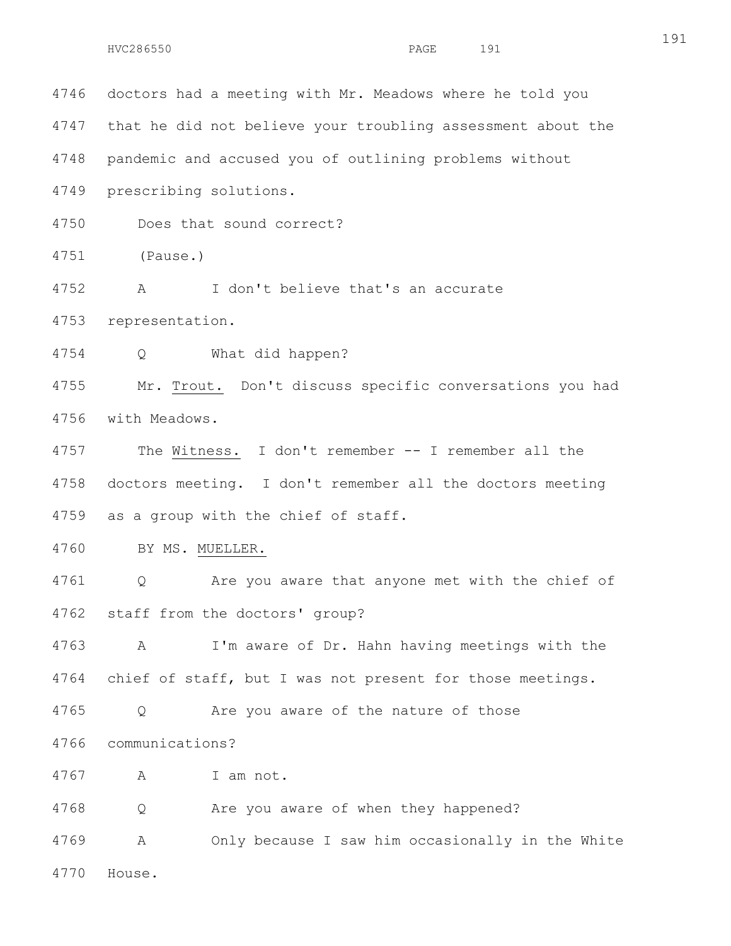4746 doctors had a meeting with Mr. Meadows where he told you 4747 that he did not believe your troubling assessment about the 4748 pandemic and accused you of outlining problems without 4749 prescribing solutions. 4750 Does that sound correct? 4751 (Pause.) 4752 A I don't believe that's an accurate 4753 representation. 4754 Q What did happen? 4755 Mr. Trout. Don't discuss specific conversations you had 4756 with Meadows. 4757 The Witness. I don't remember -- I remember all the 4758 doctors meeting. I don't remember all the doctors meeting 4759 as a group with the chief of staff. 4760 BY MS. MUELLER. 4761 Q Are you aware that anyone met with the chief of 4762 staff from the doctors' group? 4763 A I'm aware of Dr. Hahn having meetings with the 4764 chief of staff, but I was not present for those meetings. 4765 Q Are you aware of the nature of those 4766 communications? 4767 A I am not. 4768 Q Are you aware of when they happened? 4769 A Only because I saw him occasionally in the White 4770 House.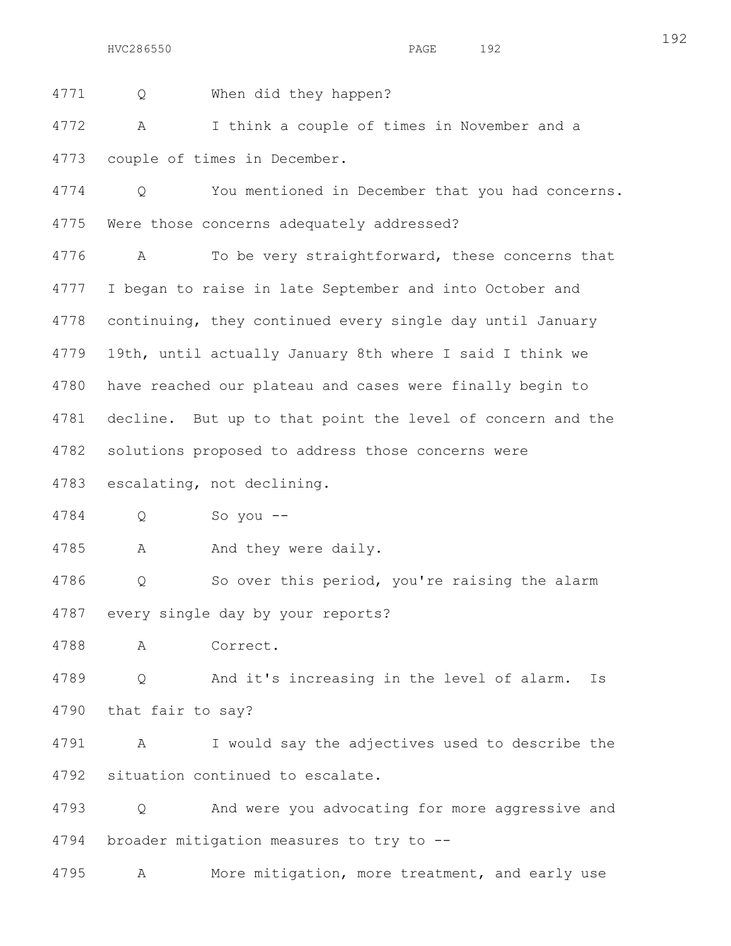4771 Q When did they happen?

4772 A I think a couple of times in November and a 4773 couple of times in December.

4774 Q You mentioned in December that you had concerns. 4775 Were those concerns adequately addressed?

4776 A To be very straightforward, these concerns that 4777 I began to raise in late September and into October and 4778 continuing, they continued every single day until January 4779 19th, until actually January 8th where I said I think we 4780 have reached our plateau and cases were finally begin to 4781 decline. But up to that point the level of concern and the 4782 solutions proposed to address those concerns were

4783 escalating, not declining.

4784 Q So you --

4785 A And they were daily.

4786 Q So over this period, you're raising the alarm 4787 every single day by your reports?

4788 A Correct.

4789 Q And it's increasing in the level of alarm. Is 4790 that fair to say?

4791 A I would say the adjectives used to describe the 4792 situation continued to escalate.

4793 Q And were you advocating for more aggressive and 4794 broader mitigation measures to try to --

4795 A More mitigation, more treatment, and early use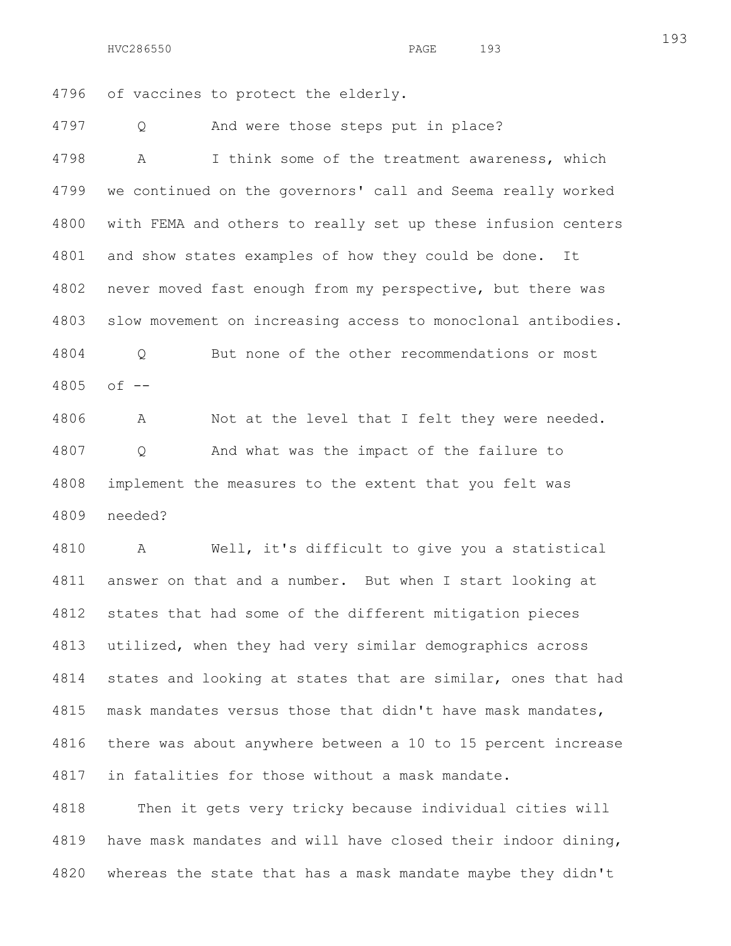4796 of vaccines to protect the elderly.

4797 Q And were those steps put in place?

4798 A I think some of the treatment awareness, which 4799 we continued on the governors' call and Seema really worked 4800 with FEMA and others to really set up these infusion centers 4801 and show states examples of how they could be done. It 4802 never moved fast enough from my perspective, but there was 4803 slow movement on increasing access to monoclonal antibodies. 4804 Q But none of the other recommendations or most 4805 of --

4806 A Not at the level that I felt they were needed. 4807 Q And what was the impact of the failure to 4808 implement the measures to the extent that you felt was 4809 needed?

4810 A Well, it's difficult to give you a statistical 4811 answer on that and a number. But when I start looking at 4812 states that had some of the different mitigation pieces 4813 utilized, when they had very similar demographics across 4814 states and looking at states that are similar, ones that had 4815 mask mandates versus those that didn't have mask mandates, 4816 there was about anywhere between a 10 to 15 percent increase 4817 in fatalities for those without a mask mandate.

4818 Then it gets very tricky because individual cities will 4819 have mask mandates and will have closed their indoor dining, 4820 whereas the state that has a mask mandate maybe they didn't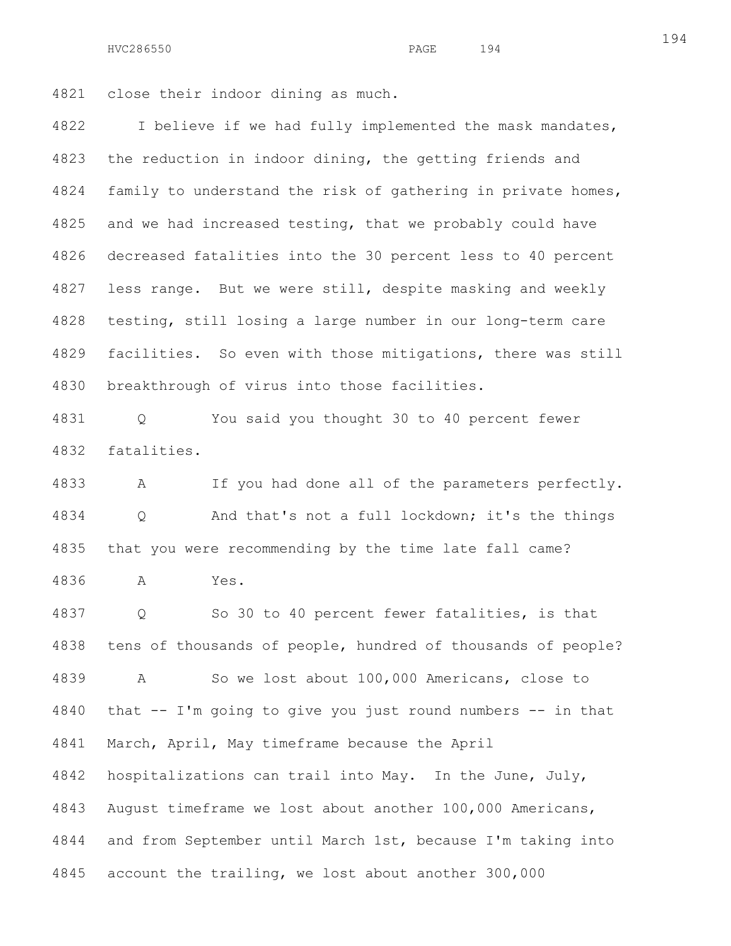4821 close their indoor dining as much.

4822 I believe if we had fully implemented the mask mandates, 4823 the reduction in indoor dining, the getting friends and 4824 family to understand the risk of gathering in private homes, 4825 and we had increased testing, that we probably could have 4826 decreased fatalities into the 30 percent less to 40 percent 4827 less range. But we were still, despite masking and weekly 4828 testing, still losing a large number in our long-term care 4829 facilities. So even with those mitigations, there was still 4830 breakthrough of virus into those facilities.

4831 Q You said you thought 30 to 40 percent fewer 4832 fatalities.

4833 A If you had done all of the parameters perfectly. 4834 Q And that's not a full lockdown; it's the things 4835 that you were recommending by the time late fall came? 4836 A Yes.

4837 Q So 30 to 40 percent fewer fatalities, is that 4838 tens of thousands of people, hundred of thousands of people? 4839 A So we lost about 100,000 Americans, close to 4840 that -- I'm going to give you just round numbers -- in that 4841 March, April, May timeframe because the April 4842 hospitalizations can trail into May. In the June, July, 4843 August timeframe we lost about another 100,000 Americans, 4844 and from September until March 1st, because I'm taking into 4845 account the trailing, we lost about another 300,000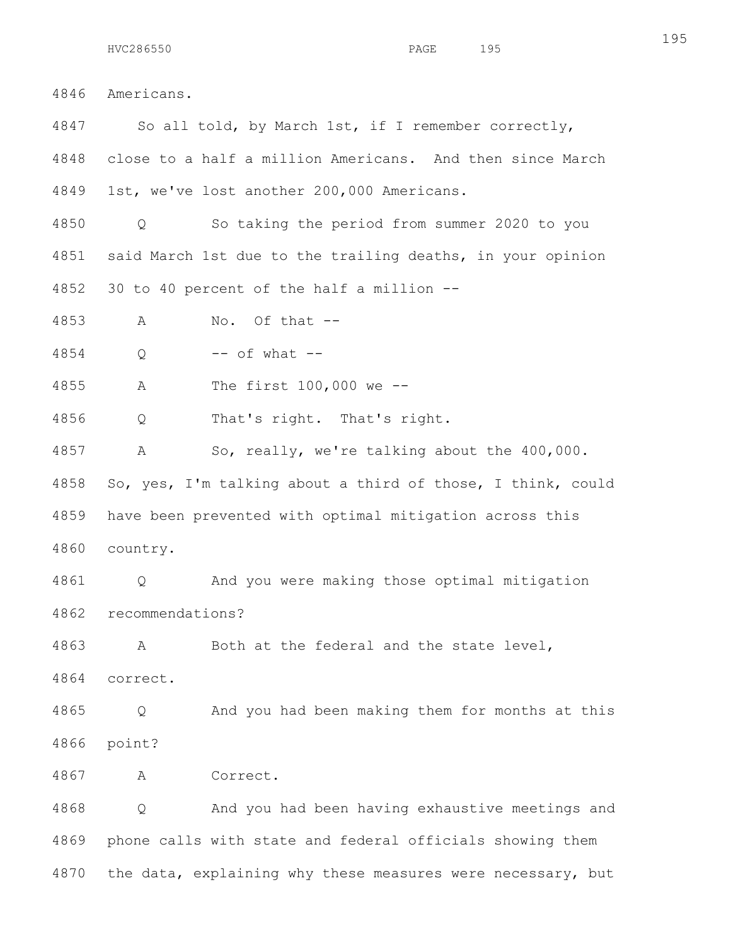4846 Americans. 4847 So all told, by March 1st, if I remember correctly, 4848 close to a half a million Americans. And then since March 4849 1st, we've lost another 200,000 Americans. 4850 Q So taking the period from summer 2020 to you 4851 said March 1st due to the trailing deaths, in your opinion 4852 30 to 40 percent of the half a million -- 4853 A No. Of that -- 4854 Q -- of what -- 4855 A The first 100,000 we -- 4856 Q That's right. That's right. 4857 A So, really, we're talking about the 400,000. 4858 So, yes, I'm talking about a third of those, I think, could 4859 have been prevented with optimal mitigation across this 4860 country. 4861 Q And you were making those optimal mitigation 4862 recommendations? 4863 A Both at the federal and the state level, 4864 correct. 4865 Q And you had been making them for months at this 4866 point? 4867 A Correct. 4868 Q And you had been having exhaustive meetings and 4869 phone calls with state and federal officials showing them

4870 the data, explaining why these measures were necessary, but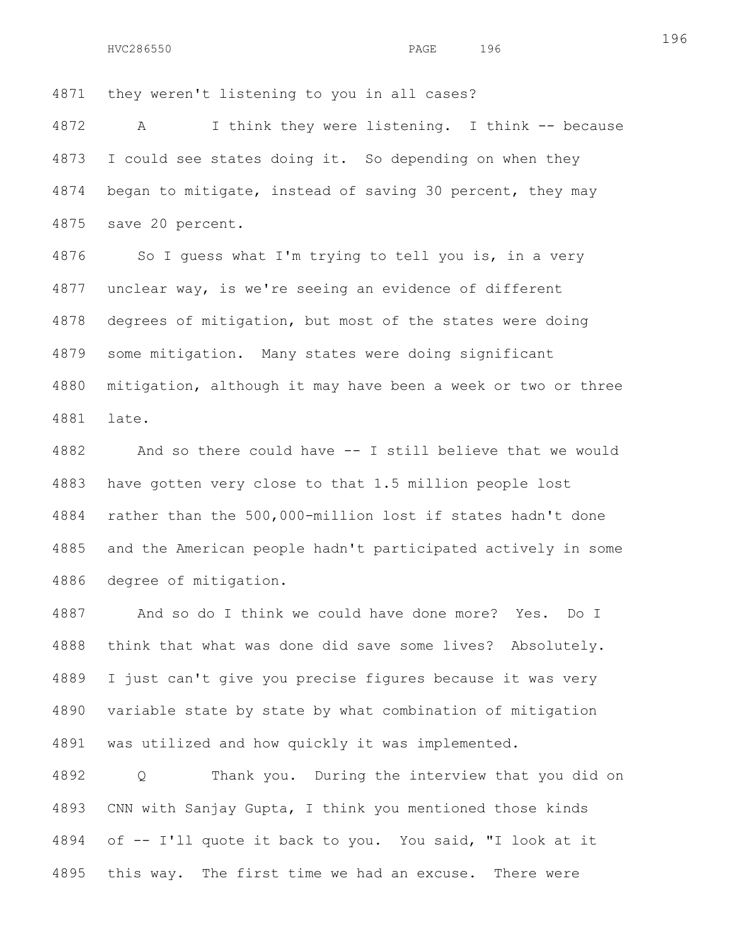4871 they weren't listening to you in all cases?

4872 A I think they were listening. I think -- because 4873 I could see states doing it. So depending on when they 4874 began to mitigate, instead of saving 30 percent, they may 4875 save 20 percent.

4876 So I guess what I'm trying to tell you is, in a very 4877 unclear way, is we're seeing an evidence of different 4878 degrees of mitigation, but most of the states were doing 4879 some mitigation. Many states were doing significant 4880 mitigation, although it may have been a week or two or three 4881 late.

4882 And so there could have -- I still believe that we would 4883 have gotten very close to that 1.5 million people lost 4884 rather than the 500,000-million lost if states hadn't done 4885 and the American people hadn't participated actively in some 4886 degree of mitigation.

4887 And so do I think we could have done more? Yes. Do I 4888 think that what was done did save some lives? Absolutely. 4889 I just can't give you precise figures because it was very 4890 variable state by state by what combination of mitigation 4891 was utilized and how quickly it was implemented.

4892 Q Thank you. During the interview that you did on 4893 CNN with Sanjay Gupta, I think you mentioned those kinds 4894 of -- I'll quote it back to you. You said, "I look at it 4895 this way. The first time we had an excuse. There were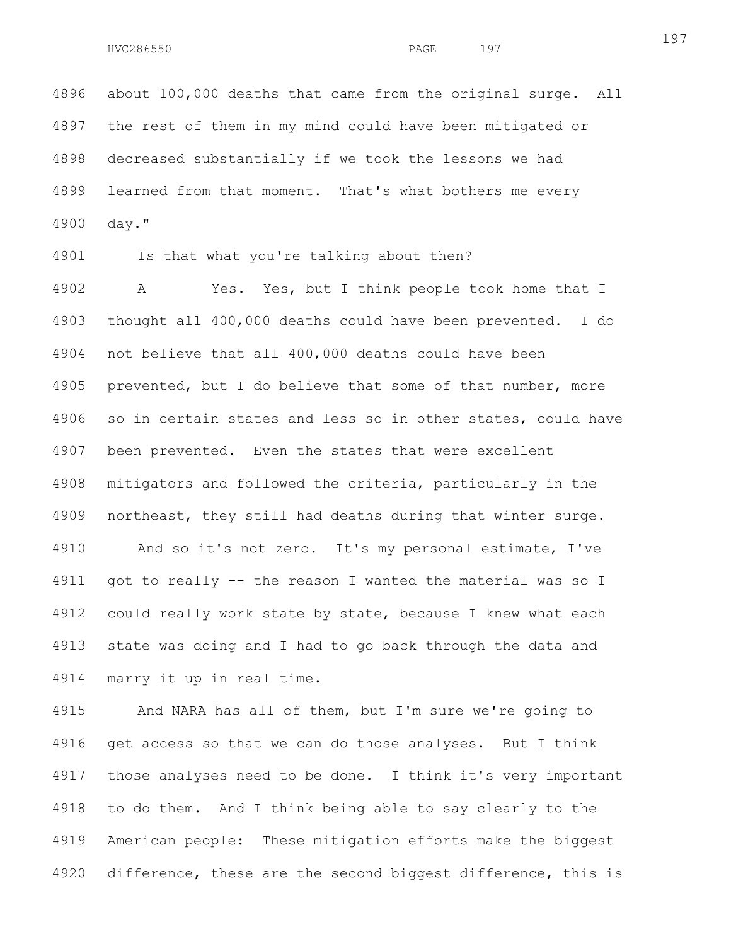4896 about 100,000 deaths that came from the original surge. All 4897 the rest of them in my mind could have been mitigated or 4898 decreased substantially if we took the lessons we had 4899 learned from that moment. That's what bothers me every 4900 day."

4901 Is that what you're talking about then?

4902 A Yes. Yes, but I think people took home that I 4903 thought all 400,000 deaths could have been prevented. I do 4904 not believe that all 400,000 deaths could have been 4905 prevented, but I do believe that some of that number, more 4906 so in certain states and less so in other states, could have 4907 been prevented. Even the states that were excellent 4908 mitigators and followed the criteria, particularly in the 4909 northeast, they still had deaths during that winter surge. 4910 And so it's not zero. It's my personal estimate, I've 4911 got to really -- the reason I wanted the material was so I 4912 could really work state by state, because I knew what each 4913 state was doing and I had to go back through the data and 4914 marry it up in real time.

4915 And NARA has all of them, but I'm sure we're going to 4916 get access so that we can do those analyses. But I think 4917 those analyses need to be done. I think it's very important 4918 to do them. And I think being able to say clearly to the 4919 American people: These mitigation efforts make the biggest 4920 difference, these are the second biggest difference, this is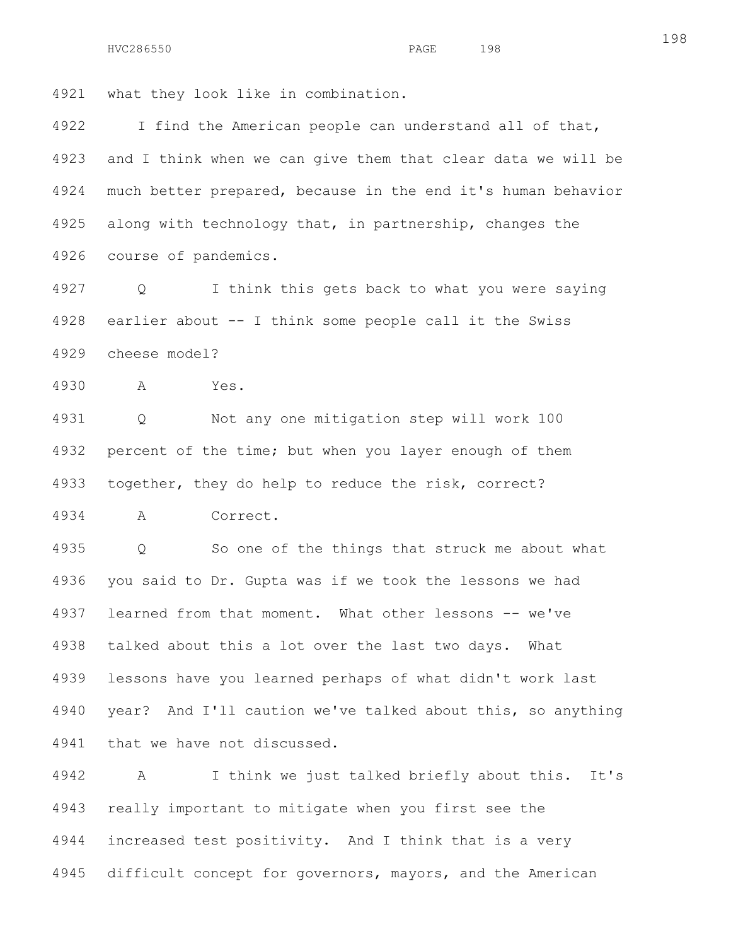4921 what they look like in combination.

4922 I find the American people can understand all of that, 4923 and I think when we can give them that clear data we will be 4924 much better prepared, because in the end it's human behavior 4925 along with technology that, in partnership, changes the 4926 course of pandemics.

4927 Q I think this gets back to what you were saying 4928 earlier about -- I think some people call it the Swiss 4929 cheese model?

4930 A Yes.

4931 Q Not any one mitigation step will work 100 4932 percent of the time; but when you layer enough of them 4933 together, they do help to reduce the risk, correct?

4934 A Correct.

4935 Q So one of the things that struck me about what 4936 you said to Dr. Gupta was if we took the lessons we had 4937 learned from that moment. What other lessons -- we've 4938 talked about this a lot over the last two days. What 4939 lessons have you learned perhaps of what didn't work last 4940 year? And I'll caution we've talked about this, so anything 4941 that we have not discussed.

4942 A I think we just talked briefly about this. It's 4943 really important to mitigate when you first see the 4944 increased test positivity. And I think that is a very 4945 difficult concept for governors, mayors, and the American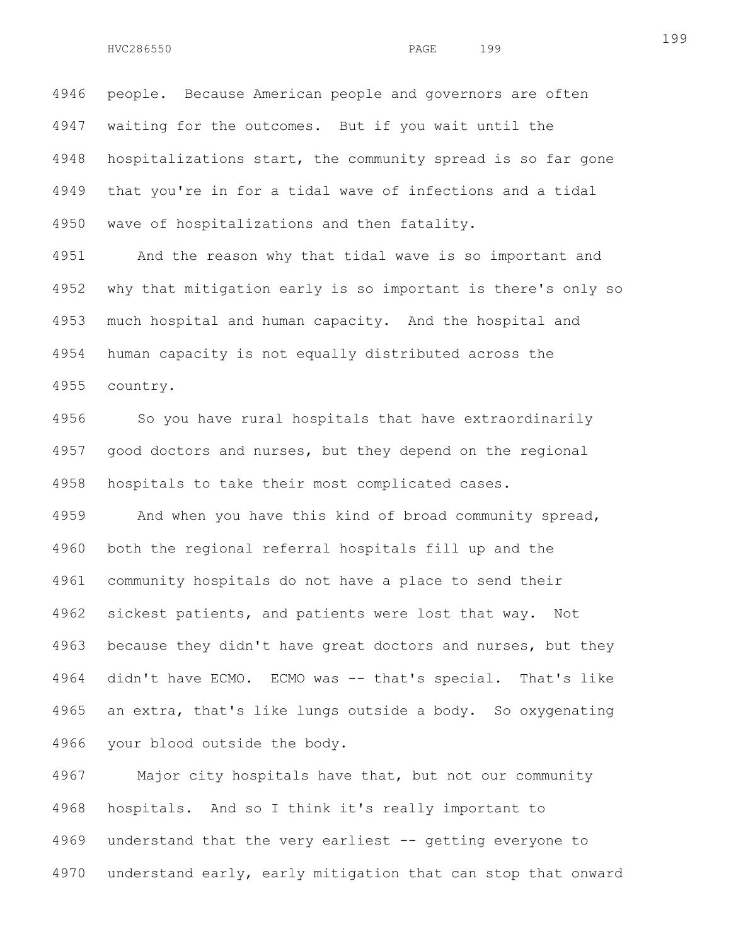4946 people. Because American people and governors are often 4947 waiting for the outcomes. But if you wait until the 4948 hospitalizations start, the community spread is so far gone 4949 that you're in for a tidal wave of infections and a tidal 4950 wave of hospitalizations and then fatality.

4951 And the reason why that tidal wave is so important and 4952 why that mitigation early is so important is there's only so 4953 much hospital and human capacity. And the hospital and 4954 human capacity is not equally distributed across the 4955 country.

4956 So you have rural hospitals that have extraordinarily 4957 good doctors and nurses, but they depend on the regional 4958 hospitals to take their most complicated cases.

4959 And when you have this kind of broad community spread, 4960 both the regional referral hospitals fill up and the 4961 community hospitals do not have a place to send their 4962 sickest patients, and patients were lost that way. Not 4963 because they didn't have great doctors and nurses, but they 4964 didn't have ECMO. ECMO was -- that's special. That's like 4965 an extra, that's like lungs outside a body. So oxygenating 4966 your blood outside the body.

4967 Major city hospitals have that, but not our community 4968 hospitals. And so I think it's really important to 4969 understand that the very earliest -- getting everyone to 4970 understand early, early mitigation that can stop that onward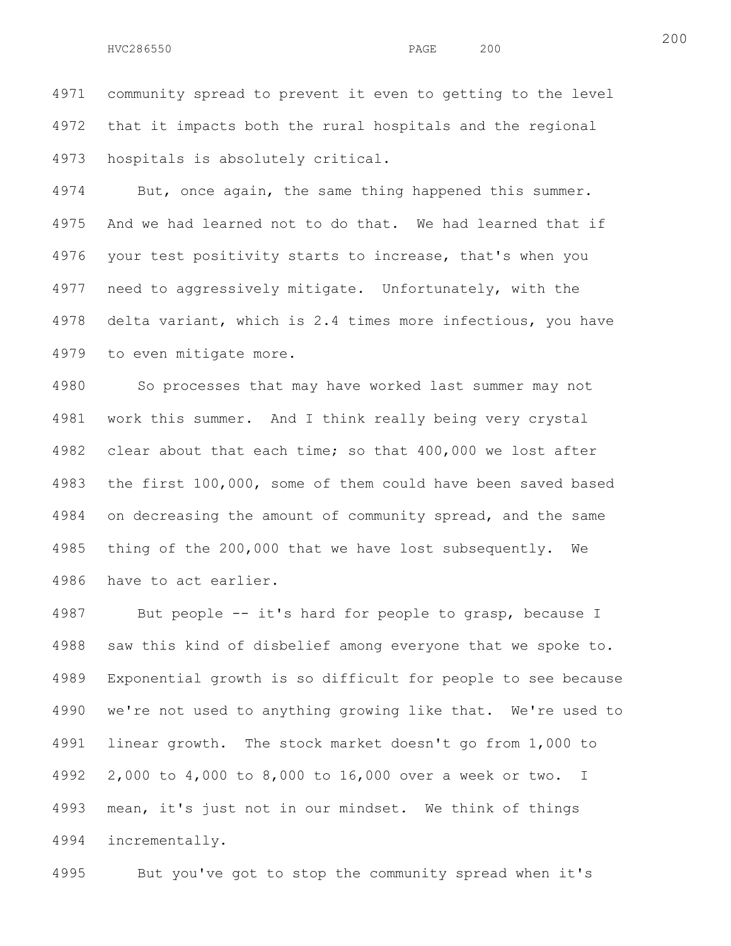4971 community spread to prevent it even to getting to the level 4972 that it impacts both the rural hospitals and the regional 4973 hospitals is absolutely critical.

4974 But, once again, the same thing happened this summer. 4975 And we had learned not to do that. We had learned that if 4976 your test positivity starts to increase, that's when you 4977 need to aggressively mitigate. Unfortunately, with the 4978 delta variant, which is 2.4 times more infectious, you have 4979 to even mitigate more.

4980 So processes that may have worked last summer may not 4981 work this summer. And I think really being very crystal 4982 clear about that each time; so that 400,000 we lost after 4983 the first 100,000, some of them could have been saved based 4984 on decreasing the amount of community spread, and the same 4985 thing of the 200,000 that we have lost subsequently. We 4986 have to act earlier.

4987 But people -- it's hard for people to grasp, because I 4988 saw this kind of disbelief among everyone that we spoke to. 4989 Exponential growth is so difficult for people to see because 4990 we're not used to anything growing like that. We're used to 4991 linear growth. The stock market doesn't go from 1,000 to 4992 2,000 to 4,000 to 8,000 to 16,000 over a week or two. I 4993 mean, it's just not in our mindset. We think of things 4994 incrementally.

4995 But you've got to stop the community spread when it's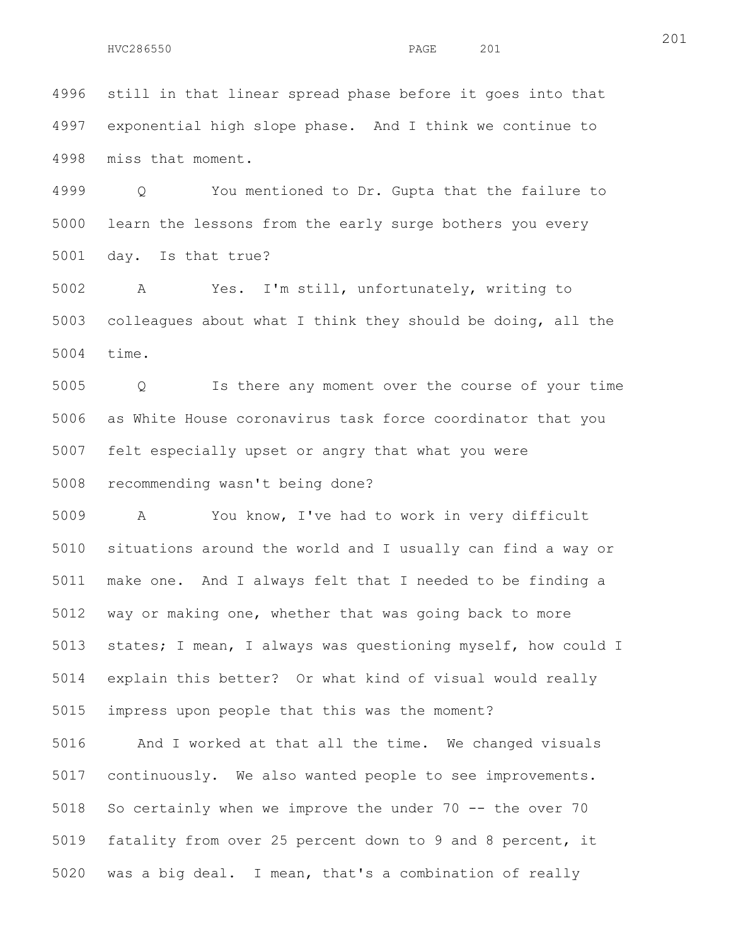4996 still in that linear spread phase before it goes into that 4997 exponential high slope phase. And I think we continue to 4998 miss that moment.

4999 Q You mentioned to Dr. Gupta that the failure to 5000 learn the lessons from the early surge bothers you every 5001 day. Is that true?

5002 A Yes. I'm still, unfortunately, writing to 5003 colleagues about what I think they should be doing, all the 5004 time.

5005 Q Is there any moment over the course of your time 5006 as White House coronavirus task force coordinator that you 5007 felt especially upset or angry that what you were 5008 recommending wasn't being done?

5009 A You know, I've had to work in very difficult 5010 situations around the world and I usually can find a way or 5011 make one. And I always felt that I needed to be finding a 5012 way or making one, whether that was going back to more 5013 states; I mean, I always was questioning myself, how could I 5014 explain this better? Or what kind of visual would really 5015 impress upon people that this was the moment?

5016 And I worked at that all the time. We changed visuals 5017 continuously. We also wanted people to see improvements. 5018 So certainly when we improve the under 70 -- the over 70 5019 fatality from over 25 percent down to 9 and 8 percent, it 5020 was a big deal. I mean, that's a combination of really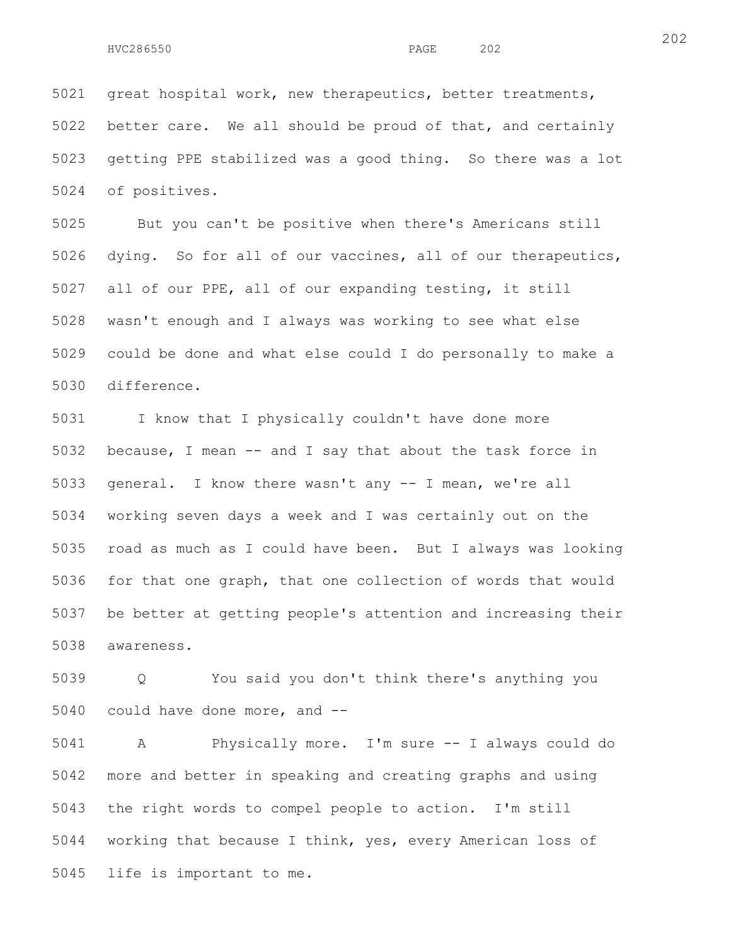202

5021 great hospital work, new therapeutics, better treatments, 5022 better care. We all should be proud of that, and certainly 5023 getting PPE stabilized was a good thing. So there was a lot 5024 of positives.

5025 But you can't be positive when there's Americans still 5026 dying. So for all of our vaccines, all of our therapeutics, 5027 all of our PPE, all of our expanding testing, it still 5028 wasn't enough and I always was working to see what else 5029 could be done and what else could I do personally to make a 5030 difference.

5031 I know that I physically couldn't have done more 5032 because, I mean -- and I say that about the task force in 5033 general. I know there wasn't any -- I mean, we're all 5034 working seven days a week and I was certainly out on the 5035 road as much as I could have been. But I always was looking 5036 for that one graph, that one collection of words that would 5037 be better at getting people's attention and increasing their 5038 awareness.

5039 Q You said you don't think there's anything you 5040 could have done more, and --

5041 A Physically more. I'm sure -- I always could do 5042 more and better in speaking and creating graphs and using 5043 the right words to compel people to action. I'm still 5044 working that because I think, yes, every American loss of 5045 life is important to me.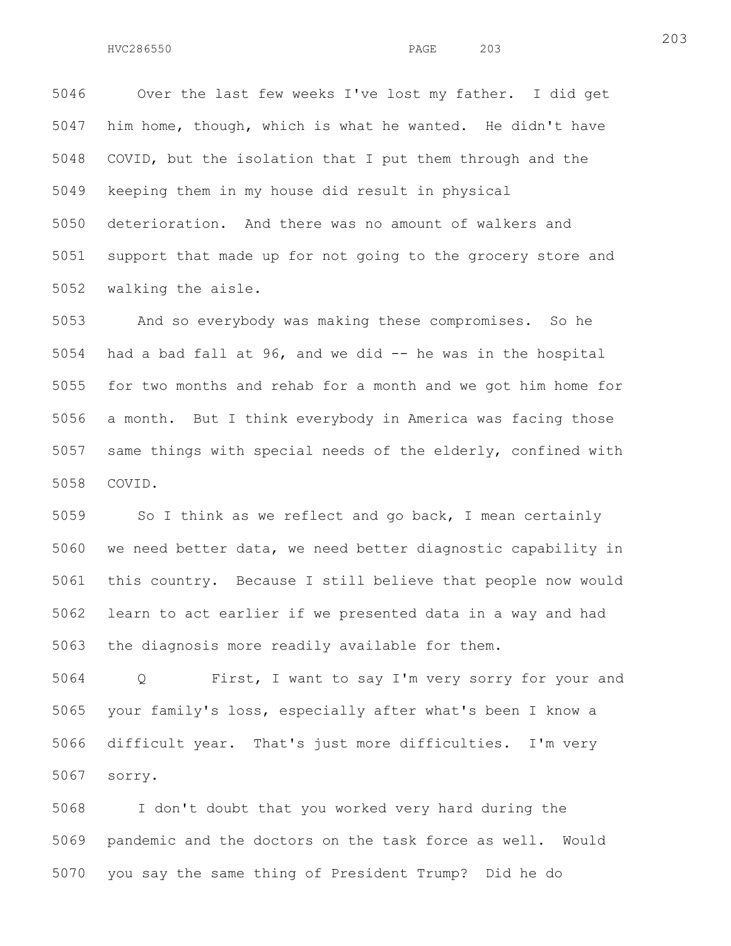5046 Over the last few weeks I've lost my father. I did get 5047 him home, though, which is what he wanted. He didn't have 5048 COVID, but the isolation that I put them through and the 5049 keeping them in my house did result in physical 5050 deterioration. And there was no amount of walkers and 5051 support that made up for not going to the grocery store and 5052 walking the aisle.

5053 And so everybody was making these compromises. So he 5054 had a bad fall at 96, and we did -- he was in the hospital 5055 for two months and rehab for a month and we got him home for 5056 a month. But I think everybody in America was facing those 5057 same things with special needs of the elderly, confined with 5058 COVID.

5059 So I think as we reflect and go back, I mean certainly 5060 we need better data, we need better diagnostic capability in 5061 this country. Because I still believe that people now would 5062 learn to act earlier if we presented data in a way and had 5063 the diagnosis more readily available for them.

5064 Q First, I want to say I'm very sorry for your and 5065 your family's loss, especially after what's been I know a 5066 difficult year. That's just more difficulties. I'm very 5067 sorry.

5068 I don't doubt that you worked very hard during the 5069 pandemic and the doctors on the task force as well. Would 5070 you say the same thing of President Trump? Did he do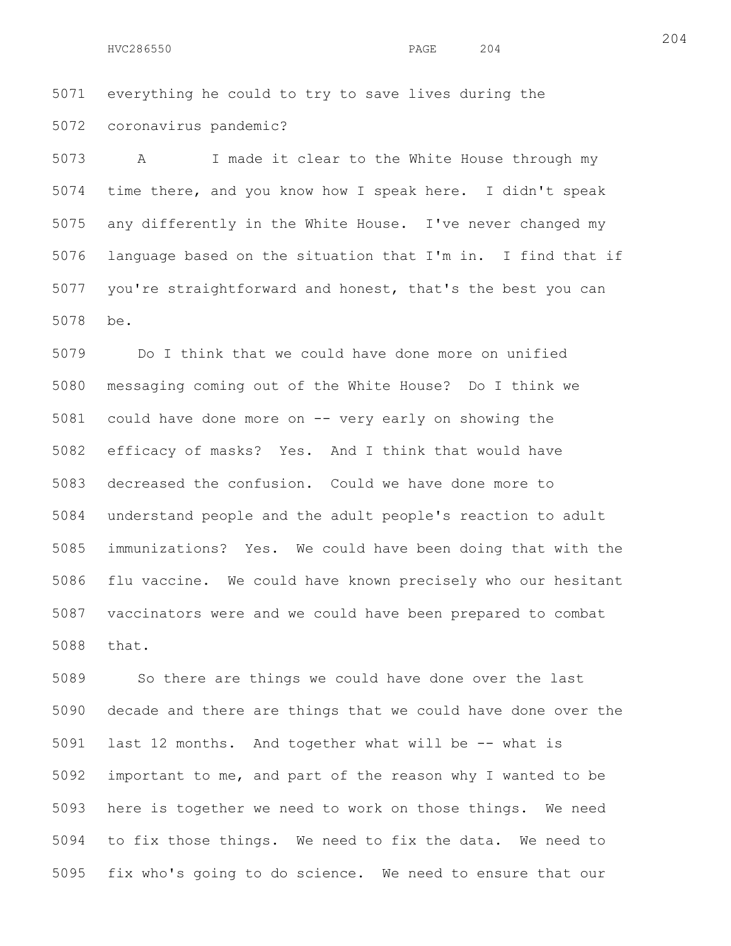5071 everything he could to try to save lives during the 5072 coronavirus pandemic?

5073 A I made it clear to the White House through my 5074 time there, and you know how I speak here. I didn't speak 5075 any differently in the White House. I've never changed my 5076 language based on the situation that I'm in. I find that if 5077 you're straightforward and honest, that's the best you can 5078 be.

5079 Do I think that we could have done more on unified 5080 messaging coming out of the White House? Do I think we 5081 could have done more on -- very early on showing the 5082 efficacy of masks? Yes. And I think that would have 5083 decreased the confusion. Could we have done more to 5084 understand people and the adult people's reaction to adult 5085 immunizations? Yes. We could have been doing that with the 5086 flu vaccine. We could have known precisely who our hesitant 5087 vaccinators were and we could have been prepared to combat 5088 that.

5089 So there are things we could have done over the last 5090 decade and there are things that we could have done over the 5091 last 12 months. And together what will be -- what is 5092 important to me, and part of the reason why I wanted to be 5093 here is together we need to work on those things. We need 5094 to fix those things. We need to fix the data. We need to 5095 fix who's going to do science. We need to ensure that our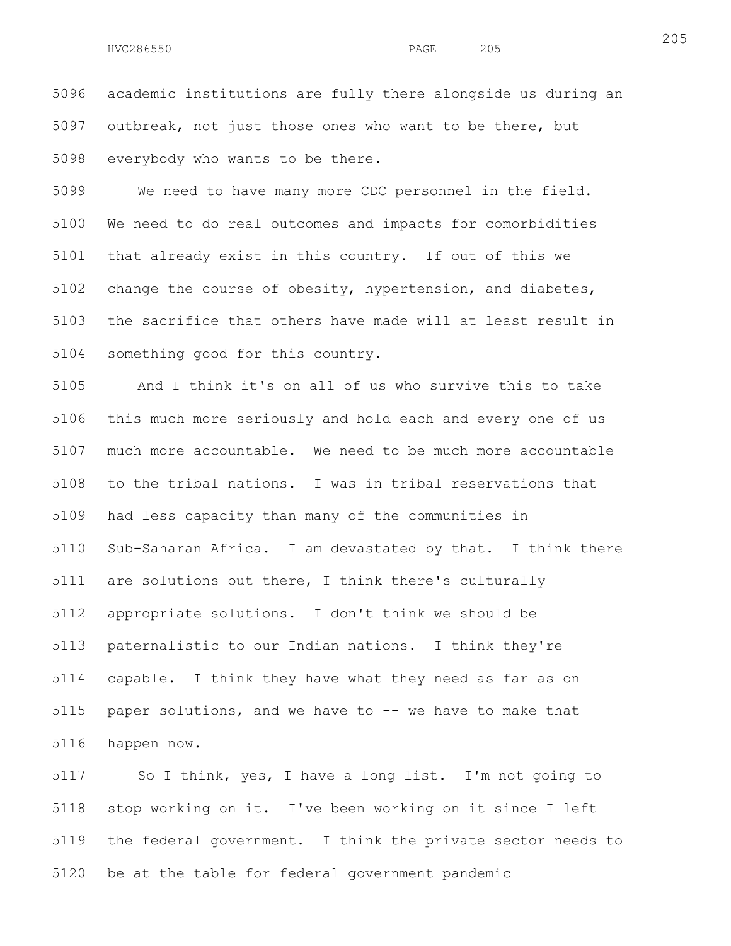5096 academic institutions are fully there alongside us during an 5097 outbreak, not just those ones who want to be there, but 5098 everybody who wants to be there.

5099 We need to have many more CDC personnel in the field. 5100 We need to do real outcomes and impacts for comorbidities 5101 that already exist in this country. If out of this we 5102 change the course of obesity, hypertension, and diabetes, 5103 the sacrifice that others have made will at least result in 5104 something good for this country.

5105 And I think it's on all of us who survive this to take 5106 this much more seriously and hold each and every one of us 5107 much more accountable. We need to be much more accountable 5108 to the tribal nations. I was in tribal reservations that 5109 had less capacity than many of the communities in 5110 Sub-Saharan Africa. I am devastated by that. I think there 5111 are solutions out there, I think there's culturally 5112 appropriate solutions. I don't think we should be 5113 paternalistic to our Indian nations. I think they're 5114 capable. I think they have what they need as far as on 5115 paper solutions, and we have to -- we have to make that 5116 happen now.

5117 So I think, yes, I have a long list. I'm not going to 5118 stop working on it. I've been working on it since I left 5119 the federal government. I think the private sector needs to 5120 be at the table for federal government pandemic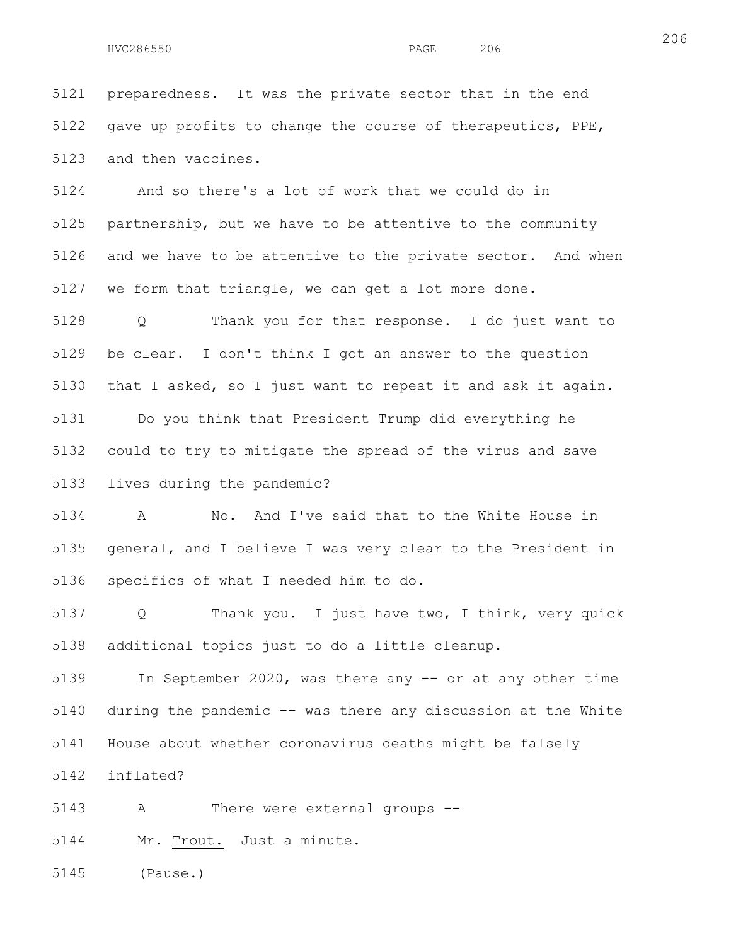5121 preparedness. It was the private sector that in the end 5122 gave up profits to change the course of therapeutics, PPE, 5123 and then vaccines.

5124 And so there's a lot of work that we could do in 5125 partnership, but we have to be attentive to the community 5126 and we have to be attentive to the private sector. And when 5127 we form that triangle, we can get a lot more done.

5128 Q Thank you for that response. I do just want to 5129 be clear. I don't think I got an answer to the question 5130 that I asked, so I just want to repeat it and ask it again. 5131 Do you think that President Trump did everything he 5132 could to try to mitigate the spread of the virus and save 5133 lives during the pandemic?

5134 A No. And I've said that to the White House in 5135 general, and I believe I was very clear to the President in 5136 specifics of what I needed him to do.

5137 Q Thank you. I just have two, I think, very quick 5138 additional topics just to do a little cleanup.

5139 In September 2020, was there any -- or at any other time 5140 during the pandemic -- was there any discussion at the White 5141 House about whether coronavirus deaths might be falsely

5142 inflated?

5143 A There were external groups --

5144 Mr. Trout. Just a minute.

5145 (Pause.)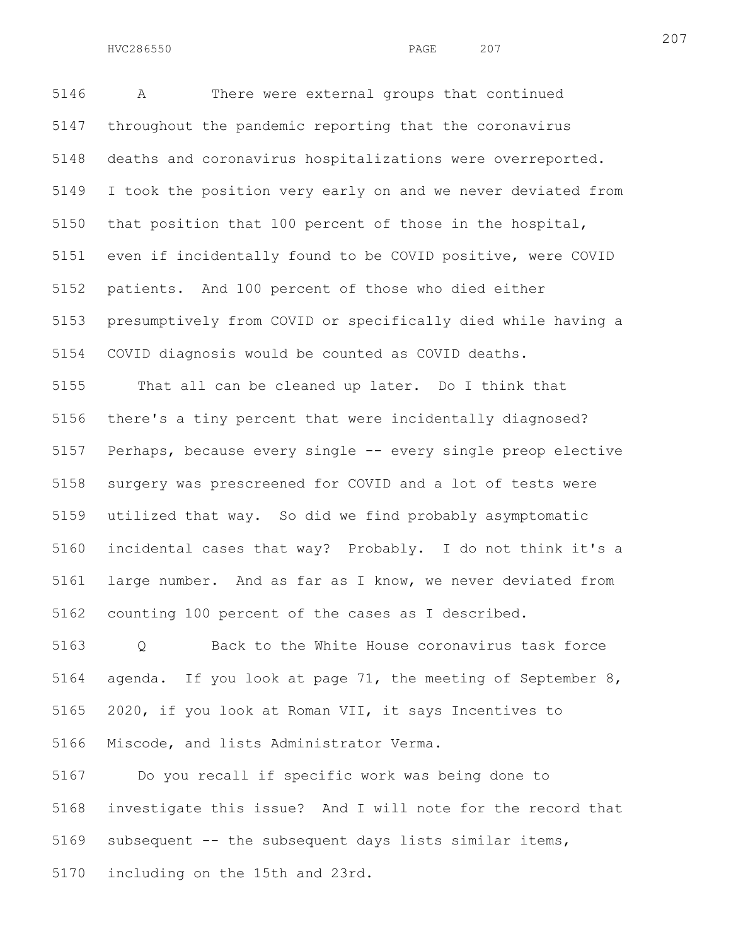5146 A There were external groups that continued 5147 throughout the pandemic reporting that the coronavirus 5148 deaths and coronavirus hospitalizations were overreported. 5149 I took the position very early on and we never deviated from 5150 that position that 100 percent of those in the hospital, 5151 even if incidentally found to be COVID positive, were COVID 5152 patients. And 100 percent of those who died either 5153 presumptively from COVID or specifically died while having a 5154 COVID diagnosis would be counted as COVID deaths.

5155 That all can be cleaned up later. Do I think that 5156 there's a tiny percent that were incidentally diagnosed? 5157 Perhaps, because every single -- every single preop elective 5158 surgery was prescreened for COVID and a lot of tests were 5159 utilized that way. So did we find probably asymptomatic 5160 incidental cases that way? Probably. I do not think it's a 5161 large number. And as far as I know, we never deviated from 5162 counting 100 percent of the cases as I described.

5163 Q Back to the White House coronavirus task force 5164 agenda. If you look at page 71, the meeting of September 8, 5165 2020, if you look at Roman VII, it says Incentives to 5166 Miscode, and lists Administrator Verma.

5167 Do you recall if specific work was being done to 5168 investigate this issue? And I will note for the record that 5169 subsequent -- the subsequent days lists similar items, 5170 including on the 15th and 23rd.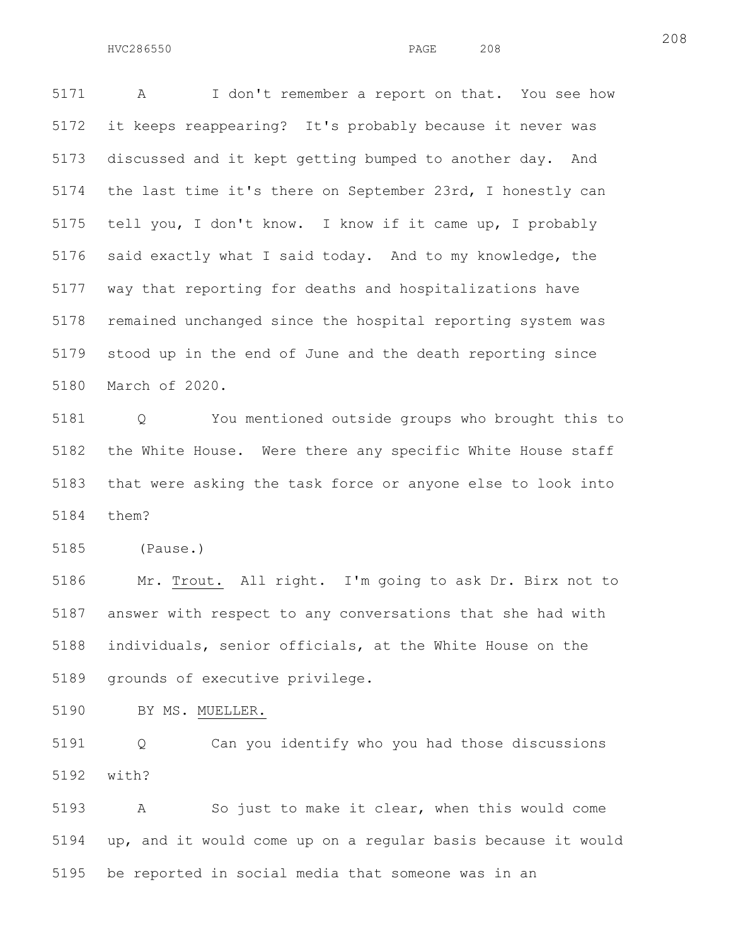5171 A I don't remember a report on that. You see how 5172 it keeps reappearing? It's probably because it never was 5173 discussed and it kept getting bumped to another day. And 5174 the last time it's there on September 23rd, I honestly can 5175 tell you, I don't know. I know if it came up, I probably 5176 said exactly what I said today. And to my knowledge, the 5177 way that reporting for deaths and hospitalizations have 5178 remained unchanged since the hospital reporting system was 5179 stood up in the end of June and the death reporting since 5180 March of 2020.

5181 Q You mentioned outside groups who brought this to 5182 the White House. Were there any specific White House staff 5183 that were asking the task force or anyone else to look into 5184 them?

5185 (Pause.)

5186 Mr. Trout. All right. I'm going to ask Dr. Birx not to 5187 answer with respect to any conversations that she had with 5188 individuals, senior officials, at the White House on the 5189 grounds of executive privilege.

5190 BY MS. MUELLER.

5191 Q Can you identify who you had those discussions 5192 with?

5193 A So just to make it clear, when this would come 5194 up, and it would come up on a regular basis because it would 5195 be reported in social media that someone was in an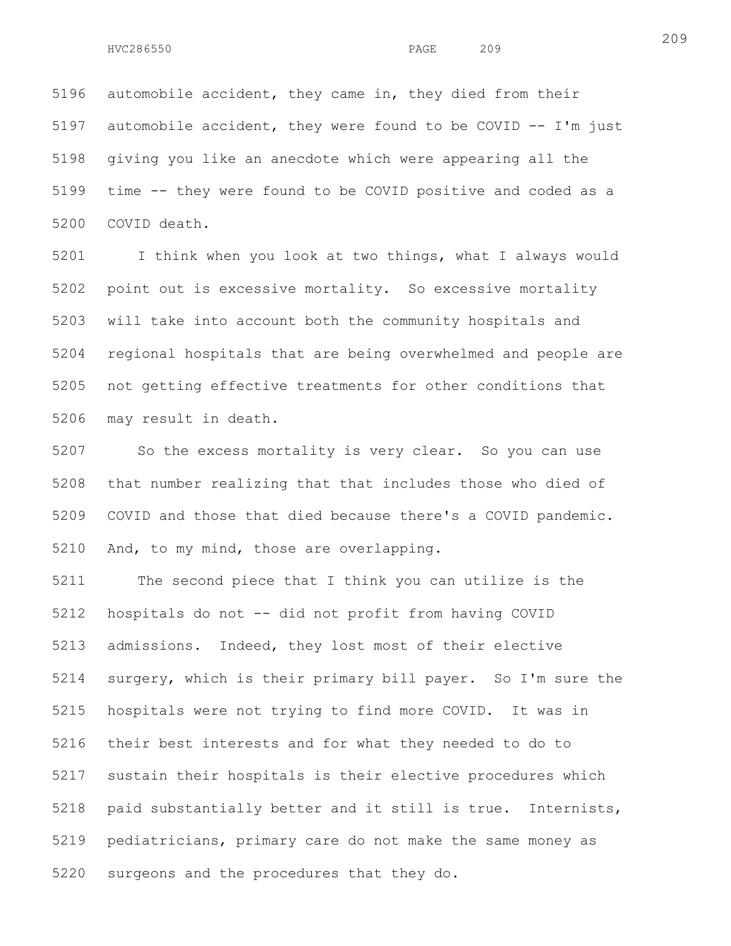5196 automobile accident, they came in, they died from their 5197 automobile accident, they were found to be COVID -- I'm just 5198 giving you like an anecdote which were appearing all the 5199 time -- they were found to be COVID positive and coded as a 5200 COVID death.

5201 I think when you look at two things, what I always would 5202 point out is excessive mortality. So excessive mortality 5203 will take into account both the community hospitals and 5204 regional hospitals that are being overwhelmed and people are 5205 not getting effective treatments for other conditions that 5206 may result in death.

5207 So the excess mortality is very clear. So you can use 5208 that number realizing that that includes those who died of 5209 COVID and those that died because there's a COVID pandemic. 5210 And, to my mind, those are overlapping.

5211 The second piece that I think you can utilize is the 5212 hospitals do not -- did not profit from having COVID 5213 admissions. Indeed, they lost most of their elective 5214 surgery, which is their primary bill payer. So I'm sure the 5215 hospitals were not trying to find more COVID. It was in 5216 their best interests and for what they needed to do to 5217 sustain their hospitals is their elective procedures which 5218 paid substantially better and it still is true. Internists, 5219 pediatricians, primary care do not make the same money as 5220 surgeons and the procedures that they do.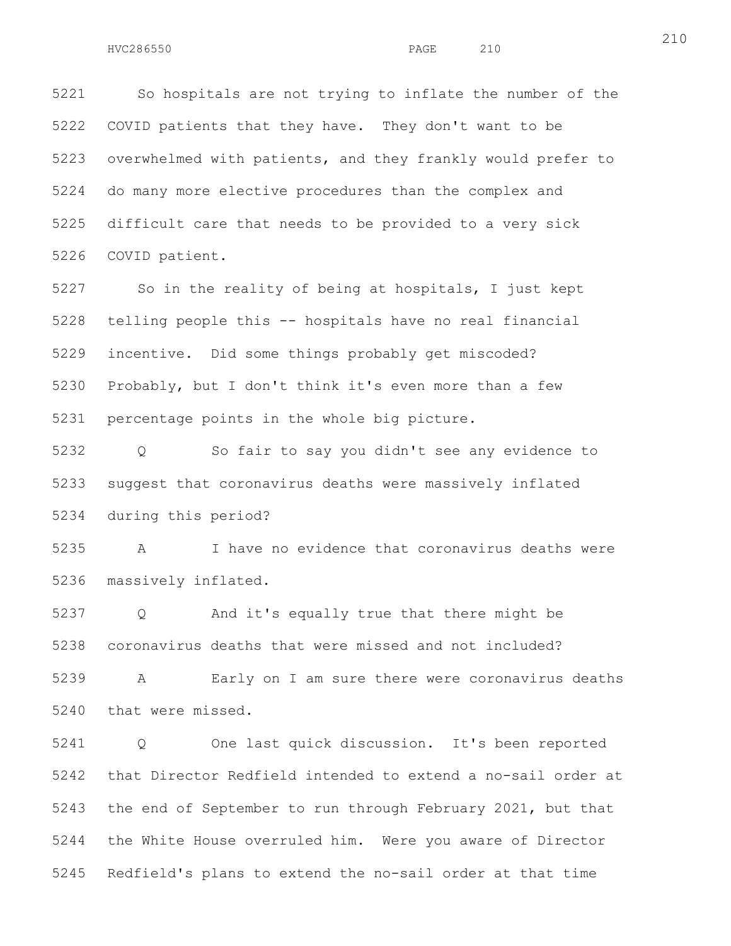5221 So hospitals are not trying to inflate the number of the 5222 COVID patients that they have. They don't want to be 5223 overwhelmed with patients, and they frankly would prefer to 5224 do many more elective procedures than the complex and 5225 difficult care that needs to be provided to a very sick 5226 COVID patient.

5227 So in the reality of being at hospitals, I just kept 5228 telling people this -- hospitals have no real financial 5229 incentive. Did some things probably get miscoded? 5230 Probably, but I don't think it's even more than a few 5231 percentage points in the whole big picture.

5232 Q So fair to say you didn't see any evidence to 5233 suggest that coronavirus deaths were massively inflated 5234 during this period?

5235 A I have no evidence that coronavirus deaths were 5236 massively inflated.

5237 Q And it's equally true that there might be 5238 coronavirus deaths that were missed and not included?

5239 A Early on I am sure there were coronavirus deaths 5240 that were missed.

5241 Q One last quick discussion. It's been reported 5242 that Director Redfield intended to extend a no-sail order at 5243 the end of September to run through February 2021, but that 5244 the White House overruled him. Were you aware of Director 5245 Redfield's plans to extend the no-sail order at that time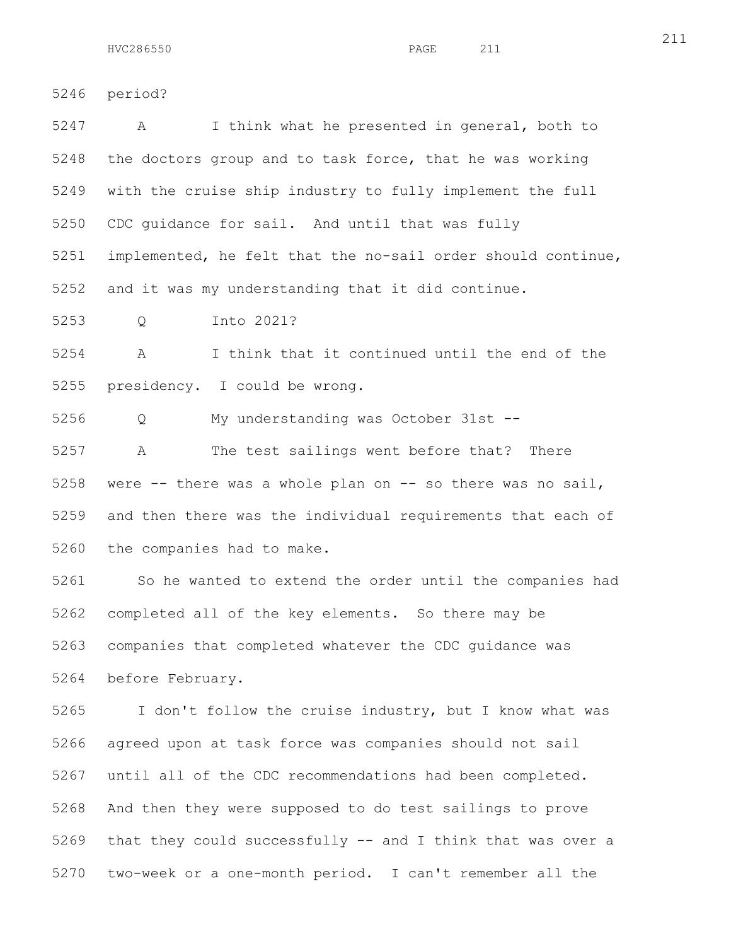5246 period? 5247 A I think what he presented in general, both to 5248 the doctors group and to task force, that he was working 5249 with the cruise ship industry to fully implement the full 5250 CDC guidance for sail. And until that was fully

5251 implemented, he felt that the no-sail order should continue, 5252 and it was my understanding that it did continue.

5253 Q Into 2021?

5254 A I think that it continued until the end of the 5255 presidency. I could be wrong.

5256 Q My understanding was October 31st --

5257 A The test sailings went before that? There 5258 were -- there was a whole plan on -- so there was no sail, 5259 and then there was the individual requirements that each of 5260 the companies had to make.

5261 So he wanted to extend the order until the companies had 5262 completed all of the key elements. So there may be 5263 companies that completed whatever the CDC guidance was 5264 before February.

5265 I don't follow the cruise industry, but I know what was 5266 agreed upon at task force was companies should not sail 5267 until all of the CDC recommendations had been completed. 5268 And then they were supposed to do test sailings to prove 5269 that they could successfully -- and I think that was over a 5270 two-week or a one-month period. I can't remember all the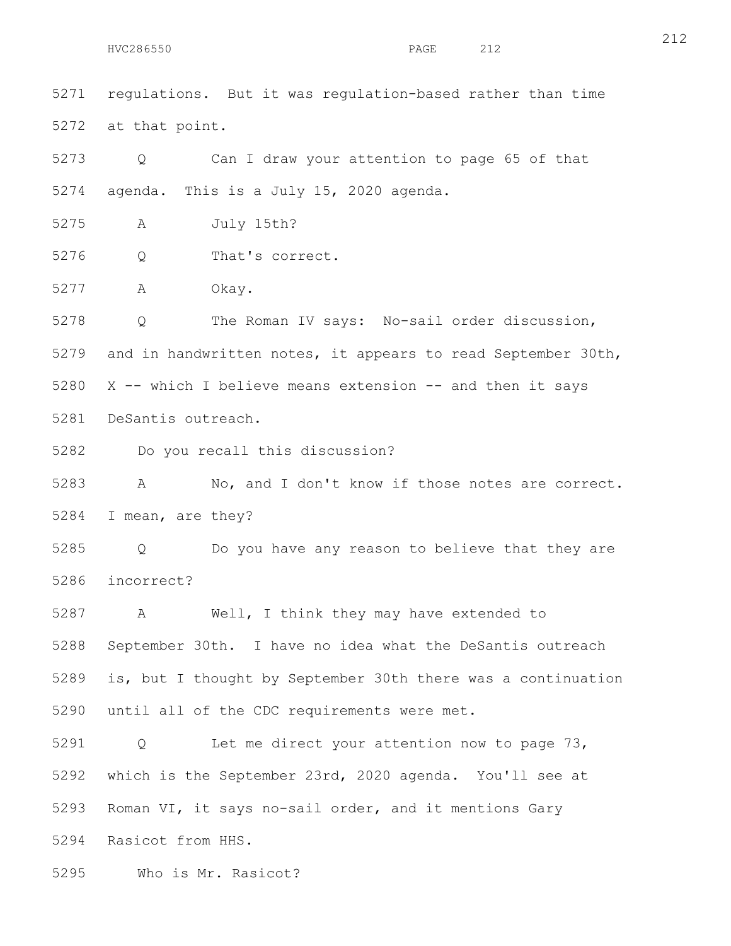5271 regulations. But it was regulation-based rather than time 5272 at that point. 5273 Q Can I draw your attention to page 65 of that 5274 agenda. This is a July 15, 2020 agenda. 5275 A July 15th? 5276 Q That's correct. 5277 A Okay. 5278 Q The Roman IV says: No-sail order discussion, 5279 and in handwritten notes, it appears to read September 30th, 5280 X -- which I believe means extension -- and then it says 5281 DeSantis outreach. 5282 Do you recall this discussion? 5283 A No, and I don't know if those notes are correct. 5284 I mean, are they? 5285 Q Do you have any reason to believe that they are 5286 incorrect? 5287 A Well, I think they may have extended to 5288 September 30th. I have no idea what the DeSantis outreach 5289 is, but I thought by September 30th there was a continuation 5290 until all of the CDC requirements were met. 5291 Q Let me direct your attention now to page 73, 5292 which is the September 23rd, 2020 agenda. You'll see at 5293 Roman VI, it says no-sail order, and it mentions Gary 5294 Rasicot from HHS.

5295 Who is Mr. Rasicot?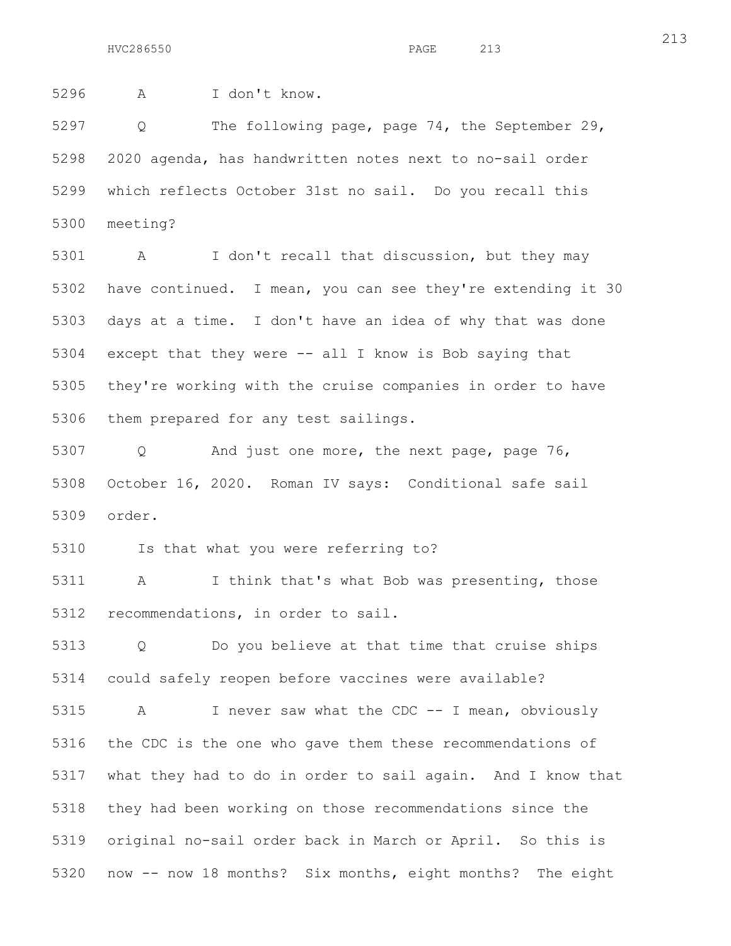5296 A I don't know.

5297 Q The following page, page 74, the September 29, 5298 2020 agenda, has handwritten notes next to no-sail order 5299 which reflects October 31st no sail. Do you recall this 5300 meeting?

5301 A I don't recall that discussion, but they may 5302 have continued. I mean, you can see they're extending it 30 5303 days at a time. I don't have an idea of why that was done 5304 except that they were -- all I know is Bob saying that 5305 they're working with the cruise companies in order to have 5306 them prepared for any test sailings.

5307 Q And just one more, the next page, page 76, 5308 October 16, 2020. Roman IV says: Conditional safe sail 5309 order.

5310 Is that what you were referring to?

5311 A I think that's what Bob was presenting, those 5312 recommendations, in order to sail.

5313 Q Do you believe at that time that cruise ships 5314 could safely reopen before vaccines were available?

5315 A I never saw what the CDC -- I mean, obviously 5316 the CDC is the one who gave them these recommendations of 5317 what they had to do in order to sail again. And I know that 5318 they had been working on those recommendations since the 5319 original no-sail order back in March or April. So this is 5320 now -- now 18 months? Six months, eight months? The eight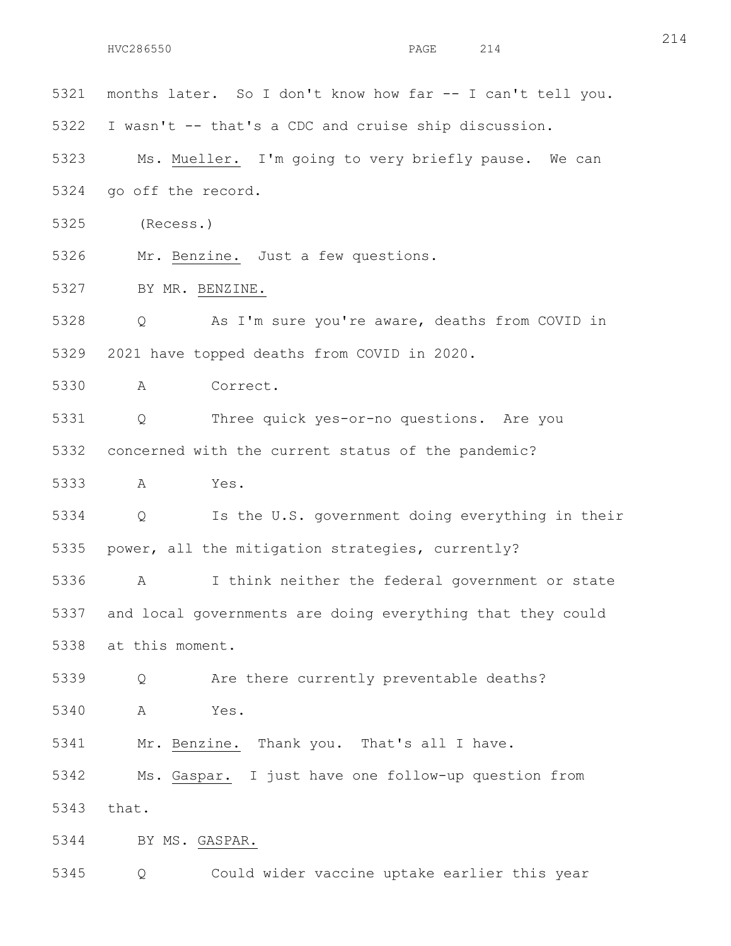5322 I wasn't -- that's a CDC and cruise ship discussion. 5323 Ms. Mueller. I'm going to very briefly pause. We can 5324 go off the record. 5325 (Recess.) 5326 Mr. Benzine. Just a few questions. 5327 BY MR. BENZINE. 5328 Q As I'm sure you're aware, deaths from COVID in 5329 2021 have topped deaths from COVID in 2020. 5330 A Correct. 5331 Q Three quick yes-or-no questions. Are you 5332 concerned with the current status of the pandemic? 5333 A Yes. 5334 Q Is the U.S. government doing everything in their 5335 power, all the mitigation strategies, currently? 5336 A I think neither the federal government or state 5337 and local governments are doing everything that they could 5338 at this moment. 5339 Q Are there currently preventable deaths? 5340 A Yes. 5341 Mr. Benzine. Thank you. That's all I have. 5342 Ms. Gaspar. I just have one follow-up question from 5343 that. 5344 BY MS. GASPAR. 5345 Q Could wider vaccine uptake earlier this year

5321 months later. So I don't know how far -- I can't tell you.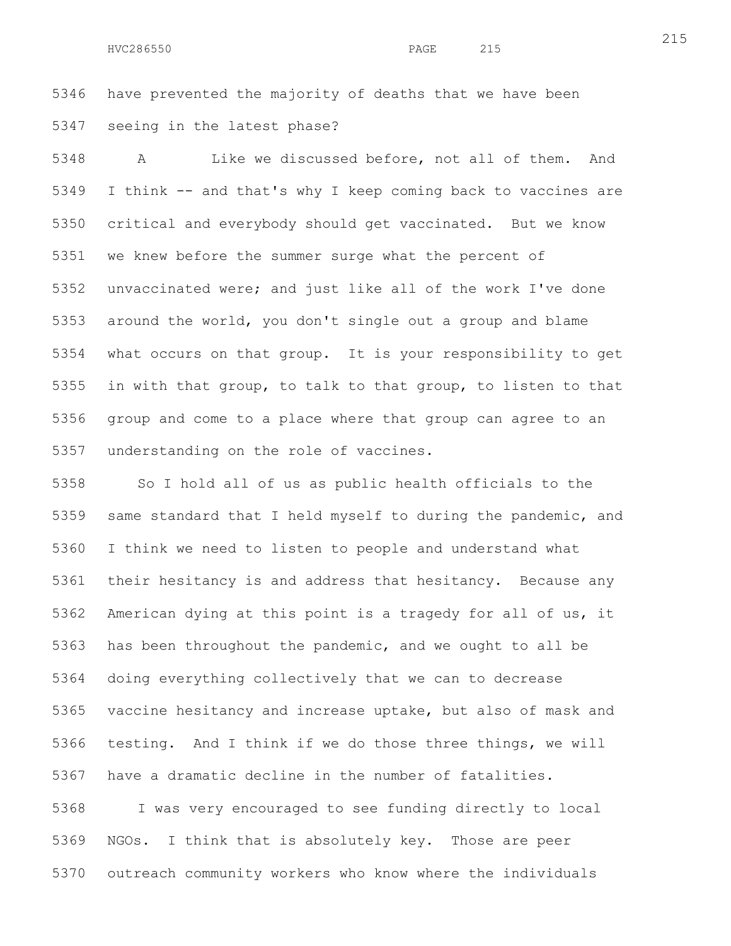5346 have prevented the majority of deaths that we have been 5347 seeing in the latest phase?

5348 A Like we discussed before, not all of them. And 5349 I think -- and that's why I keep coming back to vaccines are 5350 critical and everybody should get vaccinated. But we know 5351 we knew before the summer surge what the percent of 5352 unvaccinated were; and just like all of the work I've done 5353 around the world, you don't single out a group and blame 5354 what occurs on that group. It is your responsibility to get 5355 in with that group, to talk to that group, to listen to that 5356 group and come to a place where that group can agree to an 5357 understanding on the role of vaccines.

5358 So I hold all of us as public health officials to the 5359 same standard that I held myself to during the pandemic, and 5360 I think we need to listen to people and understand what 5361 their hesitancy is and address that hesitancy. Because any 5362 American dying at this point is a tragedy for all of us, it 5363 has been throughout the pandemic, and we ought to all be 5364 doing everything collectively that we can to decrease 5365 vaccine hesitancy and increase uptake, but also of mask and 5366 testing. And I think if we do those three things, we will 5367 have a dramatic decline in the number of fatalities. 5368 I was very encouraged to see funding directly to local 5369 NGOs. I think that is absolutely key. Those are peer 5370 outreach community workers who know where the individuals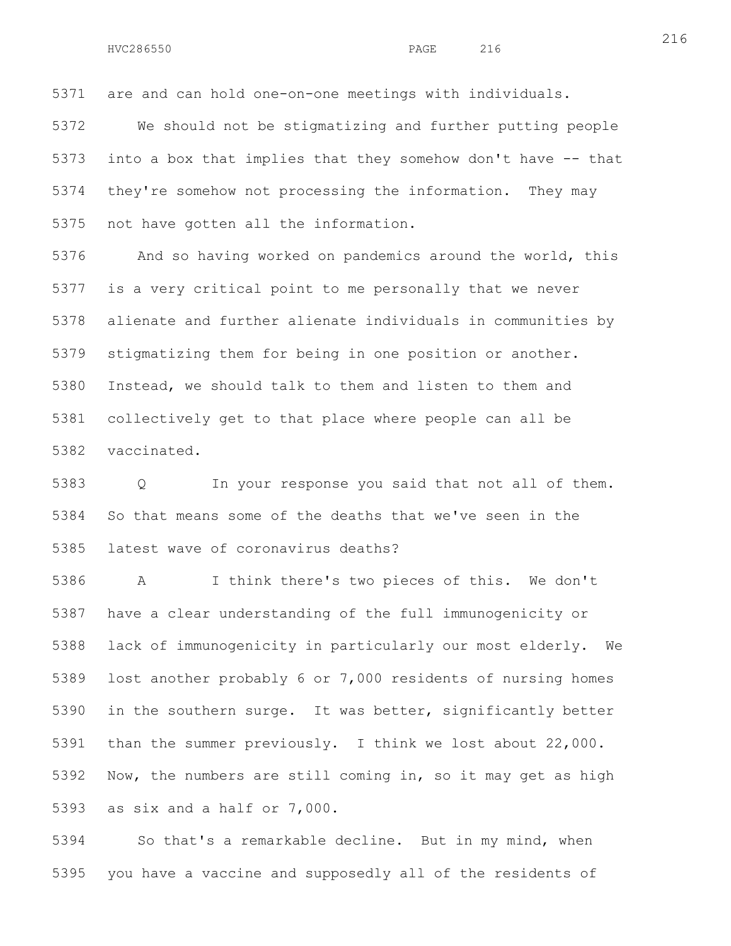5371 are and can hold one-on-one meetings with individuals.

5372 We should not be stigmatizing and further putting people 5373 into a box that implies that they somehow don't have -- that 5374 they're somehow not processing the information. They may 5375 not have gotten all the information.

5376 And so having worked on pandemics around the world, this 5377 is a very critical point to me personally that we never 5378 alienate and further alienate individuals in communities by 5379 stigmatizing them for being in one position or another. 5380 Instead, we should talk to them and listen to them and 5381 collectively get to that place where people can all be 5382 vaccinated.

5383 Q In your response you said that not all of them. 5384 So that means some of the deaths that we've seen in the 5385 latest wave of coronavirus deaths?

5386 A I think there's two pieces of this. We don't 5387 have a clear understanding of the full immunogenicity or 5388 lack of immunogenicity in particularly our most elderly. We 5389 lost another probably 6 or 7,000 residents of nursing homes 5390 in the southern surge. It was better, significantly better 5391 than the summer previously. I think we lost about 22,000. 5392 Now, the numbers are still coming in, so it may get as high 5393 as six and a half or 7,000.

5394 So that's a remarkable decline. But in my mind, when 5395 you have a vaccine and supposedly all of the residents of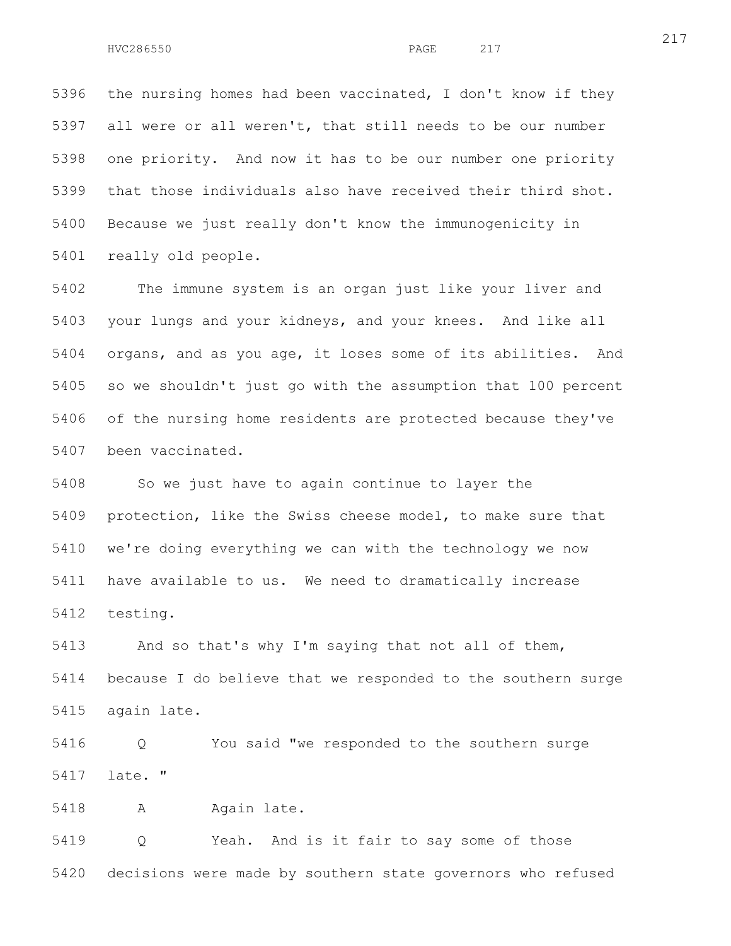5396 the nursing homes had been vaccinated, I don't know if they 5397 all were or all weren't, that still needs to be our number 5398 one priority. And now it has to be our number one priority 5399 that those individuals also have received their third shot. 5400 Because we just really don't know the immunogenicity in 5401 really old people.

5402 The immune system is an organ just like your liver and 5403 your lungs and your kidneys, and your knees. And like all 5404 organs, and as you age, it loses some of its abilities. And 5405 so we shouldn't just go with the assumption that 100 percent 5406 of the nursing home residents are protected because they've 5407 been vaccinated.

5408 So we just have to again continue to layer the 5409 protection, like the Swiss cheese model, to make sure that 5410 we're doing everything we can with the technology we now 5411 have available to us. We need to dramatically increase 5412 testing.

5413 And so that's why I'm saying that not all of them, 5414 because I do believe that we responded to the southern surge 5415 again late.

5416 Q You said "we responded to the southern surge 5417 late. "

5418 A Again late.

5419 Q Yeah. And is it fair to say some of those 5420 decisions were made by southern state governors who refused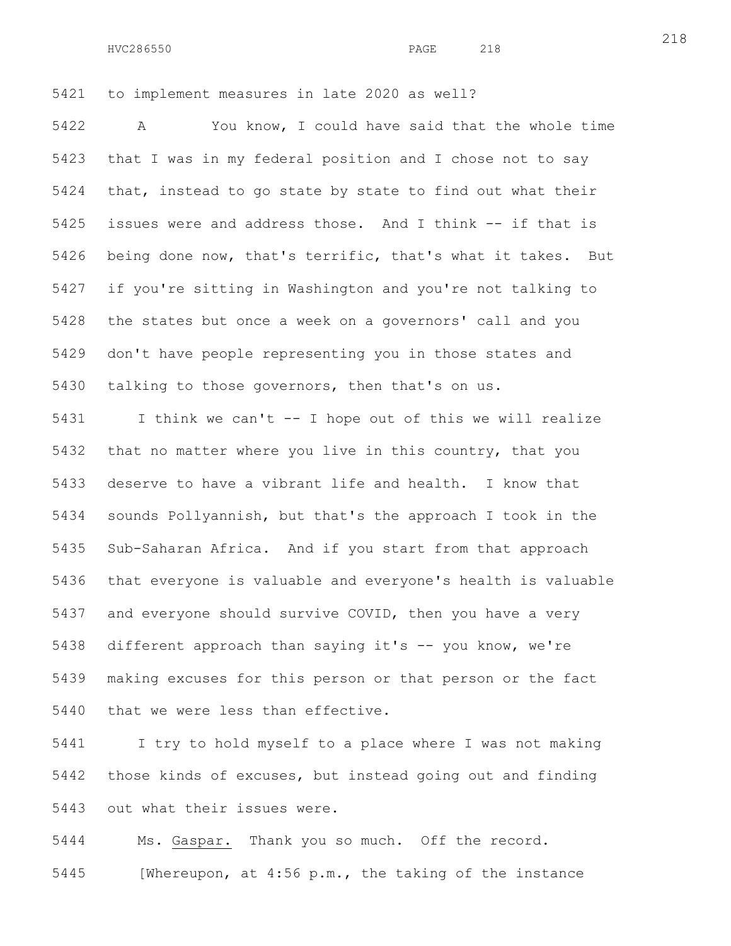HVC286550 PAGE 218

5421 to implement measures in late 2020 as well?

5422 A You know, I could have said that the whole time 5423 that I was in my federal position and I chose not to say 5424 that, instead to go state by state to find out what their 5425 issues were and address those. And I think -- if that is 5426 being done now, that's terrific, that's what it takes. But 5427 if you're sitting in Washington and you're not talking to 5428 the states but once a week on a governors' call and you 5429 don't have people representing you in those states and 5430 talking to those governors, then that's on us.

5431 I think we can't -- I hope out of this we will realize 5432 that no matter where you live in this country, that you 5433 deserve to have a vibrant life and health. I know that 5434 sounds Pollyannish, but that's the approach I took in the 5435 Sub-Saharan Africa. And if you start from that approach 5436 that everyone is valuable and everyone's health is valuable 5437 and everyone should survive COVID, then you have a very 5438 different approach than saying it's -- you know, we're 5439 making excuses for this person or that person or the fact 5440 that we were less than effective.

5441 I try to hold myself to a place where I was not making 5442 those kinds of excuses, but instead going out and finding 5443 out what their issues were.

5444 Ms. Gaspar. Thank you so much. Off the record.

5445 [Whereupon, at 4:56 p.m., the taking of the instance

218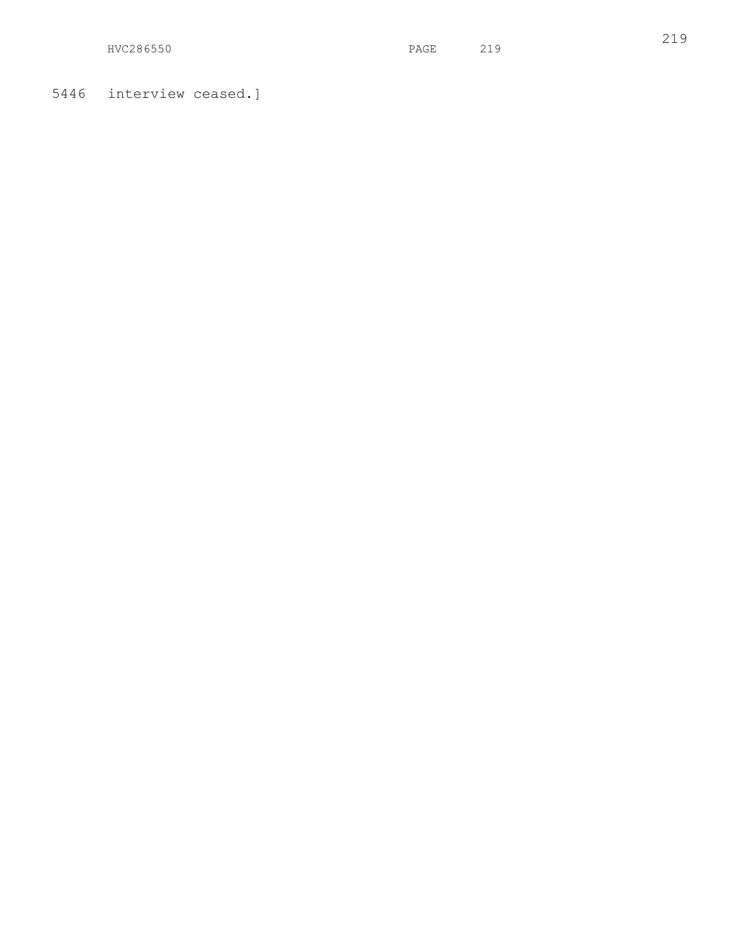HVC286550 PAGE 219

5446 interview ceased.]